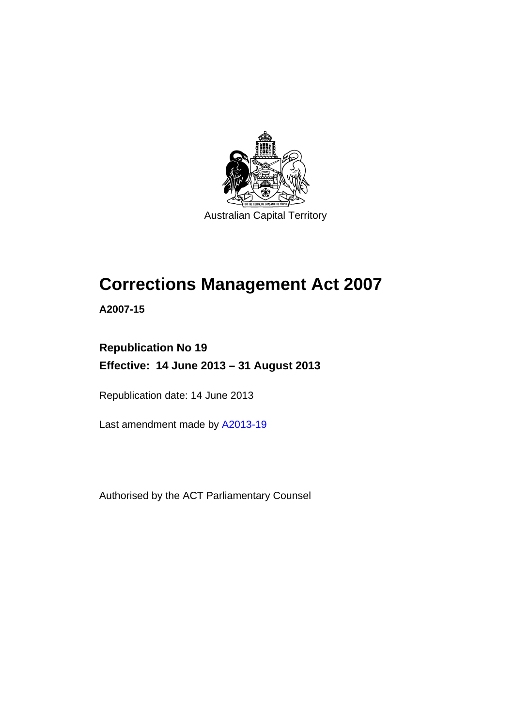

# **Corrections Management Act 2007**

**A2007-15** 

## **Republication No 19 Effective: 14 June 2013 – 31 August 2013**

Republication date: 14 June 2013

Last amendment made by [A2013-19](http://www.legislation.act.gov.au/a/2013-19)

Authorised by the ACT Parliamentary Counsel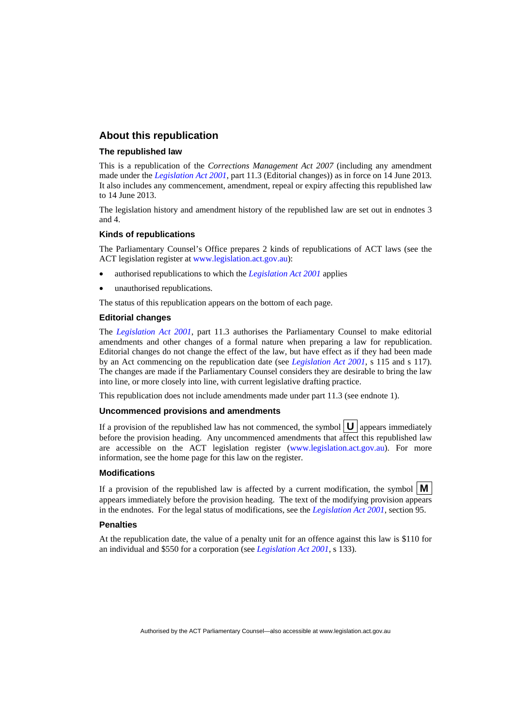#### **About this republication**

#### **The republished law**

This is a republication of the *Corrections Management Act 2007* (including any amendment made under the *[Legislation Act 2001](http://www.legislation.act.gov.au/a/2001-14)*, part 11.3 (Editorial changes)) as in force on 14 June 2013*.*  It also includes any commencement, amendment, repeal or expiry affecting this republished law to 14 June 2013.

The legislation history and amendment history of the republished law are set out in endnotes 3 and 4.

#### **Kinds of republications**

The Parliamentary Counsel's Office prepares 2 kinds of republications of ACT laws (see the ACT legislation register at [www.legislation.act.gov.au](http://www.legislation.act.gov.au/)):

- authorised republications to which the *[Legislation Act 2001](http://www.legislation.act.gov.au/a/2001-14)* applies
- unauthorised republications.

The status of this republication appears on the bottom of each page.

#### **Editorial changes**

The *[Legislation Act 2001](http://www.legislation.act.gov.au/a/2001-14)*, part 11.3 authorises the Parliamentary Counsel to make editorial amendments and other changes of a formal nature when preparing a law for republication. Editorial changes do not change the effect of the law, but have effect as if they had been made by an Act commencing on the republication date (see *[Legislation Act 2001](http://www.legislation.act.gov.au/a/2001-14)*, s 115 and s 117). The changes are made if the Parliamentary Counsel considers they are desirable to bring the law into line, or more closely into line, with current legislative drafting practice.

This republication does not include amendments made under part 11.3 (see endnote 1).

#### **Uncommenced provisions and amendments**

If a provision of the republished law has not commenced, the symbol  $\mathbf{U}$  appears immediately before the provision heading. Any uncommenced amendments that affect this republished law are accessible on the ACT legislation register [\(www.legislation.act.gov.au\)](http://www.legislation.act.gov.au/). For more information, see the home page for this law on the register.

#### **Modifications**

If a provision of the republished law is affected by a current modification, the symbol  $\mathbf{M}$ appears immediately before the provision heading. The text of the modifying provision appears in the endnotes. For the legal status of modifications, see the *[Legislation Act 2001](http://www.legislation.act.gov.au/a/2001-14)*, section 95.

#### **Penalties**

At the republication date, the value of a penalty unit for an offence against this law is \$110 for an individual and \$550 for a corporation (see *[Legislation Act 2001](http://www.legislation.act.gov.au/a/2001-14)*, s 133).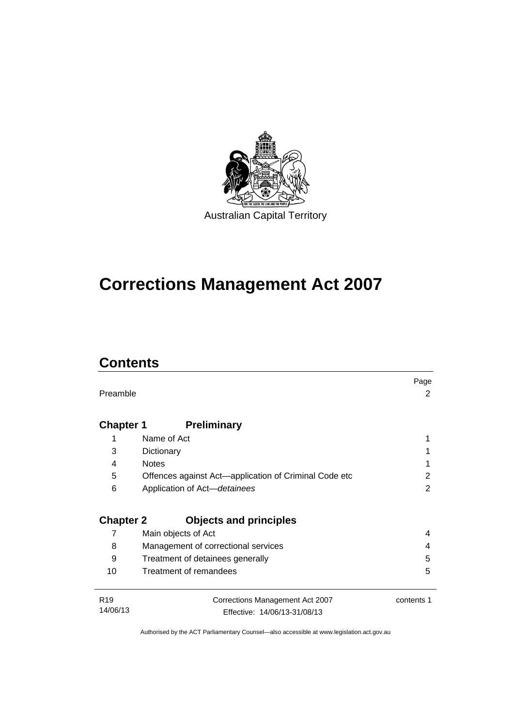

# **Corrections Management Act 2007**

## **Contents**

|                  |                                                       | Page       |
|------------------|-------------------------------------------------------|------------|
| Preamble         |                                                       | 2          |
|                  |                                                       |            |
| <b>Chapter 1</b> | <b>Preliminary</b>                                    |            |
| 1                | Name of Act                                           |            |
| 3                | Dictionary                                            |            |
| 4                | <b>Notes</b>                                          |            |
| 5                | Offences against Act-application of Criminal Code etc | 2          |
| 6                | Application of Act-detainees                          | 2          |
|                  |                                                       |            |
| <b>Chapter 2</b> | <b>Objects and principles</b>                         |            |
| 7                | Main objects of Act                                   | 4          |
| 8                | Management of correctional services                   | 4          |
| 9                | Treatment of detainees generally                      | 5          |
| 10               | Treatment of remandees                                | 5          |
|                  |                                                       |            |
| R <sub>19</sub>  | Corrections Management Act 2007                       | contents 1 |
| 14/06/13         | Effective: 14/06/13-31/08/13                          |            |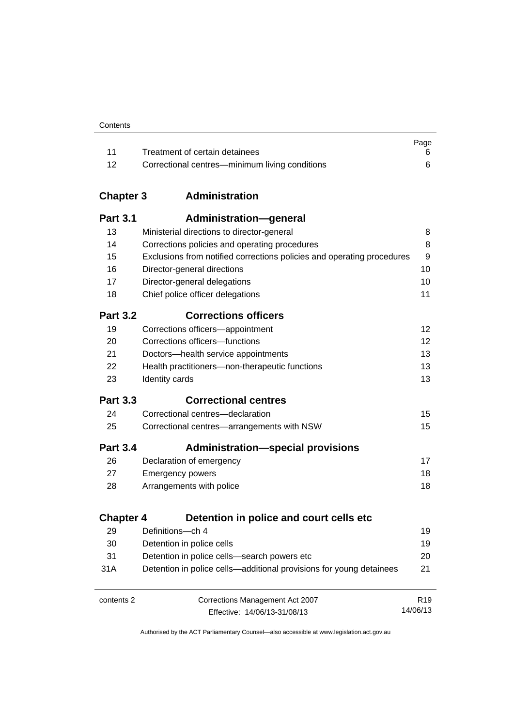| Contents |
|----------|
|----------|

|       |                                                | Page |
|-------|------------------------------------------------|------|
| - 11  | Treatment of certain detainees                 |      |
| $-12$ | Correctional centres—minimum living conditions |      |

## **Chapter 3 [Administration](#page-23-0)**

| <b>Part 3.1</b>  | <b>Administration-general</b>                                          |                 |
|------------------|------------------------------------------------------------------------|-----------------|
| 13               | Ministerial directions to director-general                             | 8               |
| 14               | Corrections policies and operating procedures                          | 8               |
| 15               | Exclusions from notified corrections policies and operating procedures | 9               |
| 16               | Director-general directions                                            | 10              |
| 17               | Director-general delegations                                           | 10              |
| 18               | Chief police officer delegations                                       | 11              |
| <b>Part 3.2</b>  | <b>Corrections officers</b>                                            |                 |
| 19               | Corrections officers-appointment                                       | 12              |
| 20               | Corrections officers-functions                                         | 12              |
| 21               | Doctors-health service appointments                                    | 13              |
| 22               | Health practitioners-non-therapeutic functions                         | 13              |
| 23               | Identity cards                                                         | 13              |
| <b>Part 3.3</b>  | <b>Correctional centres</b>                                            |                 |
| 24               | Correctional centres-declaration                                       | 15              |
| 25               | Correctional centres-arrangements with NSW                             | 15              |
| <b>Part 3.4</b>  | <b>Administration-special provisions</b>                               |                 |
| 26               | Declaration of emergency                                               | 17              |
| 27               | <b>Emergency powers</b>                                                | 18              |
| 28               | Arrangements with police                                               | 18              |
| <b>Chapter 4</b> | Detention in police and court cells etc                                |                 |
| 29               | Definitions-ch 4                                                       | 19              |
| 30               | Detention in police cells                                              | 19              |
| 31               | Detention in police cells-search powers etc                            | 20              |
| 31A              | Detention in police cells—additional provisions for young detainees    | 21              |
| contents 2       | Corrections Management Act 2007                                        | R <sub>19</sub> |
|                  | Effective: 14/06/13-31/08/13                                           | 14/06/13        |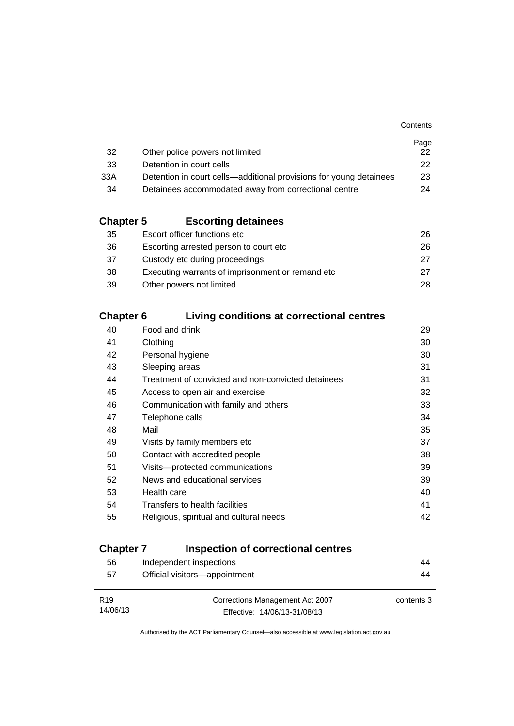|                                                                    | Page         |
|--------------------------------------------------------------------|--------------|
| Other police powers not limited                                    | 22.          |
| Detention in court cells                                           | $22^{\circ}$ |
| Detention in court cells—additional provisions for young detainees | 23           |
| Detainees accommodated away from correctional centre               | 24           |
|                                                                    |              |

## **Chapter 5 [Escorting detainees](#page-41-0)**

| 35 | Escort officer functions etc                      | 26. |
|----|---------------------------------------------------|-----|
| 36 | Escorting arrested person to court etc.           | 26. |
| 37 | Custody etc during proceedings                    | 27  |
| 38 | Executing warrants of imprisonment or remand etc. | 27  |
| 39 | Other powers not limited                          | 28. |

### **Chapter 6 [Living conditions at correctional centres](#page-44-0)**

| 40 | Food and drink                                     | 29 |
|----|----------------------------------------------------|----|
| 41 | Clothing                                           | 30 |
| 42 | Personal hygiene                                   | 30 |
| 43 | Sleeping areas                                     | 31 |
| 44 | Treatment of convicted and non-convicted detainees | 31 |
| 45 | Access to open air and exercise                    | 32 |
| 46 | Communication with family and others               | 33 |
| 47 | Telephone calls                                    | 34 |
| 48 | Mail                                               | 35 |
| 49 | Visits by family members etc                       | 37 |
| 50 | Contact with accredited people                     | 38 |
| 51 | Visits---protected communications                  | 39 |
| 52 | News and educational services                      | 39 |
| 53 | Health care                                        | 40 |
| 54 | Transfers to health facilities                     | 41 |
| 55 | Religious, spiritual and cultural needs            | 42 |
|    |                                                    |    |

## **Chapter 7 [Inspection of correctional centres](#page-59-0)**

| 56              | Independent inspections         | 44         |
|-----------------|---------------------------------|------------|
| 57              | Official visitors-appointment   | 44         |
|                 |                                 |            |
| R <sub>19</sub> | Corrections Management Act 2007 | contents 3 |
| 14/06/13        | Effective: 14/06/13-31/08/13    |            |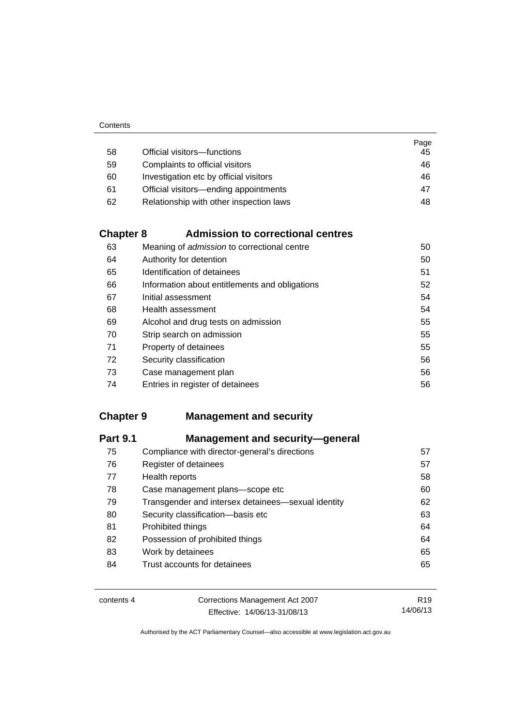|    |                                         | Page |
|----|-----------------------------------------|------|
| 58 | Official visitors-functions             | 45   |
| 59 | Complaints to official visitors         | 46   |
| 60 | Investigation etc by official visitors  | 46   |
| 61 | Official visitors—ending appointments   | 47   |
| 62 | Relationship with other inspection laws | 48   |

## **Chapter 8 [Admission to correctional centres](#page-65-0)**

| 63 | Meaning of <i>admission</i> to correctional centre | 50 |
|----|----------------------------------------------------|----|
| 64 | Authority for detention                            | 50 |
| 65 | Identification of detainees                        | 51 |
| 66 | Information about entitlements and obligations     | 52 |
| 67 | Initial assessment                                 | 54 |
| 68 | Health assessment                                  | 54 |
| 69 | Alcohol and drug tests on admission                | 55 |
| 70 | Strip search on admission                          | 55 |
| 71 | Property of detainees                              | 55 |
| 72 | Security classification                            | 56 |
| 73 | Case management plan                               | 56 |
| 74 | Entries in register of detainees                   | 56 |

## **Chapter 9 [Management and security](#page-72-0)**

| 75<br>Compliance with director-general's directions<br>76<br>Register of detainees<br>77<br>Health reports<br>78<br>Case management plans-scope etc<br>79<br>Transgender and intersex detainees—sexual identity<br>80<br>Security classification-basis etc<br>81<br>Prohibited things<br>82<br>Possession of prohibited things<br>83<br>Work by detainees<br>Trust accounts for detainees<br>84 | <b>Part 9.1</b> | <b>Management and security-general</b> |    |
|-------------------------------------------------------------------------------------------------------------------------------------------------------------------------------------------------------------------------------------------------------------------------------------------------------------------------------------------------------------------------------------------------|-----------------|----------------------------------------|----|
|                                                                                                                                                                                                                                                                                                                                                                                                 |                 |                                        | 57 |
|                                                                                                                                                                                                                                                                                                                                                                                                 |                 |                                        | 57 |
|                                                                                                                                                                                                                                                                                                                                                                                                 |                 |                                        | 58 |
|                                                                                                                                                                                                                                                                                                                                                                                                 |                 |                                        | 60 |
|                                                                                                                                                                                                                                                                                                                                                                                                 |                 |                                        | 62 |
|                                                                                                                                                                                                                                                                                                                                                                                                 |                 |                                        | 63 |
|                                                                                                                                                                                                                                                                                                                                                                                                 |                 |                                        | 64 |
|                                                                                                                                                                                                                                                                                                                                                                                                 |                 |                                        | 64 |
|                                                                                                                                                                                                                                                                                                                                                                                                 |                 |                                        | 65 |
|                                                                                                                                                                                                                                                                                                                                                                                                 |                 |                                        | 65 |

| contents 4 | Corrections Management Act 2007 | R <sub>19</sub> |
|------------|---------------------------------|-----------------|
|            | Effective: 14/06/13-31/08/13    | 14/06/13        |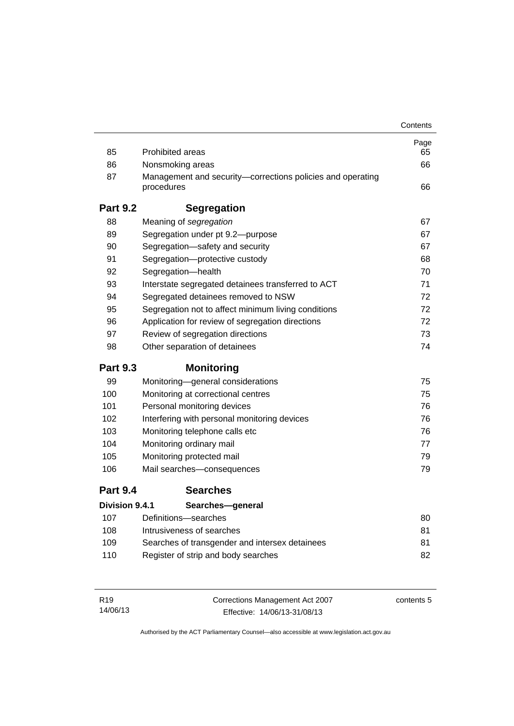|                 |                                                                          | Contents |
|-----------------|--------------------------------------------------------------------------|----------|
|                 |                                                                          | Page     |
| 85              | <b>Prohibited areas</b>                                                  | 65       |
| 86              | Nonsmoking areas                                                         | 66       |
| 87              | Management and security-corrections policies and operating<br>procedures | 66       |
| <b>Part 9.2</b> | <b>Segregation</b>                                                       |          |
| 88              | Meaning of segregation                                                   | 67       |
| 89              | Segregation under pt 9.2-purpose                                         | 67       |
| 90              | Segregation-safety and security                                          | 67       |
| 91              | Segregation-protective custody                                           | 68       |
| 92              | Segregation-health                                                       | 70       |
| 93              | Interstate segregated detainees transferred to ACT                       | 71       |
| 94              | Segregated detainees removed to NSW                                      | 72       |
| 95              | Segregation not to affect minimum living conditions                      | 72       |
| 96              | Application for review of segregation directions                         | 72       |
| 97              | Review of segregation directions                                         | 73       |
| 98              | Other separation of detainees                                            | 74       |
| <b>Part 9.3</b> | <b>Monitoring</b>                                                        |          |
| 99              | Monitoring-general considerations                                        | 75       |
| 100             | Monitoring at correctional centres                                       | 75       |
| 101             | Personal monitoring devices                                              | 76       |
| 102             | Interfering with personal monitoring devices                             | 76       |
| 103             | Monitoring telephone calls etc                                           | 76       |
| 104             | Monitoring ordinary mail                                                 | 77       |
| 105             | Monitoring protected mail                                                | 79       |
| 106             | Mail searches-consequences                                               | 79       |
| <b>Part 9.4</b> | <b>Searches</b>                                                          |          |
| Division 9.4.1  | Searches-general                                                         |          |
| 107             | Definitions-searches                                                     | 80       |
| 108             | Intrusiveness of searches                                                | 81       |
| 109             | Searches of transgender and intersex detainees                           | 81       |
| 110             | Register of strip and body searches                                      | 82       |
|                 |                                                                          |          |

| R <sub>19</sub> | Corrections Management Act 2007 | contents 5 |
|-----------------|---------------------------------|------------|
| 14/06/13        | Effective: 14/06/13-31/08/13    |            |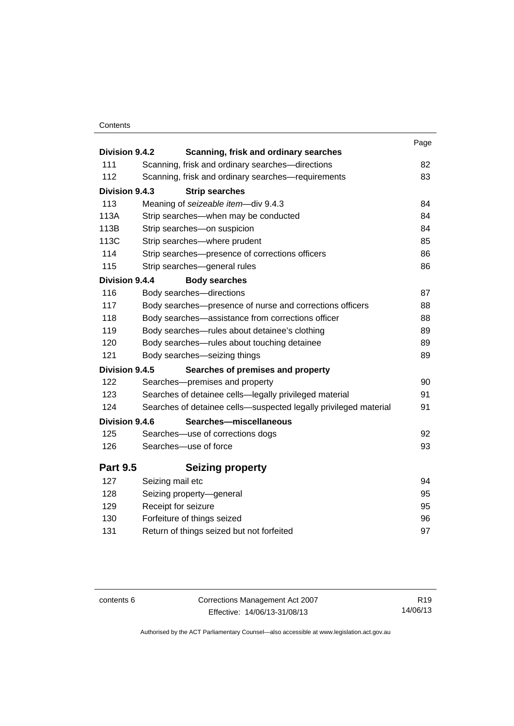#### **Contents**

| Division 9.4.2  | Scanning, frisk and ordinary searches                            | Page |
|-----------------|------------------------------------------------------------------|------|
| 111             | Scanning, frisk and ordinary searches-directions                 | 82   |
| 112             | Scanning, frisk and ordinary searches-requirements               | 83   |
| Division 9.4.3  |                                                                  |      |
| 113             | <b>Strip searches</b>                                            | 84   |
| 113A            | Meaning of seizeable item-div 9.4.3                              | 84   |
| 113B            | Strip searches-when may be conducted                             | 84   |
|                 | Strip searches-on suspicion                                      |      |
| 113C            | Strip searches-where prudent                                     | 85   |
| 114             | Strip searches-presence of corrections officers                  | 86   |
| 115             | Strip searches-general rules                                     | 86   |
| Division 9.4.4  | <b>Body searches</b>                                             |      |
| 116             | Body searches-directions                                         | 87   |
| 117             | Body searches-presence of nurse and corrections officers         | 88   |
| 118             | Body searches-assistance from corrections officer                | 88   |
| 119             | Body searches—rules about detainee's clothing                    | 89   |
| 120             | Body searches-rules about touching detainee                      | 89   |
| 121             | Body searches-seizing things                                     | 89   |
| Division 9.4.5  | Searches of premises and property                                |      |
| 122             | Searches-premises and property                                   | 90   |
| 123             | Searches of detainee cells—legally privileged material           | 91   |
| 124             | Searches of detainee cells-suspected legally privileged material | 91   |
| Division 9.4.6  | Searches-miscellaneous                                           |      |
| 125             | Searches-use of corrections dogs                                 | 92   |
| 126             | Searches-use of force                                            | 93   |
| <b>Part 9.5</b> | <b>Seizing property</b>                                          |      |
| 127             | Seizing mail etc                                                 | 94   |
| 128             | Seizing property-general                                         | 95   |
| 129             | Receipt for seizure                                              | 95   |
| 130             | Forfeiture of things seized                                      | 96   |
| 131             | Return of things seized but not forfeited                        | 97   |
|                 |                                                                  |      |

contents 6 Corrections Management Act 2007 Effective: 14/06/13-31/08/13

R19 14/06/13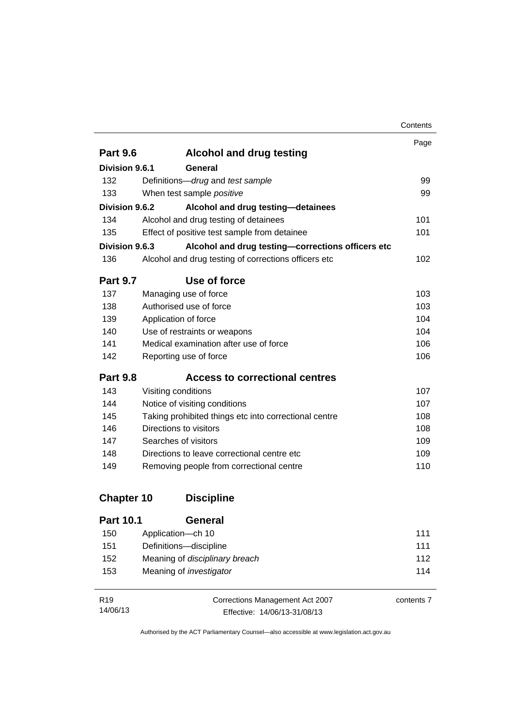|                   |                                                       | Contents |
|-------------------|-------------------------------------------------------|----------|
|                   |                                                       | Page     |
| <b>Part 9.6</b>   | <b>Alcohol and drug testing</b>                       |          |
| Division 9.6.1    | General                                               |          |
| 132               | Definitions-drug and test sample                      | 99       |
| 133               | When test sample positive                             | 99       |
| Division 9.6.2    | Alcohol and drug testing-detainees                    |          |
| 134               | Alcohol and drug testing of detainees                 | 101      |
| 135               | Effect of positive test sample from detainee          | 101      |
| Division 9.6.3    | Alcohol and drug testing-corrections officers etc     |          |
| 136               | Alcohol and drug testing of corrections officers etc  | 102      |
| <b>Part 9.7</b>   | Use of force                                          |          |
| 137               | Managing use of force                                 | 103      |
| 138               | Authorised use of force                               | 103      |
| 139               | Application of force                                  | 104      |
| 140               | Use of restraints or weapons                          | 104      |
| 141               | Medical examination after use of force                | 106      |
| 142               | Reporting use of force                                | 106      |
| <b>Part 9.8</b>   | <b>Access to correctional centres</b>                 |          |
| 143               | Visiting conditions                                   | 107      |
| 144               | Notice of visiting conditions                         | 107      |
| 145               | Taking prohibited things etc into correctional centre | 108      |
| 146               | Directions to visitors                                | 108      |
| 147               | Searches of visitors                                  | 109      |
| 148               | Directions to leave correctional centre etc           | 109      |
| 149               | Removing people from correctional centre              | 110      |
| <b>Chapter 10</b> | <b>Discipline</b>                                     |          |
| Part 101          | General                                               |          |

| 1 AIL 1V. 1 | וסוסט                                 |     |
|-------------|---------------------------------------|-----|
| 150         | Application—ch 10                     | 111 |
| 151         | Definitions-discipline                | 111 |
| 152         | Meaning of <i>disciplinary breach</i> | 112 |
| 153         | Meaning of <i>investigator</i>        | 114 |
|             |                                       |     |

| R <sub>19</sub> | Corrections Management Act 2007 | contents 7 |
|-----------------|---------------------------------|------------|
| 14/06/13        | Effective: 14/06/13-31/08/13    |            |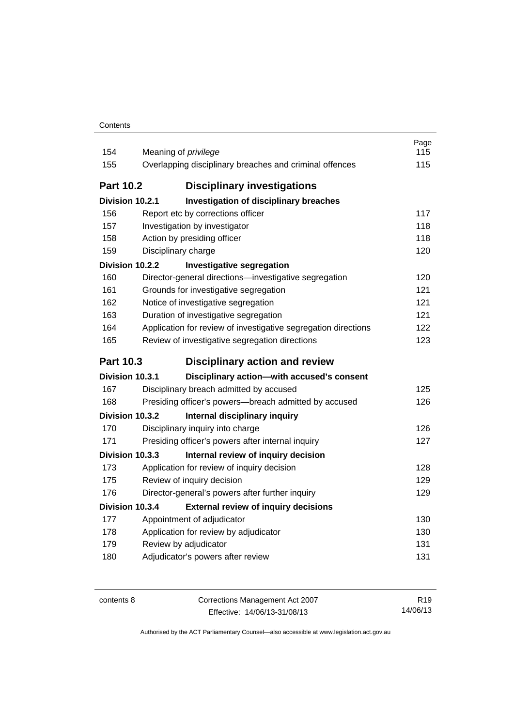| 154              | Meaning of privilege                                           | Page<br>115 |
|------------------|----------------------------------------------------------------|-------------|
| 155              | Overlapping disciplinary breaches and criminal offences        | 115         |
|                  |                                                                |             |
| <b>Part 10.2</b> | <b>Disciplinary investigations</b>                             |             |
| Division 10.2.1  | <b>Investigation of disciplinary breaches</b>                  |             |
| 156              | Report etc by corrections officer                              | 117         |
| 157              | Investigation by investigator                                  | 118         |
| 158              | Action by presiding officer                                    | 118         |
| 159              | Disciplinary charge                                            | 120         |
| Division 10.2.2  | <b>Investigative segregation</b>                               |             |
| 160              | Director-general directions-investigative segregation          | 120         |
| 161              | Grounds for investigative segregation                          | 121         |
| 162              | Notice of investigative segregation                            | 121         |
| 163              | Duration of investigative segregation                          | 121         |
| 164              | Application for review of investigative segregation directions | 122         |
| 165              | Review of investigative segregation directions                 | 123         |
|                  |                                                                |             |
| <b>Part 10.3</b> | <b>Disciplinary action and review</b>                          |             |
| Division 10.3.1  | Disciplinary action-with accused's consent                     |             |
| 167              | Disciplinary breach admitted by accused                        | 125         |
| 168              | Presiding officer's powers-breach admitted by accused          | 126         |
| Division 10.3.2  | Internal disciplinary inquiry                                  |             |
| 170              | Disciplinary inquiry into charge                               | 126         |
| 171              | Presiding officer's powers after internal inquiry              | 127         |
| Division 10.3.3  | Internal review of inquiry decision                            |             |
| 173              | Application for review of inquiry decision                     | 128         |
| 175              | Review of inquiry decision                                     | 129         |
| 176              | Director-general's powers after further inquiry                | 129         |
| Division 10.3.4  | <b>External review of inquiry decisions</b>                    |             |
| 177              | Appointment of adjudicator                                     | 130         |
| 178              | Application for review by adjudicator                          | 130         |
| 179              | Review by adjudicator                                          | 131         |
| 180              | Adjudicator's powers after review                              | 131         |

| contents 8 | Corrections Management Act 2007 | R <sub>19</sub> |
|------------|---------------------------------|-----------------|
|            | Effective: 14/06/13-31/08/13    | 14/06/13        |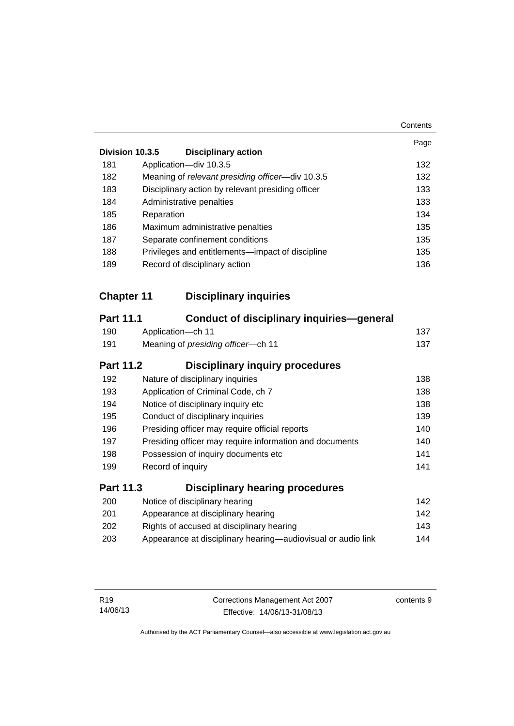|                   |                                                              | Contents |
|-------------------|--------------------------------------------------------------|----------|
|                   |                                                              | Page     |
|                   | Division 10.3.5<br><b>Disciplinary action</b>                |          |
| 181               | Application-div 10.3.5                                       | 132      |
| 182               | Meaning of relevant presiding officer-div 10.3.5             | 132      |
| 183               | Disciplinary action by relevant presiding officer            | 133      |
| 184               | Administrative penalties                                     | 133      |
| 185               | Reparation                                                   | 134      |
| 186               | Maximum administrative penalties                             | 135      |
| 187               | Separate confinement conditions                              | 135      |
| 188               | Privileges and entitlements-impact of discipline             | 135      |
| 189               | Record of disciplinary action                                | 136      |
|                   |                                                              |          |
| <b>Chapter 11</b> | <b>Disciplinary inquiries</b>                                |          |
| <b>Part 11.1</b>  | <b>Conduct of disciplinary inquiries—general</b>             |          |
| 190               | Application-ch 11                                            | 137      |
| 191               | Meaning of presiding officer-ch 11                           | 137      |
| <b>Part 11.2</b>  | <b>Disciplinary inquiry procedures</b>                       |          |
| 192               | Nature of disciplinary inquiries                             | 138      |
| 193               | Application of Criminal Code, ch 7                           | 138      |
| 194               | Notice of disciplinary inquiry etc                           | 138      |
| 195               | Conduct of disciplinary inquiries                            | 139      |
| 196               | Presiding officer may require official reports               | 140      |
| 197               | Presiding officer may require information and documents      | 140      |
| 198               | Possession of inquiry documents etc                          | 141      |
| 199               | Record of inquiry                                            | 141      |
| <b>Part 11.3</b>  | <b>Disciplinary hearing procedures</b>                       |          |
| 200               | Notice of disciplinary hearing                               | 142      |
| 201               | Appearance at disciplinary hearing                           | 142      |
| 202               | Rights of accused at disciplinary hearing                    | 143      |
| 203               | Appearance at disciplinary hearing-audiovisual or audio link | 144      |
|                   |                                                              |          |

contents 9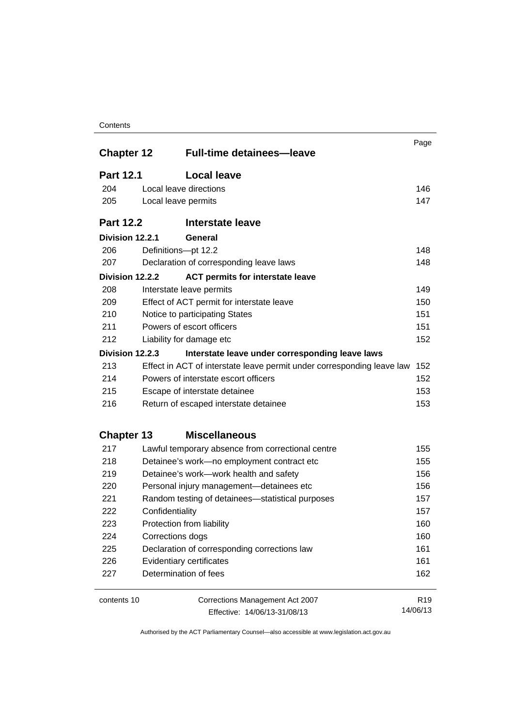#### **Contents**

| <b>Chapter 12</b> |                                      | <b>Full-time detainees-leave</b>                                       | Page            |
|-------------------|--------------------------------------|------------------------------------------------------------------------|-----------------|
| <b>Part 12.1</b>  |                                      | <b>Local leave</b>                                                     |                 |
| 204               |                                      | Local leave directions                                                 | 146             |
| 205               |                                      | Local leave permits                                                    | 147             |
| <b>Part 12.2</b>  |                                      | <b>Interstate leave</b>                                                |                 |
|                   | Division 12.2.1                      | General                                                                |                 |
| 206               |                                      | Definitions-pt 12.2                                                    | 148             |
| 207               |                                      | Declaration of corresponding leave laws                                | 148             |
|                   | Division 12.2.2                      | <b>ACT permits for interstate leave</b>                                |                 |
| 208               |                                      | Interstate leave permits                                               | 149             |
| 209               |                                      | Effect of ACT permit for interstate leave                              | 150             |
| 210               | Notice to participating States       |                                                                        | 151             |
| 211               |                                      | Powers of escort officers                                              | 151             |
| 212               |                                      | Liability for damage etc                                               | 152             |
|                   | Division 12.2.3                      | Interstate leave under corresponding leave laws                        |                 |
| 213               |                                      | Effect in ACT of interstate leave permit under corresponding leave law | 152             |
| 214               | Powers of interstate escort officers |                                                                        | 152             |
| 215               | Escape of interstate detainee        |                                                                        | 153             |
| 216               |                                      | Return of escaped interstate detainee                                  |                 |
| <b>Chapter 13</b> |                                      | <b>Miscellaneous</b>                                                   |                 |
| 217               |                                      | Lawful temporary absence from correctional centre                      | 155             |
| 218               |                                      | Detainee's work-no employment contract etc                             | 155             |
| 219               |                                      | Detainee's work-work health and safety                                 | 156             |
| 220               |                                      | Personal injury management-detainees etc                               | 156             |
| 221               |                                      | Random testing of detainees—statistical purposes                       | 157             |
| 222               |                                      | Confidentiality                                                        | 157             |
| 223               |                                      | Protection from liability                                              | 160             |
| 224               |                                      | Corrections dogs                                                       | 160             |
| 225               |                                      | Declaration of corresponding corrections law                           | 161             |
| 226               |                                      | Evidentiary certificates                                               | 161             |
| 227               |                                      | Determination of fees                                                  | 162             |
| contents 10       |                                      | Corrections Management Act 2007                                        | R <sub>19</sub> |
|                   |                                      | Effective: 14/06/13-31/08/13                                           | 14/06/13        |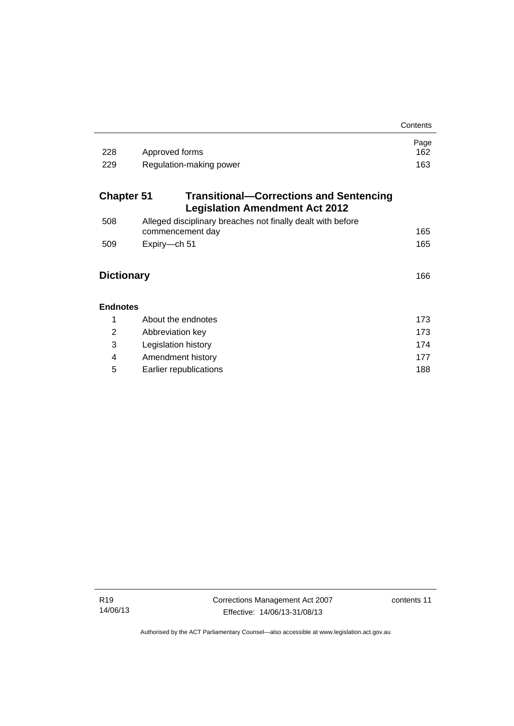|                   |                                                                                         | Contents    |
|-------------------|-----------------------------------------------------------------------------------------|-------------|
| 228               | Approved forms                                                                          | Page<br>162 |
| 229               | Regulation-making power                                                                 | 163         |
| <b>Chapter 51</b> | <b>Transitional–Corrections and Sentencing</b><br><b>Legislation Amendment Act 2012</b> |             |
| 508               | Alleged disciplinary breaches not finally dealt with before<br>commencement day         | 165         |
| 509               | Expiry-ch 51                                                                            | 165         |
| <b>Dictionary</b> |                                                                                         |             |
| <b>Endnotes</b>   |                                                                                         |             |
| 1                 | About the endnotes                                                                      | 173         |
| 2                 | Abbreviation key                                                                        | 173         |
| 3                 | Legislation history                                                                     | 174         |
| 4                 | Amendment history                                                                       | 177         |
| 5                 | Earlier republications                                                                  | 188         |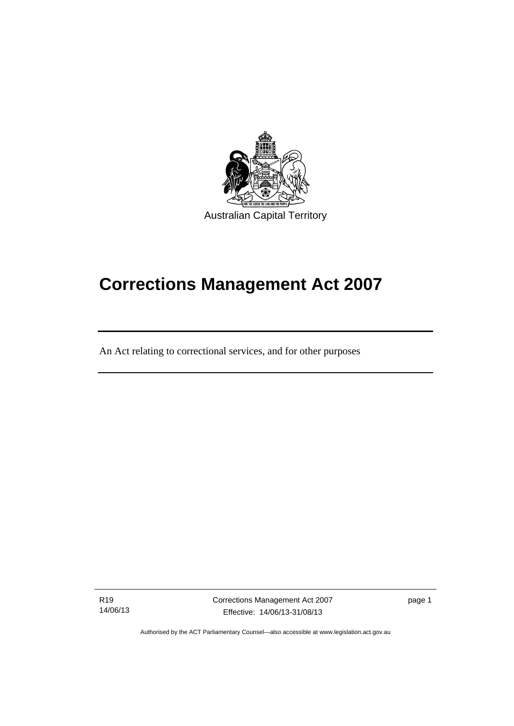

## **Corrections Management Act 2007**

An Act relating to correctional services, and for other purposes

R19 14/06/13

ׅ֚֡֡֡֡֬֝

Corrections Management Act 2007 Effective: 14/06/13-31/08/13

page 1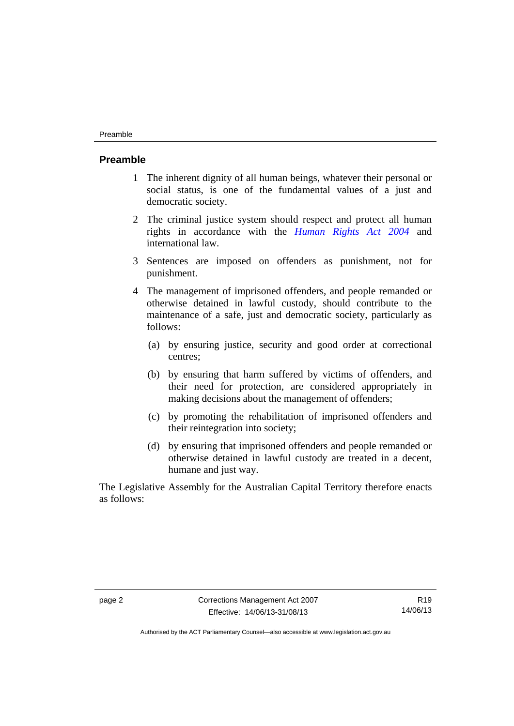#### Preamble

#### <span id="page-15-0"></span>**Preamble**

- 1 The inherent dignity of all human beings, whatever their personal or social status, is one of the fundamental values of a just and democratic society.
- 2 The criminal justice system should respect and protect all human rights in accordance with the *[Human Rights Act 2004](http://www.legislation.act.gov.au/a/2004-5)* and international law.
- 3 Sentences are imposed on offenders as punishment, not for punishment.
- 4 The management of imprisoned offenders, and people remanded or otherwise detained in lawful custody, should contribute to the maintenance of a safe, just and democratic society, particularly as follows:
	- (a) by ensuring justice, security and good order at correctional centres;
	- (b) by ensuring that harm suffered by victims of offenders, and their need for protection, are considered appropriately in making decisions about the management of offenders;
	- (c) by promoting the rehabilitation of imprisoned offenders and their reintegration into society;
	- (d) by ensuring that imprisoned offenders and people remanded or otherwise detained in lawful custody are treated in a decent, humane and just way.

The Legislative Assembly for the Australian Capital Territory therefore enacts as follows: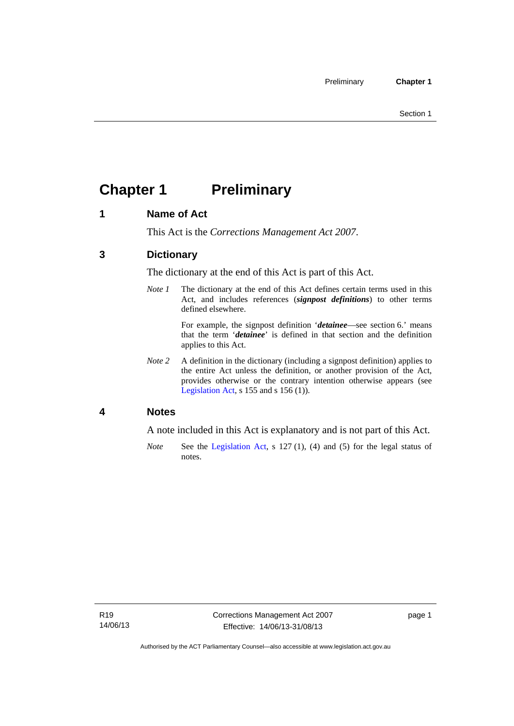## <span id="page-16-0"></span>**Chapter 1 Preliminary**

#### <span id="page-16-1"></span>**1 Name of Act**

This Act is the *Corrections Management Act 2007*.

#### <span id="page-16-2"></span>**3 Dictionary**

The dictionary at the end of this Act is part of this Act.

*Note 1* The dictionary at the end of this Act defines certain terms used in this Act, and includes references (*signpost definitions*) to other terms defined elsewhere.

> For example, the signpost definition '*detainee*—see section 6.' means that the term '*detainee*' is defined in that section and the definition applies to this Act.

*Note 2* A definition in the dictionary (including a signpost definition) applies to the entire Act unless the definition, or another provision of the Act, provides otherwise or the contrary intention otherwise appears (see [Legislation Act,](http://www.legislation.act.gov.au/a/2001-14) s 155 and s 156 (1)).

#### <span id="page-16-3"></span>**4 Notes**

A note included in this Act is explanatory and is not part of this Act.

*Note* See the [Legislation Act,](http://www.legislation.act.gov.au/a/2001-14) s 127 (1), (4) and (5) for the legal status of notes.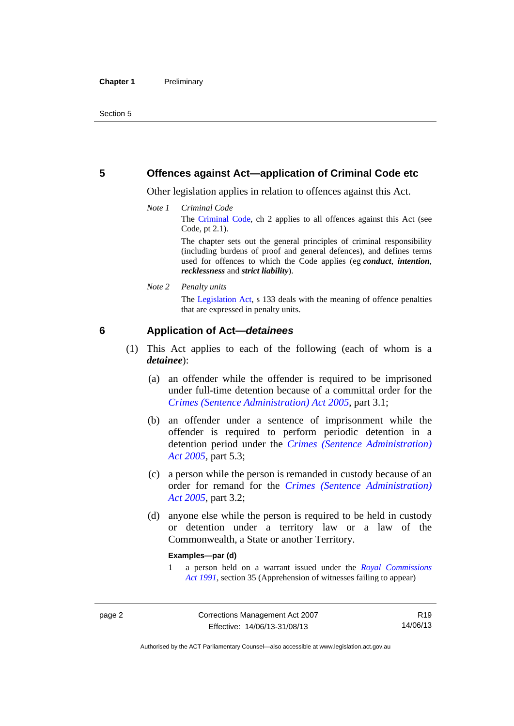#### <span id="page-17-0"></span>**5 Offences against Act—application of Criminal Code etc**

Other legislation applies in relation to offences against this Act.

*Note 1 Criminal Code* The [Criminal Code](http://www.legislation.act.gov.au/a/2002-51), ch 2 applies to all offences against this Act (see Code, pt 2.1).

> The chapter sets out the general principles of criminal responsibility (including burdens of proof and general defences), and defines terms used for offences to which the Code applies (eg *conduct*, *intention*, *recklessness* and *strict liability*).

*Note 2 Penalty units* 

The [Legislation Act,](http://www.legislation.act.gov.au/a/2001-14) s 133 deals with the meaning of offence penalties that are expressed in penalty units.

#### <span id="page-17-1"></span>**6 Application of Act—***detainees*

- (1) This Act applies to each of the following (each of whom is a *detainee*):
	- (a) an offender while the offender is required to be imprisoned under full-time detention because of a committal order for the *[Crimes \(Sentence Administration\) Act 2005](http://www.legislation.act.gov.au/a/2005-59)*, part 3.1;
	- (b) an offender under a sentence of imprisonment while the offender is required to perform periodic detention in a detention period under the *[Crimes \(Sentence Administration\)](http://www.legislation.act.gov.au/a/2005-59)  [Act 2005](http://www.legislation.act.gov.au/a/2005-59),* part 5.3;
	- (c) a person while the person is remanded in custody because of an order for remand for the *[Crimes \(Sentence Administration\)](http://www.legislation.act.gov.au/a/2005-59)  [Act 2005](http://www.legislation.act.gov.au/a/2005-59)*, part 3.2;
	- (d) anyone else while the person is required to be held in custody or detention under a territory law or a law of the Commonwealth, a State or another Territory.

#### **Examples—par (d)**

1 a person held on a warrant issued under the *[Royal Commissions](http://www.legislation.act.gov.au/a/1991-1)  [Act 1991](http://www.legislation.act.gov.au/a/1991-1)*, section 35 (Apprehension of witnesses failing to appear)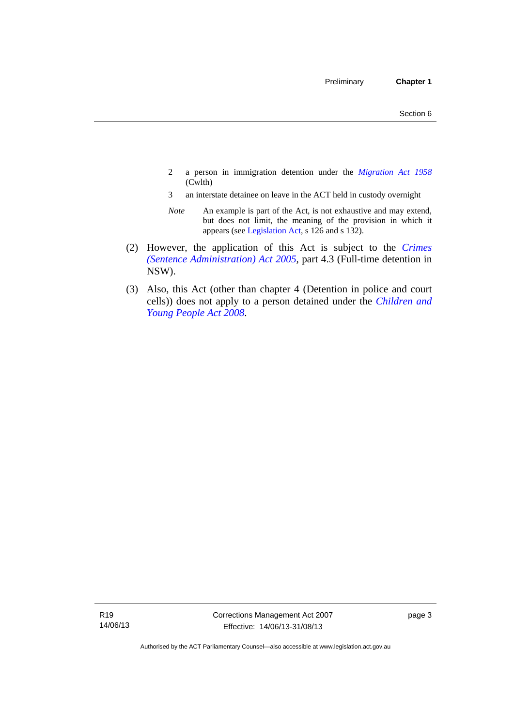- 2 a person in immigration detention under the *[Migration Act 1958](http://www.comlaw.gov.au/Series/C2004A07412)* (Cwlth)
- 3 an interstate detainee on leave in the ACT held in custody overnight
- *Note* An example is part of the Act, is not exhaustive and may extend, but does not limit, the meaning of the provision in which it appears (see [Legislation Act,](http://www.legislation.act.gov.au/a/2001-14) s 126 and s 132).
- (2) However, the application of this Act is subject to the *[Crimes](http://www.legislation.act.gov.au/a/2005-59)  [\(Sentence Administration\) Act 2005](http://www.legislation.act.gov.au/a/2005-59)*, part 4.3 (Full-time detention in NSW).
- (3) Also, this Act (other than chapter 4 (Detention in police and court cells)) does not apply to a person detained under the *[Children and](http://www.legislation.act.gov.au/a/2008-19)  [Young People Act 2008](http://www.legislation.act.gov.au/a/2008-19)*.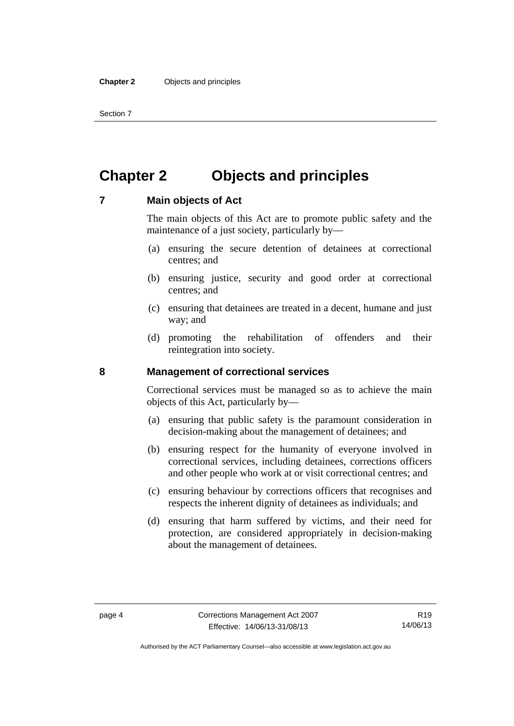Section 7

## <span id="page-19-0"></span>**Chapter 2 Objects and principles**

#### <span id="page-19-1"></span>**7 Main objects of Act**

The main objects of this Act are to promote public safety and the maintenance of a just society, particularly by—

- (a) ensuring the secure detention of detainees at correctional centres; and
- (b) ensuring justice, security and good order at correctional centres; and
- (c) ensuring that detainees are treated in a decent, humane and just way; and
- (d) promoting the rehabilitation of offenders and their reintegration into society.

#### <span id="page-19-2"></span>**8 Management of correctional services**

Correctional services must be managed so as to achieve the main objects of this Act, particularly by—

- (a) ensuring that public safety is the paramount consideration in decision-making about the management of detainees; and
- (b) ensuring respect for the humanity of everyone involved in correctional services, including detainees, corrections officers and other people who work at or visit correctional centres; and
- (c) ensuring behaviour by corrections officers that recognises and respects the inherent dignity of detainees as individuals; and
- (d) ensuring that harm suffered by victims, and their need for protection, are considered appropriately in decision-making about the management of detainees.

Authorised by the ACT Parliamentary Counsel—also accessible at www.legislation.act.gov.au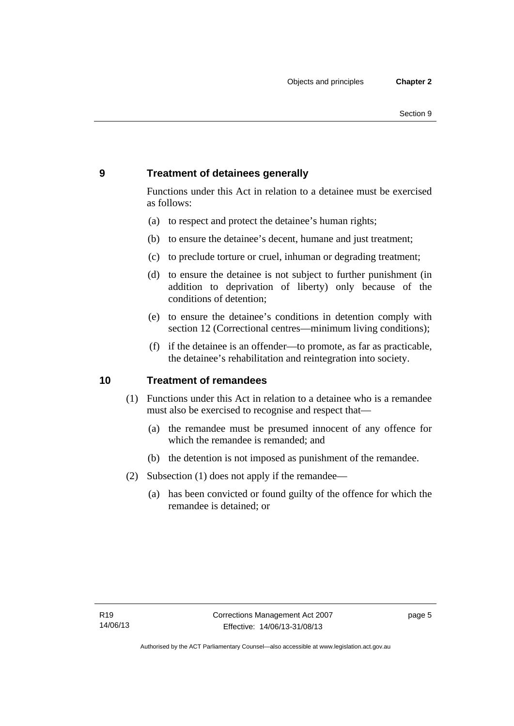### <span id="page-20-0"></span>**9 Treatment of detainees generally**

Functions under this Act in relation to a detainee must be exercised as follows:

- (a) to respect and protect the detainee's human rights;
- (b) to ensure the detainee's decent, humane and just treatment;
- (c) to preclude torture or cruel, inhuman or degrading treatment;
- (d) to ensure the detainee is not subject to further punishment (in addition to deprivation of liberty) only because of the conditions of detention;
- (e) to ensure the detainee's conditions in detention comply with section 12 (Correctional centres—minimum living conditions);
- (f) if the detainee is an offender—to promote, as far as practicable, the detainee's rehabilitation and reintegration into society.

#### <span id="page-20-1"></span>**10 Treatment of remandees**

- (1) Functions under this Act in relation to a detainee who is a remandee must also be exercised to recognise and respect that—
	- (a) the remandee must be presumed innocent of any offence for which the remandee is remanded; and
	- (b) the detention is not imposed as punishment of the remandee.
- (2) Subsection (1) does not apply if the remandee—
	- (a) has been convicted or found guilty of the offence for which the remandee is detained; or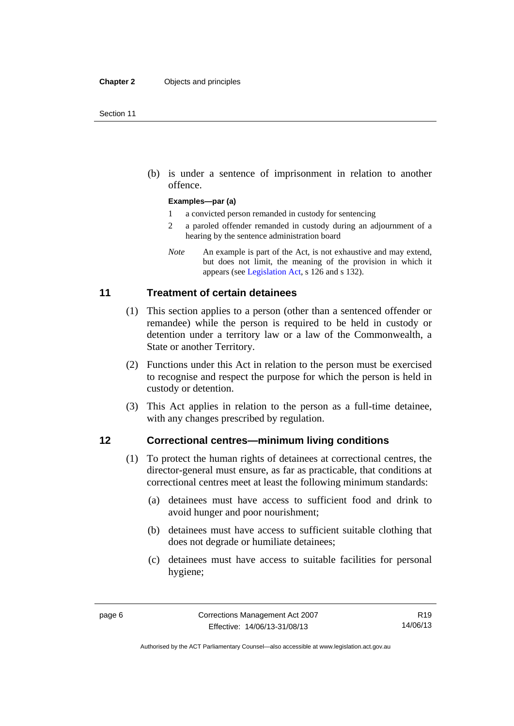(b) is under a sentence of imprisonment in relation to another offence.

#### **Examples—par (a)**

- 1 a convicted person remanded in custody for sentencing
- 2 a paroled offender remanded in custody during an adjournment of a hearing by the sentence administration board
- *Note* An example is part of the Act, is not exhaustive and may extend, but does not limit, the meaning of the provision in which it appears (see [Legislation Act,](http://www.legislation.act.gov.au/a/2001-14) s 126 and s 132).

#### <span id="page-21-0"></span>**11 Treatment of certain detainees**

- (1) This section applies to a person (other than a sentenced offender or remandee) while the person is required to be held in custody or detention under a territory law or a law of the Commonwealth, a State or another Territory.
- (2) Functions under this Act in relation to the person must be exercised to recognise and respect the purpose for which the person is held in custody or detention.
- (3) This Act applies in relation to the person as a full-time detainee, with any changes prescribed by regulation.

#### <span id="page-21-1"></span>**12 Correctional centres—minimum living conditions**

- (1) To protect the human rights of detainees at correctional centres, the director-general must ensure, as far as practicable, that conditions at correctional centres meet at least the following minimum standards:
	- (a) detainees must have access to sufficient food and drink to avoid hunger and poor nourishment;
	- (b) detainees must have access to sufficient suitable clothing that does not degrade or humiliate detainees;
	- (c) detainees must have access to suitable facilities for personal hygiene;

Authorised by the ACT Parliamentary Counsel—also accessible at www.legislation.act.gov.au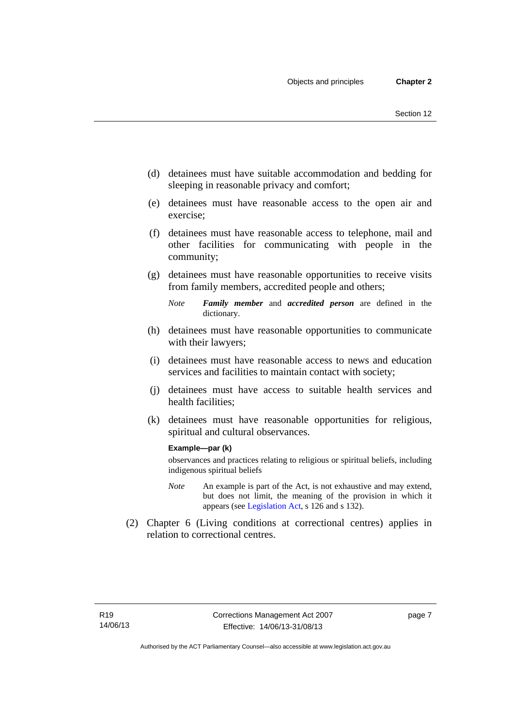- (d) detainees must have suitable accommodation and bedding for sleeping in reasonable privacy and comfort;
- (e) detainees must have reasonable access to the open air and exercise;
- (f) detainees must have reasonable access to telephone, mail and other facilities for communicating with people in the community;
- (g) detainees must have reasonable opportunities to receive visits from family members, accredited people and others;
	- *Note Family member* and *accredited person* are defined in the dictionary.
- (h) detainees must have reasonable opportunities to communicate with their lawyers;
- (i) detainees must have reasonable access to news and education services and facilities to maintain contact with society;
- (j) detainees must have access to suitable health services and health facilities;
- (k) detainees must have reasonable opportunities for religious, spiritual and cultural observances.

#### **Example—par (k)**

observances and practices relating to religious or spiritual beliefs, including indigenous spiritual beliefs

- *Note* An example is part of the Act, is not exhaustive and may extend, but does not limit, the meaning of the provision in which it appears (see [Legislation Act,](http://www.legislation.act.gov.au/a/2001-14) s 126 and s 132).
- (2) Chapter 6 (Living conditions at correctional centres) applies in relation to correctional centres.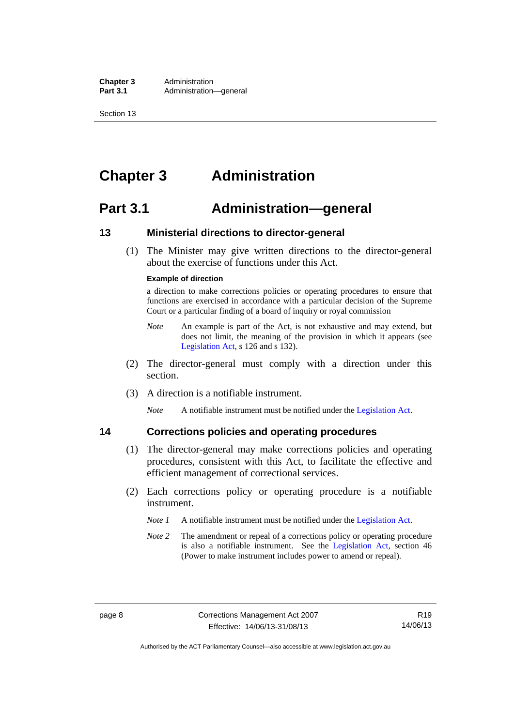**Chapter 3** Administration<br>**Part 3.1** Administration Administration—general

Section 13

## <span id="page-23-0"></span>**Chapter 3 Administration**

### <span id="page-23-1"></span>**Part 3.1 Administration—general**

#### <span id="page-23-2"></span>**13 Ministerial directions to director-general**

 (1) The Minister may give written directions to the director-general about the exercise of functions under this Act.

#### **Example of direction**

a direction to make corrections policies or operating procedures to ensure that functions are exercised in accordance with a particular decision of the Supreme Court or a particular finding of a board of inquiry or royal commission

- *Note* An example is part of the Act, is not exhaustive and may extend, but does not limit, the meaning of the provision in which it appears (see [Legislation Act,](http://www.legislation.act.gov.au/a/2001-14) s 126 and s 132).
- (2) The director-general must comply with a direction under this section.
- (3) A direction is a notifiable instrument.

*Note* A notifiable instrument must be notified under the [Legislation Act](http://www.legislation.act.gov.au/a/2001-14).

#### <span id="page-23-3"></span>**14 Corrections policies and operating procedures**

- (1) The director-general may make corrections policies and operating
	- procedures, consistent with this Act, to facilitate the effective and efficient management of correctional services.
	- (2) Each corrections policy or operating procedure is a notifiable instrument.
		- *Note 1* A notifiable instrument must be notified under the [Legislation Act](http://www.legislation.act.gov.au/a/2001-14).
		- *Note* 2 The amendment or repeal of a corrections policy or operating procedure is also a notifiable instrument. See the [Legislation Act,](http://www.legislation.act.gov.au/a/2001-14) section 46 (Power to make instrument includes power to amend or repeal).

Authorised by the ACT Parliamentary Counsel—also accessible at www.legislation.act.gov.au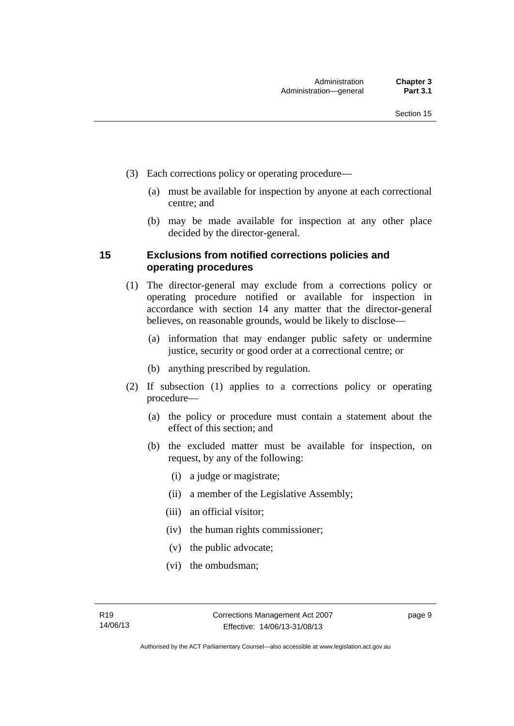- (3) Each corrections policy or operating procedure—
	- (a) must be available for inspection by anyone at each correctional centre; and
	- (b) may be made available for inspection at any other place decided by the director-general.

#### <span id="page-24-0"></span>**15 Exclusions from notified corrections policies and operating procedures**

- (1) The director-general may exclude from a corrections policy or operating procedure notified or available for inspection in accordance with section 14 any matter that the director-general believes, on reasonable grounds, would be likely to disclose—
	- (a) information that may endanger public safety or undermine justice, security or good order at a correctional centre; or
	- (b) anything prescribed by regulation.
- (2) If subsection (1) applies to a corrections policy or operating procedure—
	- (a) the policy or procedure must contain a statement about the effect of this section; and
	- (b) the excluded matter must be available for inspection, on request, by any of the following:
		- (i) a judge or magistrate;
		- (ii) a member of the Legislative Assembly;
		- (iii) an official visitor;
		- (iv) the human rights commissioner;
		- (v) the public advocate;
		- (vi) the ombudsman;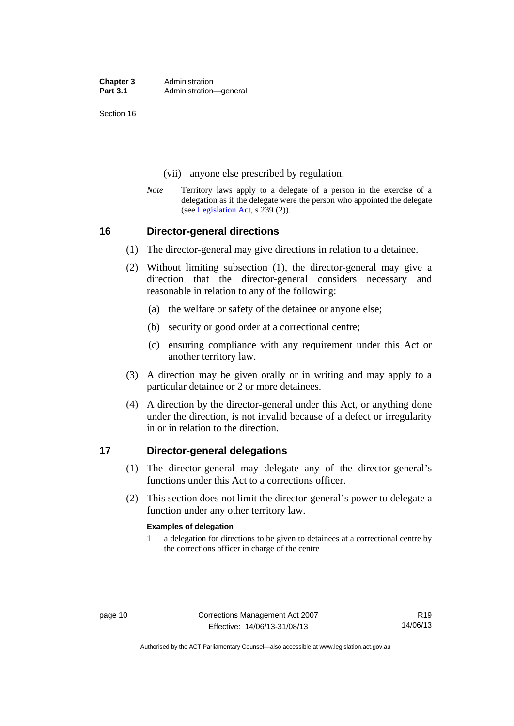**Chapter 3** Administration<br>**Part 3.1** Administration Administration—general

Section 16

- (vii) anyone else prescribed by regulation.
- *Note* Territory laws apply to a delegate of a person in the exercise of a delegation as if the delegate were the person who appointed the delegate (see [Legislation Act,](http://www.legislation.act.gov.au/a/2001-14) s 239 (2)).

#### <span id="page-25-0"></span>**16 Director-general directions**

- (1) The director-general may give directions in relation to a detainee.
- (2) Without limiting subsection (1), the director-general may give a direction that the director-general considers necessary and reasonable in relation to any of the following:
	- (a) the welfare or safety of the detainee or anyone else;
	- (b) security or good order at a correctional centre;
	- (c) ensuring compliance with any requirement under this Act or another territory law.
- (3) A direction may be given orally or in writing and may apply to a particular detainee or 2 or more detainees.
- (4) A direction by the director-general under this Act, or anything done under the direction, is not invalid because of a defect or irregularity in or in relation to the direction.

#### <span id="page-25-1"></span>**17 Director-general delegations**

- (1) The director-general may delegate any of the director-general's functions under this Act to a corrections officer.
- (2) This section does not limit the director-general's power to delegate a function under any other territory law.

#### **Examples of delegation**

1 a delegation for directions to be given to detainees at a correctional centre by the corrections officer in charge of the centre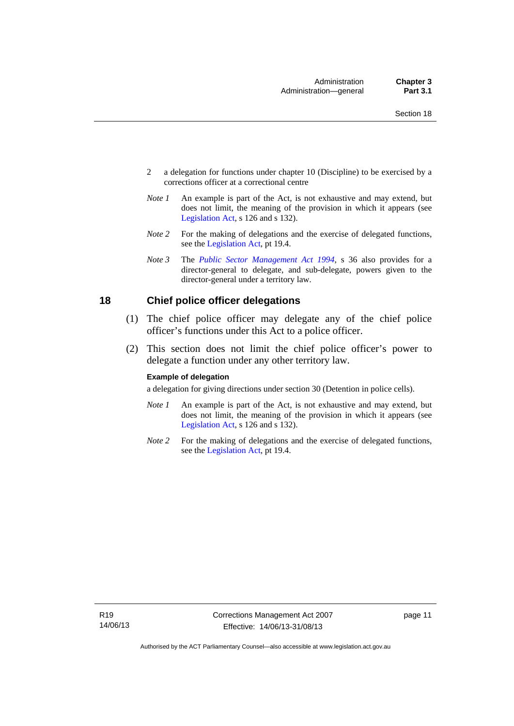- 2 a delegation for functions under chapter 10 (Discipline) to be exercised by a corrections officer at a correctional centre
- *Note 1* An example is part of the Act, is not exhaustive and may extend, but does not limit, the meaning of the provision in which it appears (see [Legislation Act,](http://www.legislation.act.gov.au/a/2001-14) s 126 and s 132).
- *Note 2* For the making of delegations and the exercise of delegated functions, see the [Legislation Act,](http://www.legislation.act.gov.au/a/2001-14) pt 19.4.
- *Note 3* The *[Public Sector Management Act 1994](http://www.legislation.act.gov.au/a/1994-37)*, s 36 also provides for a director-general to delegate, and sub-delegate, powers given to the director-general under a territory law.

#### <span id="page-26-0"></span>**18 Chief police officer delegations**

- (1) The chief police officer may delegate any of the chief police officer's functions under this Act to a police officer.
- (2) This section does not limit the chief police officer's power to delegate a function under any other territory law.

#### **Example of delegation**

a delegation for giving directions under section 30 (Detention in police cells).

- *Note 1* An example is part of the Act, is not exhaustive and may extend, but does not limit, the meaning of the provision in which it appears (see [Legislation Act,](http://www.legislation.act.gov.au/a/2001-14) s 126 and s 132).
- *Note* 2 For the making of delegations and the exercise of delegated functions, see the [Legislation Act,](http://www.legislation.act.gov.au/a/2001-14) pt 19.4.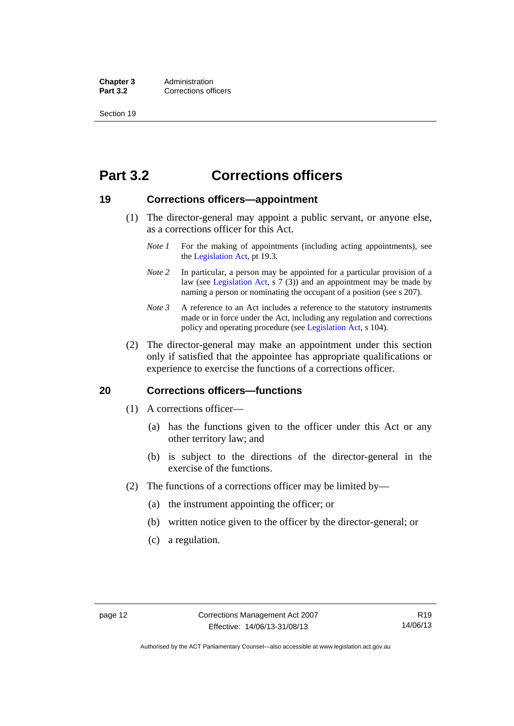**Chapter 3** Administration<br>**Part 3.2** Corrections of **Corrections officers** 

Section 19

## <span id="page-27-0"></span>**Part 3.2 Corrections officers**

#### <span id="page-27-1"></span>**19 Corrections officers—appointment**

- (1) The director-general may appoint a public servant, or anyone else, as a corrections officer for this Act.
	- *Note 1* For the making of appointments (including acting appointments), see the [Legislation Act,](http://www.legislation.act.gov.au/a/2001-14) pt 19.3.
	- *Note* 2 In particular, a person may be appointed for a particular provision of a law (see [Legislation Act,](http://www.legislation.act.gov.au/a/2001-14) s 7 (3)) and an appointment may be made by naming a person or nominating the occupant of a position (see s 207).
	- *Note 3* A reference to an Act includes a reference to the statutory instruments made or in force under the Act, including any regulation and corrections policy and operating procedure (see [Legislation Act,](http://www.legislation.act.gov.au/a/2001-14) s 104).
- (2) The director-general may make an appointment under this section only if satisfied that the appointee has appropriate qualifications or experience to exercise the functions of a corrections officer.

#### <span id="page-27-2"></span>**20 Corrections officers—functions**

- (1) A corrections officer—
	- (a) has the functions given to the officer under this Act or any other territory law; and
	- (b) is subject to the directions of the director-general in the exercise of the functions.
- (2) The functions of a corrections officer may be limited by—
	- (a) the instrument appointing the officer; or
	- (b) written notice given to the officer by the director-general; or
	- (c) a regulation.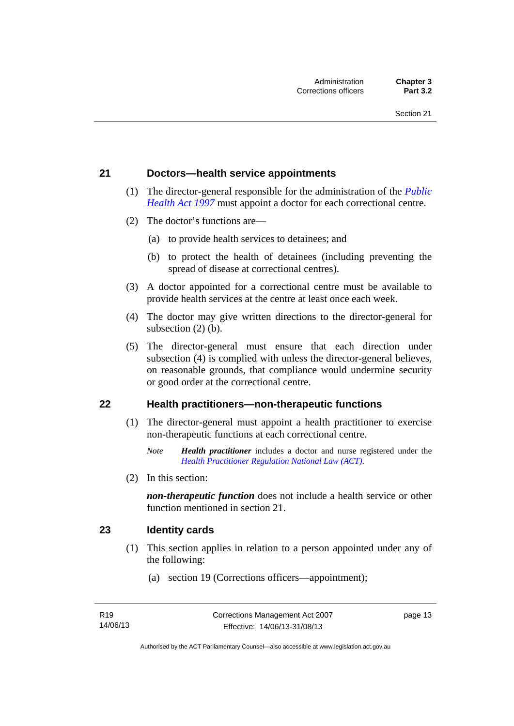#### <span id="page-28-0"></span>**21 Doctors—health service appointments**

- (1) The director-general responsible for the administration of the *[Public](http://www.legislation.act.gov.au/a/1997-69)  [Health Act 1997](http://www.legislation.act.gov.au/a/1997-69)* must appoint a doctor for each correctional centre.
- (2) The doctor's functions are—
	- (a) to provide health services to detainees; and
	- (b) to protect the health of detainees (including preventing the spread of disease at correctional centres).
- (3) A doctor appointed for a correctional centre must be available to provide health services at the centre at least once each week.
- (4) The doctor may give written directions to the director-general for subsection (2) (b).
- (5) The director-general must ensure that each direction under subsection (4) is complied with unless the director-general believes, on reasonable grounds, that compliance would undermine security or good order at the correctional centre.

#### <span id="page-28-1"></span>**22 Health practitioners—non-therapeutic functions**

- (1) The director-general must appoint a health practitioner to exercise non-therapeutic functions at each correctional centre.
	- *Note Health practitioner* includes a doctor and nurse registered under the *[Health Practitioner Regulation National Law \(ACT\)](http://www.legislation.act.gov.au/a/db_39269/default.asp)*.
- (2) In this section:

*non-therapeutic function* does not include a health service or other function mentioned in section 21.

#### <span id="page-28-2"></span>**23 Identity cards**

- (1) This section applies in relation to a person appointed under any of the following:
	- (a) section 19 (Corrections officers—appointment);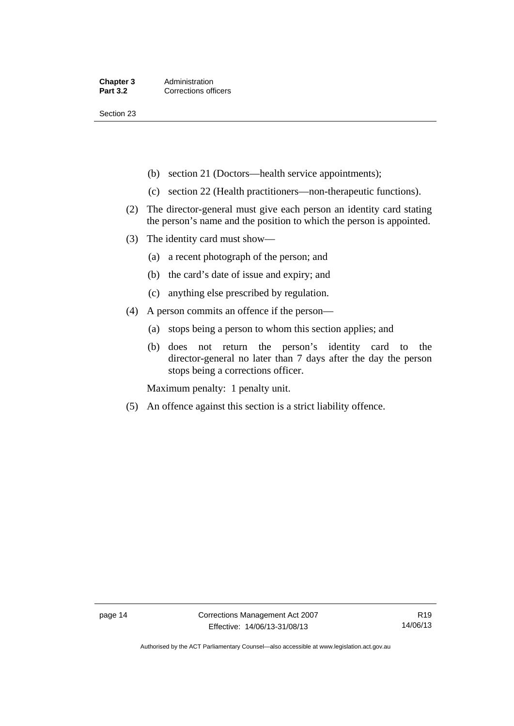Section 23

- (b) section 21 (Doctors—health service appointments);
- (c) section 22 (Health practitioners—non-therapeutic functions).
- (2) The director-general must give each person an identity card stating the person's name and the position to which the person is appointed.
- (3) The identity card must show—
	- (a) a recent photograph of the person; and
	- (b) the card's date of issue and expiry; and
	- (c) anything else prescribed by regulation.
- (4) A person commits an offence if the person—
	- (a) stops being a person to whom this section applies; and
	- (b) does not return the person's identity card to the director-general no later than 7 days after the day the person stops being a corrections officer.

Maximum penalty: 1 penalty unit.

(5) An offence against this section is a strict liability offence.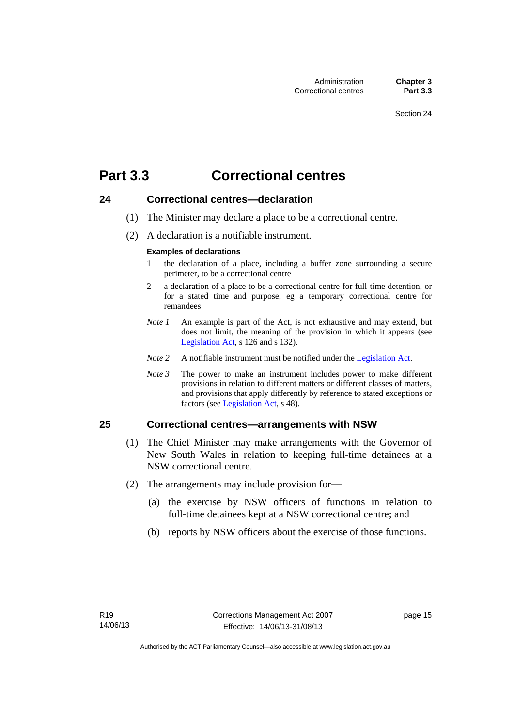## <span id="page-30-0"></span>**Part 3.3 Correctional centres**

#### <span id="page-30-1"></span>**24 Correctional centres—declaration**

- (1) The Minister may declare a place to be a correctional centre.
- (2) A declaration is a notifiable instrument.

#### **Examples of declarations**

- 1 the declaration of a place, including a buffer zone surrounding a secure perimeter, to be a correctional centre
- 2 a declaration of a place to be a correctional centre for full-time detention, or for a stated time and purpose, eg a temporary correctional centre for remandees
- *Note 1* An example is part of the Act, is not exhaustive and may extend, but does not limit, the meaning of the provision in which it appears (see [Legislation Act,](http://www.legislation.act.gov.au/a/2001-14) s 126 and s 132).
- *Note 2* A notifiable instrument must be notified under the [Legislation Act](http://www.legislation.act.gov.au/a/2001-14).
- *Note 3* The power to make an instrument includes power to make different provisions in relation to different matters or different classes of matters, and provisions that apply differently by reference to stated exceptions or factors (see [Legislation Act](http://www.legislation.act.gov.au/a/2001-14), s 48).

## <span id="page-30-2"></span>**25 Correctional centres—arrangements with NSW**

- (1) The Chief Minister may make arrangements with the Governor of New South Wales in relation to keeping full-time detainees at a NSW correctional centre.
- (2) The arrangements may include provision for—
	- (a) the exercise by NSW officers of functions in relation to full-time detainees kept at a NSW correctional centre; and
	- (b) reports by NSW officers about the exercise of those functions.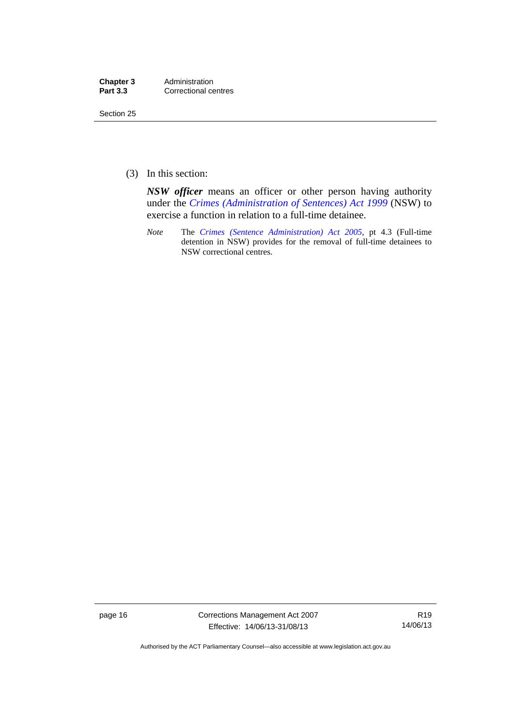| Chapter 3       | Administration       |
|-----------------|----------------------|
| <b>Part 3.3</b> | Correctional centres |

Section 25

(3) In this section:

*NSW officer* means an officer or other person having authority under the *[Crimes \(Administration of Sentences\) Act 1999](http://www.legislation.nsw.gov.au/maintop/view/inforce/act+93+1999+cd+0+N)* (NSW) to exercise a function in relation to a full-time detainee.

*Note* The *[Crimes \(Sentence Administration\) Act 2005](http://www.legislation.act.gov.au/a/2005-59)*, pt 4.3 (Full-time detention in NSW) provides for the removal of full-time detainees to NSW correctional centres.

page 16 Corrections Management Act 2007 Effective: 14/06/13-31/08/13

R19 14/06/13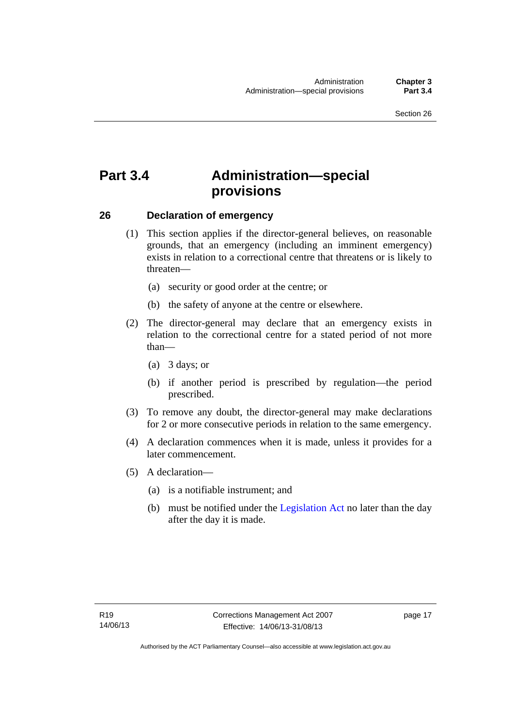## <span id="page-32-0"></span>**Part 3.4 Administration—special provisions**

#### <span id="page-32-1"></span>**26 Declaration of emergency**

- (1) This section applies if the director-general believes, on reasonable grounds, that an emergency (including an imminent emergency) exists in relation to a correctional centre that threatens or is likely to threaten—
	- (a) security or good order at the centre; or
	- (b) the safety of anyone at the centre or elsewhere.
- (2) The director-general may declare that an emergency exists in relation to the correctional centre for a stated period of not more than—
	- (a) 3 days; or
	- (b) if another period is prescribed by regulation—the period prescribed.
- (3) To remove any doubt, the director-general may make declarations for 2 or more consecutive periods in relation to the same emergency.
- (4) A declaration commences when it is made, unless it provides for a later commencement.
- (5) A declaration—
	- (a) is a notifiable instrument; and
	- (b) must be notified under the [Legislation Act](http://www.legislation.act.gov.au/a/2001-14) no later than the day after the day it is made.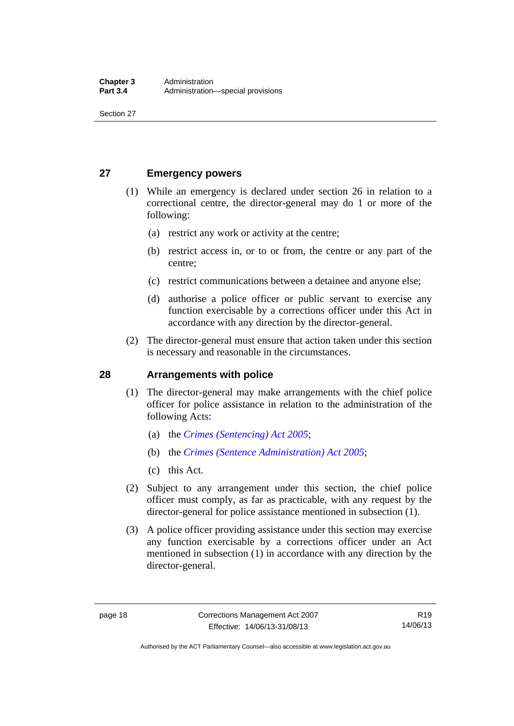Section 27

#### <span id="page-33-0"></span>**27 Emergency powers**

- (1) While an emergency is declared under section 26 in relation to a correctional centre, the director-general may do 1 or more of the following:
	- (a) restrict any work or activity at the centre;
	- (b) restrict access in, or to or from, the centre or any part of the centre;
	- (c) restrict communications between a detainee and anyone else;
	- (d) authorise a police officer or public servant to exercise any function exercisable by a corrections officer under this Act in accordance with any direction by the director-general.
- (2) The director-general must ensure that action taken under this section is necessary and reasonable in the circumstances.

#### <span id="page-33-1"></span>**28 Arrangements with police**

- (1) The director-general may make arrangements with the chief police officer for police assistance in relation to the administration of the following Acts:
	- (a) the *[Crimes \(Sentencing\) Act 2005](http://www.legislation.act.gov.au/a/2005-58)*;
	- (b) the *[Crimes \(Sentence Administration\) Act 2005](http://www.legislation.act.gov.au/a/2005-59)*;
	- (c) this Act.
- (2) Subject to any arrangement under this section, the chief police officer must comply, as far as practicable, with any request by the director-general for police assistance mentioned in subsection (1).
- (3) A police officer providing assistance under this section may exercise any function exercisable by a corrections officer under an Act mentioned in subsection (1) in accordance with any direction by the director-general.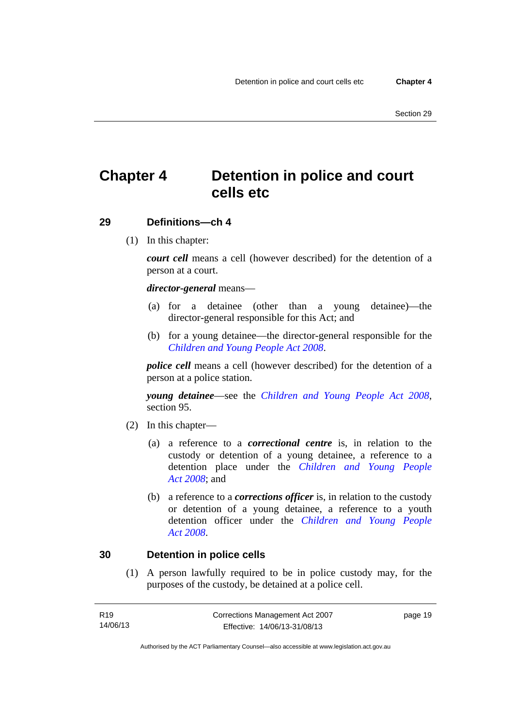## <span id="page-34-0"></span>**Chapter 4 Detention in police and court cells etc**

#### <span id="page-34-1"></span>**29 Definitions—ch 4**

(1) In this chapter:

*court cell* means a cell (however described) for the detention of a person at a court.

#### *director-general* means—

- (a) for a detainee (other than a young detainee)—the director-general responsible for this Act; and
- (b) for a young detainee—the director-general responsible for the *[Children and Young People Act 2008](http://www.legislation.act.gov.au/a/2008-19)*.

*police cell* means a cell (however described) for the detention of a person at a police station.

*young detainee*—see the *[Children and Young People Act 2008](http://www.legislation.act.gov.au/a/2008-19)*, section 95.

- (2) In this chapter—
	- (a) a reference to a *correctional centre* is, in relation to the custody or detention of a young detainee, a reference to a detention place under the *[Children and Young People](http://www.legislation.act.gov.au/a/2008-19)  [Act 2008](http://www.legislation.act.gov.au/a/2008-19)*; and
	- (b) a reference to a *corrections officer* is, in relation to the custody or detention of a young detainee, a reference to a youth detention officer under the *[Children and Young People](http://www.legislation.act.gov.au/a/2008-19)  [Act 2008](http://www.legislation.act.gov.au/a/2008-19)*.

#### <span id="page-34-2"></span>**30 Detention in police cells**

(1) A person lawfully required to be in police custody may, for the purposes of the custody, be detained at a police cell.

| R19      | Corrections Management Act 2007 | page 19 |
|----------|---------------------------------|---------|
| 14/06/13 | Effective: 14/06/13-31/08/13    |         |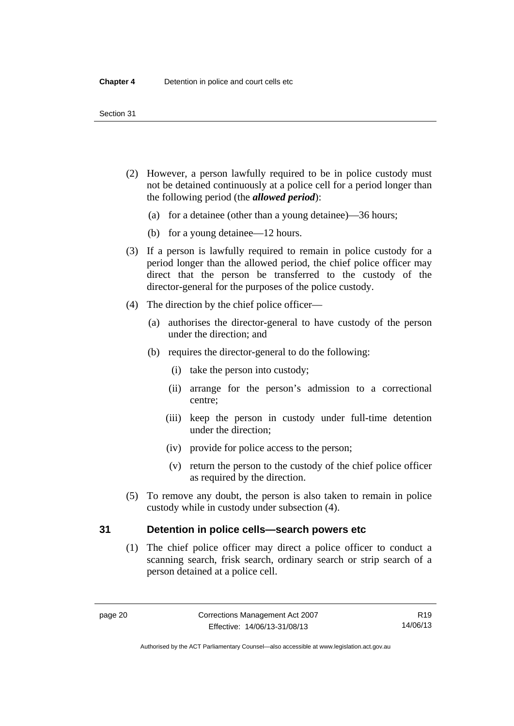- (2) However, a person lawfully required to be in police custody must not be detained continuously at a police cell for a period longer than the following period (the *allowed period*):
	- (a) for a detainee (other than a young detainee)—36 hours;
	- (b) for a young detainee—12 hours.
- (3) If a person is lawfully required to remain in police custody for a period longer than the allowed period, the chief police officer may direct that the person be transferred to the custody of the director-general for the purposes of the police custody.
- (4) The direction by the chief police officer—
	- (a) authorises the director-general to have custody of the person under the direction; and
	- (b) requires the director-general to do the following:
		- (i) take the person into custody;
		- (ii) arrange for the person's admission to a correctional centre;
		- (iii) keep the person in custody under full-time detention under the direction;
		- (iv) provide for police access to the person;
		- (v) return the person to the custody of the chief police officer as required by the direction.
- (5) To remove any doubt, the person is also taken to remain in police custody while in custody under subsection (4).

#### <span id="page-35-0"></span>**31 Detention in police cells—search powers etc**

(1) The chief police officer may direct a police officer to conduct a scanning search, frisk search, ordinary search or strip search of a person detained at a police cell.

Authorised by the ACT Parliamentary Counsel—also accessible at www.legislation.act.gov.au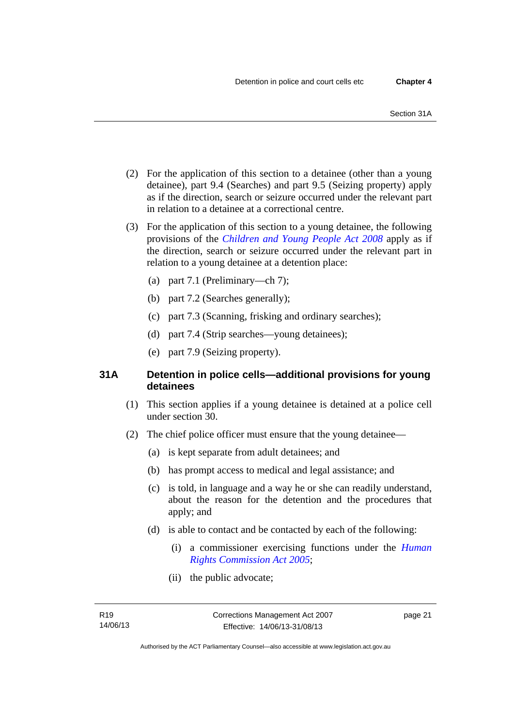- (2) For the application of this section to a detainee (other than a young detainee), part 9.4 (Searches) and part 9.5 (Seizing property) apply as if the direction, search or seizure occurred under the relevant part in relation to a detainee at a correctional centre.
- (3) For the application of this section to a young detainee, the following provisions of the *[Children and Young People Act 2008](http://www.legislation.act.gov.au/a/2008-19)* apply as if the direction, search or seizure occurred under the relevant part in relation to a young detainee at a detention place:
	- (a) part 7.1 (Preliminary—ch 7);
	- (b) part 7.2 (Searches generally);
	- (c) part 7.3 (Scanning, frisking and ordinary searches);
	- (d) part 7.4 (Strip searches—young detainees);
	- (e) part 7.9 (Seizing property).

# **31A Detention in police cells—additional provisions for young detainees**

- (1) This section applies if a young detainee is detained at a police cell under section 30.
- (2) The chief police officer must ensure that the young detainee—
	- (a) is kept separate from adult detainees; and
	- (b) has prompt access to medical and legal assistance; and
	- (c) is told, in language and a way he or she can readily understand, about the reason for the detention and the procedures that apply; and
	- (d) is able to contact and be contacted by each of the following:
		- (i) a commissioner exercising functions under the *[Human](http://www.legislation.act.gov.au/a/2005-40)  [Rights Commission Act 2005](http://www.legislation.act.gov.au/a/2005-40)*;
		- (ii) the public advocate;

page 21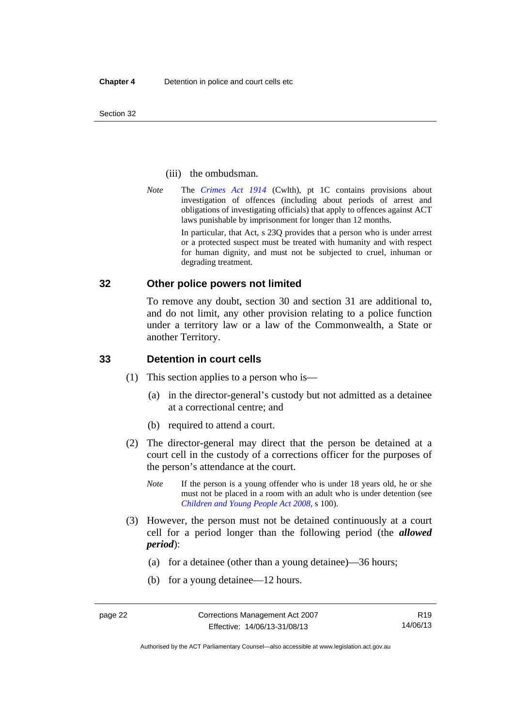Section 32

## (iii) the ombudsman.

*Note* The *[Crimes Act 1914](http://www.comlaw.gov.au/Series/C2004A07391)* (Cwlth), pt 1C contains provisions about investigation of offences (including about periods of arrest and obligations of investigating officials) that apply to offences against ACT laws punishable by imprisonment for longer than 12 months.

In particular, that Act, s 23Q provides that a person who is under arrest or a protected suspect must be treated with humanity and with respect for human dignity, and must not be subjected to cruel, inhuman or degrading treatment.

# **32 Other police powers not limited**

To remove any doubt, section 30 and section 31 are additional to, and do not limit, any other provision relating to a police function under a territory law or a law of the Commonwealth, a State or another Territory.

# **33 Detention in court cells**

- (1) This section applies to a person who is—
	- (a) in the director-general's custody but not admitted as a detainee at a correctional centre; and
	- (b) required to attend a court.
- (2) The director-general may direct that the person be detained at a court cell in the custody of a corrections officer for the purposes of the person's attendance at the court.
	- *Note* If the person is a young offender who is under 18 years old, he or she must not be placed in a room with an adult who is under detention (see *[Children and Young People Act 2008](http://www.legislation.act.gov.au/a/2008-19)*, s 100).
- (3) However, the person must not be detained continuously at a court cell for a period longer than the following period (the *allowed period*):
	- (a) for a detainee (other than a young detainee)—36 hours;
	- (b) for a young detainee—12 hours.

Authorised by the ACT Parliamentary Counsel—also accessible at www.legislation.act.gov.au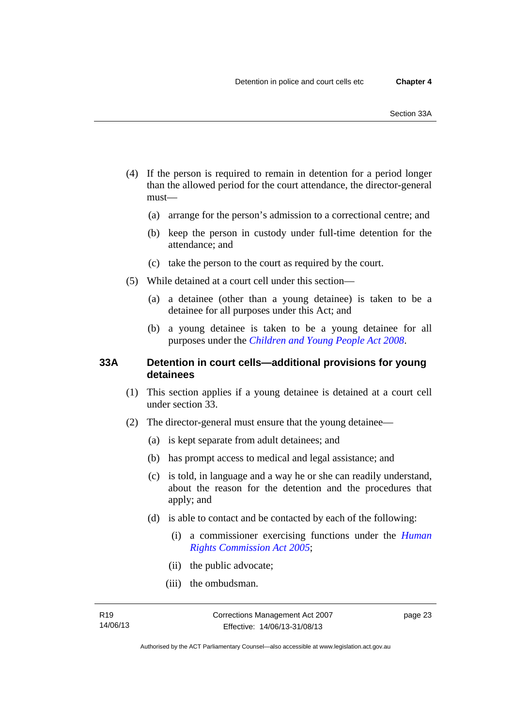- (4) If the person is required to remain in detention for a period longer than the allowed period for the court attendance, the director-general must—
	- (a) arrange for the person's admission to a correctional centre; and
	- (b) keep the person in custody under full-time detention for the attendance; and
	- (c) take the person to the court as required by the court.
- (5) While detained at a court cell under this section—
	- (a) a detainee (other than a young detainee) is taken to be a detainee for all purposes under this Act; and
	- (b) a young detainee is taken to be a young detainee for all purposes under the *[Children and Young People Act 2008](http://www.legislation.act.gov.au/a/2008-19)*.

# **33A Detention in court cells—additional provisions for young detainees**

- (1) This section applies if a young detainee is detained at a court cell under section 33.
- (2) The director-general must ensure that the young detainee—
	- (a) is kept separate from adult detainees; and
	- (b) has prompt access to medical and legal assistance; and
	- (c) is told, in language and a way he or she can readily understand, about the reason for the detention and the procedures that apply; and
	- (d) is able to contact and be contacted by each of the following:
		- (i) a commissioner exercising functions under the *[Human](http://www.legislation.act.gov.au/a/2005-40)  [Rights Commission Act 2005](http://www.legislation.act.gov.au/a/2005-40)*;
		- (ii) the public advocate;
		- (iii) the ombudsman.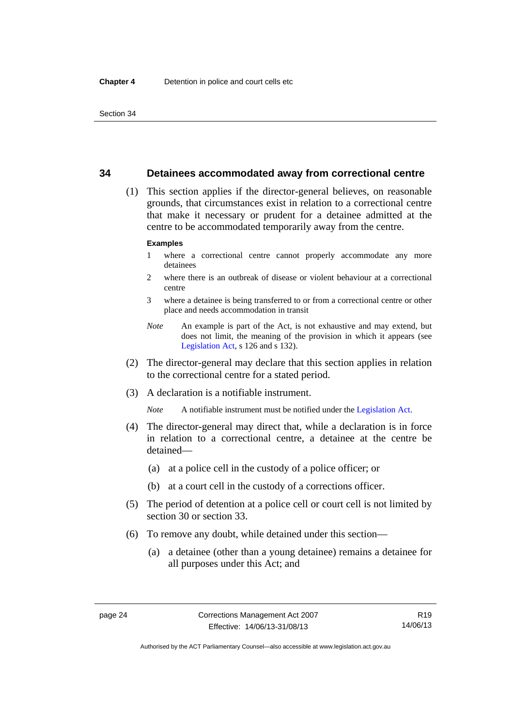# **34 Detainees accommodated away from correctional centre**

 (1) This section applies if the director-general believes, on reasonable grounds, that circumstances exist in relation to a correctional centre that make it necessary or prudent for a detainee admitted at the centre to be accommodated temporarily away from the centre.

#### **Examples**

- 1 where a correctional centre cannot properly accommodate any more detainees
- 2 where there is an outbreak of disease or violent behaviour at a correctional centre
- 3 where a detainee is being transferred to or from a correctional centre or other place and needs accommodation in transit
- *Note* An example is part of the Act, is not exhaustive and may extend, but does not limit, the meaning of the provision in which it appears (see [Legislation Act,](http://www.legislation.act.gov.au/a/2001-14) s 126 and s 132).
- (2) The director-general may declare that this section applies in relation to the correctional centre for a stated period.
- (3) A declaration is a notifiable instrument.

*Note* A notifiable instrument must be notified under the [Legislation Act](http://www.legislation.act.gov.au/a/2001-14).

- (4) The director-general may direct that, while a declaration is in force in relation to a correctional centre, a detainee at the centre be detained—
	- (a) at a police cell in the custody of a police officer; or
	- (b) at a court cell in the custody of a corrections officer.
- (5) The period of detention at a police cell or court cell is not limited by section 30 or section 33.
- (6) To remove any doubt, while detained under this section—
	- (a) a detainee (other than a young detainee) remains a detainee for all purposes under this Act; and

Authorised by the ACT Parliamentary Counsel—also accessible at www.legislation.act.gov.au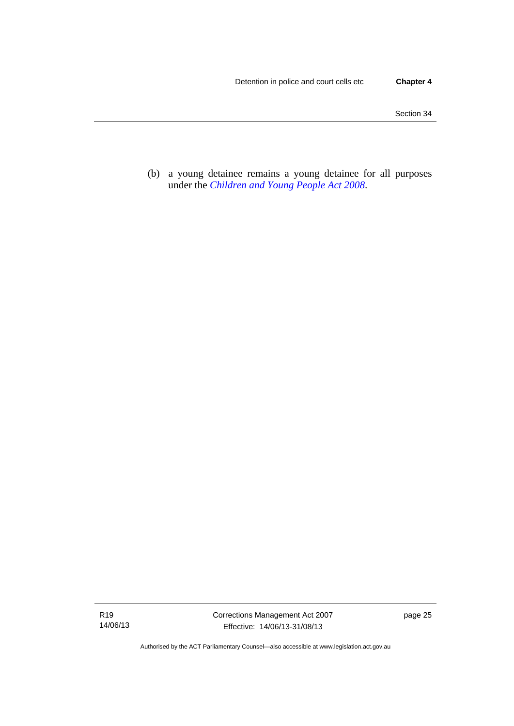(b) a young detainee remains a young detainee for all purposes under the *[Children and Young People Act 2008](http://www.legislation.act.gov.au/a/2008-19)*.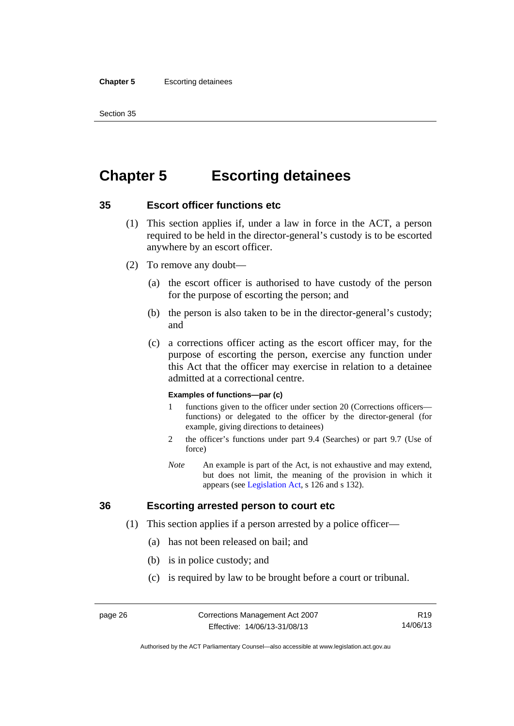#### **Chapter 5** Escorting detainees

Section 35

# **Chapter 5 Escorting detainees**

# **35 Escort officer functions etc**

- (1) This section applies if, under a law in force in the ACT, a person required to be held in the director-general's custody is to be escorted anywhere by an escort officer.
- (2) To remove any doubt—
	- (a) the escort officer is authorised to have custody of the person for the purpose of escorting the person; and
	- (b) the person is also taken to be in the director-general's custody; and
	- (c) a corrections officer acting as the escort officer may, for the purpose of escorting the person, exercise any function under this Act that the officer may exercise in relation to a detainee admitted at a correctional centre.

#### **Examples of functions—par (c)**

- 1 functions given to the officer under section 20 (Corrections officers functions) or delegated to the officer by the director-general (for example, giving directions to detainees)
- 2 the officer's functions under part 9.4 (Searches) or part 9.7 (Use of force)
- *Note* An example is part of the Act, is not exhaustive and may extend, but does not limit, the meaning of the provision in which it appears (see [Legislation Act,](http://www.legislation.act.gov.au/a/2001-14) s 126 and s 132).

# **36 Escorting arrested person to court etc**

- (1) This section applies if a person arrested by a police officer—
	- (a) has not been released on bail; and
	- (b) is in police custody; and
	- (c) is required by law to be brought before a court or tribunal.

R19 14/06/13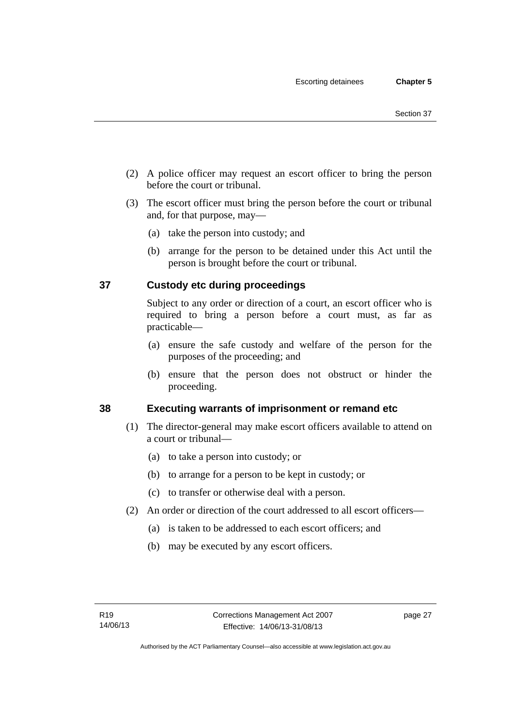- (2) A police officer may request an escort officer to bring the person before the court or tribunal.
- (3) The escort officer must bring the person before the court or tribunal and, for that purpose, may—
	- (a) take the person into custody; and
	- (b) arrange for the person to be detained under this Act until the person is brought before the court or tribunal.

# **37 Custody etc during proceedings**

Subject to any order or direction of a court, an escort officer who is required to bring a person before a court must, as far as practicable—

- (a) ensure the safe custody and welfare of the person for the purposes of the proceeding; and
- (b) ensure that the person does not obstruct or hinder the proceeding.

# **38 Executing warrants of imprisonment or remand etc**

- (1) The director-general may make escort officers available to attend on a court or tribunal—
	- (a) to take a person into custody; or
	- (b) to arrange for a person to be kept in custody; or
	- (c) to transfer or otherwise deal with a person.
- (2) An order or direction of the court addressed to all escort officers—
	- (a) is taken to be addressed to each escort officers; and
	- (b) may be executed by any escort officers.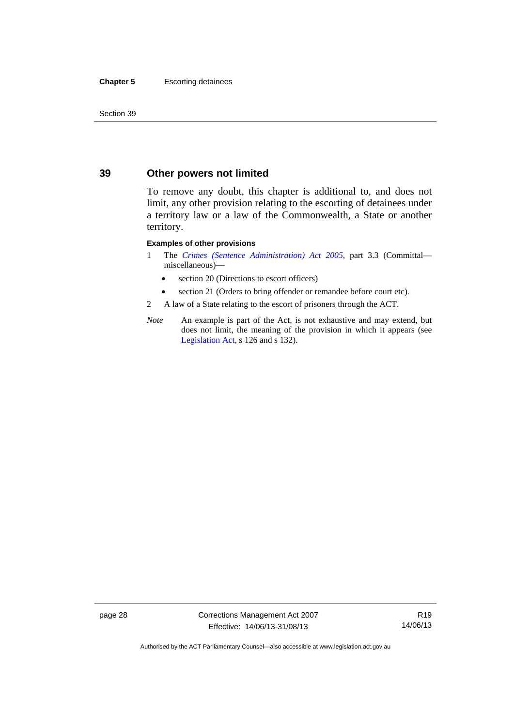#### **Chapter 5** Escorting detainees

Section 39

# **39 Other powers not limited**

To remove any doubt, this chapter is additional to, and does not limit, any other provision relating to the escorting of detainees under a territory law or a law of the Commonwealth, a State or another territory.

#### **Examples of other provisions**

- 1 The *[Crimes \(Sentence Administration\) Act 2005](http://www.legislation.act.gov.au/a/2005-59)*, part 3.3 (Committal miscellaneous)—
	- section 20 (Directions to escort officers)
	- section 21 (Orders to bring offender or remandee before court etc).
- 2 A law of a State relating to the escort of prisoners through the ACT.
- *Note* An example is part of the Act, is not exhaustive and may extend, but does not limit, the meaning of the provision in which it appears (see [Legislation Act,](http://www.legislation.act.gov.au/a/2001-14) s 126 and s 132).

page 28 Corrections Management Act 2007 Effective: 14/06/13-31/08/13

R19 14/06/13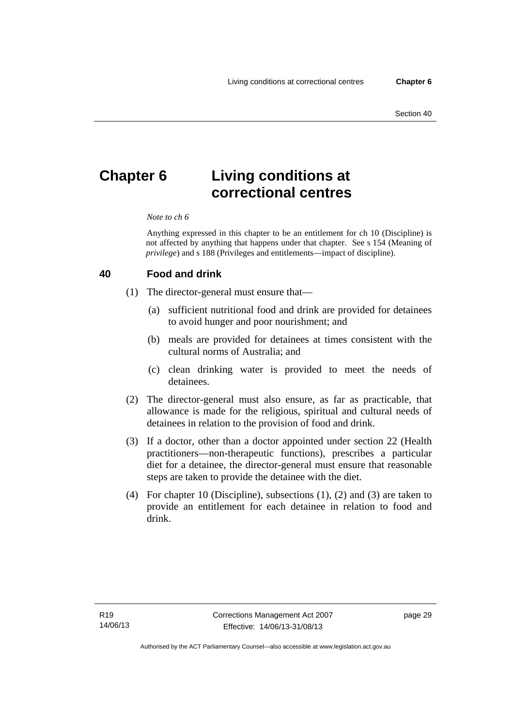# **Chapter 6 Living conditions at correctional centres**

#### *Note to ch 6*

Anything expressed in this chapter to be an entitlement for ch 10 (Discipline) is not affected by anything that happens under that chapter. See s 154 (Meaning of *privilege*) and s 188 (Privileges and entitlements—impact of discipline).

# **40 Food and drink**

- (1) The director-general must ensure that—
	- (a) sufficient nutritional food and drink are provided for detainees to avoid hunger and poor nourishment; and
	- (b) meals are provided for detainees at times consistent with the cultural norms of Australia; and
	- (c) clean drinking water is provided to meet the needs of detainees.
- (2) The director-general must also ensure, as far as practicable, that allowance is made for the religious, spiritual and cultural needs of detainees in relation to the provision of food and drink.
- (3) If a doctor, other than a doctor appointed under section 22 (Health practitioners—non-therapeutic functions), prescribes a particular diet for a detainee, the director-general must ensure that reasonable steps are taken to provide the detainee with the diet.
- (4) For chapter 10 (Discipline), subsections (1), (2) and (3) are taken to provide an entitlement for each detainee in relation to food and drink.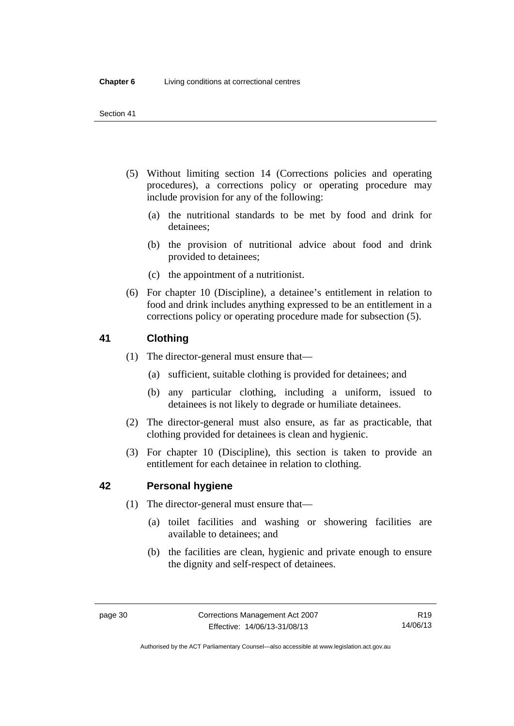- (5) Without limiting section 14 (Corrections policies and operating procedures), a corrections policy or operating procedure may include provision for any of the following:
	- (a) the nutritional standards to be met by food and drink for detainees;
	- (b) the provision of nutritional advice about food and drink provided to detainees;
	- (c) the appointment of a nutritionist.
- (6) For chapter 10 (Discipline), a detainee's entitlement in relation to food and drink includes anything expressed to be an entitlement in a corrections policy or operating procedure made for subsection (5).

# **41 Clothing**

- (1) The director-general must ensure that—
	- (a) sufficient, suitable clothing is provided for detainees; and
	- (b) any particular clothing, including a uniform, issued to detainees is not likely to degrade or humiliate detainees.
- (2) The director-general must also ensure, as far as practicable, that clothing provided for detainees is clean and hygienic.
- (3) For chapter 10 (Discipline), this section is taken to provide an entitlement for each detainee in relation to clothing.

# **42 Personal hygiene**

- (1) The director-general must ensure that—
	- (a) toilet facilities and washing or showering facilities are available to detainees; and
	- (b) the facilities are clean, hygienic and private enough to ensure the dignity and self-respect of detainees.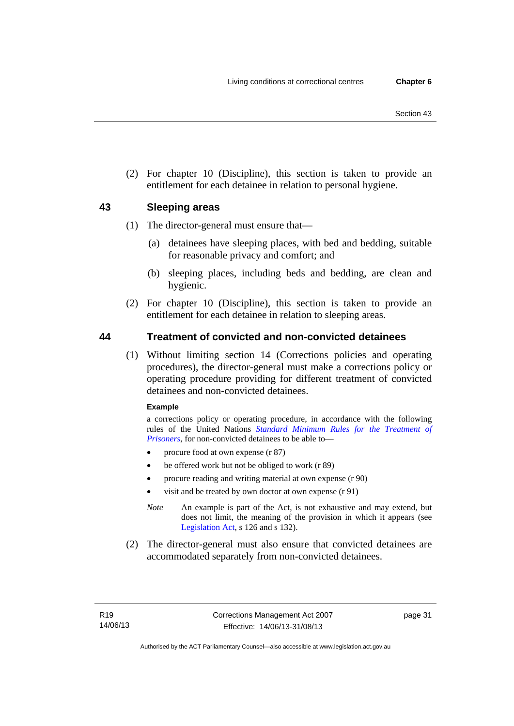(2) For chapter 10 (Discipline), this section is taken to provide an entitlement for each detainee in relation to personal hygiene.

# **43 Sleeping areas**

- (1) The director-general must ensure that—
	- (a) detainees have sleeping places, with bed and bedding, suitable for reasonable privacy and comfort; and
	- (b) sleeping places, including beds and bedding, are clean and hygienic.
- (2) For chapter 10 (Discipline), this section is taken to provide an entitlement for each detainee in relation to sleeping areas.

# **44 Treatment of convicted and non-convicted detainees**

(1) Without limiting section 14 (Corrections policies and operating procedures), the director-general must make a corrections policy or operating procedure providing for different treatment of convicted detainees and non-convicted detainees.

## **Example**

a corrections policy or operating procedure, in accordance with the following rules of the United Nations *[Standard Minimum Rules for the Treatment of](http://www2.ohchr.org/english/law/treatmentprisoners.htm)  [Prisoners](http://www2.ohchr.org/english/law/treatmentprisoners.htm)*, for non-convicted detainees to be able to—

- procure food at own expense (r 87)
- be offered work but not be obliged to work (r 89)
- procure reading and writing material at own expense (r 90)
- visit and be treated by own doctor at own expense (r 91)
- *Note* An example is part of the Act, is not exhaustive and may extend, but does not limit, the meaning of the provision in which it appears (see [Legislation Act,](http://www.legislation.act.gov.au/a/2001-14) s 126 and s 132).
- (2) The director-general must also ensure that convicted detainees are accommodated separately from non-convicted detainees.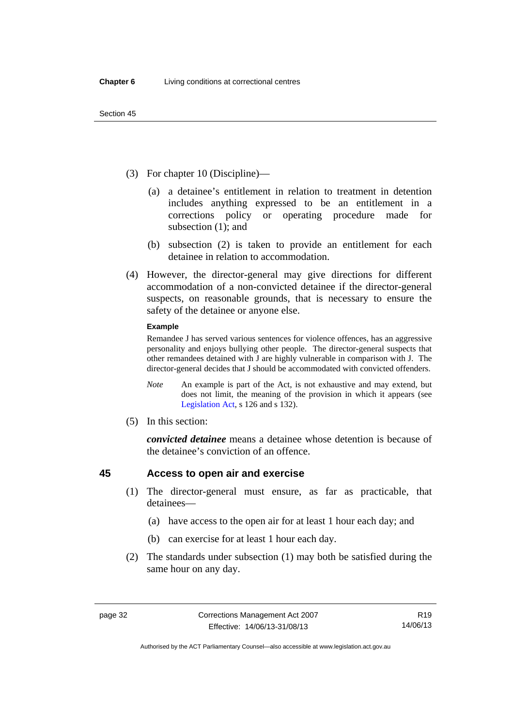- (3) For chapter 10 (Discipline)—
	- (a) a detainee's entitlement in relation to treatment in detention includes anything expressed to be an entitlement in a corrections policy or operating procedure made for subsection (1); and
	- (b) subsection (2) is taken to provide an entitlement for each detainee in relation to accommodation.
- (4) However, the director-general may give directions for different accommodation of a non-convicted detainee if the director-general suspects, on reasonable grounds, that is necessary to ensure the safety of the detainee or anyone else.

#### **Example**

Remandee J has served various sentences for violence offences, has an aggressive personality and enjoys bullying other people. The director-general suspects that other remandees detained with J are highly vulnerable in comparison with J. The director-general decides that J should be accommodated with convicted offenders.

- *Note* An example is part of the Act, is not exhaustive and may extend, but does not limit, the meaning of the provision in which it appears (see [Legislation Act,](http://www.legislation.act.gov.au/a/2001-14) s 126 and s 132).
- (5) In this section:

*convicted detainee* means a detainee whose detention is because of the detainee's conviction of an offence.

# **45 Access to open air and exercise**

- (1) The director-general must ensure, as far as practicable, that detainees—
	- (a) have access to the open air for at least 1 hour each day; and
	- (b) can exercise for at least 1 hour each day.
- (2) The standards under subsection (1) may both be satisfied during the same hour on any day.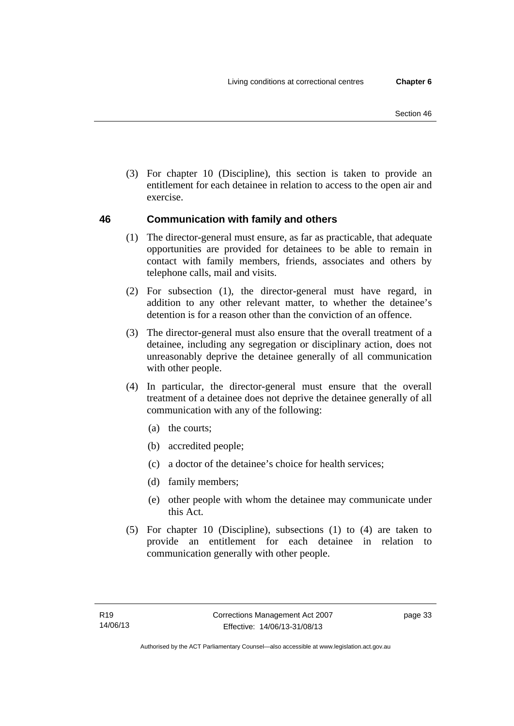(3) For chapter 10 (Discipline), this section is taken to provide an entitlement for each detainee in relation to access to the open air and exercise.

# **46 Communication with family and others**

- (1) The director-general must ensure, as far as practicable, that adequate opportunities are provided for detainees to be able to remain in contact with family members, friends, associates and others by telephone calls, mail and visits.
- (2) For subsection (1), the director-general must have regard, in addition to any other relevant matter, to whether the detainee's detention is for a reason other than the conviction of an offence.
- (3) The director-general must also ensure that the overall treatment of a detainee, including any segregation or disciplinary action, does not unreasonably deprive the detainee generally of all communication with other people.
- (4) In particular, the director-general must ensure that the overall treatment of a detainee does not deprive the detainee generally of all communication with any of the following:
	- (a) the courts;
	- (b) accredited people;
	- (c) a doctor of the detainee's choice for health services;
	- (d) family members;
	- (e) other people with whom the detainee may communicate under this Act.
- (5) For chapter 10 (Discipline), subsections (1) to (4) are taken to provide an entitlement for each detainee in relation to communication generally with other people.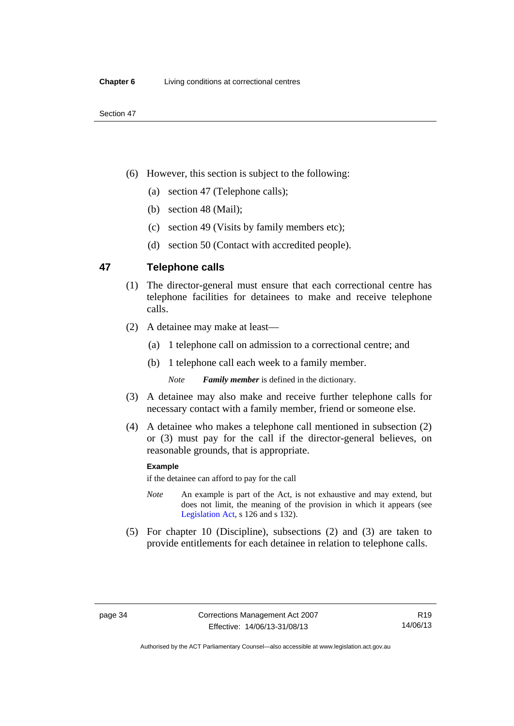- (6) However, this section is subject to the following:
	- (a) section 47 (Telephone calls);
	- (b) section 48 (Mail);
	- (c) section 49 (Visits by family members etc);
	- (d) section 50 (Contact with accredited people).

# **47 Telephone calls**

- (1) The director-general must ensure that each correctional centre has telephone facilities for detainees to make and receive telephone calls.
- (2) A detainee may make at least—
	- (a) 1 telephone call on admission to a correctional centre; and
	- (b) 1 telephone call each week to a family member.

*Note Family member* is defined in the dictionary.

- (3) A detainee may also make and receive further telephone calls for necessary contact with a family member, friend or someone else.
- (4) A detainee who makes a telephone call mentioned in subsection (2) or (3) must pay for the call if the director-general believes, on reasonable grounds, that is appropriate.

#### **Example**

if the detainee can afford to pay for the call

- *Note* An example is part of the Act, is not exhaustive and may extend, but does not limit, the meaning of the provision in which it appears (see [Legislation Act,](http://www.legislation.act.gov.au/a/2001-14) s 126 and s 132).
- (5) For chapter 10 (Discipline), subsections (2) and (3) are taken to provide entitlements for each detainee in relation to telephone calls.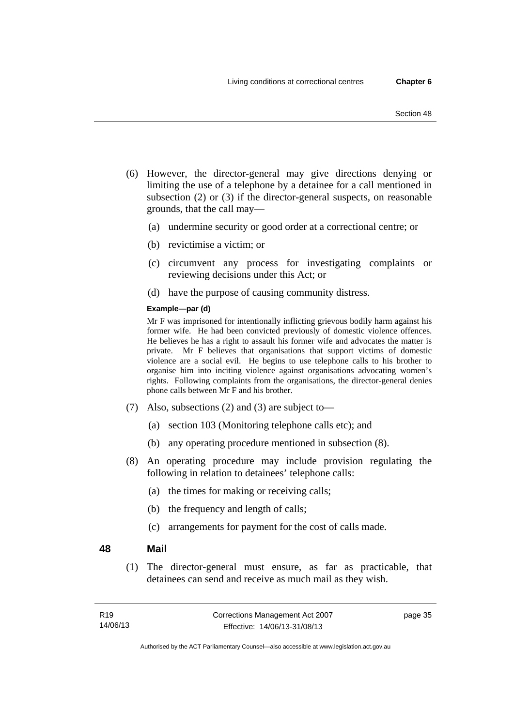- (6) However, the director-general may give directions denying or limiting the use of a telephone by a detainee for a call mentioned in subsection (2) or (3) if the director-general suspects, on reasonable grounds, that the call may—
	- (a) undermine security or good order at a correctional centre; or
	- (b) revictimise a victim; or
	- (c) circumvent any process for investigating complaints or reviewing decisions under this Act; or
	- (d) have the purpose of causing community distress.

## **Example—par (d)**

Mr F was imprisoned for intentionally inflicting grievous bodily harm against his former wife. He had been convicted previously of domestic violence offences. He believes he has a right to assault his former wife and advocates the matter is private. Mr F believes that organisations that support victims of domestic violence are a social evil. He begins to use telephone calls to his brother to organise him into inciting violence against organisations advocating women's rights. Following complaints from the organisations, the director-general denies phone calls between Mr F and his brother.

- (7) Also, subsections (2) and (3) are subject to—
	- (a) section 103 (Monitoring telephone calls etc); and
	- (b) any operating procedure mentioned in subsection (8).
- (8) An operating procedure may include provision regulating the following in relation to detainees' telephone calls:
	- (a) the times for making or receiving calls;
	- (b) the frequency and length of calls;
	- (c) arrangements for payment for the cost of calls made.

## **48 Mail**

(1) The director-general must ensure, as far as practicable, that detainees can send and receive as much mail as they wish.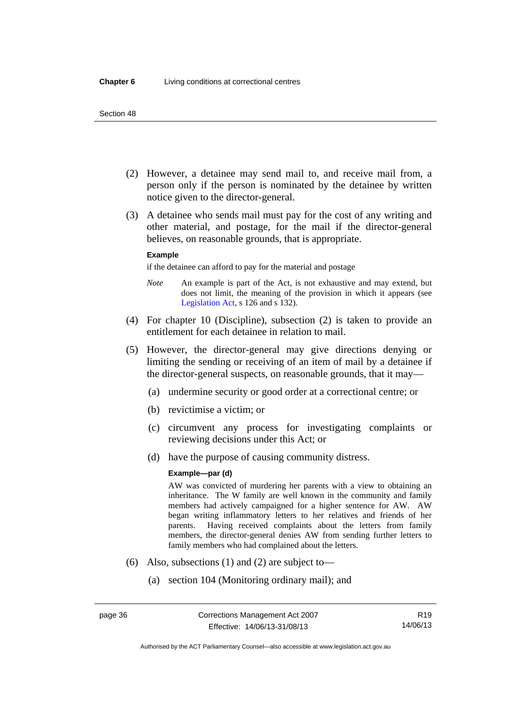- (2) However, a detainee may send mail to, and receive mail from, a person only if the person is nominated by the detainee by written notice given to the director-general.
- (3) A detainee who sends mail must pay for the cost of any writing and other material, and postage, for the mail if the director-general believes, on reasonable grounds, that is appropriate.

#### **Example**

if the detainee can afford to pay for the material and postage

- *Note* An example is part of the Act, is not exhaustive and may extend, but does not limit, the meaning of the provision in which it appears (see [Legislation Act,](http://www.legislation.act.gov.au/a/2001-14) s 126 and s 132).
- (4) For chapter 10 (Discipline), subsection (2) is taken to provide an entitlement for each detainee in relation to mail.
- (5) However, the director-general may give directions denying or limiting the sending or receiving of an item of mail by a detainee if the director-general suspects, on reasonable grounds, that it may—
	- (a) undermine security or good order at a correctional centre; or
	- (b) revictimise a victim; or
	- (c) circumvent any process for investigating complaints or reviewing decisions under this Act; or
	- (d) have the purpose of causing community distress.

#### **Example—par (d)**

AW was convicted of murdering her parents with a view to obtaining an inheritance. The W family are well known in the community and family members had actively campaigned for a higher sentence for AW. AW began writing inflammatory letters to her relatives and friends of her parents. Having received complaints about the letters from family members, the director-general denies AW from sending further letters to family members who had complained about the letters.

- (6) Also, subsections (1) and (2) are subject to—
	- (a) section 104 (Monitoring ordinary mail); and

Authorised by the ACT Parliamentary Counsel—also accessible at www.legislation.act.gov.au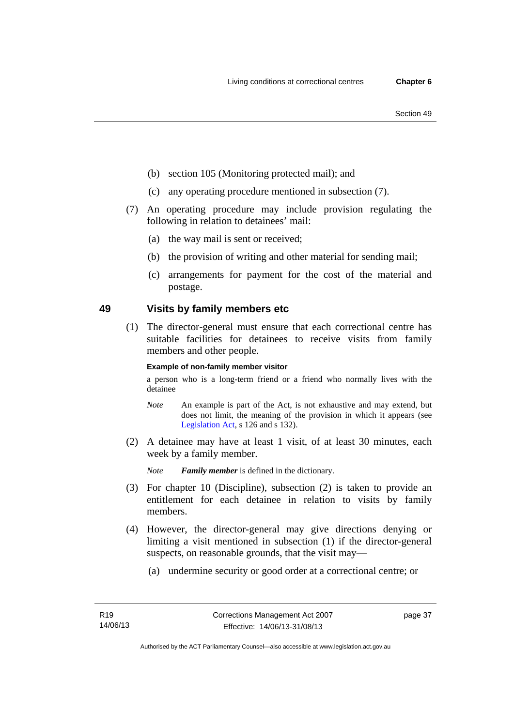- (b) section 105 (Monitoring protected mail); and
- (c) any operating procedure mentioned in subsection (7).
- (7) An operating procedure may include provision regulating the following in relation to detainees' mail:
	- (a) the way mail is sent or received;
	- (b) the provision of writing and other material for sending mail;
	- (c) arrangements for payment for the cost of the material and postage.

# **49 Visits by family members etc**

(1) The director-general must ensure that each correctional centre has suitable facilities for detainees to receive visits from family members and other people.

## **Example of non-family member visitor**

a person who is a long-term friend or a friend who normally lives with the detainee

- *Note* An example is part of the Act, is not exhaustive and may extend, but does not limit, the meaning of the provision in which it appears (see [Legislation Act,](http://www.legislation.act.gov.au/a/2001-14) s 126 and s 132).
- (2) A detainee may have at least 1 visit, of at least 30 minutes, each week by a family member.

*Note Family member* is defined in the dictionary.

- (3) For chapter 10 (Discipline), subsection (2) is taken to provide an entitlement for each detainee in relation to visits by family members.
- (4) However, the director-general may give directions denying or limiting a visit mentioned in subsection (1) if the director-general suspects, on reasonable grounds, that the visit may—
	- (a) undermine security or good order at a correctional centre; or

page 37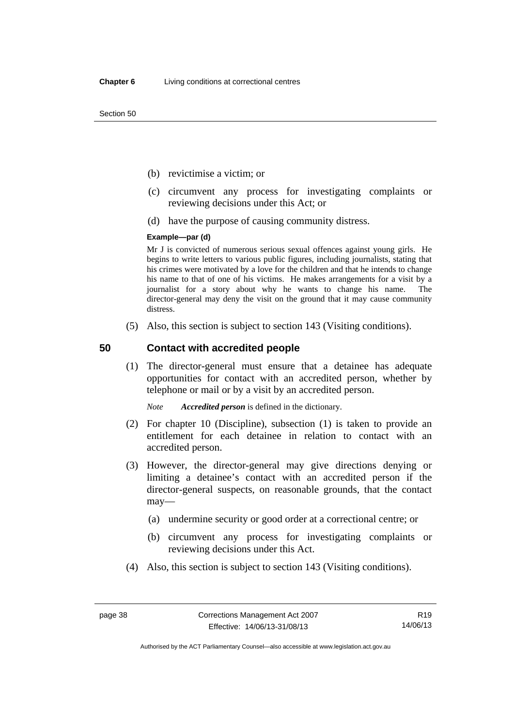Section 50

- (b) revictimise a victim; or
- (c) circumvent any process for investigating complaints or reviewing decisions under this Act; or
- (d) have the purpose of causing community distress.

#### **Example—par (d)**

Mr J is convicted of numerous serious sexual offences against young girls. He begins to write letters to various public figures, including journalists, stating that his crimes were motivated by a love for the children and that he intends to change his name to that of one of his victims. He makes arrangements for a visit by a journalist for a story about why he wants to change his name. The director-general may deny the visit on the ground that it may cause community distress.

(5) Also, this section is subject to section 143 (Visiting conditions).

# **50 Contact with accredited people**

(1) The director-general must ensure that a detainee has adequate opportunities for contact with an accredited person, whether by telephone or mail or by a visit by an accredited person.

*Note Accredited person* is defined in the dictionary.

- (2) For chapter 10 (Discipline), subsection (1) is taken to provide an entitlement for each detainee in relation to contact with an accredited person.
- (3) However, the director-general may give directions denying or limiting a detainee's contact with an accredited person if the director-general suspects, on reasonable grounds, that the contact may—
	- (a) undermine security or good order at a correctional centre; or
	- (b) circumvent any process for investigating complaints or reviewing decisions under this Act.
- (4) Also, this section is subject to section 143 (Visiting conditions).

Authorised by the ACT Parliamentary Counsel—also accessible at www.legislation.act.gov.au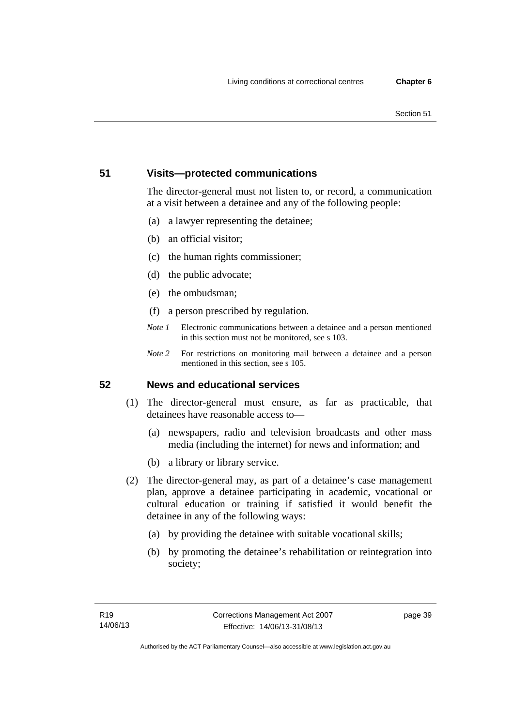#### Section 51

# **51 Visits—protected communications**

The director-general must not listen to, or record, a communication at a visit between a detainee and any of the following people:

- (a) a lawyer representing the detainee;
- (b) an official visitor;
- (c) the human rights commissioner;
- (d) the public advocate;
- (e) the ombudsman;
- (f) a person prescribed by regulation.
- *Note 1* Electronic communications between a detainee and a person mentioned in this section must not be monitored, see s 103.
- *Note 2* For restrictions on monitoring mail between a detainee and a person mentioned in this section, see s 105.

# **52 News and educational services**

- (1) The director-general must ensure, as far as practicable, that detainees have reasonable access to—
	- (a) newspapers, radio and television broadcasts and other mass media (including the internet) for news and information; and
	- (b) a library or library service.
- (2) The director-general may, as part of a detainee's case management plan, approve a detainee participating in academic, vocational or cultural education or training if satisfied it would benefit the detainee in any of the following ways:
	- (a) by providing the detainee with suitable vocational skills;
	- (b) by promoting the detainee's rehabilitation or reintegration into society;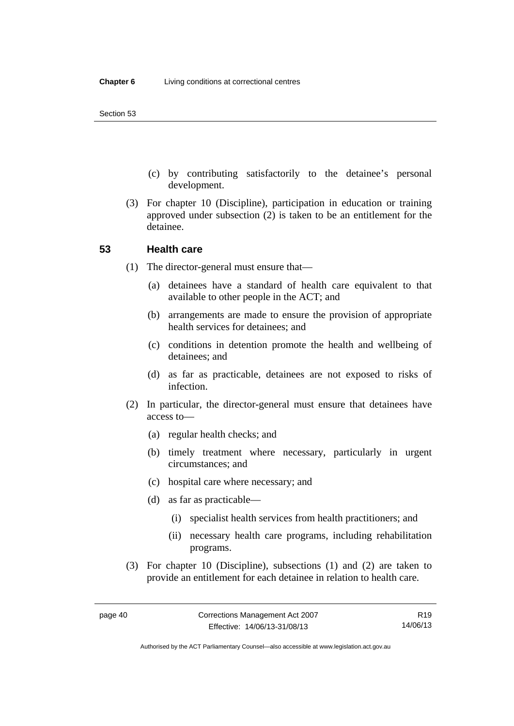- (c) by contributing satisfactorily to the detainee's personal development.
- (3) For chapter 10 (Discipline), participation in education or training approved under subsection (2) is taken to be an entitlement for the detainee.

## **53 Health care**

- (1) The director-general must ensure that—
	- (a) detainees have a standard of health care equivalent to that available to other people in the ACT; and
	- (b) arrangements are made to ensure the provision of appropriate health services for detainees; and
	- (c) conditions in detention promote the health and wellbeing of detainees; and
	- (d) as far as practicable, detainees are not exposed to risks of infection.
- (2) In particular, the director-general must ensure that detainees have access to—
	- (a) regular health checks; and
	- (b) timely treatment where necessary, particularly in urgent circumstances; and
	- (c) hospital care where necessary; and
	- (d) as far as practicable—
		- (i) specialist health services from health practitioners; and
		- (ii) necessary health care programs, including rehabilitation programs.
- (3) For chapter 10 (Discipline), subsections (1) and (2) are taken to provide an entitlement for each detainee in relation to health care.

R19 14/06/13

Authorised by the ACT Parliamentary Counsel—also accessible at www.legislation.act.gov.au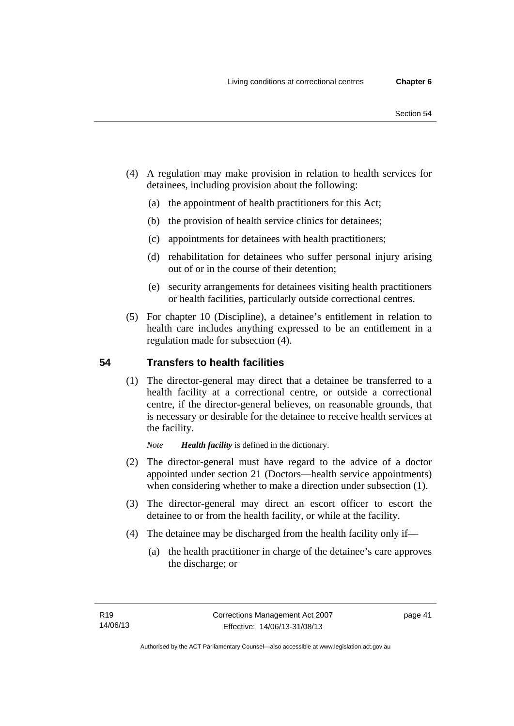- (4) A regulation may make provision in relation to health services for detainees, including provision about the following:
	- (a) the appointment of health practitioners for this Act;
	- (b) the provision of health service clinics for detainees;
	- (c) appointments for detainees with health practitioners;
	- (d) rehabilitation for detainees who suffer personal injury arising out of or in the course of their detention;
	- (e) security arrangements for detainees visiting health practitioners or health facilities, particularly outside correctional centres.
- (5) For chapter 10 (Discipline), a detainee's entitlement in relation to health care includes anything expressed to be an entitlement in a regulation made for subsection (4).

# **54 Transfers to health facilities**

(1) The director-general may direct that a detainee be transferred to a health facility at a correctional centre, or outside a correctional centre, if the director-general believes, on reasonable grounds, that is necessary or desirable for the detainee to receive health services at the facility.

*Note Health facility* is defined in the dictionary.

- (2) The director-general must have regard to the advice of a doctor appointed under section 21 (Doctors—health service appointments) when considering whether to make a direction under subsection  $(1)$ .
- (3) The director-general may direct an escort officer to escort the detainee to or from the health facility, or while at the facility.
- (4) The detainee may be discharged from the health facility only if—
	- (a) the health practitioner in charge of the detainee's care approves the discharge; or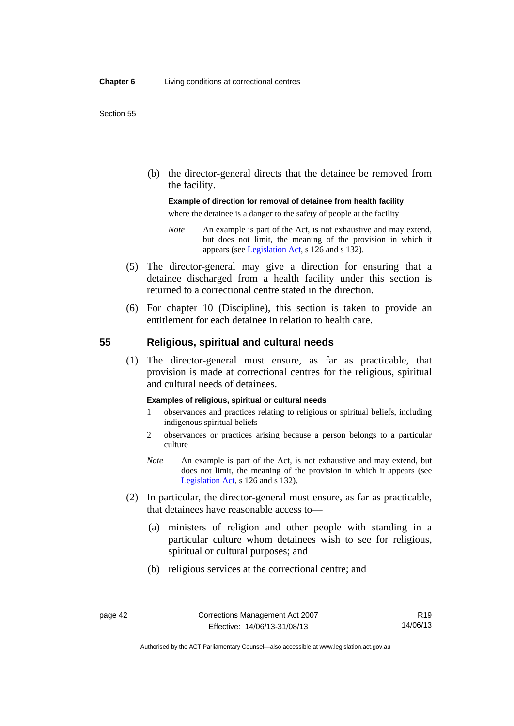(b) the director-general directs that the detainee be removed from the facility.

#### **Example of direction for removal of detainee from health facility**

where the detainee is a danger to the safety of people at the facility

- *Note* An example is part of the Act, is not exhaustive and may extend, but does not limit, the meaning of the provision in which it appears (see [Legislation Act,](http://www.legislation.act.gov.au/a/2001-14) s 126 and s 132).
- (5) The director-general may give a direction for ensuring that a detainee discharged from a health facility under this section is returned to a correctional centre stated in the direction.
- (6) For chapter 10 (Discipline), this section is taken to provide an entitlement for each detainee in relation to health care.

## **55 Religious, spiritual and cultural needs**

(1) The director-general must ensure, as far as practicable, that provision is made at correctional centres for the religious, spiritual and cultural needs of detainees.

#### **Examples of religious, spiritual or cultural needs**

- 1 observances and practices relating to religious or spiritual beliefs, including indigenous spiritual beliefs
- 2 observances or practices arising because a person belongs to a particular culture
- *Note* An example is part of the Act, is not exhaustive and may extend, but does not limit, the meaning of the provision in which it appears (see [Legislation Act,](http://www.legislation.act.gov.au/a/2001-14) s 126 and s 132).
- (2) In particular, the director-general must ensure, as far as practicable, that detainees have reasonable access to—
	- (a) ministers of religion and other people with standing in a particular culture whom detainees wish to see for religious, spiritual or cultural purposes; and
	- (b) religious services at the correctional centre; and

R19 14/06/13

Authorised by the ACT Parliamentary Counsel—also accessible at www.legislation.act.gov.au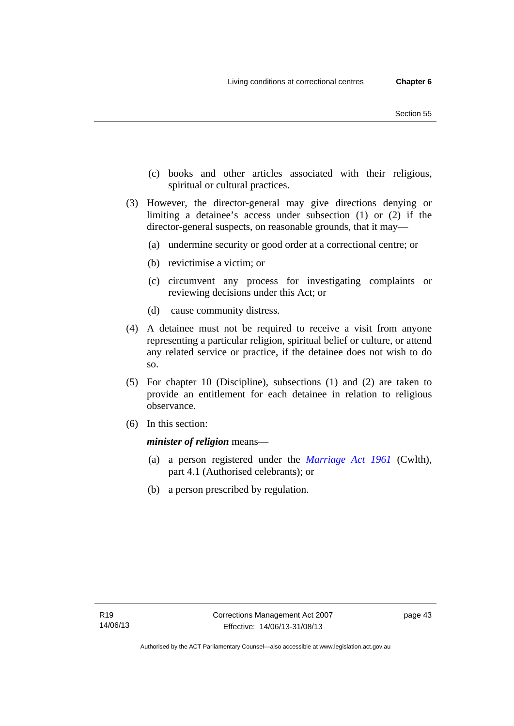- (c) books and other articles associated with their religious, spiritual or cultural practices.
- (3) However, the director-general may give directions denying or limiting a detainee's access under subsection (1) or (2) if the director-general suspects, on reasonable grounds, that it may—
	- (a) undermine security or good order at a correctional centre; or
	- (b) revictimise a victim; or
	- (c) circumvent any process for investigating complaints or reviewing decisions under this Act; or
	- (d) cause community distress.
- (4) A detainee must not be required to receive a visit from anyone representing a particular religion, spiritual belief or culture, or attend any related service or practice, if the detainee does not wish to do so.
- (5) For chapter 10 (Discipline), subsections (1) and (2) are taken to provide an entitlement for each detainee in relation to religious observance.
- (6) In this section:

*minister of religion* means—

- (a) a person registered under the *[Marriage Act 1961](http://www.comlaw.gov.au/Series/C2004A07402)* (Cwlth), part 4.1 (Authorised celebrants); or
- (b) a person prescribed by regulation.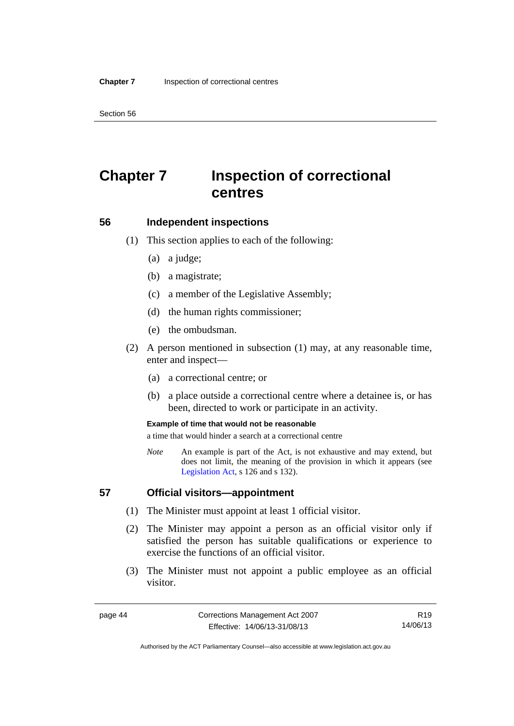Section 56

# **Chapter 7 Inspection of correctional centres**

## **56 Independent inspections**

- (1) This section applies to each of the following:
	- (a) a judge;
	- (b) a magistrate;
	- (c) a member of the Legislative Assembly;
	- (d) the human rights commissioner;
	- (e) the ombudsman.
- (2) A person mentioned in subsection (1) may, at any reasonable time, enter and inspect—
	- (a) a correctional centre; or
	- (b) a place outside a correctional centre where a detainee is, or has been, directed to work or participate in an activity.

#### **Example of time that would not be reasonable**

a time that would hinder a search at a correctional centre

*Note* An example is part of the Act, is not exhaustive and may extend, but does not limit, the meaning of the provision in which it appears (see [Legislation Act,](http://www.legislation.act.gov.au/a/2001-14) s 126 and s 132).

# **57 Official visitors—appointment**

- (1) The Minister must appoint at least 1 official visitor.
- (2) The Minister may appoint a person as an official visitor only if satisfied the person has suitable qualifications or experience to exercise the functions of an official visitor.
- (3) The Minister must not appoint a public employee as an official visitor.

R19 14/06/13

Authorised by the ACT Parliamentary Counsel—also accessible at www.legislation.act.gov.au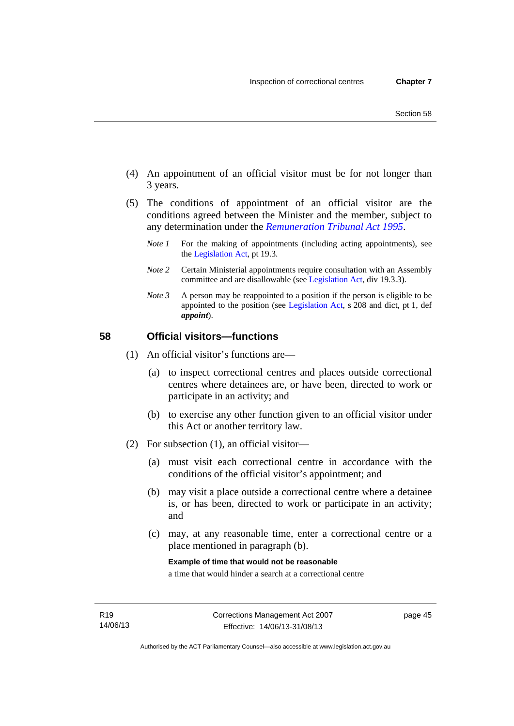- (4) An appointment of an official visitor must be for not longer than 3 years.
- (5) The conditions of appointment of an official visitor are the conditions agreed between the Minister and the member, subject to any determination under the *[Remuneration Tribunal Act 1995](http://www.legislation.act.gov.au/a/1995-55)*.
	- *Note 1* For the making of appointments (including acting appointments), see the [Legislation Act,](http://www.legislation.act.gov.au/a/2001-14) pt 19.3.
	- *Note 2* Certain Ministerial appointments require consultation with an Assembly committee and are disallowable (see [Legislation Act](http://www.legislation.act.gov.au/a/2001-14), div 19.3.3).
	- *Note 3* A person may be reappointed to a position if the person is eligible to be appointed to the position (see [Legislation Act](http://www.legislation.act.gov.au/a/2001-14), s 208 and dict, pt 1, def *appoint*).

# **58 Official visitors—functions**

- (1) An official visitor's functions are—
	- (a) to inspect correctional centres and places outside correctional centres where detainees are, or have been, directed to work or participate in an activity; and
	- (b) to exercise any other function given to an official visitor under this Act or another territory law.
- (2) For subsection (1), an official visitor—
	- (a) must visit each correctional centre in accordance with the conditions of the official visitor's appointment; and
	- (b) may visit a place outside a correctional centre where a detainee is, or has been, directed to work or participate in an activity; and
	- (c) may, at any reasonable time, enter a correctional centre or a place mentioned in paragraph (b).

**Example of time that would not be reasonable** 

a time that would hinder a search at a correctional centre

page 45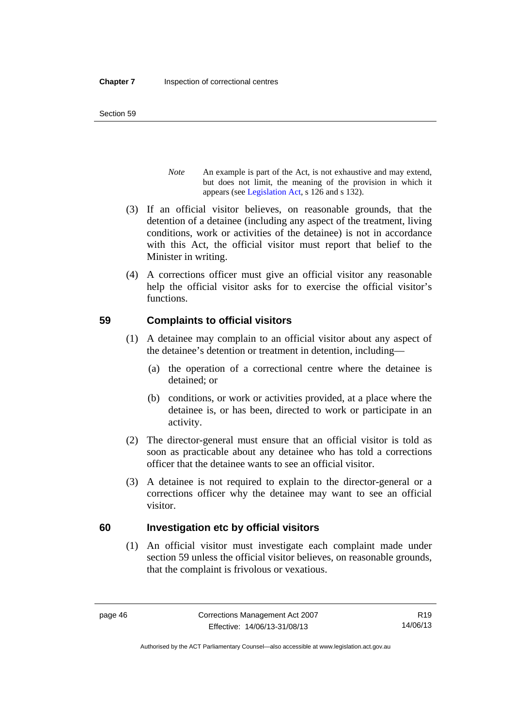Section 59

- *Note* An example is part of the Act, is not exhaustive and may extend, but does not limit, the meaning of the provision in which it appears (see [Legislation Act,](http://www.legislation.act.gov.au/a/2001-14) s 126 and s 132).
- (3) If an official visitor believes, on reasonable grounds, that the detention of a detainee (including any aspect of the treatment, living conditions, work or activities of the detainee) is not in accordance with this Act, the official visitor must report that belief to the Minister in writing.
- (4) A corrections officer must give an official visitor any reasonable help the official visitor asks for to exercise the official visitor's functions.

# **59 Complaints to official visitors**

- (1) A detainee may complain to an official visitor about any aspect of the detainee's detention or treatment in detention, including—
	- (a) the operation of a correctional centre where the detainee is detained; or
	- (b) conditions, or work or activities provided, at a place where the detainee is, or has been, directed to work or participate in an activity.
- (2) The director-general must ensure that an official visitor is told as soon as practicable about any detainee who has told a corrections officer that the detainee wants to see an official visitor.
- (3) A detainee is not required to explain to the director-general or a corrections officer why the detainee may want to see an official visitor.

# **60 Investigation etc by official visitors**

(1) An official visitor must investigate each complaint made under section 59 unless the official visitor believes, on reasonable grounds, that the complaint is frivolous or vexatious.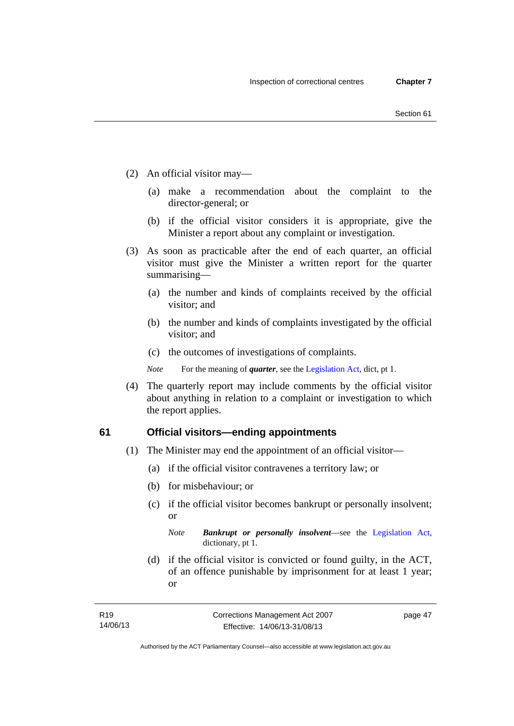- (2) An official visitor may—
	- (a) make a recommendation about the complaint to the director-general; or
	- (b) if the official visitor considers it is appropriate, give the Minister a report about any complaint or investigation.
- (3) As soon as practicable after the end of each quarter, an official visitor must give the Minister a written report for the quarter summarising—
	- (a) the number and kinds of complaints received by the official visitor; and
	- (b) the number and kinds of complaints investigated by the official visitor; and
	- (c) the outcomes of investigations of complaints.
	- *Note* For the meaning of *quarter*, see the [Legislation Act](http://www.legislation.act.gov.au/a/2001-14), dict, pt 1.
- (4) The quarterly report may include comments by the official visitor about anything in relation to a complaint or investigation to which the report applies.

# **61 Official visitors—ending appointments**

- (1) The Minister may end the appointment of an official visitor—
	- (a) if the official visitor contravenes a territory law; or
	- (b) for misbehaviour; or
	- (c) if the official visitor becomes bankrupt or personally insolvent; or

 (d) if the official visitor is convicted or found guilty, in the ACT, of an offence punishable by imprisonment for at least 1 year; or

*Note Bankrupt or personally insolvent*—see the [Legislation Act,](http://www.legislation.act.gov.au/a/2001-14) dictionary, pt 1.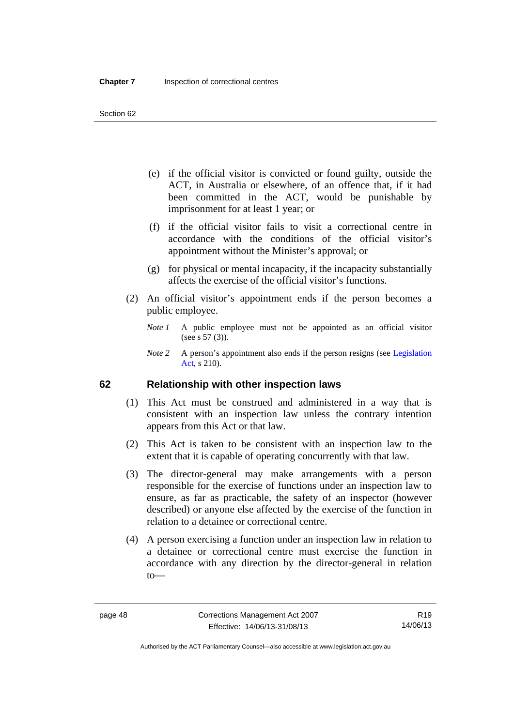- (e) if the official visitor is convicted or found guilty, outside the ACT, in Australia or elsewhere, of an offence that, if it had been committed in the ACT, would be punishable by imprisonment for at least 1 year; or
- (f) if the official visitor fails to visit a correctional centre in accordance with the conditions of the official visitor's appointment without the Minister's approval; or
- (g) for physical or mental incapacity, if the incapacity substantially affects the exercise of the official visitor's functions.
- (2) An official visitor's appointment ends if the person becomes a public employee.
	- *Note 1* A public employee must not be appointed as an official visitor (see s 57 (3)).
	- *Note 2* A person's appointment also ends if the person resigns (see Legislation [Act,](http://www.legislation.act.gov.au/a/2001-14) s 210).

# **62 Relationship with other inspection laws**

- (1) This Act must be construed and administered in a way that is consistent with an inspection law unless the contrary intention appears from this Act or that law.
- (2) This Act is taken to be consistent with an inspection law to the extent that it is capable of operating concurrently with that law.
- (3) The director-general may make arrangements with a person responsible for the exercise of functions under an inspection law to ensure, as far as practicable, the safety of an inspector (however described) or anyone else affected by the exercise of the function in relation to a detainee or correctional centre.
- (4) A person exercising a function under an inspection law in relation to a detainee or correctional centre must exercise the function in accordance with any direction by the director-general in relation to—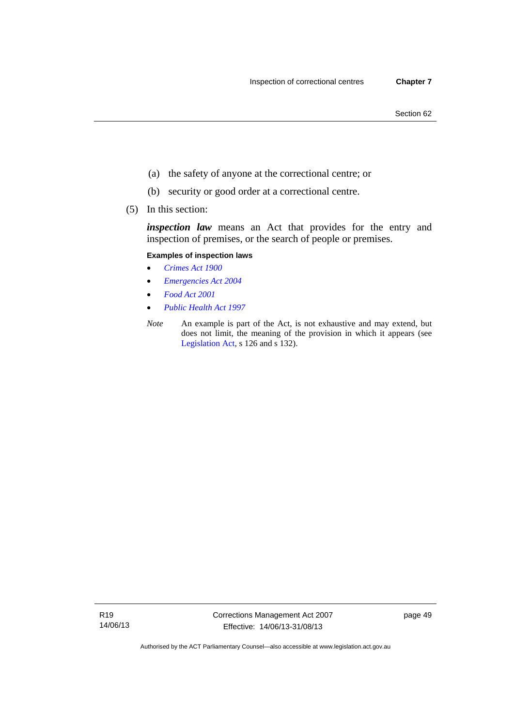- (a) the safety of anyone at the correctional centre; or
- (b) security or good order at a correctional centre.
- (5) In this section:

*inspection law* means an Act that provides for the entry and inspection of premises, or the search of people or premises.

### **Examples of inspection laws**

- *[Crimes Act 1900](http://www.legislation.act.gov.au/a/1900-40)*
- *[Emergencies Act 2004](http://www.legislation.act.gov.au/a/2004-28)*
- *[Food Act 2001](http://www.legislation.act.gov.au/a/2001-66)*
- *[Public Health Act 1997](http://www.legislation.act.gov.au/a/1997-69)*
- *Note* An example is part of the Act, is not exhaustive and may extend, but does not limit, the meaning of the provision in which it appears (see [Legislation Act,](http://www.legislation.act.gov.au/a/2001-14) s 126 and s 132).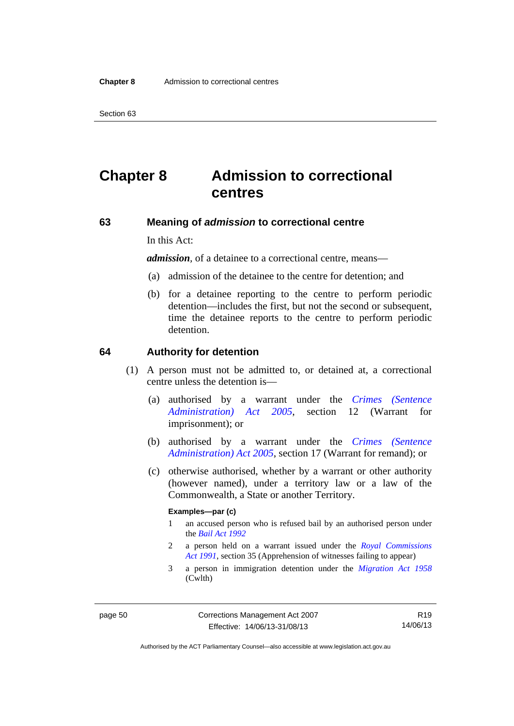Section 63

# **Chapter 8 Admission to correctional centres**

# **63 Meaning of** *admission* **to correctional centre**

In this Act:

*admission,* of a detainee to a correctional centre, means—

- (a) admission of the detainee to the centre for detention; and
- (b) for a detainee reporting to the centre to perform periodic detention—includes the first, but not the second or subsequent, time the detainee reports to the centre to perform periodic detention.

#### **64 Authority for detention**

- (1) A person must not be admitted to, or detained at, a correctional centre unless the detention is—
	- (a) authorised by a warrant under the *[Crimes \(Sentence](http://www.legislation.act.gov.au/a/2005-59)  [Administration\) Act 2005](http://www.legislation.act.gov.au/a/2005-59)*, section 12 (Warrant for imprisonment); or
	- (b) authorised by a warrant under the *[Crimes \(Sentence](http://www.legislation.act.gov.au/a/2005-59)  [Administration\) Act 2005](http://www.legislation.act.gov.au/a/2005-59)*, section 17 (Warrant for remand); or
	- (c) otherwise authorised, whether by a warrant or other authority (however named), under a territory law or a law of the Commonwealth, a State or another Territory.

#### **Examples—par (c)**

- 1 an accused person who is refused bail by an authorised person under the *[Bail Act 1992](http://www.legislation.act.gov.au/a/1992-8)*
- 2 a person held on a warrant issued under the *[Royal Commissions](http://www.legislation.act.gov.au/a/1991-1)  [Act 1991](http://www.legislation.act.gov.au/a/1991-1)*, section 35 (Apprehension of witnesses failing to appear)
- 3 a person in immigration detention under the *[Migration Act 1958](http://www.comlaw.gov.au/Series/C2004A07412)* (Cwlth)

Authorised by the ACT Parliamentary Counsel—also accessible at www.legislation.act.gov.au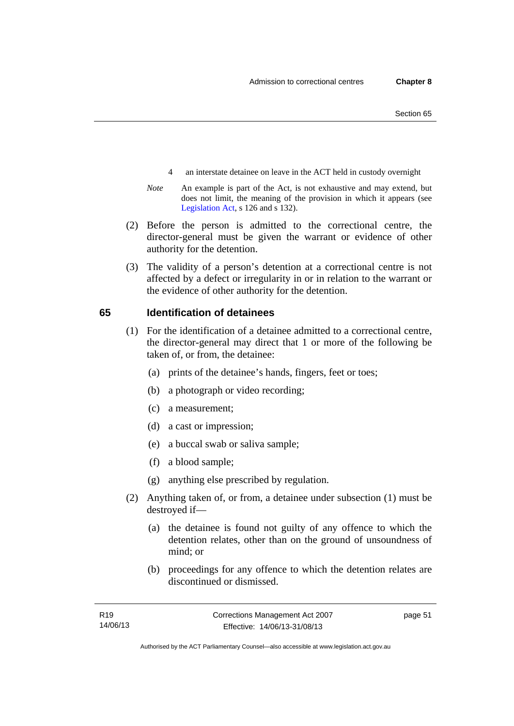- 4 an interstate detainee on leave in the ACT held in custody overnight
- *Note* An example is part of the Act, is not exhaustive and may extend, but does not limit, the meaning of the provision in which it appears (see [Legislation Act,](http://www.legislation.act.gov.au/a/2001-14) s 126 and s 132).
- (2) Before the person is admitted to the correctional centre, the director-general must be given the warrant or evidence of other authority for the detention.
- (3) The validity of a person's detention at a correctional centre is not affected by a defect or irregularity in or in relation to the warrant or the evidence of other authority for the detention.

# **65 Identification of detainees**

- (1) For the identification of a detainee admitted to a correctional centre, the director-general may direct that 1 or more of the following be taken of, or from, the detainee:
	- (a) prints of the detainee's hands, fingers, feet or toes;
	- (b) a photograph or video recording;
	- (c) a measurement;
	- (d) a cast or impression;
	- (e) a buccal swab or saliva sample;
	- (f) a blood sample;
	- (g) anything else prescribed by regulation.
- (2) Anything taken of, or from, a detainee under subsection (1) must be destroyed if—
	- (a) the detainee is found not guilty of any offence to which the detention relates, other than on the ground of unsoundness of mind; or
	- (b) proceedings for any offence to which the detention relates are discontinued or dismissed.

page 51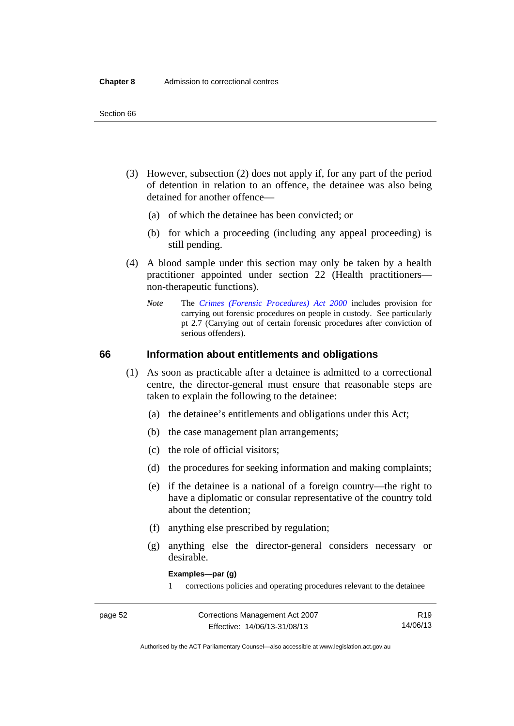- (3) However, subsection (2) does not apply if, for any part of the period of detention in relation to an offence, the detainee was also being detained for another offence—
	- (a) of which the detainee has been convicted; or
	- (b) for which a proceeding (including any appeal proceeding) is still pending.
- (4) A blood sample under this section may only be taken by a health practitioner appointed under section 22 (Health practitioners non-therapeutic functions).
	- *Note* The *[Crimes \(Forensic Procedures\) Act 2000](http://www.legislation.act.gov.au/a/2000-61)* includes provision for carrying out forensic procedures on people in custody. See particularly pt 2.7 (Carrying out of certain forensic procedures after conviction of serious offenders).

# **66 Information about entitlements and obligations**

- (1) As soon as practicable after a detainee is admitted to a correctional centre, the director-general must ensure that reasonable steps are taken to explain the following to the detainee:
	- (a) the detainee's entitlements and obligations under this Act;
	- (b) the case management plan arrangements;
	- (c) the role of official visitors;
	- (d) the procedures for seeking information and making complaints;
	- (e) if the detainee is a national of a foreign country—the right to have a diplomatic or consular representative of the country told about the detention;
	- (f) anything else prescribed by regulation;
	- (g) anything else the director-general considers necessary or desirable.

**Examples—par (g)** 

1 corrections policies and operating procedures relevant to the detainee

| .,<br>и |  |
|---------|--|
|---------|--|

R19 14/06/13

Authorised by the ACT Parliamentary Counsel—also accessible at www.legislation.act.gov.au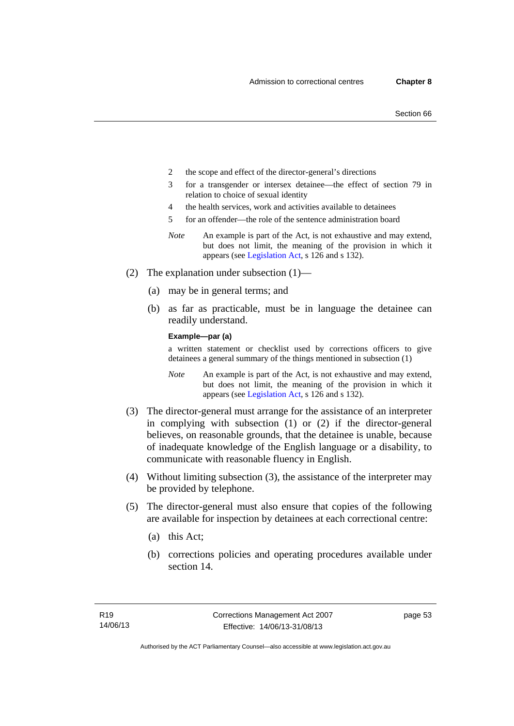- 2 the scope and effect of the director-general's directions
- 3 for a transgender or intersex detainee—the effect of section 79 in relation to choice of sexual identity
- 4 the health services, work and activities available to detainees
- 5 for an offender—the role of the sentence administration board
- *Note* An example is part of the Act, is not exhaustive and may extend, but does not limit, the meaning of the provision in which it appears (see [Legislation Act,](http://www.legislation.act.gov.au/a/2001-14) s 126 and s 132).
- (2) The explanation under subsection (1)—
	- (a) may be in general terms; and
	- (b) as far as practicable, must be in language the detainee can readily understand.

**Example—par (a)** 

a written statement or checklist used by corrections officers to give detainees a general summary of the things mentioned in subsection (1)

- *Note* An example is part of the Act, is not exhaustive and may extend, but does not limit, the meaning of the provision in which it appears (see [Legislation Act,](http://www.legislation.act.gov.au/a/2001-14) s 126 and s 132).
- (3) The director-general must arrange for the assistance of an interpreter in complying with subsection (1) or (2) if the director-general believes, on reasonable grounds, that the detainee is unable, because of inadequate knowledge of the English language or a disability, to communicate with reasonable fluency in English.
- (4) Without limiting subsection (3), the assistance of the interpreter may be provided by telephone.
- (5) The director-general must also ensure that copies of the following are available for inspection by detainees at each correctional centre:
	- (a) this Act;
	- (b) corrections policies and operating procedures available under section 14.

page 53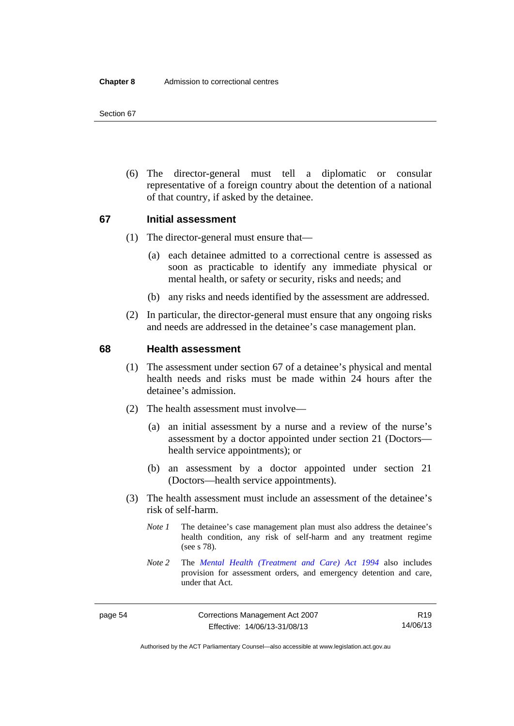(6) The director-general must tell a diplomatic or consular representative of a foreign country about the detention of a national of that country, if asked by the detainee.

# **67 Initial assessment**

- (1) The director-general must ensure that—
	- (a) each detainee admitted to a correctional centre is assessed as soon as practicable to identify any immediate physical or mental health, or safety or security, risks and needs; and
	- (b) any risks and needs identified by the assessment are addressed.
- (2) In particular, the director-general must ensure that any ongoing risks and needs are addressed in the detainee's case management plan.

## **68 Health assessment**

- (1) The assessment under section 67 of a detainee's physical and mental health needs and risks must be made within 24 hours after the detainee's admission.
- (2) The health assessment must involve—
	- (a) an initial assessment by a nurse and a review of the nurse's assessment by a doctor appointed under section 21 (Doctors health service appointments); or
	- (b) an assessment by a doctor appointed under section 21 (Doctors—health service appointments).
- (3) The health assessment must include an assessment of the detainee's risk of self-harm.
	- *Note 1* The detainee's case management plan must also address the detainee's health condition, any risk of self-harm and any treatment regime (see s 78).
	- *Note 2* The *[Mental Health \(Treatment and Care\) Act 1994](http://www.legislation.act.gov.au/a/1994-44)* also includes provision for assessment orders, and emergency detention and care, under that Act.

R19 14/06/13

Authorised by the ACT Parliamentary Counsel—also accessible at www.legislation.act.gov.au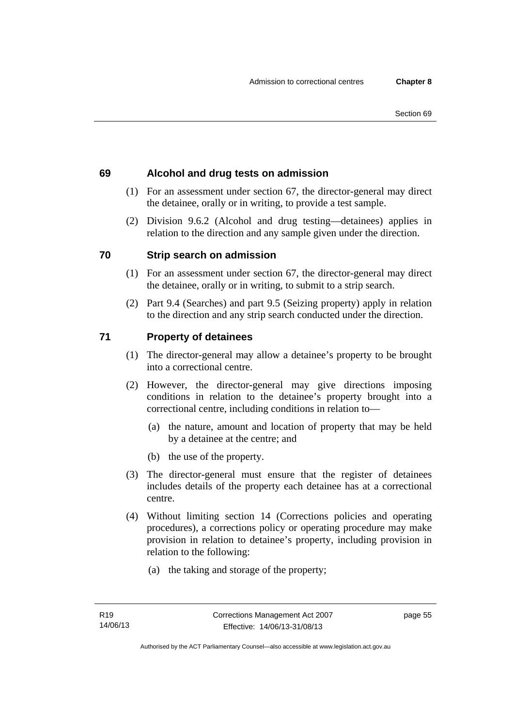# **69 Alcohol and drug tests on admission**

- (1) For an assessment under section 67, the director-general may direct the detainee, orally or in writing, to provide a test sample.
- (2) Division 9.6.2 (Alcohol and drug testing—detainees) applies in relation to the direction and any sample given under the direction.

# **70 Strip search on admission**

- (1) For an assessment under section 67, the director-general may direct the detainee, orally or in writing, to submit to a strip search.
- (2) Part 9.4 (Searches) and part 9.5 (Seizing property) apply in relation to the direction and any strip search conducted under the direction.

# **71 Property of detainees**

- (1) The director-general may allow a detainee's property to be brought into a correctional centre.
- (2) However, the director-general may give directions imposing conditions in relation to the detainee's property brought into a correctional centre, including conditions in relation to—
	- (a) the nature, amount and location of property that may be held by a detainee at the centre; and
	- (b) the use of the property.
- (3) The director-general must ensure that the register of detainees includes details of the property each detainee has at a correctional centre.
- (4) Without limiting section 14 (Corrections policies and operating procedures), a corrections policy or operating procedure may make provision in relation to detainee's property, including provision in relation to the following:
	- (a) the taking and storage of the property;

page 55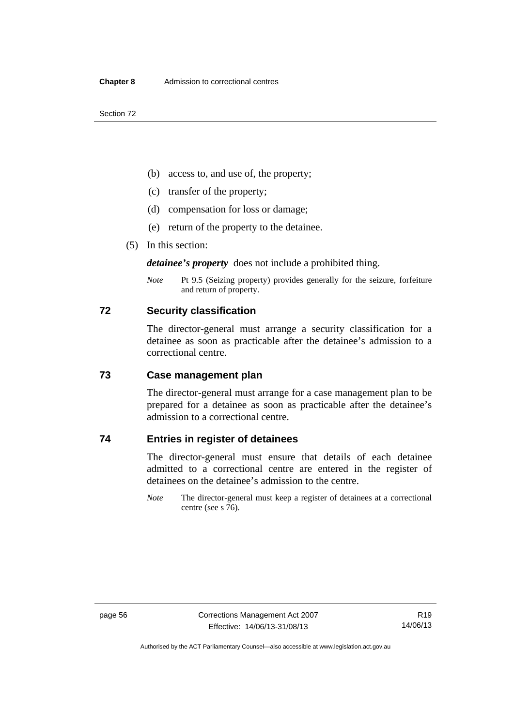Section 72

- (b) access to, and use of, the property;
- (c) transfer of the property;
- (d) compensation for loss or damage;
- (e) return of the property to the detainee.
- (5) In this section:

*detainee's property* does not include a prohibited thing.

*Note* Pt 9.5 (Seizing property) provides generally for the seizure, forfeiture and return of property.

## **72 Security classification**

The director-general must arrange a security classification for a detainee as soon as practicable after the detainee's admission to a correctional centre.

# **73 Case management plan**

The director-general must arrange for a case management plan to be prepared for a detainee as soon as practicable after the detainee's admission to a correctional centre.

# **74 Entries in register of detainees**

The director-general must ensure that details of each detainee admitted to a correctional centre are entered in the register of detainees on the detainee's admission to the centre.

*Note* The director-general must keep a register of detainees at a correctional centre (see s 76).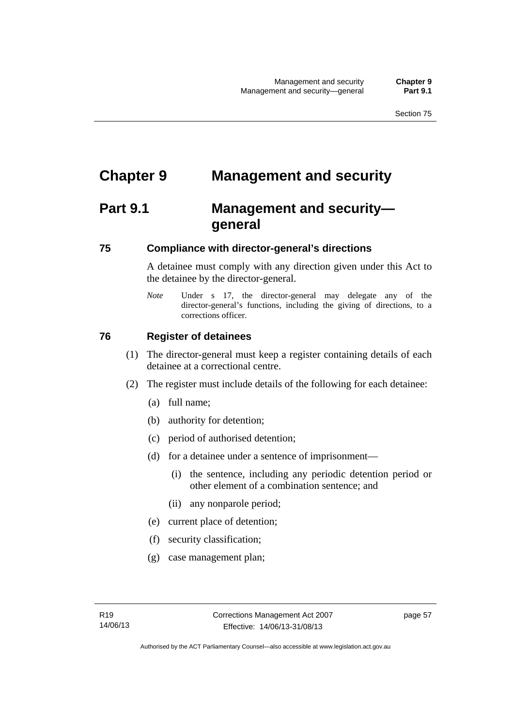# **Chapter 9 Management and security**

# **Part 9.1 Management and security general**

# **75 Compliance with director-general's directions**

A detainee must comply with any direction given under this Act to the detainee by the director-general.

*Note* Under s 17, the director-general may delegate any of the director-general's functions, including the giving of directions, to a corrections officer.

# **76 Register of detainees**

- (1) The director-general must keep a register containing details of each detainee at a correctional centre.
- (2) The register must include details of the following for each detainee:
	- (a) full name;
	- (b) authority for detention;
	- (c) period of authorised detention;
	- (d) for a detainee under a sentence of imprisonment—
		- (i) the sentence, including any periodic detention period or other element of a combination sentence; and
		- (ii) any nonparole period;
	- (e) current place of detention;
	- (f) security classification;
	- (g) case management plan;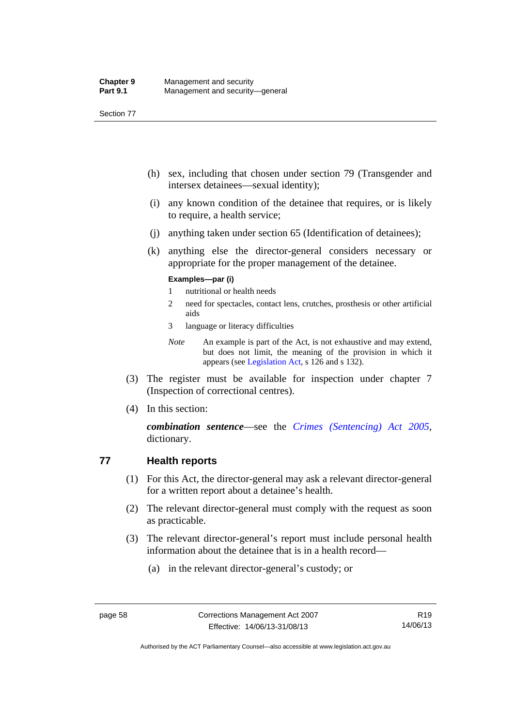- (h) sex, including that chosen under section 79 (Transgender and intersex detainees—sexual identity);
- (i) any known condition of the detainee that requires, or is likely to require, a health service;
- (j) anything taken under section 65 (Identification of detainees);
- (k) anything else the director-general considers necessary or appropriate for the proper management of the detainee.

#### **Examples—par (i)**

- 1 nutritional or health needs
- 2 need for spectacles, contact lens, crutches, prosthesis or other artificial aids
- 3 language or literacy difficulties
- *Note* An example is part of the Act, is not exhaustive and may extend, but does not limit, the meaning of the provision in which it appears (see [Legislation Act,](http://www.legislation.act.gov.au/a/2001-14) s 126 and s 132).
- (3) The register must be available for inspection under chapter 7 (Inspection of correctional centres).
- (4) In this section:

*combination sentence*—see the *[Crimes \(Sentencing\) Act 2005](http://www.legislation.act.gov.au/a/2005-58)*, dictionary.

# **77 Health reports**

- (1) For this Act, the director-general may ask a relevant director-general for a written report about a detainee's health.
- (2) The relevant director-general must comply with the request as soon as practicable.
- (3) The relevant director-general's report must include personal health information about the detainee that is in a health record—
	- (a) in the relevant director-general's custody; or

Authorised by the ACT Parliamentary Counsel—also accessible at www.legislation.act.gov.au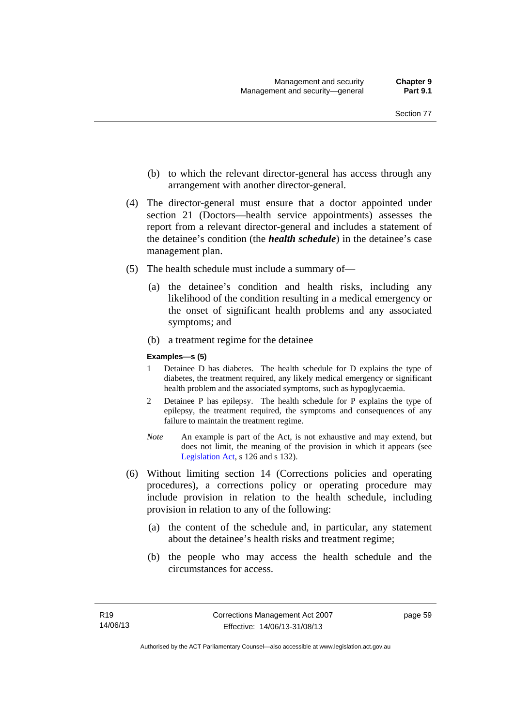- (b) to which the relevant director-general has access through any arrangement with another director-general.
- (4) The director-general must ensure that a doctor appointed under section 21 (Doctors—health service appointments) assesses the report from a relevant director-general and includes a statement of the detainee's condition (the *health schedule*) in the detainee's case management plan.
- (5) The health schedule must include a summary of—
	- (a) the detainee's condition and health risks, including any likelihood of the condition resulting in a medical emergency or the onset of significant health problems and any associated symptoms; and
	- (b) a treatment regime for the detainee

#### **Examples—s (5)**

- 1 Detainee D has diabetes. The health schedule for D explains the type of diabetes, the treatment required, any likely medical emergency or significant health problem and the associated symptoms, such as hypoglycaemia.
- 2 Detainee P has epilepsy. The health schedule for P explains the type of epilepsy, the treatment required, the symptoms and consequences of any failure to maintain the treatment regime.
- *Note* An example is part of the Act, is not exhaustive and may extend, but does not limit, the meaning of the provision in which it appears (see [Legislation Act,](http://www.legislation.act.gov.au/a/2001-14) s 126 and s 132).
- (6) Without limiting section 14 (Corrections policies and operating procedures), a corrections policy or operating procedure may include provision in relation to the health schedule, including provision in relation to any of the following:
	- (a) the content of the schedule and, in particular, any statement about the detainee's health risks and treatment regime;
	- (b) the people who may access the health schedule and the circumstances for access.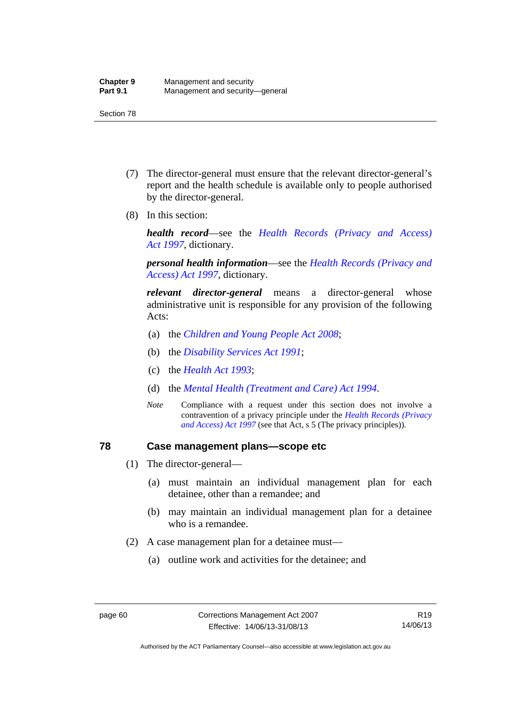- (7) The director-general must ensure that the relevant director-general's report and the health schedule is available only to people authorised by the director-general.
- (8) In this section:

*health record*—see the *[Health Records \(Privacy and Access\)](http://www.legislation.act.gov.au/a/1997-125)  [Act 1997](http://www.legislation.act.gov.au/a/1997-125)*, dictionary.

*personal health information*—see the *[Health Records \(Privacy and](http://www.legislation.act.gov.au/a/1997-125)  [Access\) Act 1997](http://www.legislation.act.gov.au/a/1997-125)*, dictionary.

*relevant director-general* means a director-general whose administrative unit is responsible for any provision of the following Acts:

- (a) the *[Children and Young People Act 2008](http://www.legislation.act.gov.au/a/2008-19)*;
- (b) the *[Disability Services Act 1991](http://www.legislation.act.gov.au/a/1991-98)*;
- (c) the *[Health Act 1993](http://www.legislation.act.gov.au/a/1993-13)*;
- (d) the *[Mental Health \(Treatment and Care\) Act 1994](http://www.legislation.act.gov.au/a/1994-44)*.
- *Note* Compliance with a request under this section does not involve a contravention of a privacy principle under the *[Health Records \(Privacy](http://www.legislation.act.gov.au/a/1997-125)  [and Access\) Act 1997](http://www.legislation.act.gov.au/a/1997-125)* (see that Act, s 5 (The privacy principles))*.*

#### **78 Case management plans—scope etc**

- (1) The director-general—
	- (a) must maintain an individual management plan for each detainee, other than a remandee; and
	- (b) may maintain an individual management plan for a detainee who is a remandee.
- (2) A case management plan for a detainee must—
	- (a) outline work and activities for the detainee; and

Authorised by the ACT Parliamentary Counsel—also accessible at www.legislation.act.gov.au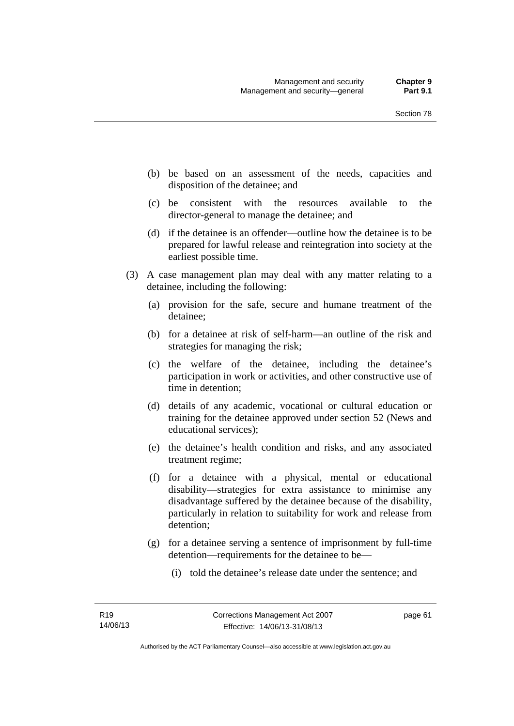- (b) be based on an assessment of the needs, capacities and disposition of the detainee; and
- (c) be consistent with the resources available to the director-general to manage the detainee; and
- (d) if the detainee is an offender—outline how the detainee is to be prepared for lawful release and reintegration into society at the earliest possible time.
- (3) A case management plan may deal with any matter relating to a detainee, including the following:
	- (a) provision for the safe, secure and humane treatment of the detainee;
	- (b) for a detainee at risk of self-harm—an outline of the risk and strategies for managing the risk;
	- (c) the welfare of the detainee, including the detainee's participation in work or activities, and other constructive use of time in detention;
	- (d) details of any academic, vocational or cultural education or training for the detainee approved under section 52 (News and educational services);
	- (e) the detainee's health condition and risks, and any associated treatment regime;
	- (f) for a detainee with a physical, mental or educational disability—strategies for extra assistance to minimise any disadvantage suffered by the detainee because of the disability, particularly in relation to suitability for work and release from detention;
	- (g) for a detainee serving a sentence of imprisonment by full-time detention—requirements for the detainee to be—
		- (i) told the detainee's release date under the sentence; and

page 61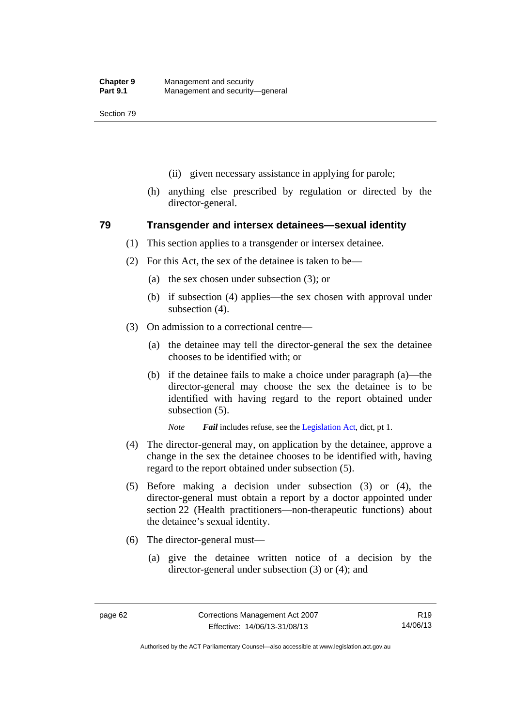- (ii) given necessary assistance in applying for parole;
- (h) anything else prescribed by regulation or directed by the director-general.

## **79 Transgender and intersex detainees—sexual identity**

- (1) This section applies to a transgender or intersex detainee.
- (2) For this Act, the sex of the detainee is taken to be—
	- (a) the sex chosen under subsection (3); or
	- (b) if subsection (4) applies—the sex chosen with approval under subsection (4).
- (3) On admission to a correctional centre—
	- (a) the detainee may tell the director-general the sex the detainee chooses to be identified with; or
	- (b) if the detainee fails to make a choice under paragraph (a)—the director-general may choose the sex the detainee is to be identified with having regard to the report obtained under subsection (5).

*Note Fail* includes refuse, see the [Legislation Act,](http://www.legislation.act.gov.au/a/2001-14) dict, pt 1.

- (4) The director-general may, on application by the detainee, approve a change in the sex the detainee chooses to be identified with, having regard to the report obtained under subsection (5).
- (5) Before making a decision under subsection (3) or (4), the director-general must obtain a report by a doctor appointed under section 22 (Health practitioners—non-therapeutic functions) about the detainee's sexual identity.
- (6) The director-general must—
	- (a) give the detainee written notice of a decision by the director-general under subsection (3) or (4); and

Authorised by the ACT Parliamentary Counsel—also accessible at www.legislation.act.gov.au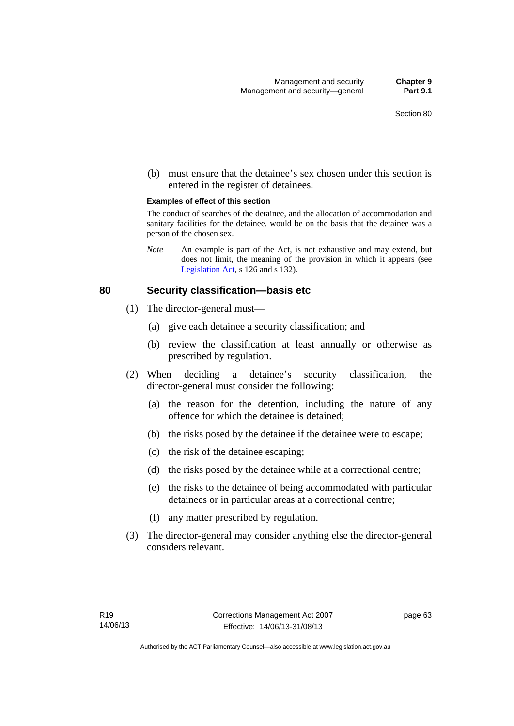(b) must ensure that the detainee's sex chosen under this section is entered in the register of detainees.

#### **Examples of effect of this section**

The conduct of searches of the detainee, and the allocation of accommodation and sanitary facilities for the detainee, would be on the basis that the detainee was a person of the chosen sex.

*Note* An example is part of the Act, is not exhaustive and may extend, but does not limit, the meaning of the provision in which it appears (see [Legislation Act,](http://www.legislation.act.gov.au/a/2001-14) s 126 and s 132).

#### **80 Security classification—basis etc**

- (1) The director-general must—
	- (a) give each detainee a security classification; and
	- (b) review the classification at least annually or otherwise as prescribed by regulation.
- (2) When deciding a detainee's security classification, the director-general must consider the following:
	- (a) the reason for the detention, including the nature of any offence for which the detainee is detained;
	- (b) the risks posed by the detainee if the detainee were to escape;
	- (c) the risk of the detainee escaping;
	- (d) the risks posed by the detainee while at a correctional centre;
	- (e) the risks to the detainee of being accommodated with particular detainees or in particular areas at a correctional centre;
	- (f) any matter prescribed by regulation.
- (3) The director-general may consider anything else the director-general considers relevant.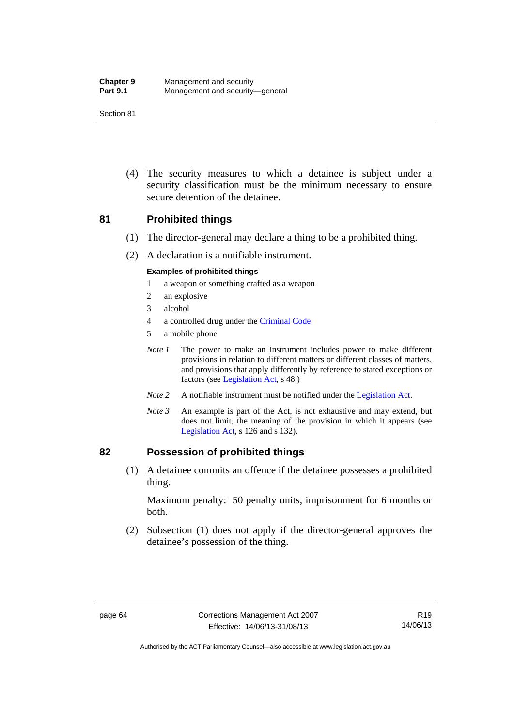| <b>Chapter 9</b> | Management and security         |
|------------------|---------------------------------|
| <b>Part 9.1</b>  | Management and security-general |

 (4) The security measures to which a detainee is subject under a security classification must be the minimum necessary to ensure secure detention of the detainee.

#### **81 Prohibited things**

- (1) The director-general may declare a thing to be a prohibited thing.
- (2) A declaration is a notifiable instrument.

#### **Examples of prohibited things**

- 1 a weapon or something crafted as a weapon
- 2 an explosive
- 3 alcohol
- 4 a controlled drug under the [Criminal Code](http://www.legislation.act.gov.au/a/2002-51)
- 5 a mobile phone
- *Note 1* The power to make an instrument includes power to make different provisions in relation to different matters or different classes of matters, and provisions that apply differently by reference to stated exceptions or factors (see [Legislation Act](http://www.legislation.act.gov.au/a/2001-14), s 48.)
- *Note 2* A notifiable instrument must be notified under the [Legislation Act](http://www.legislation.act.gov.au/a/2001-14).
- *Note 3* An example is part of the Act, is not exhaustive and may extend, but does not limit, the meaning of the provision in which it appears (see [Legislation Act,](http://www.legislation.act.gov.au/a/2001-14) s 126 and s 132).

#### **82 Possession of prohibited things**

 (1) A detainee commits an offence if the detainee possesses a prohibited thing.

Maximum penalty: 50 penalty units, imprisonment for 6 months or both.

 (2) Subsection (1) does not apply if the director-general approves the detainee's possession of the thing.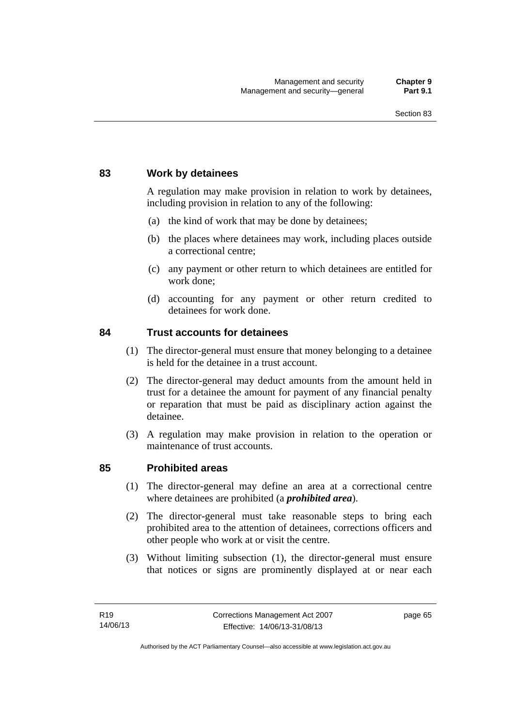# **83 Work by detainees**

A regulation may make provision in relation to work by detainees, including provision in relation to any of the following:

- (a) the kind of work that may be done by detainees;
- (b) the places where detainees may work, including places outside a correctional centre;
- (c) any payment or other return to which detainees are entitled for work done;
- (d) accounting for any payment or other return credited to detainees for work done.

## **84 Trust accounts for detainees**

- (1) The director-general must ensure that money belonging to a detainee is held for the detainee in a trust account.
- (2) The director-general may deduct amounts from the amount held in trust for a detainee the amount for payment of any financial penalty or reparation that must be paid as disciplinary action against the detainee.
- (3) A regulation may make provision in relation to the operation or maintenance of trust accounts.

## **85 Prohibited areas**

- (1) The director-general may define an area at a correctional centre where detainees are prohibited (a *prohibited area*).
- (2) The director-general must take reasonable steps to bring each prohibited area to the attention of detainees, corrections officers and other people who work at or visit the centre.
- (3) Without limiting subsection (1), the director-general must ensure that notices or signs are prominently displayed at or near each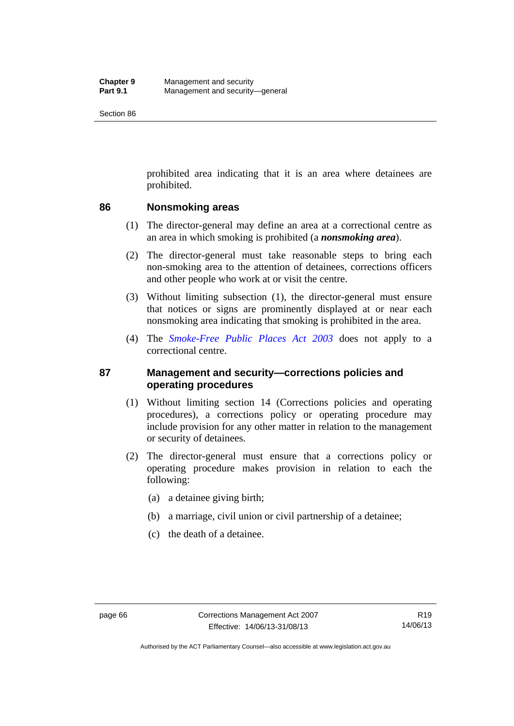prohibited area indicating that it is an area where detainees are prohibited.

#### **86 Nonsmoking areas**

- (1) The director-general may define an area at a correctional centre as an area in which smoking is prohibited (a *nonsmoking area*).
- (2) The director-general must take reasonable steps to bring each non-smoking area to the attention of detainees, corrections officers and other people who work at or visit the centre.
- (3) Without limiting subsection (1), the director-general must ensure that notices or signs are prominently displayed at or near each nonsmoking area indicating that smoking is prohibited in the area.
- (4) The *[Smoke-Free Public Places Act 2003](http://www.legislation.act.gov.au/a/2003-51)* does not apply to a correctional centre.

# **87 Management and security—corrections policies and operating procedures**

- (1) Without limiting section 14 (Corrections policies and operating procedures), a corrections policy or operating procedure may include provision for any other matter in relation to the management or security of detainees.
- (2) The director-general must ensure that a corrections policy or operating procedure makes provision in relation to each the following:
	- (a) a detainee giving birth;
	- (b) a marriage, civil union or civil partnership of a detainee;
	- (c) the death of a detainee.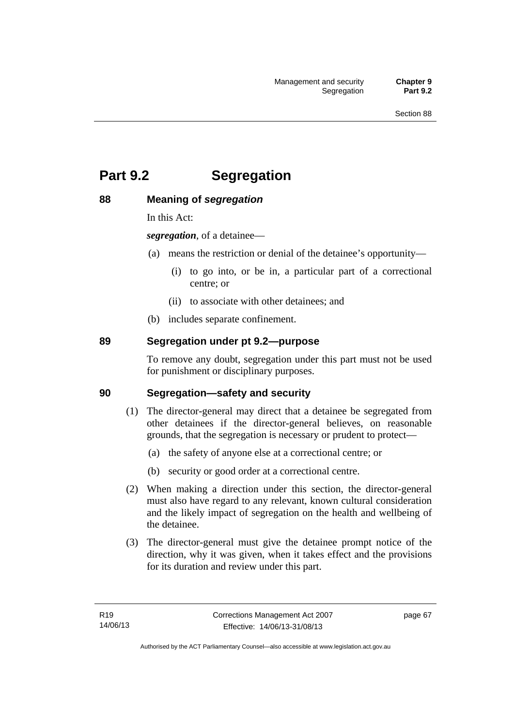# **Part 9.2 Segregation**

# **88 Meaning of** *segregation*

In this Act:

*segregation*, of a detainee—

- (a) means the restriction or denial of the detainee's opportunity—
	- (i) to go into, or be in, a particular part of a correctional centre; or
	- (ii) to associate with other detainees; and
- (b) includes separate confinement.

# **89 Segregation under pt 9.2—purpose**

To remove any doubt, segregation under this part must not be used for punishment or disciplinary purposes.

## **90 Segregation—safety and security**

- (1) The director-general may direct that a detainee be segregated from other detainees if the director-general believes, on reasonable grounds, that the segregation is necessary or prudent to protect—
	- (a) the safety of anyone else at a correctional centre; or
	- (b) security or good order at a correctional centre.
- (2) When making a direction under this section, the director-general must also have regard to any relevant, known cultural consideration and the likely impact of segregation on the health and wellbeing of the detainee.
- (3) The director-general must give the detainee prompt notice of the direction, why it was given, when it takes effect and the provisions for its duration and review under this part.

page 67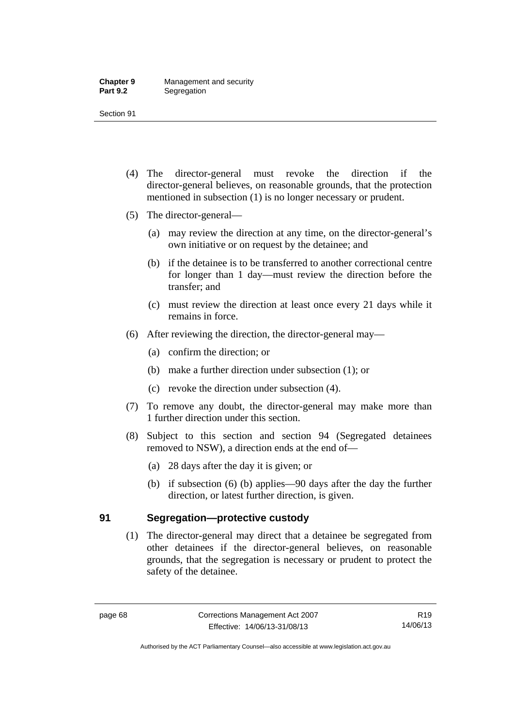- (4) The director-general must revoke the direction if the director-general believes, on reasonable grounds, that the protection mentioned in subsection (1) is no longer necessary or prudent.
- (5) The director-general—
	- (a) may review the direction at any time, on the director-general's own initiative or on request by the detainee; and
	- (b) if the detainee is to be transferred to another correctional centre for longer than 1 day—must review the direction before the transfer; and
	- (c) must review the direction at least once every 21 days while it remains in force.
- (6) After reviewing the direction, the director-general may—
	- (a) confirm the direction; or
	- (b) make a further direction under subsection (1); or
	- (c) revoke the direction under subsection (4).
- (7) To remove any doubt, the director-general may make more than 1 further direction under this section.
- (8) Subject to this section and section 94 (Segregated detainees removed to NSW), a direction ends at the end of—
	- (a) 28 days after the day it is given; or
	- (b) if subsection (6) (b) applies—90 days after the day the further direction, or latest further direction, is given.

# **91 Segregation—protective custody**

(1) The director-general may direct that a detainee be segregated from other detainees if the director-general believes, on reasonable grounds, that the segregation is necessary or prudent to protect the safety of the detainee.

Authorised by the ACT Parliamentary Counsel—also accessible at www.legislation.act.gov.au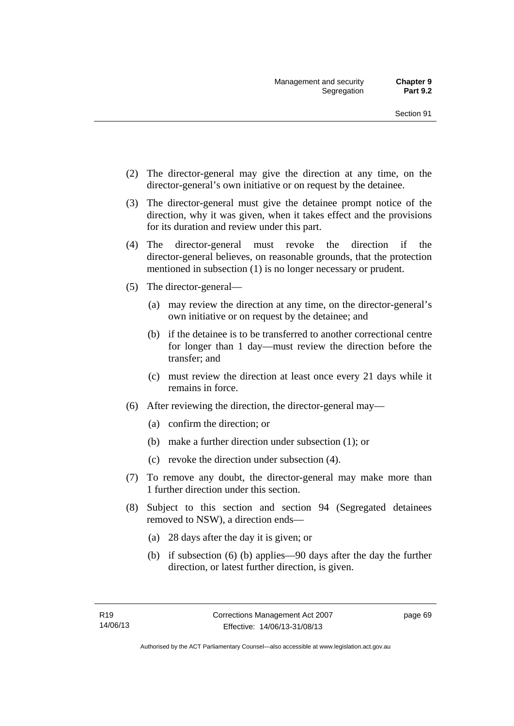- (2) The director-general may give the direction at any time, on the director-general's own initiative or on request by the detainee.
- (3) The director-general must give the detainee prompt notice of the direction, why it was given, when it takes effect and the provisions for its duration and review under this part.
- (4) The director-general must revoke the direction if the director-general believes, on reasonable grounds, that the protection mentioned in subsection (1) is no longer necessary or prudent.
- (5) The director-general—
	- (a) may review the direction at any time, on the director-general's own initiative or on request by the detainee; and
	- (b) if the detainee is to be transferred to another correctional centre for longer than 1 day—must review the direction before the transfer; and
	- (c) must review the direction at least once every 21 days while it remains in force.
- (6) After reviewing the direction, the director-general may—
	- (a) confirm the direction; or
	- (b) make a further direction under subsection (1); or
	- (c) revoke the direction under subsection (4).
- (7) To remove any doubt, the director-general may make more than 1 further direction under this section.
- (8) Subject to this section and section 94 (Segregated detainees removed to NSW), a direction ends—
	- (a) 28 days after the day it is given; or
	- (b) if subsection (6) (b) applies—90 days after the day the further direction, or latest further direction, is given.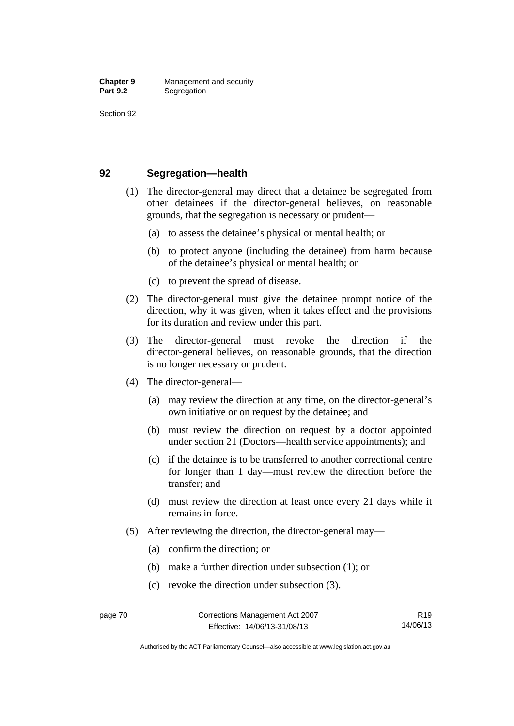# **92 Segregation—health**

- (1) The director-general may direct that a detainee be segregated from other detainees if the director-general believes, on reasonable grounds, that the segregation is necessary or prudent—
	- (a) to assess the detainee's physical or mental health; or
	- (b) to protect anyone (including the detainee) from harm because of the detainee's physical or mental health; or
	- (c) to prevent the spread of disease.
- (2) The director-general must give the detainee prompt notice of the direction, why it was given, when it takes effect and the provisions for its duration and review under this part.
- (3) The director-general must revoke the direction if the director-general believes, on reasonable grounds, that the direction is no longer necessary or prudent.
- (4) The director-general—
	- (a) may review the direction at any time, on the director-general's own initiative or on request by the detainee; and
	- (b) must review the direction on request by a doctor appointed under section 21 (Doctors—health service appointments); and
	- (c) if the detainee is to be transferred to another correctional centre for longer than 1 day—must review the direction before the transfer; and
	- (d) must review the direction at least once every 21 days while it remains in force.
- (5) After reviewing the direction, the director-general may—
	- (a) confirm the direction; or
	- (b) make a further direction under subsection (1); or
	- (c) revoke the direction under subsection (3).

Authorised by the ACT Parliamentary Counsel—also accessible at www.legislation.act.gov.au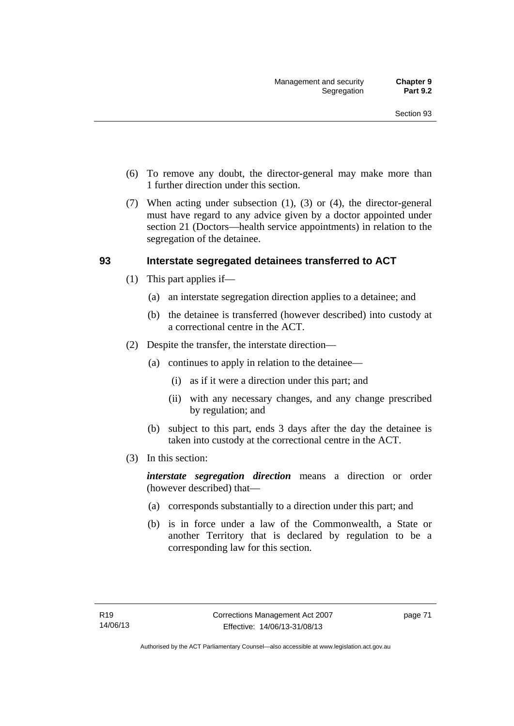- (6) To remove any doubt, the director-general may make more than 1 further direction under this section.
- (7) When acting under subsection (1), (3) or (4), the director-general must have regard to any advice given by a doctor appointed under section 21 (Doctors—health service appointments) in relation to the segregation of the detainee.

# **93 Interstate segregated detainees transferred to ACT**

- (1) This part applies if—
	- (a) an interstate segregation direction applies to a detainee; and
	- (b) the detainee is transferred (however described) into custody at a correctional centre in the ACT.
- (2) Despite the transfer, the interstate direction—
	- (a) continues to apply in relation to the detainee—
		- (i) as if it were a direction under this part; and
		- (ii) with any necessary changes, and any change prescribed by regulation; and
	- (b) subject to this part, ends 3 days after the day the detainee is taken into custody at the correctional centre in the ACT.
- (3) In this section:

*interstate segregation direction* means a direction or order (however described) that—

- (a) corresponds substantially to a direction under this part; and
- (b) is in force under a law of the Commonwealth, a State or another Territory that is declared by regulation to be a corresponding law for this section.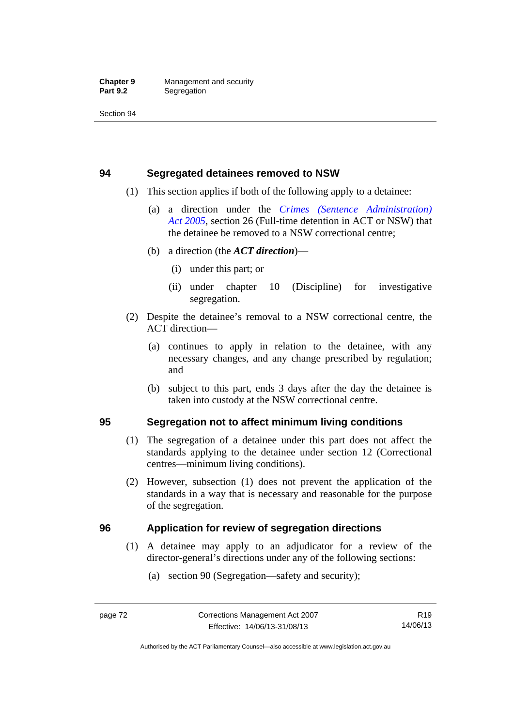# **94 Segregated detainees removed to NSW**

- (1) This section applies if both of the following apply to a detainee:
	- (a) a direction under the *[Crimes \(Sentence Administration\)](http://www.legislation.act.gov.au/a/2005-59)  [Act 2005](http://www.legislation.act.gov.au/a/2005-59)*, section 26 (Full-time detention in ACT or NSW) that the detainee be removed to a NSW correctional centre;
	- (b) a direction (the *ACT direction*)—
		- (i) under this part; or
		- (ii) under chapter 10 (Discipline) for investigative segregation.
- (2) Despite the detainee's removal to a NSW correctional centre, the ACT direction—
	- (a) continues to apply in relation to the detainee, with any necessary changes, and any change prescribed by regulation; and
	- (b) subject to this part, ends 3 days after the day the detainee is taken into custody at the NSW correctional centre.

# **95 Segregation not to affect minimum living conditions**

- (1) The segregation of a detainee under this part does not affect the standards applying to the detainee under section 12 (Correctional centres—minimum living conditions).
- (2) However, subsection (1) does not prevent the application of the standards in a way that is necessary and reasonable for the purpose of the segregation.

# **96 Application for review of segregation directions**

- (1) A detainee may apply to an adjudicator for a review of the director-general's directions under any of the following sections:
	- (a) section 90 (Segregation—safety and security);

Authorised by the ACT Parliamentary Counsel—also accessible at www.legislation.act.gov.au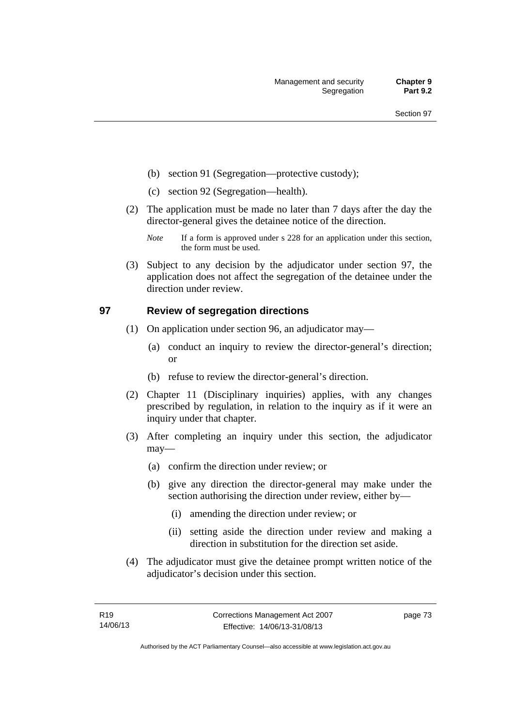- (b) section 91 (Segregation—protective custody);
- (c) section 92 (Segregation—health).
- (2) The application must be made no later than 7 days after the day the director-general gives the detainee notice of the direction.
	- *Note* If a form is approved under s 228 for an application under this section, the form must be used.
- (3) Subject to any decision by the adjudicator under section 97, the application does not affect the segregation of the detainee under the direction under review.

# **97 Review of segregation directions**

- (1) On application under section 96, an adjudicator may—
	- (a) conduct an inquiry to review the director-general's direction; or
	- (b) refuse to review the director-general's direction.
- (2) Chapter 11 (Disciplinary inquiries) applies, with any changes prescribed by regulation, in relation to the inquiry as if it were an inquiry under that chapter.
- (3) After completing an inquiry under this section, the adjudicator may—
	- (a) confirm the direction under review; or
	- (b) give any direction the director-general may make under the section authorising the direction under review, either by—
		- (i) amending the direction under review; or
		- (ii) setting aside the direction under review and making a direction in substitution for the direction set aside.
- (4) The adjudicator must give the detainee prompt written notice of the adjudicator's decision under this section.

page 73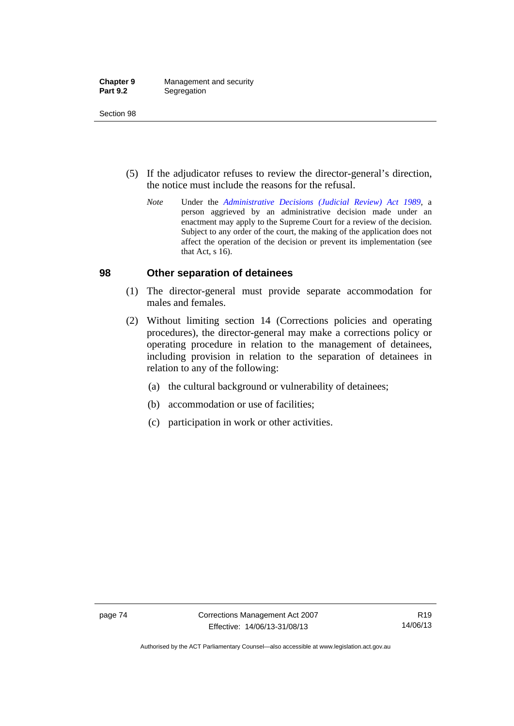| <b>Chapter 9</b> | Management and security |
|------------------|-------------------------|
| <b>Part 9.2</b>  | Segregation             |

- (5) If the adjudicator refuses to review the director-general's direction, the notice must include the reasons for the refusal.
	- *Note* Under the *[Administrative Decisions \(Judicial Review\) Act 1989](http://www.legislation.act.gov.au/a/alt_a1989-33co)*, a person aggrieved by an administrative decision made under an enactment may apply to the Supreme Court for a review of the decision. Subject to any order of the court, the making of the application does not affect the operation of the decision or prevent its implementation (see that Act, s 16).

#### **98 Other separation of detainees**

- (1) The director-general must provide separate accommodation for males and females.
- (2) Without limiting section 14 (Corrections policies and operating procedures), the director-general may make a corrections policy or operating procedure in relation to the management of detainees, including provision in relation to the separation of detainees in relation to any of the following:
	- (a) the cultural background or vulnerability of detainees;
	- (b) accommodation or use of facilities;
	- (c) participation in work or other activities.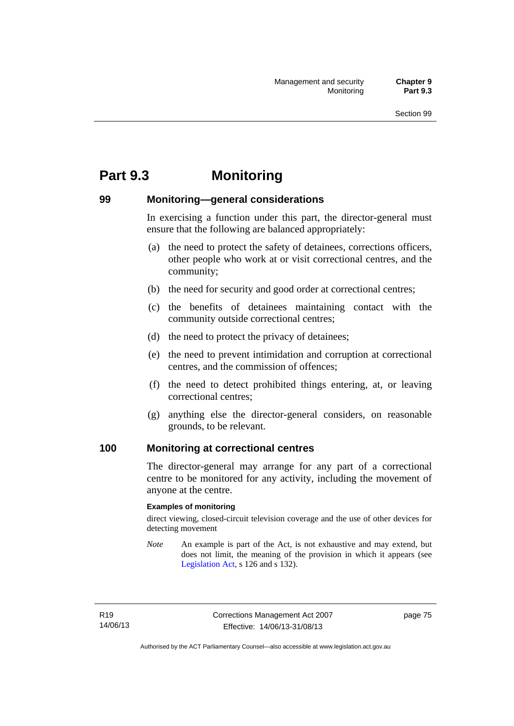# **Part 9.3 Monitoring**

# **99 Monitoring—general considerations**

In exercising a function under this part, the director-general must ensure that the following are balanced appropriately:

- (a) the need to protect the safety of detainees, corrections officers, other people who work at or visit correctional centres, and the community;
- (b) the need for security and good order at correctional centres;
- (c) the benefits of detainees maintaining contact with the community outside correctional centres;
- (d) the need to protect the privacy of detainees;
- (e) the need to prevent intimidation and corruption at correctional centres, and the commission of offences;
- (f) the need to detect prohibited things entering, at, or leaving correctional centres;
- (g) anything else the director-general considers, on reasonable grounds, to be relevant.

## **100 Monitoring at correctional centres**

The director-general may arrange for any part of a correctional centre to be monitored for any activity, including the movement of anyone at the centre.

#### **Examples of monitoring**

direct viewing, closed-circuit television coverage and the use of other devices for detecting movement

*Note* An example is part of the Act, is not exhaustive and may extend, but does not limit, the meaning of the provision in which it appears (see [Legislation Act,](http://www.legislation.act.gov.au/a/2001-14) s 126 and s 132).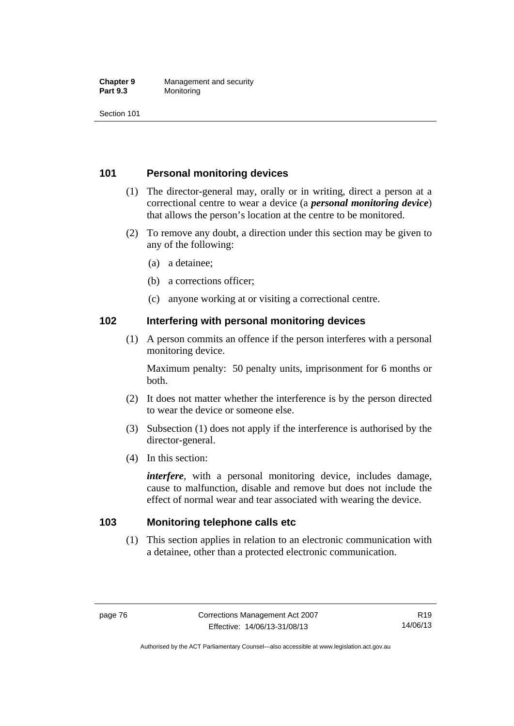#### **Chapter 9** Management and security<br>**Part 9.3** Monitoring **Monitoring**

Section 101

# **101 Personal monitoring devices**

- (1) The director-general may, orally or in writing, direct a person at a correctional centre to wear a device (a *personal monitoring device*) that allows the person's location at the centre to be monitored.
- (2) To remove any doubt, a direction under this section may be given to any of the following:
	- (a) a detainee;
	- (b) a corrections officer;
	- (c) anyone working at or visiting a correctional centre.

## **102 Interfering with personal monitoring devices**

 (1) A person commits an offence if the person interferes with a personal monitoring device.

Maximum penalty: 50 penalty units, imprisonment for 6 months or both.

- (2) It does not matter whether the interference is by the person directed to wear the device or someone else.
- (3) Subsection (1) does not apply if the interference is authorised by the director-general.
- (4) In this section:

*interfere*, with a personal monitoring device, includes damage, cause to malfunction, disable and remove but does not include the effect of normal wear and tear associated with wearing the device.

## **103 Monitoring telephone calls etc**

(1) This section applies in relation to an electronic communication with a detainee, other than a protected electronic communication.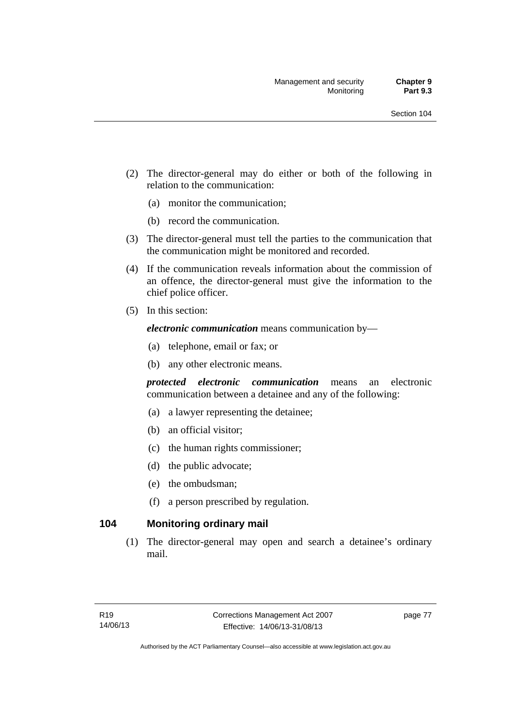- (2) The director-general may do either or both of the following in relation to the communication:
	- (a) monitor the communication;
	- (b) record the communication.
- (3) The director-general must tell the parties to the communication that the communication might be monitored and recorded.
- (4) If the communication reveals information about the commission of an offence, the director-general must give the information to the chief police officer.
- (5) In this section:

*electronic communication* means communication by—

- (a) telephone, email or fax; or
- (b) any other electronic means.

*protected electronic communication* means an electronic communication between a detainee and any of the following:

- (a) a lawyer representing the detainee;
- (b) an official visitor;
- (c) the human rights commissioner;
- (d) the public advocate;
- (e) the ombudsman;
- (f) a person prescribed by regulation.

# **104 Monitoring ordinary mail**

(1) The director-general may open and search a detainee's ordinary mail.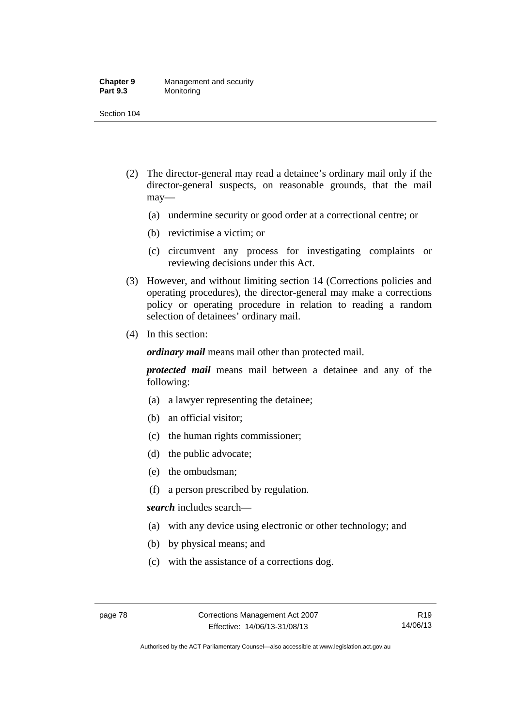#### **Chapter 9** Management and security<br>**Part 9.3** Monitoring **Monitoring**

Section 104

- (2) The director-general may read a detainee's ordinary mail only if the director-general suspects, on reasonable grounds, that the mail may—
	- (a) undermine security or good order at a correctional centre; or
	- (b) revictimise a victim; or
	- (c) circumvent any process for investigating complaints or reviewing decisions under this Act.
- (3) However, and without limiting section 14 (Corrections policies and operating procedures), the director-general may make a corrections policy or operating procedure in relation to reading a random selection of detainees' ordinary mail.
- (4) In this section:

*ordinary mail* means mail other than protected mail.

*protected mail* means mail between a detainee and any of the following:

- (a) a lawyer representing the detainee;
- (b) an official visitor;
- (c) the human rights commissioner;
- (d) the public advocate;
- (e) the ombudsman;
- (f) a person prescribed by regulation.

*search* includes search—

- (a) with any device using electronic or other technology; and
- (b) by physical means; and
- (c) with the assistance of a corrections dog.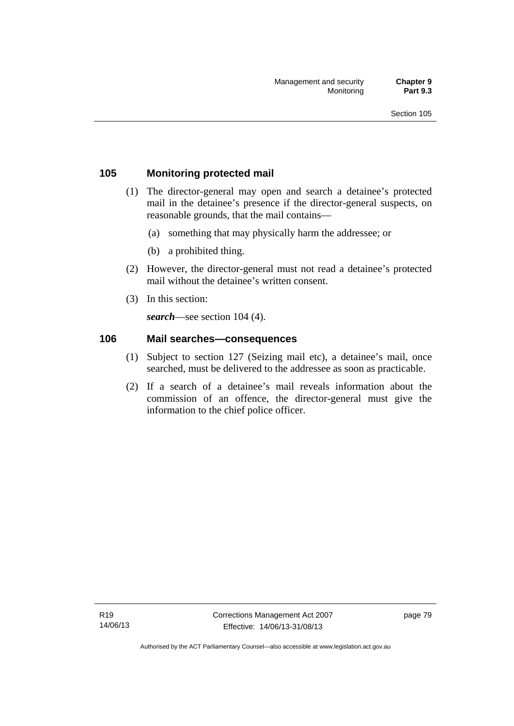# **105 Monitoring protected mail**

- (1) The director-general may open and search a detainee's protected mail in the detainee's presence if the director-general suspects, on reasonable grounds, that the mail contains—
	- (a) something that may physically harm the addressee; or
	- (b) a prohibited thing.
- (2) However, the director-general must not read a detainee's protected mail without the detainee's written consent.
- (3) In this section:

*search*—see section 104 (4).

#### **106 Mail searches—consequences**

- (1) Subject to section 127 (Seizing mail etc), a detainee's mail, once searched, must be delivered to the addressee as soon as practicable.
- (2) If a search of a detainee's mail reveals information about the commission of an offence, the director-general must give the information to the chief police officer.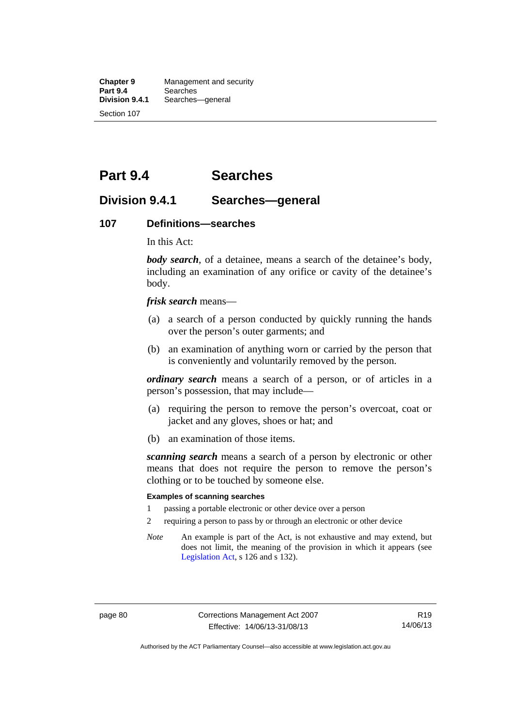**Chapter 9** Management and security<br>**Part 9.4** Searches **Part 9.4 Searches**<br>**Division 9.4.1** Searches Searches—general Section 107

# **Part 9.4 Searches**

# **Division 9.4.1 Searches—general**

#### **107 Definitions—searches**

In this Act:

*body search*, of a detainee, means a search of the detainee's body, including an examination of any orifice or cavity of the detainee's body.

*frisk search* means—

- (a) a search of a person conducted by quickly running the hands over the person's outer garments; and
- (b) an examination of anything worn or carried by the person that is conveniently and voluntarily removed by the person.

*ordinary search* means a search of a person, or of articles in a person's possession, that may include—

- (a) requiring the person to remove the person's overcoat, coat or jacket and any gloves, shoes or hat; and
- (b) an examination of those items.

*scanning search* means a search of a person by electronic or other means that does not require the person to remove the person's clothing or to be touched by someone else.

#### **Examples of scanning searches**

- 1 passing a portable electronic or other device over a person
- 2 requiring a person to pass by or through an electronic or other device
- *Note* An example is part of the Act, is not exhaustive and may extend, but does not limit, the meaning of the provision in which it appears (see [Legislation Act,](http://www.legislation.act.gov.au/a/2001-14) s 126 and s 132).

Authorised by the ACT Parliamentary Counsel—also accessible at www.legislation.act.gov.au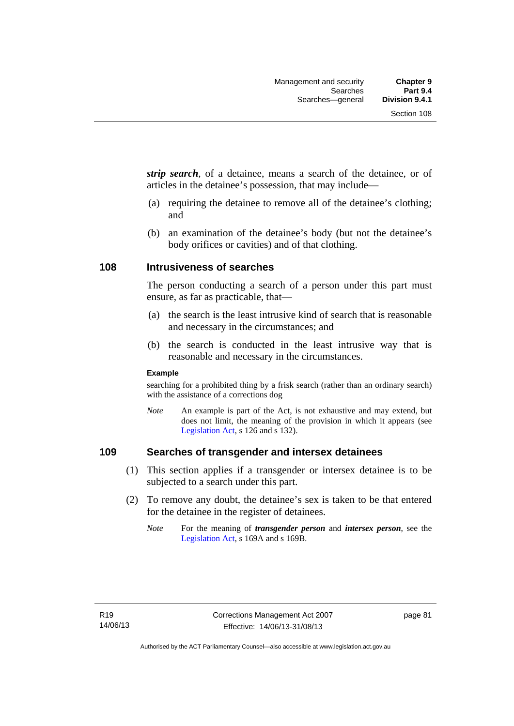*strip search*, of a detainee, means a search of the detainee, or of articles in the detainee's possession, that may include—

- (a) requiring the detainee to remove all of the detainee's clothing; and
- (b) an examination of the detainee's body (but not the detainee's body orifices or cavities) and of that clothing.

#### **108 Intrusiveness of searches**

The person conducting a search of a person under this part must ensure, as far as practicable, that—

- (a) the search is the least intrusive kind of search that is reasonable and necessary in the circumstances; and
- (b) the search is conducted in the least intrusive way that is reasonable and necessary in the circumstances.

#### **Example**

searching for a prohibited thing by a frisk search (rather than an ordinary search) with the assistance of a corrections dog

*Note* An example is part of the Act, is not exhaustive and may extend, but does not limit, the meaning of the provision in which it appears (see [Legislation Act,](http://www.legislation.act.gov.au/a/2001-14) s 126 and s 132).

# **109 Searches of transgender and intersex detainees**

- (1) This section applies if a transgender or intersex detainee is to be subjected to a search under this part.
- (2) To remove any doubt, the detainee's sex is taken to be that entered for the detainee in the register of detainees.
	- *Note* For the meaning of *transgender person* and *intersex person*, see the [Legislation Act,](http://www.legislation.act.gov.au/a/2001-14) s 169A and s 169B.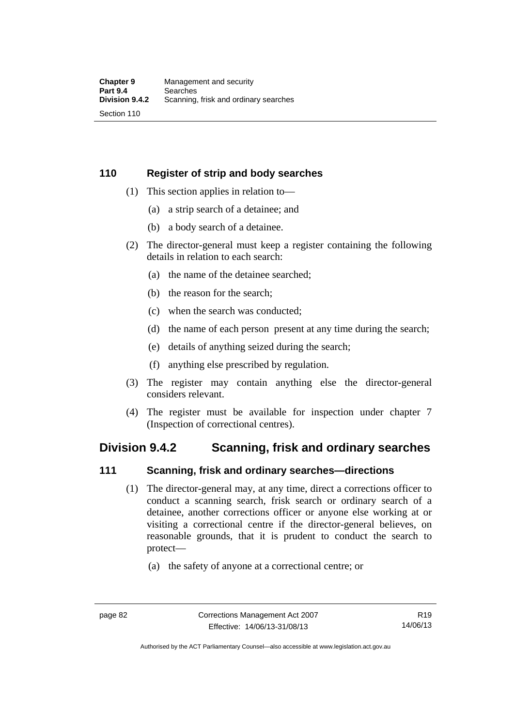# **110 Register of strip and body searches**

- (1) This section applies in relation to—
	- (a) a strip search of a detainee; and
	- (b) a body search of a detainee.
- (2) The director-general must keep a register containing the following details in relation to each search:
	- (a) the name of the detainee searched;
	- (b) the reason for the search;
	- (c) when the search was conducted;
	- (d) the name of each person present at any time during the search;
	- (e) details of anything seized during the search;
	- (f) anything else prescribed by regulation.
- (3) The register may contain anything else the director-general considers relevant.
- (4) The register must be available for inspection under chapter 7 (Inspection of correctional centres).

# **Division 9.4.2 Scanning, frisk and ordinary searches**

## **111 Scanning, frisk and ordinary searches—directions**

- (1) The director-general may, at any time, direct a corrections officer to conduct a scanning search, frisk search or ordinary search of a detainee, another corrections officer or anyone else working at or visiting a correctional centre if the director-general believes, on reasonable grounds, that it is prudent to conduct the search to protect—
	- (a) the safety of anyone at a correctional centre; or

Authorised by the ACT Parliamentary Counsel—also accessible at www.legislation.act.gov.au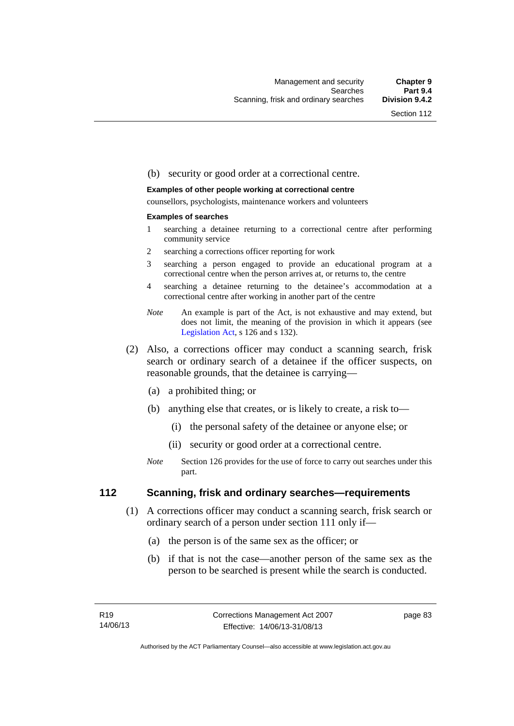#### (b) security or good order at a correctional centre.

#### **Examples of other people working at correctional centre**

counsellors, psychologists, maintenance workers and volunteers

#### **Examples of searches**

- 1 searching a detainee returning to a correctional centre after performing community service
- 2 searching a corrections officer reporting for work
- 3 searching a person engaged to provide an educational program at a correctional centre when the person arrives at, or returns to, the centre
- 4 searching a detainee returning to the detainee's accommodation at a correctional centre after working in another part of the centre
- *Note* An example is part of the Act, is not exhaustive and may extend, but does not limit, the meaning of the provision in which it appears (see [Legislation Act,](http://www.legislation.act.gov.au/a/2001-14) s 126 and s 132).
- (2) Also, a corrections officer may conduct a scanning search, frisk search or ordinary search of a detainee if the officer suspects, on reasonable grounds, that the detainee is carrying—
	- (a) a prohibited thing; or
	- (b) anything else that creates, or is likely to create, a risk to—
		- (i) the personal safety of the detainee or anyone else; or
		- (ii) security or good order at a correctional centre.
	- *Note* Section 126 provides for the use of force to carry out searches under this part.

#### **112 Scanning, frisk and ordinary searches—requirements**

- (1) A corrections officer may conduct a scanning search, frisk search or ordinary search of a person under section 111 only if—
	- (a) the person is of the same sex as the officer; or
	- (b) if that is not the case—another person of the same sex as the person to be searched is present while the search is conducted.

page 83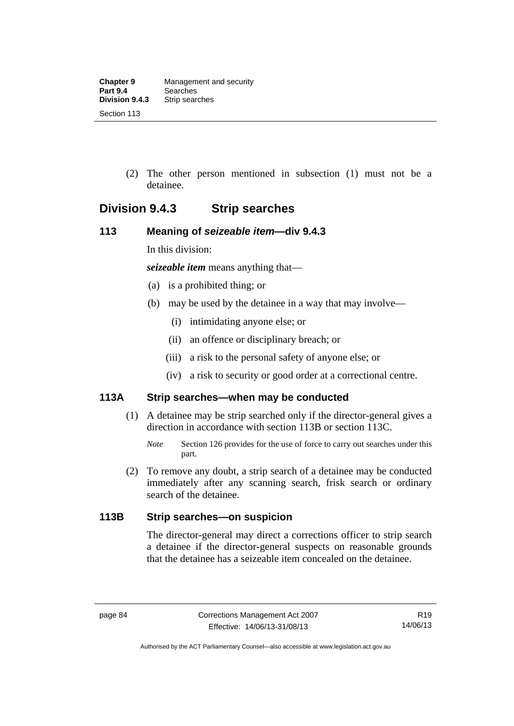(2) The other person mentioned in subsection (1) must not be a detainee.

# **Division 9.4.3 Strip searches**

# **113 Meaning of** *seizeable item***—div 9.4.3**

In this division:

*seizeable item* means anything that—

- (a) is a prohibited thing; or
- (b) may be used by the detainee in a way that may involve—
	- (i) intimidating anyone else; or
	- (ii) an offence or disciplinary breach; or
	- (iii) a risk to the personal safety of anyone else; or
	- (iv) a risk to security or good order at a correctional centre.

# **113A Strip searches—when may be conducted**

- (1) A detainee may be strip searched only if the director-general gives a direction in accordance with section 113B or section 113C.
	- *Note* Section 126 provides for the use of force to carry out searches under this part.
- (2) To remove any doubt, a strip search of a detainee may be conducted immediately after any scanning search, frisk search or ordinary search of the detainee.

# **113B Strip searches—on suspicion**

The director-general may direct a corrections officer to strip search a detainee if the director-general suspects on reasonable grounds that the detainee has a seizeable item concealed on the detainee.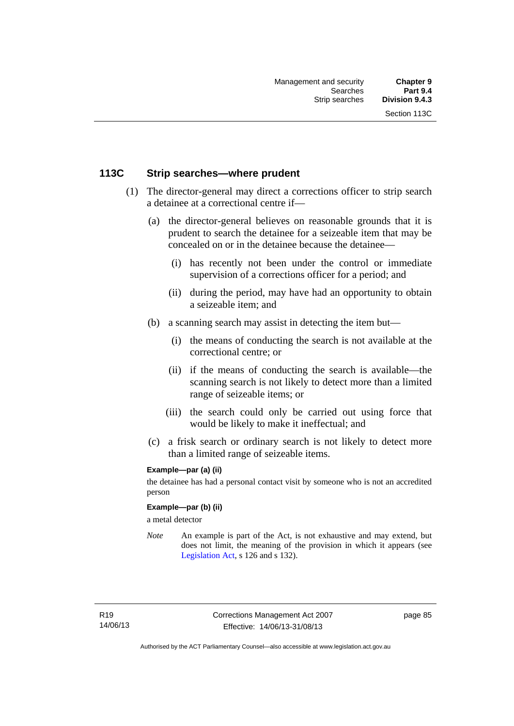## **113C Strip searches—where prudent**

- (1) The director-general may direct a corrections officer to strip search a detainee at a correctional centre if—
	- (a) the director-general believes on reasonable grounds that it is prudent to search the detainee for a seizeable item that may be concealed on or in the detainee because the detainee—
		- (i) has recently not been under the control or immediate supervision of a corrections officer for a period; and
		- (ii) during the period, may have had an opportunity to obtain a seizeable item; and
	- (b) a scanning search may assist in detecting the item but—
		- (i) the means of conducting the search is not available at the correctional centre; or
		- (ii) if the means of conducting the search is available—the scanning search is not likely to detect more than a limited range of seizeable items; or
		- (iii) the search could only be carried out using force that would be likely to make it ineffectual; and
	- (c) a frisk search or ordinary search is not likely to detect more than a limited range of seizeable items.

#### **Example—par (a) (ii)**

the detainee has had a personal contact visit by someone who is not an accredited person

#### **Example—par (b) (ii)**

a metal detector

*Note* An example is part of the Act, is not exhaustive and may extend, but does not limit, the meaning of the provision in which it appears (see [Legislation Act,](http://www.legislation.act.gov.au/a/2001-14) s 126 and s 132).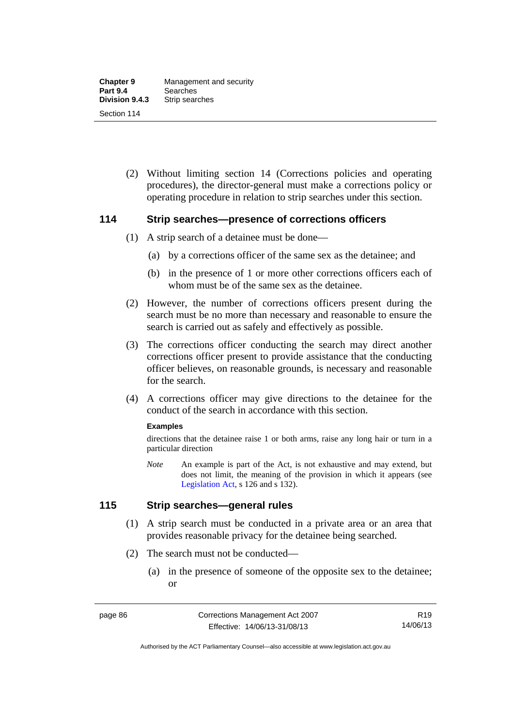(2) Without limiting section 14 (Corrections policies and operating procedures), the director-general must make a corrections policy or operating procedure in relation to strip searches under this section.

#### **114 Strip searches—presence of corrections officers**

- (1) A strip search of a detainee must be done—
	- (a) by a corrections officer of the same sex as the detainee; and
	- (b) in the presence of 1 or more other corrections officers each of whom must be of the same sex as the detainee.
- (2) However, the number of corrections officers present during the search must be no more than necessary and reasonable to ensure the search is carried out as safely and effectively as possible.
- (3) The corrections officer conducting the search may direct another corrections officer present to provide assistance that the conducting officer believes, on reasonable grounds, is necessary and reasonable for the search.
- (4) A corrections officer may give directions to the detainee for the conduct of the search in accordance with this section.

#### **Examples**

directions that the detainee raise 1 or both arms, raise any long hair or turn in a particular direction

*Note* An example is part of the Act, is not exhaustive and may extend, but does not limit, the meaning of the provision in which it appears (see [Legislation Act,](http://www.legislation.act.gov.au/a/2001-14) s 126 and s 132).

#### **115 Strip searches—general rules**

- (1) A strip search must be conducted in a private area or an area that provides reasonable privacy for the detainee being searched.
- (2) The search must not be conducted—
	- (a) in the presence of someone of the opposite sex to the detainee; or

Authorised by the ACT Parliamentary Counsel—also accessible at www.legislation.act.gov.au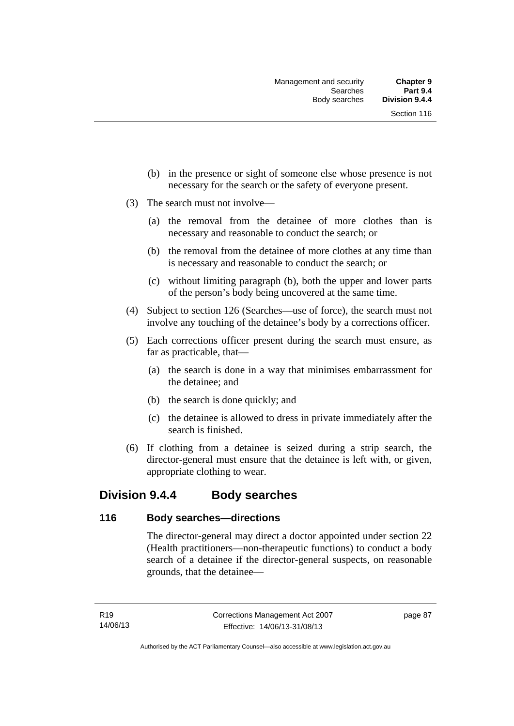- (b) in the presence or sight of someone else whose presence is not necessary for the search or the safety of everyone present.
- (3) The search must not involve—
	- (a) the removal from the detainee of more clothes than is necessary and reasonable to conduct the search; or
	- (b) the removal from the detainee of more clothes at any time than is necessary and reasonable to conduct the search; or
	- (c) without limiting paragraph (b), both the upper and lower parts of the person's body being uncovered at the same time.
- (4) Subject to section 126 (Searches—use of force), the search must not involve any touching of the detainee's body by a corrections officer.
- (5) Each corrections officer present during the search must ensure, as far as practicable, that—
	- (a) the search is done in a way that minimises embarrassment for the detainee; and
	- (b) the search is done quickly; and
	- (c) the detainee is allowed to dress in private immediately after the search is finished.
- (6) If clothing from a detainee is seized during a strip search, the director-general must ensure that the detainee is left with, or given, appropriate clothing to wear.

# **Division 9.4.4 Body searches**

## **116 Body searches—directions**

The director-general may direct a doctor appointed under section 22 (Health practitioners—non-therapeutic functions) to conduct a body search of a detainee if the director-general suspects, on reasonable grounds, that the detainee—

page 87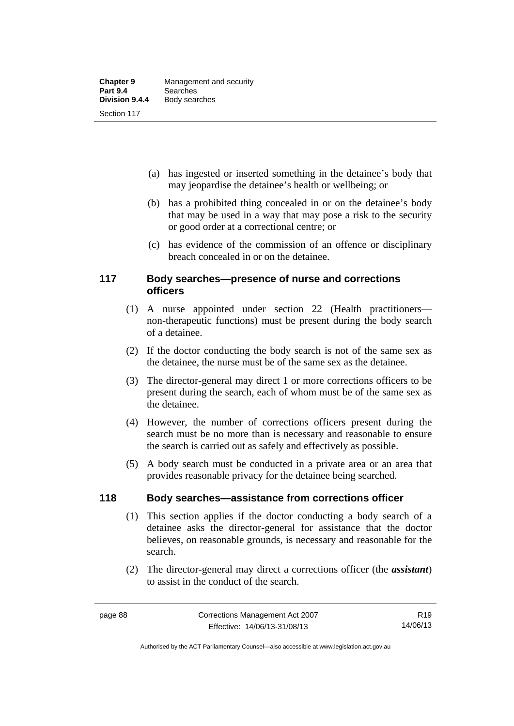- (a) has ingested or inserted something in the detainee's body that may jeopardise the detainee's health or wellbeing; or
- (b) has a prohibited thing concealed in or on the detainee's body that may be used in a way that may pose a risk to the security or good order at a correctional centre; or
- (c) has evidence of the commission of an offence or disciplinary breach concealed in or on the detainee.

## **117 Body searches—presence of nurse and corrections officers**

- (1) A nurse appointed under section 22 (Health practitioners non-therapeutic functions) must be present during the body search of a detainee.
- (2) If the doctor conducting the body search is not of the same sex as the detainee, the nurse must be of the same sex as the detainee.
- (3) The director-general may direct 1 or more corrections officers to be present during the search, each of whom must be of the same sex as the detainee.
- (4) However, the number of corrections officers present during the search must be no more than is necessary and reasonable to ensure the search is carried out as safely and effectively as possible.
- (5) A body search must be conducted in a private area or an area that provides reasonable privacy for the detainee being searched.

# **118 Body searches—assistance from corrections officer**

- (1) This section applies if the doctor conducting a body search of a detainee asks the director-general for assistance that the doctor believes, on reasonable grounds, is necessary and reasonable for the search.
- (2) The director-general may direct a corrections officer (the *assistant*) to assist in the conduct of the search.

Authorised by the ACT Parliamentary Counsel—also accessible at www.legislation.act.gov.au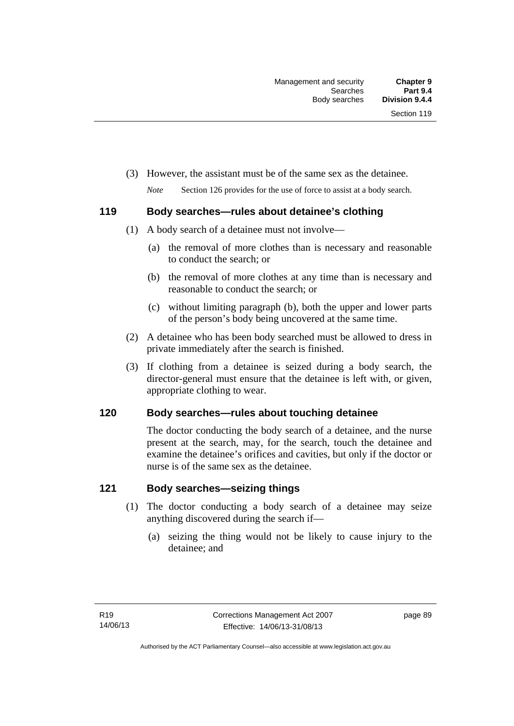(3) However, the assistant must be of the same sex as the detainee.

*Note* Section 126 provides for the use of force to assist at a body search.

# **119 Body searches—rules about detainee's clothing**

- (1) A body search of a detainee must not involve—
	- (a) the removal of more clothes than is necessary and reasonable to conduct the search; or
	- (b) the removal of more clothes at any time than is necessary and reasonable to conduct the search; or
	- (c) without limiting paragraph (b), both the upper and lower parts of the person's body being uncovered at the same time.
- (2) A detainee who has been body searched must be allowed to dress in private immediately after the search is finished.
- (3) If clothing from a detainee is seized during a body search, the director-general must ensure that the detainee is left with, or given, appropriate clothing to wear.

# **120 Body searches—rules about touching detainee**

The doctor conducting the body search of a detainee, and the nurse present at the search, may, for the search, touch the detainee and examine the detainee's orifices and cavities, but only if the doctor or nurse is of the same sex as the detainee.

# **121 Body searches—seizing things**

- (1) The doctor conducting a body search of a detainee may seize anything discovered during the search if—
	- (a) seizing the thing would not be likely to cause injury to the detainee; and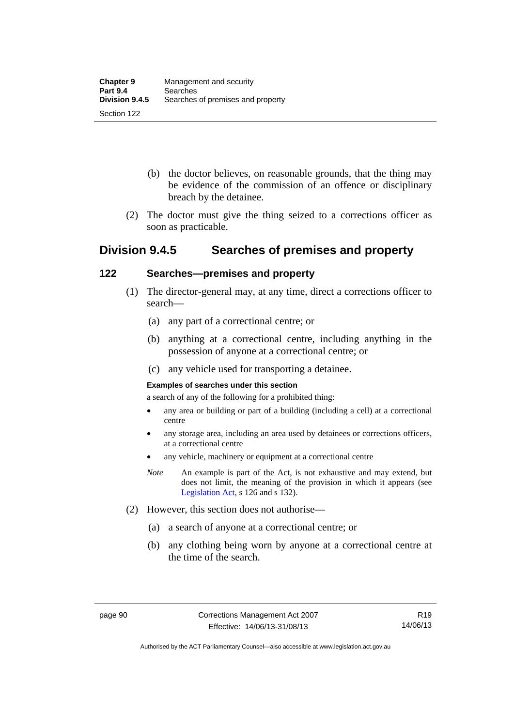- (b) the doctor believes, on reasonable grounds, that the thing may be evidence of the commission of an offence or disciplinary breach by the detainee.
- (2) The doctor must give the thing seized to a corrections officer as soon as practicable.

# **Division 9.4.5 Searches of premises and property**

# **122 Searches—premises and property**

- (1) The director-general may, at any time, direct a corrections officer to search—
	- (a) any part of a correctional centre; or
	- (b) anything at a correctional centre, including anything in the possession of anyone at a correctional centre; or
	- (c) any vehicle used for transporting a detainee.

#### **Examples of searches under this section**

a search of any of the following for a prohibited thing:

- any area or building or part of a building (including a cell) at a correctional centre
- any storage area, including an area used by detainees or corrections officers, at a correctional centre
- any vehicle, machinery or equipment at a correctional centre
- *Note* An example is part of the Act, is not exhaustive and may extend, but does not limit, the meaning of the provision in which it appears (see [Legislation Act,](http://www.legislation.act.gov.au/a/2001-14) s 126 and s 132).
- (2) However, this section does not authorise—
	- (a) a search of anyone at a correctional centre; or
	- (b) any clothing being worn by anyone at a correctional centre at the time of the search.

Authorised by the ACT Parliamentary Counsel—also accessible at www.legislation.act.gov.au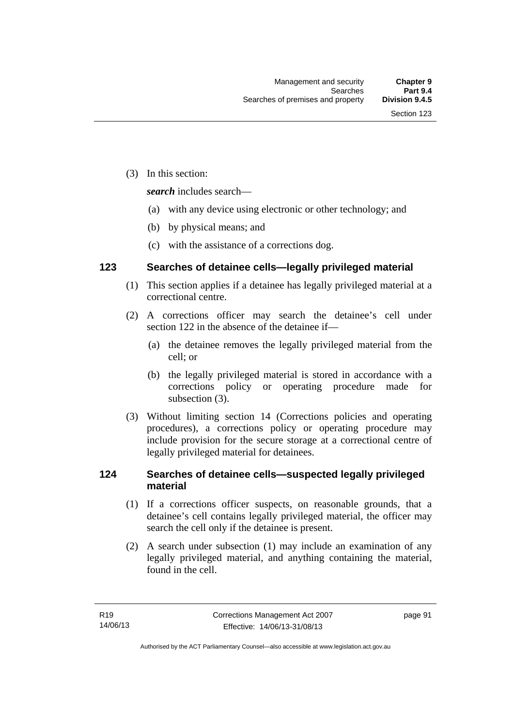(3) In this section:

*search* includes search—

- (a) with any device using electronic or other technology; and
- (b) by physical means; and
- (c) with the assistance of a corrections dog.

# **123 Searches of detainee cells—legally privileged material**

- (1) This section applies if a detainee has legally privileged material at a correctional centre.
- (2) A corrections officer may search the detainee's cell under section 122 in the absence of the detainee if—
	- (a) the detainee removes the legally privileged material from the cell; or
	- (b) the legally privileged material is stored in accordance with a corrections policy or operating procedure made for subsection (3).
- (3) Without limiting section 14 (Corrections policies and operating procedures), a corrections policy or operating procedure may include provision for the secure storage at a correctional centre of legally privileged material for detainees.

# **124 Searches of detainee cells—suspected legally privileged material**

- (1) If a corrections officer suspects, on reasonable grounds, that a detainee's cell contains legally privileged material, the officer may search the cell only if the detainee is present.
- (2) A search under subsection (1) may include an examination of any legally privileged material, and anything containing the material, found in the cell.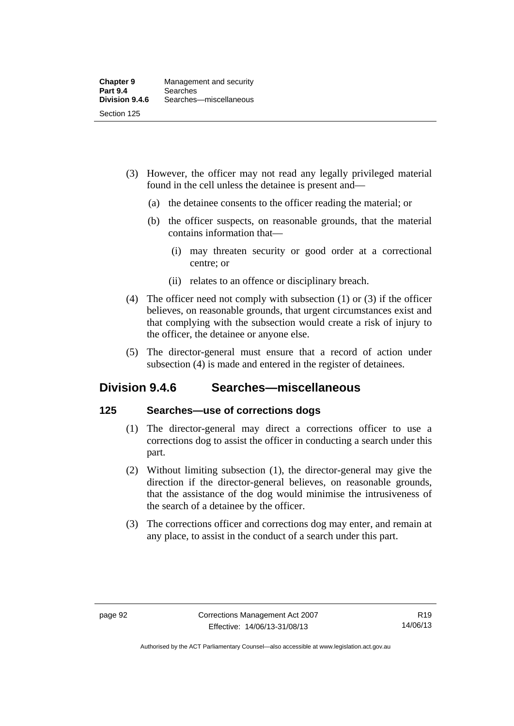- (3) However, the officer may not read any legally privileged material found in the cell unless the detainee is present and—
	- (a) the detainee consents to the officer reading the material; or
	- (b) the officer suspects, on reasonable grounds, that the material contains information that—
		- (i) may threaten security or good order at a correctional centre; or
		- (ii) relates to an offence or disciplinary breach.
- (4) The officer need not comply with subsection (1) or (3) if the officer believes, on reasonable grounds, that urgent circumstances exist and that complying with the subsection would create a risk of injury to the officer, the detainee or anyone else.
- (5) The director-general must ensure that a record of action under subsection (4) is made and entered in the register of detainees.

# **Division 9.4.6 Searches—miscellaneous**

# **125 Searches—use of corrections dogs**

- (1) The director-general may direct a corrections officer to use a corrections dog to assist the officer in conducting a search under this part.
- (2) Without limiting subsection (1), the director-general may give the direction if the director-general believes, on reasonable grounds, that the assistance of the dog would minimise the intrusiveness of the search of a detainee by the officer.
- (3) The corrections officer and corrections dog may enter, and remain at any place, to assist in the conduct of a search under this part.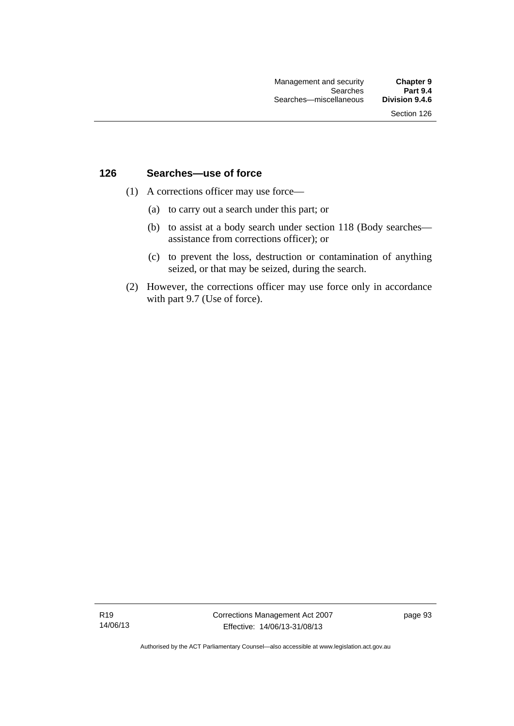### **126 Searches—use of force**

- (1) A corrections officer may use force—
	- (a) to carry out a search under this part; or
	- (b) to assist at a body search under section 118 (Body searches assistance from corrections officer); or
	- (c) to prevent the loss, destruction or contamination of anything seized, or that may be seized, during the search.
- (2) However, the corrections officer may use force only in accordance with part 9.7 (Use of force).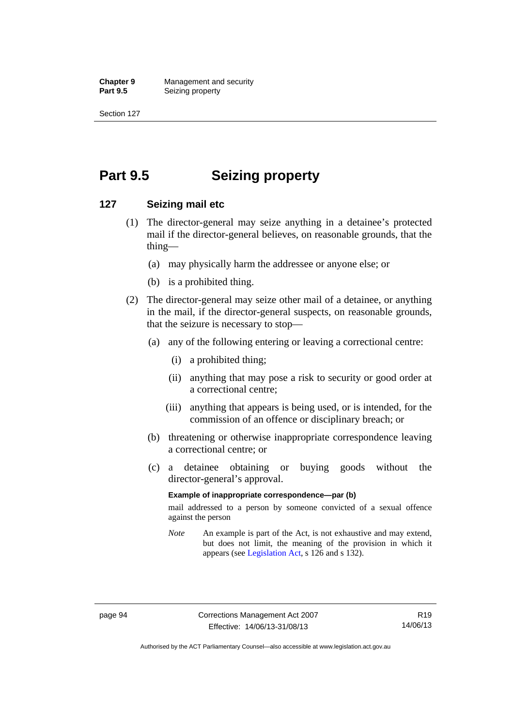**Chapter 9 Management and security**<br>**Part 9.5 Conserved Seizing property Seizing property** 

Section 127

# **Part 9.5 Seizing property**

### **127 Seizing mail etc**

- (1) The director-general may seize anything in a detainee's protected mail if the director-general believes, on reasonable grounds, that the thing—
	- (a) may physically harm the addressee or anyone else; or
	- (b) is a prohibited thing.
- (2) The director-general may seize other mail of a detainee, or anything in the mail, if the director-general suspects, on reasonable grounds, that the seizure is necessary to stop—
	- (a) any of the following entering or leaving a correctional centre:
		- (i) a prohibited thing;
		- (ii) anything that may pose a risk to security or good order at a correctional centre;
		- (iii) anything that appears is being used, or is intended, for the commission of an offence or disciplinary breach; or
	- (b) threatening or otherwise inappropriate correspondence leaving a correctional centre; or
	- (c) a detainee obtaining or buying goods without the director-general's approval.

### **Example of inappropriate correspondence—par (b)**

mail addressed to a person by someone convicted of a sexual offence against the person

*Note* An example is part of the Act, is not exhaustive and may extend, but does not limit, the meaning of the provision in which it appears (see [Legislation Act,](http://www.legislation.act.gov.au/a/2001-14) s 126 and s 132).

Authorised by the ACT Parliamentary Counsel—also accessible at www.legislation.act.gov.au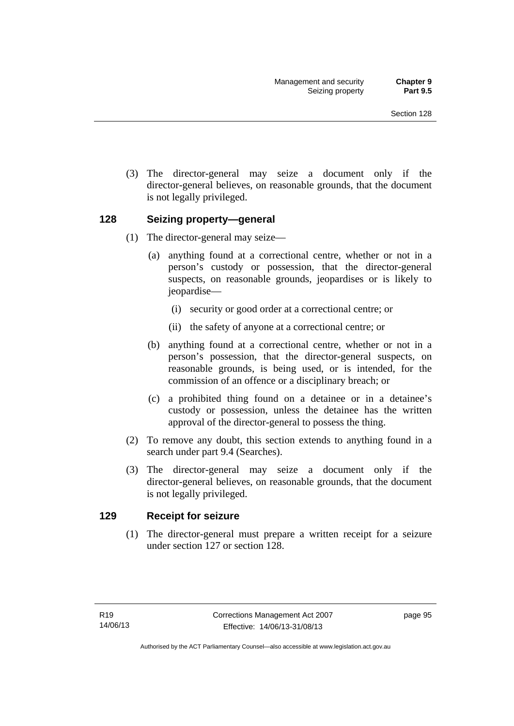(3) The director-general may seize a document only if the director-general believes, on reasonable grounds, that the document is not legally privileged.

### **128 Seizing property—general**

- (1) The director-general may seize—
	- (a) anything found at a correctional centre, whether or not in a person's custody or possession, that the director-general suspects, on reasonable grounds, jeopardises or is likely to jeopardise—
		- (i) security or good order at a correctional centre; or
		- (ii) the safety of anyone at a correctional centre; or
	- (b) anything found at a correctional centre, whether or not in a person's possession, that the director-general suspects, on reasonable grounds, is being used, or is intended, for the commission of an offence or a disciplinary breach; or
	- (c) a prohibited thing found on a detainee or in a detainee's custody or possession, unless the detainee has the written approval of the director-general to possess the thing.
- (2) To remove any doubt, this section extends to anything found in a search under part 9.4 (Searches).
- (3) The director-general may seize a document only if the director-general believes, on reasonable grounds, that the document is not legally privileged.

### **129 Receipt for seizure**

(1) The director-general must prepare a written receipt for a seizure under section 127 or section 128.

page 95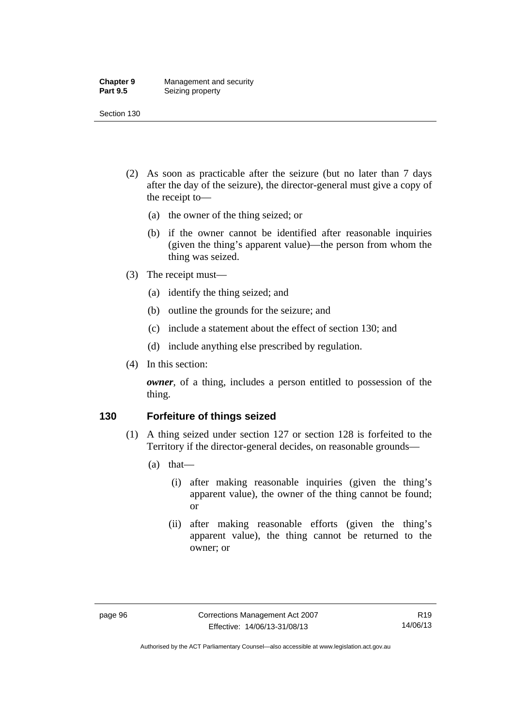#### **Chapter 9** Management and security<br>**Part 9.5** Seizing property **Seizing property**

Section 130

- (2) As soon as practicable after the seizure (but no later than 7 days after the day of the seizure), the director-general must give a copy of the receipt to—
	- (a) the owner of the thing seized; or
	- (b) if the owner cannot be identified after reasonable inquiries (given the thing's apparent value)—the person from whom the thing was seized.
- (3) The receipt must—
	- (a) identify the thing seized; and
	- (b) outline the grounds for the seizure; and
	- (c) include a statement about the effect of section 130; and
	- (d) include anything else prescribed by regulation.
- (4) In this section:

*owner*, of a thing, includes a person entitled to possession of the thing.

### **130 Forfeiture of things seized**

- (1) A thing seized under section 127 or section 128 is forfeited to the Territory if the director-general decides, on reasonable grounds—
	- (a) that—
		- (i) after making reasonable inquiries (given the thing's apparent value), the owner of the thing cannot be found; or
		- (ii) after making reasonable efforts (given the thing's apparent value), the thing cannot be returned to the owner; or

Authorised by the ACT Parliamentary Counsel—also accessible at www.legislation.act.gov.au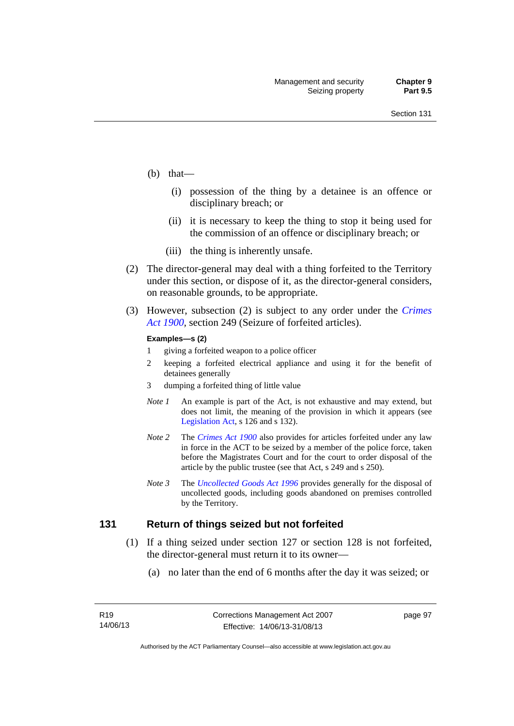- (b) that—
	- (i) possession of the thing by a detainee is an offence or disciplinary breach; or
	- (ii) it is necessary to keep the thing to stop it being used for the commission of an offence or disciplinary breach; or
	- (iii) the thing is inherently unsafe.
- (2) The director-general may deal with a thing forfeited to the Territory under this section, or dispose of it, as the director-general considers, on reasonable grounds, to be appropriate.
- (3) However, subsection (2) is subject to any order under the *[Crimes](http://www.legislation.act.gov.au/a/1900-40)  [Act 1900](http://www.legislation.act.gov.au/a/1900-40),* section 249 (Seizure of forfeited articles).

#### **Examples—s (2)**

- 1 giving a forfeited weapon to a police officer
- 2 keeping a forfeited electrical appliance and using it for the benefit of detainees generally
- 3 dumping a forfeited thing of little value
- *Note 1* An example is part of the Act, is not exhaustive and may extend, but does not limit, the meaning of the provision in which it appears (see [Legislation Act,](http://www.legislation.act.gov.au/a/2001-14) s 126 and s 132).
- *Note 2* The *[Crimes Act 1900](http://www.legislation.act.gov.au/a/1900-40)* also provides for articles forfeited under any law in force in the ACT to be seized by a member of the police force, taken before the Magistrates Court and for the court to order disposal of the article by the public trustee (see that Act, s 249 and s 250).
- *Note 3* The *[Uncollected Goods Act 1996](http://www.legislation.act.gov.au/a/1996-86)* provides generally for the disposal of uncollected goods, including goods abandoned on premises controlled by the Territory.

### **131 Return of things seized but not forfeited**

- (1) If a thing seized under section 127 or section 128 is not forfeited, the director-general must return it to its owner—
	- (a) no later than the end of 6 months after the day it was seized; or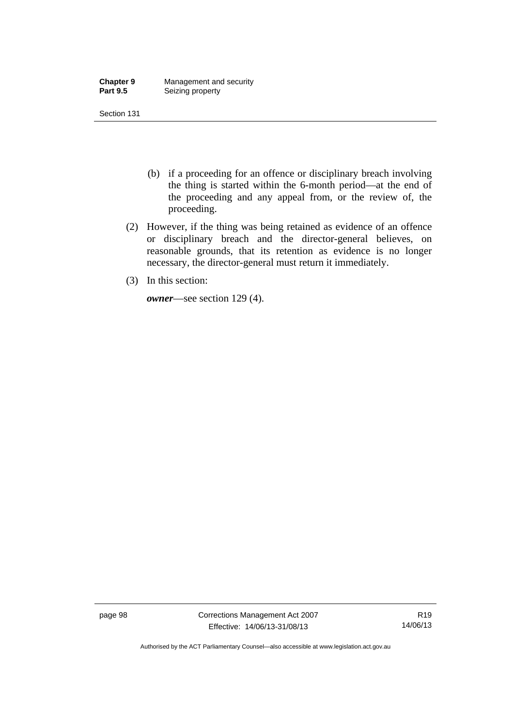| <b>Chapter 9</b> | Management and security |
|------------------|-------------------------|
| <b>Part 9.5</b>  | Seizing property        |

- (b) if a proceeding for an offence or disciplinary breach involving the thing is started within the 6-month period—at the end of the proceeding and any appeal from, or the review of, the proceeding.
- (2) However, if the thing was being retained as evidence of an offence or disciplinary breach and the director-general believes, on reasonable grounds, that its retention as evidence is no longer necessary, the director-general must return it immediately.
- (3) In this section:

*owner*—see section 129 (4).

page 98 Corrections Management Act 2007 Effective: 14/06/13-31/08/13

R19 14/06/13

Authorised by the ACT Parliamentary Counsel—also accessible at www.legislation.act.gov.au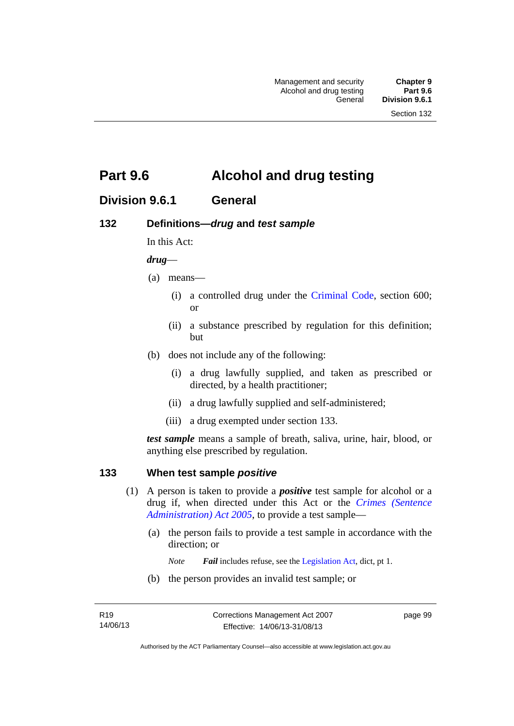# **Part 9.6 Alcohol and drug testing**

# **Division 9.6.1 General**

## **132 Definitions—***drug* **and** *test sample*

In this Act:

### *drug*—

- (a) means—
	- (i) a controlled drug under the [Criminal Code](http://www.legislation.act.gov.au/a/2002-51), section 600; or
	- (ii) a substance prescribed by regulation for this definition; but
- (b) does not include any of the following:
	- (i) a drug lawfully supplied, and taken as prescribed or directed, by a health practitioner;
	- (ii) a drug lawfully supplied and self-administered;
	- (iii) a drug exempted under section 133.

*test sample* means a sample of breath, saliva, urine, hair, blood, or anything else prescribed by regulation.

### **133 When test sample** *positive*

- (1) A person is taken to provide a *positive* test sample for alcohol or a drug if, when directed under this Act or the *[Crimes \(Sentence](http://www.legislation.act.gov.au/a/2005-59)  [Administration\) Act 2005](http://www.legislation.act.gov.au/a/2005-59)*, to provide a test sample—
	- (a) the person fails to provide a test sample in accordance with the direction; or
		- *Note Fail* includes refuse, see the [Legislation Act,](http://www.legislation.act.gov.au/a/2001-14) dict, pt 1.
	- (b) the person provides an invalid test sample; or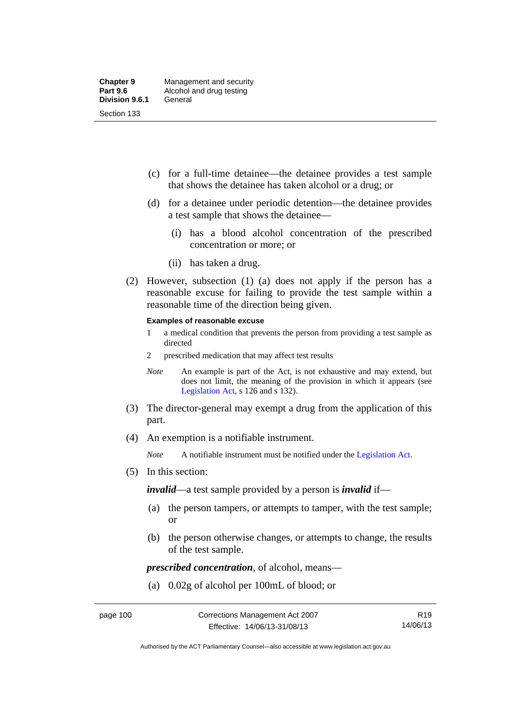- (c) for a full-time detainee—the detainee provides a test sample that shows the detainee has taken alcohol or a drug; or
- (d) for a detainee under periodic detention—the detainee provides a test sample that shows the detainee—
	- (i) has a blood alcohol concentration of the prescribed concentration or more; or
	- (ii) has taken a drug.
- (2) However, subsection (1) (a) does not apply if the person has a reasonable excuse for failing to provide the test sample within a reasonable time of the direction being given.

#### **Examples of reasonable excuse**

- 1 a medical condition that prevents the person from providing a test sample as directed
- 2 prescribed medication that may affect test results
- *Note* An example is part of the Act, is not exhaustive and may extend, but does not limit, the meaning of the provision in which it appears (see [Legislation Act,](http://www.legislation.act.gov.au/a/2001-14) s 126 and s 132).
- (3) The director-general may exempt a drug from the application of this part.
- (4) An exemption is a notifiable instrument.

*Note* A notifiable instrument must be notified under the [Legislation Act](http://www.legislation.act.gov.au/a/2001-14).

(5) In this section:

*invalid*—a test sample provided by a person is *invalid* if—

- (a) the person tampers, or attempts to tamper, with the test sample; or
- (b) the person otherwise changes, or attempts to change, the results of the test sample.

*prescribed concentration*, of alcohol, means—

(a) 0.02g of alcohol per 100mL of blood; or

R19 14/06/13

Authorised by the ACT Parliamentary Counsel—also accessible at www.legislation.act.gov.au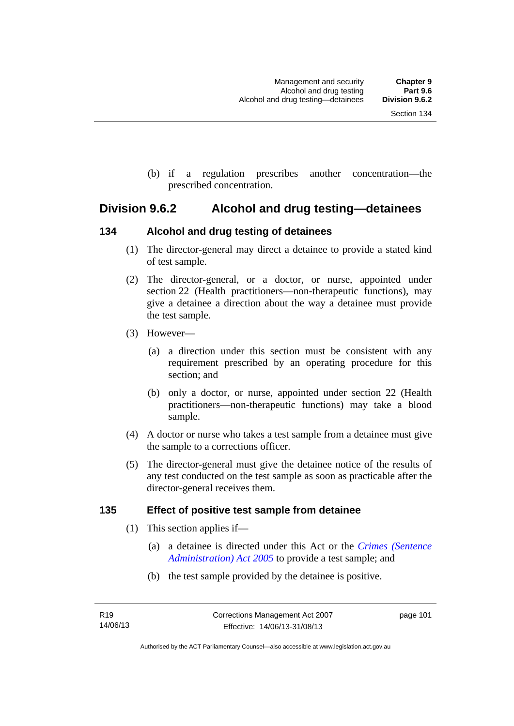(b) if a regulation prescribes another concentration—the prescribed concentration.

## **Division 9.6.2 Alcohol and drug testing—detainees**

## **134 Alcohol and drug testing of detainees**

- (1) The director-general may direct a detainee to provide a stated kind of test sample.
- (2) The director-general, or a doctor, or nurse, appointed under section 22 (Health practitioners—non-therapeutic functions), may give a detainee a direction about the way a detainee must provide the test sample.
- (3) However—
	- (a) a direction under this section must be consistent with any requirement prescribed by an operating procedure for this section; and
	- (b) only a doctor, or nurse, appointed under section 22 (Health practitioners—non-therapeutic functions) may take a blood sample.
- (4) A doctor or nurse who takes a test sample from a detainee must give the sample to a corrections officer.
- (5) The director-general must give the detainee notice of the results of any test conducted on the test sample as soon as practicable after the director-general receives them.

## **135 Effect of positive test sample from detainee**

- (1) This section applies if—
	- (a) a detainee is directed under this Act or the *[Crimes \(Sentence](http://www.legislation.act.gov.au/a/2005-59)  [Administration\) Act 2005](http://www.legislation.act.gov.au/a/2005-59)* to provide a test sample; and
	- (b) the test sample provided by the detainee is positive.

page 101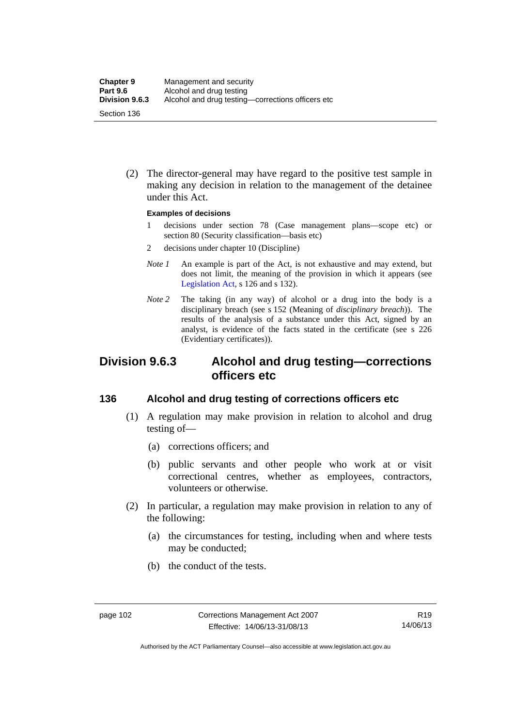(2) The director-general may have regard to the positive test sample in making any decision in relation to the management of the detainee under this Act.

### **Examples of decisions**

- 1 decisions under section 78 (Case management plans—scope etc) or section 80 (Security classification—basis etc)
- 2 decisions under chapter 10 (Discipline)
- *Note 1* An example is part of the Act, is not exhaustive and may extend, but does not limit, the meaning of the provision in which it appears (see [Legislation Act,](http://www.legislation.act.gov.au/a/2001-14) s 126 and s 132).
- *Note* 2 The taking (in any way) of alcohol or a drug into the body is a disciplinary breach (see s 152 (Meaning of *disciplinary breach*)). The results of the analysis of a substance under this Act, signed by an analyst, is evidence of the facts stated in the certificate (see s 226 (Evidentiary certificates)).

## **Division 9.6.3 Alcohol and drug testing—corrections officers etc**

### **136 Alcohol and drug testing of corrections officers etc**

- (1) A regulation may make provision in relation to alcohol and drug testing of—
	- (a) corrections officers; and
	- (b) public servants and other people who work at or visit correctional centres, whether as employees, contractors, volunteers or otherwise.
- (2) In particular, a regulation may make provision in relation to any of the following:
	- (a) the circumstances for testing, including when and where tests may be conducted;
	- (b) the conduct of the tests.

Authorised by the ACT Parliamentary Counsel—also accessible at www.legislation.act.gov.au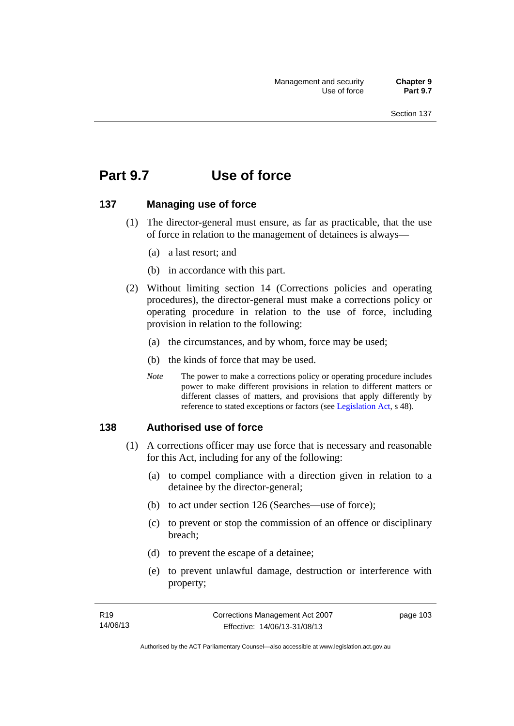# **Part 9.7 Use of force**

### **137 Managing use of force**

- (1) The director-general must ensure, as far as practicable, that the use of force in relation to the management of detainees is always—
	- (a) a last resort; and
	- (b) in accordance with this part.
- (2) Without limiting section 14 (Corrections policies and operating procedures), the director-general must make a corrections policy or operating procedure in relation to the use of force, including provision in relation to the following:
	- (a) the circumstances, and by whom, force may be used;
	- (b) the kinds of force that may be used.
	- *Note* The power to make a corrections policy or operating procedure includes power to make different provisions in relation to different matters or different classes of matters, and provisions that apply differently by reference to stated exceptions or factors (see [Legislation Act](http://www.legislation.act.gov.au/a/2001-14), s 48).

### **138 Authorised use of force**

- (1) A corrections officer may use force that is necessary and reasonable for this Act, including for any of the following:
	- (a) to compel compliance with a direction given in relation to a detainee by the director-general;
	- (b) to act under section 126 (Searches—use of force);
	- (c) to prevent or stop the commission of an offence or disciplinary breach;
	- (d) to prevent the escape of a detainee;
	- (e) to prevent unlawful damage, destruction or interference with property;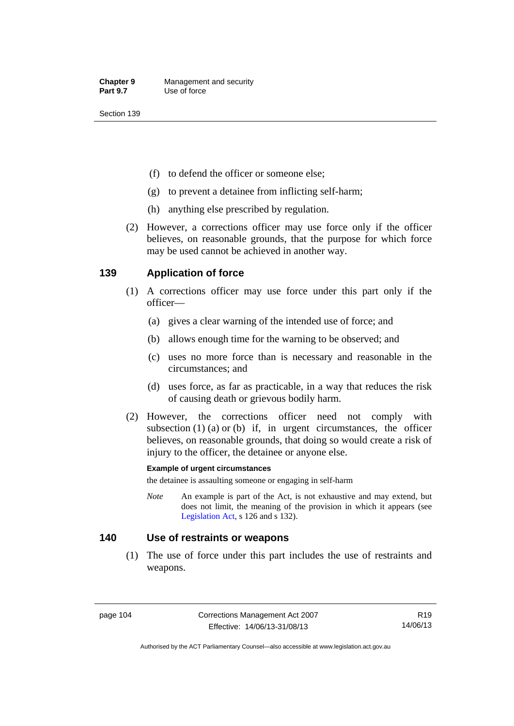- (f) to defend the officer or someone else;
- (g) to prevent a detainee from inflicting self-harm;
- (h) anything else prescribed by regulation.
- (2) However, a corrections officer may use force only if the officer believes, on reasonable grounds, that the purpose for which force may be used cannot be achieved in another way.

## **139 Application of force**

- (1) A corrections officer may use force under this part only if the officer—
	- (a) gives a clear warning of the intended use of force; and
	- (b) allows enough time for the warning to be observed; and
	- (c) uses no more force than is necessary and reasonable in the circumstances; and
	- (d) uses force, as far as practicable, in a way that reduces the risk of causing death or grievous bodily harm.
- (2) However, the corrections officer need not comply with subsection  $(1)$   $(a)$  or  $(b)$  if, in urgent circumstances, the officer believes, on reasonable grounds, that doing so would create a risk of injury to the officer, the detainee or anyone else.

### **Example of urgent circumstances**

the detainee is assaulting someone or engaging in self-harm

*Note* An example is part of the Act, is not exhaustive and may extend, but does not limit, the meaning of the provision in which it appears (see [Legislation Act,](http://www.legislation.act.gov.au/a/2001-14) s 126 and s 132).

### **140 Use of restraints or weapons**

 (1) The use of force under this part includes the use of restraints and weapons.

page 104 Corrections Management Act 2007 Effective: 14/06/13-31/08/13

R19 14/06/13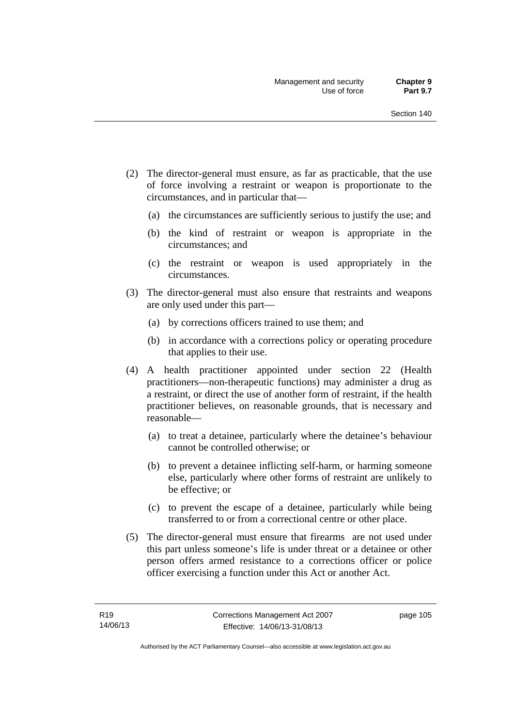- (2) The director-general must ensure, as far as practicable, that the use of force involving a restraint or weapon is proportionate to the circumstances, and in particular that—
	- (a) the circumstances are sufficiently serious to justify the use; and
	- (b) the kind of restraint or weapon is appropriate in the circumstances; and
	- (c) the restraint or weapon is used appropriately in the circumstances.
- (3) The director-general must also ensure that restraints and weapons are only used under this part—
	- (a) by corrections officers trained to use them; and
	- (b) in accordance with a corrections policy or operating procedure that applies to their use.
- (4) A health practitioner appointed under section 22 (Health practitioners—non-therapeutic functions) may administer a drug as a restraint, or direct the use of another form of restraint, if the health practitioner believes, on reasonable grounds, that is necessary and reasonable—
	- (a) to treat a detainee, particularly where the detainee's behaviour cannot be controlled otherwise; or
	- (b) to prevent a detainee inflicting self-harm, or harming someone else, particularly where other forms of restraint are unlikely to be effective; or
	- (c) to prevent the escape of a detainee, particularly while being transferred to or from a correctional centre or other place.
- (5) The director-general must ensure that firearms are not used under this part unless someone's life is under threat or a detainee or other person offers armed resistance to a corrections officer or police officer exercising a function under this Act or another Act.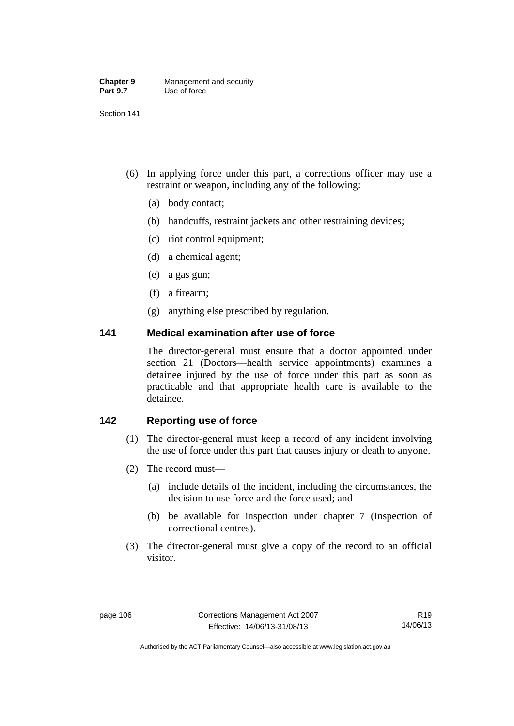| <b>Chapter 9</b> | Management and security |
|------------------|-------------------------|
| <b>Part 9.7</b>  | Use of force            |

- (6) In applying force under this part, a corrections officer may use a restraint or weapon, including any of the following:
	- (a) body contact;
	- (b) handcuffs, restraint jackets and other restraining devices;
	- (c) riot control equipment;
	- (d) a chemical agent;
	- (e) a gas gun;
	- (f) a firearm;
	- (g) anything else prescribed by regulation.

### **141 Medical examination after use of force**

The director-general must ensure that a doctor appointed under section 21 (Doctors—health service appointments) examines a detainee injured by the use of force under this part as soon as practicable and that appropriate health care is available to the detainee.

## **142 Reporting use of force**

- (1) The director-general must keep a record of any incident involving the use of force under this part that causes injury or death to anyone.
- (2) The record must—
	- (a) include details of the incident, including the circumstances, the decision to use force and the force used; and
	- (b) be available for inspection under chapter 7 (Inspection of correctional centres).
- (3) The director-general must give a copy of the record to an official visitor.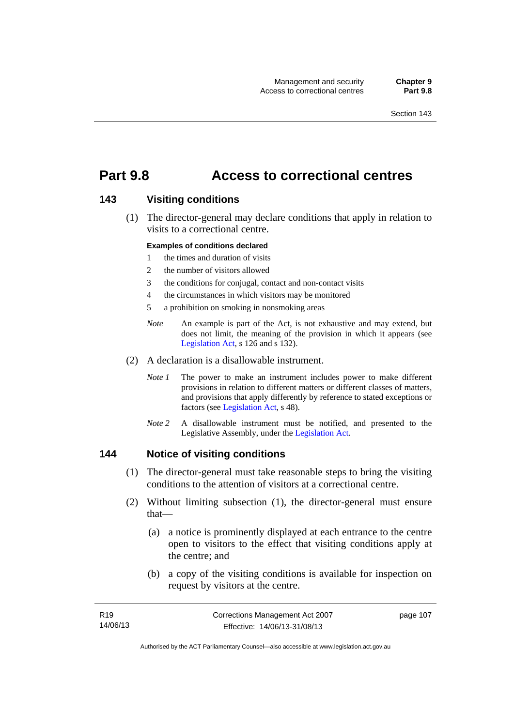# **Part 9.8 Access to correctional centres**

### **143 Visiting conditions**

 (1) The director-general may declare conditions that apply in relation to visits to a correctional centre.

### **Examples of conditions declared**

- 1 the times and duration of visits
- 2 the number of visitors allowed
- 3 the conditions for conjugal, contact and non-contact visits
- 4 the circumstances in which visitors may be monitored
- 5 a prohibition on smoking in nonsmoking areas
- *Note* An example is part of the Act, is not exhaustive and may extend, but does not limit, the meaning of the provision in which it appears (see [Legislation Act,](http://www.legislation.act.gov.au/a/2001-14) s 126 and s 132).
- (2) A declaration is a disallowable instrument.
	- *Note I* The power to make an instrument includes power to make different provisions in relation to different matters or different classes of matters, and provisions that apply differently by reference to stated exceptions or factors (see [Legislation Act](http://www.legislation.act.gov.au/a/2001-14), s 48).
	- *Note 2* A disallowable instrument must be notified, and presented to the Legislative Assembly, under the [Legislation Act.](http://www.legislation.act.gov.au/a/2001-14)

### **144 Notice of visiting conditions**

- (1) The director-general must take reasonable steps to bring the visiting conditions to the attention of visitors at a correctional centre.
- (2) Without limiting subsection (1), the director-general must ensure that—
	- (a) a notice is prominently displayed at each entrance to the centre open to visitors to the effect that visiting conditions apply at the centre; and
	- (b) a copy of the visiting conditions is available for inspection on request by visitors at the centre.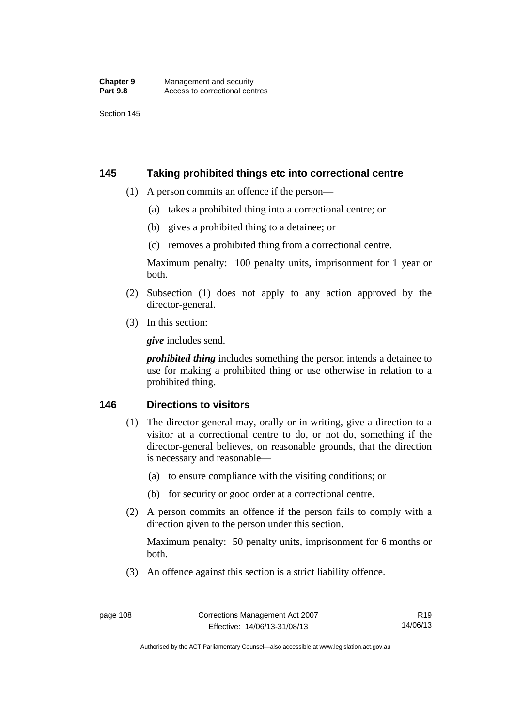### **145 Taking prohibited things etc into correctional centre**

- (1) A person commits an offence if the person—
	- (a) takes a prohibited thing into a correctional centre; or
	- (b) gives a prohibited thing to a detainee; or
	- (c) removes a prohibited thing from a correctional centre.

Maximum penalty: 100 penalty units, imprisonment for 1 year or both.

- (2) Subsection (1) does not apply to any action approved by the director-general.
- (3) In this section:

*give* includes send.

*prohibited thing* includes something the person intends a detainee to use for making a prohibited thing or use otherwise in relation to a prohibited thing.

### **146 Directions to visitors**

- (1) The director-general may, orally or in writing, give a direction to a visitor at a correctional centre to do, or not do, something if the director-general believes, on reasonable grounds, that the direction is necessary and reasonable—
	- (a) to ensure compliance with the visiting conditions; or
	- (b) for security or good order at a correctional centre.
- (2) A person commits an offence if the person fails to comply with a direction given to the person under this section.

Maximum penalty: 50 penalty units, imprisonment for 6 months or both.

(3) An offence against this section is a strict liability offence.

R19 14/06/13

Authorised by the ACT Parliamentary Counsel—also accessible at www.legislation.act.gov.au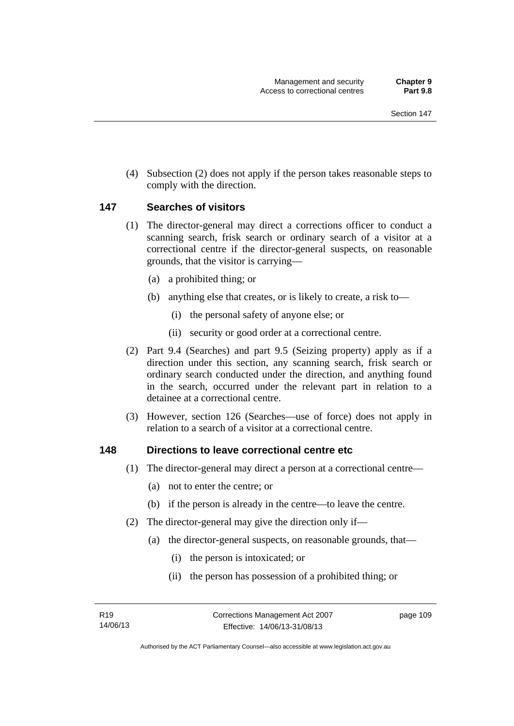(4) Subsection (2) does not apply if the person takes reasonable steps to comply with the direction.

### **147 Searches of visitors**

- (1) The director-general may direct a corrections officer to conduct a scanning search, frisk search or ordinary search of a visitor at a correctional centre if the director-general suspects, on reasonable grounds, that the visitor is carrying—
	- (a) a prohibited thing; or
	- (b) anything else that creates, or is likely to create, a risk to—
		- (i) the personal safety of anyone else; or
		- (ii) security or good order at a correctional centre.
- (2) Part 9.4 (Searches) and part 9.5 (Seizing property) apply as if a direction under this section, any scanning search, frisk search or ordinary search conducted under the direction, and anything found in the search, occurred under the relevant part in relation to a detainee at a correctional centre.
- (3) However, section 126 (Searches—use of force) does not apply in relation to a search of a visitor at a correctional centre.

### **148 Directions to leave correctional centre etc**

- (1) The director-general may direct a person at a correctional centre—
	- (a) not to enter the centre; or
	- (b) if the person is already in the centre—to leave the centre.
- (2) The director-general may give the direction only if—
	- (a) the director-general suspects, on reasonable grounds, that—
		- (i) the person is intoxicated; or
		- (ii) the person has possession of a prohibited thing; or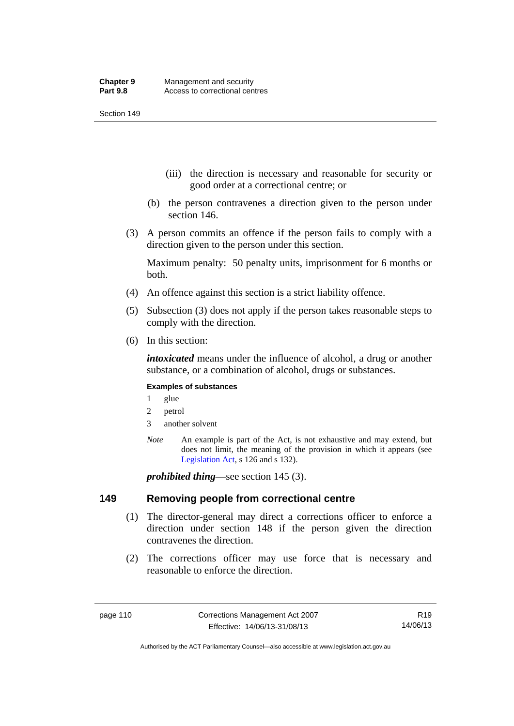- (iii) the direction is necessary and reasonable for security or good order at a correctional centre; or
- (b) the person contravenes a direction given to the person under section 146.
- (3) A person commits an offence if the person fails to comply with a direction given to the person under this section.

Maximum penalty: 50 penalty units, imprisonment for 6 months or both.

- (4) An offence against this section is a strict liability offence.
- (5) Subsection (3) does not apply if the person takes reasonable steps to comply with the direction.
- (6) In this section:

*intoxicated* means under the influence of alcohol, a drug or another substance, or a combination of alcohol, drugs or substances.

### **Examples of substances**

- 1 glue
- 2 petrol
- 3 another solvent
- *Note* An example is part of the Act, is not exhaustive and may extend, but does not limit, the meaning of the provision in which it appears (see [Legislation Act,](http://www.legislation.act.gov.au/a/2001-14) s 126 and s 132).

*prohibited thing*—see section 145 (3).

### **149 Removing people from correctional centre**

- (1) The director-general may direct a corrections officer to enforce a direction under section 148 if the person given the direction contravenes the direction.
- (2) The corrections officer may use force that is necessary and reasonable to enforce the direction.

Authorised by the ACT Parliamentary Counsel—also accessible at www.legislation.act.gov.au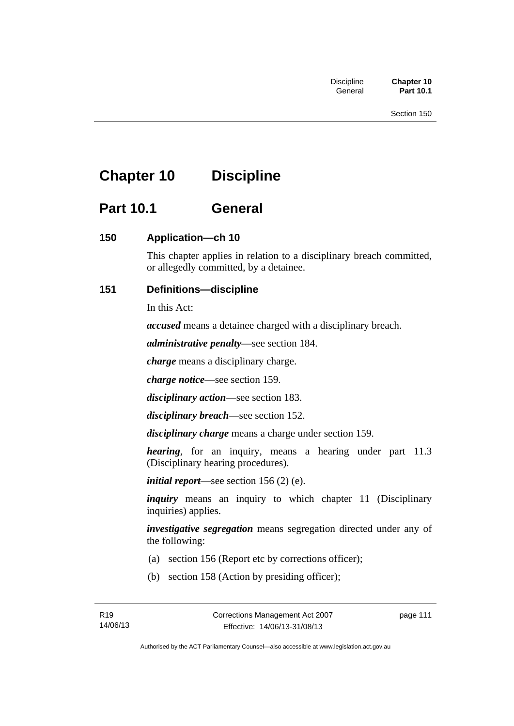# **Chapter 10 Discipline**

# **Part 10.1 General**

## **150 Application—ch 10**

This chapter applies in relation to a disciplinary breach committed, or allegedly committed, by a detainee.

## **151 Definitions—discipline**

In this Act:

*accused* means a detainee charged with a disciplinary breach.

*administrative penalty*—see section 184.

*charge* means a disciplinary charge.

*charge notice*—see section 159.

*disciplinary action*—see section 183.

*disciplinary breach*—see section 152.

*disciplinary charge* means a charge under section 159.

*hearing*, for an inquiry, means a hearing under part 11.3 (Disciplinary hearing procedures).

*initial report*—see section 156 (2) (e).

*inquiry* means an inquiry to which chapter 11 (Disciplinary inquiries) applies.

*investigative segregation* means segregation directed under any of the following:

- (a) section 156 (Report etc by corrections officer);
- (b) section 158 (Action by presiding officer);

page 111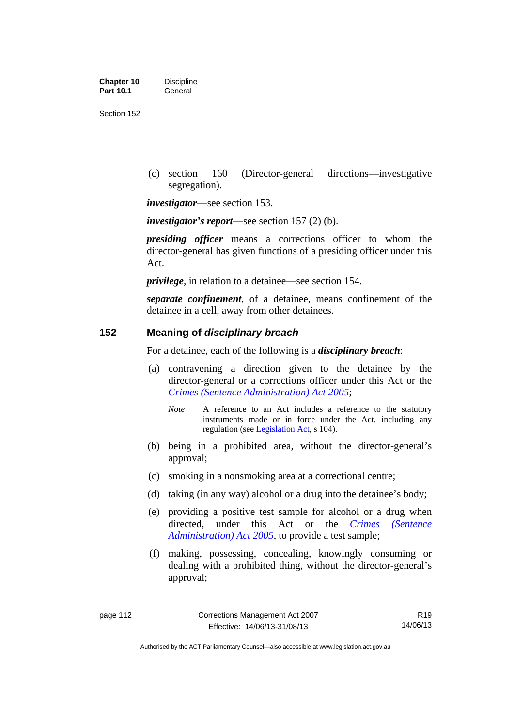| <b>Chapter 10</b> | <b>Discipline</b> |
|-------------------|-------------------|
| <b>Part 10.1</b>  | General           |

 (c) section 160 (Director-general directions—investigative segregation).

*investigator*—see section 153.

*investigator's report*—see section 157 (2) (b).

*presiding officer* means a corrections officer to whom the director-general has given functions of a presiding officer under this Act.

*privilege*, in relation to a detainee—see section 154.

*separate confinement*, of a detainee, means confinement of the detainee in a cell, away from other detainees.

### **152 Meaning of** *disciplinary breach*

For a detainee, each of the following is a *disciplinary breach*:

- (a) contravening a direction given to the detainee by the director-general or a corrections officer under this Act or the *[Crimes \(Sentence Administration\) Act 2005](http://www.legislation.act.gov.au/a/2005-59)*;
	- *Note* A reference to an Act includes a reference to the statutory instruments made or in force under the Act, including any regulation (see [Legislation Act,](http://www.legislation.act.gov.au/a/2001-14) s 104).
- (b) being in a prohibited area, without the director-general's approval;
- (c) smoking in a nonsmoking area at a correctional centre;
- (d) taking (in any way) alcohol or a drug into the detainee's body;
- (e) providing a positive test sample for alcohol or a drug when directed, under this Act or the *[Crimes \(Sentence](http://www.legislation.act.gov.au/a/2005-59)  [Administration\) Act 2005](http://www.legislation.act.gov.au/a/2005-59)*, to provide a test sample;
- (f) making, possessing, concealing, knowingly consuming or dealing with a prohibited thing, without the director-general's approval;

Authorised by the ACT Parliamentary Counsel—also accessible at www.legislation.act.gov.au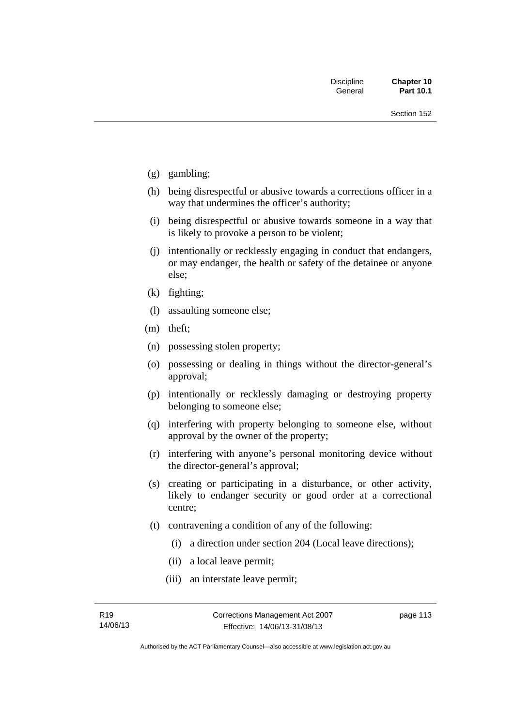- (g) gambling;
- (h) being disrespectful or abusive towards a corrections officer in a way that undermines the officer's authority;
- (i) being disrespectful or abusive towards someone in a way that is likely to provoke a person to be violent;
- (j) intentionally or recklessly engaging in conduct that endangers, or may endanger, the health or safety of the detainee or anyone else;
- (k) fighting;
- (l) assaulting someone else;
- (m) theft;
- (n) possessing stolen property;
- (o) possessing or dealing in things without the director-general's approval;
- (p) intentionally or recklessly damaging or destroying property belonging to someone else;
- (q) interfering with property belonging to someone else, without approval by the owner of the property;
- (r) interfering with anyone's personal monitoring device without the director-general's approval;
- (s) creating or participating in a disturbance, or other activity, likely to endanger security or good order at a correctional centre;
- (t) contravening a condition of any of the following:
	- (i) a direction under section 204 (Local leave directions);
	- (ii) a local leave permit;
	- (iii) an interstate leave permit;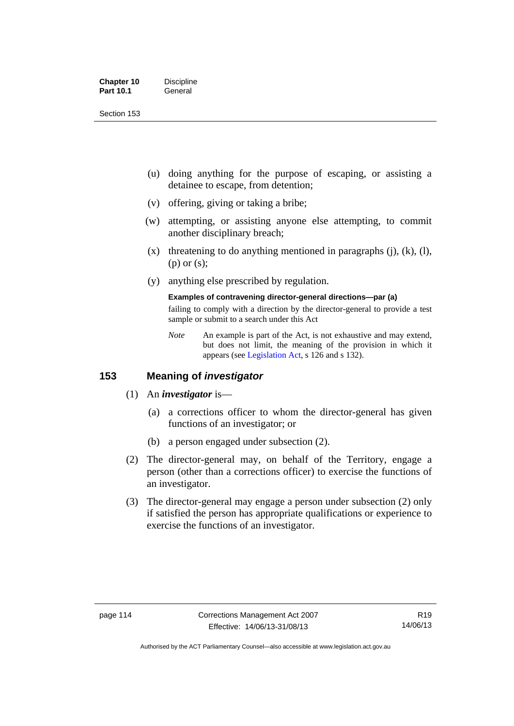| <b>Chapter 10</b> | <b>Discipline</b> |
|-------------------|-------------------|
| <b>Part 10.1</b>  | General           |

- (u) doing anything for the purpose of escaping, or assisting a detainee to escape, from detention;
- (v) offering, giving or taking a bribe;
- (w) attempting, or assisting anyone else attempting, to commit another disciplinary breach;
- $(x)$  threatening to do anything mentioned in paragraphs (j), (k), (l), (p) or (s);
- (y) anything else prescribed by regulation.

## **Examples of contravening director-general directions—par (a)**

failing to comply with a direction by the director-general to provide a test sample or submit to a search under this Act

*Note* An example is part of the Act, is not exhaustive and may extend, but does not limit, the meaning of the provision in which it appears (see [Legislation Act,](http://www.legislation.act.gov.au/a/2001-14) s 126 and s 132).

### **153 Meaning of** *investigator*

- (1) An *investigator* is—
	- (a) a corrections officer to whom the director-general has given functions of an investigator; or
	- (b) a person engaged under subsection (2).
- (2) The director-general may, on behalf of the Territory, engage a person (other than a corrections officer) to exercise the functions of an investigator.
- (3) The director-general may engage a person under subsection (2) only if satisfied the person has appropriate qualifications or experience to exercise the functions of an investigator.

Authorised by the ACT Parliamentary Counsel—also accessible at www.legislation.act.gov.au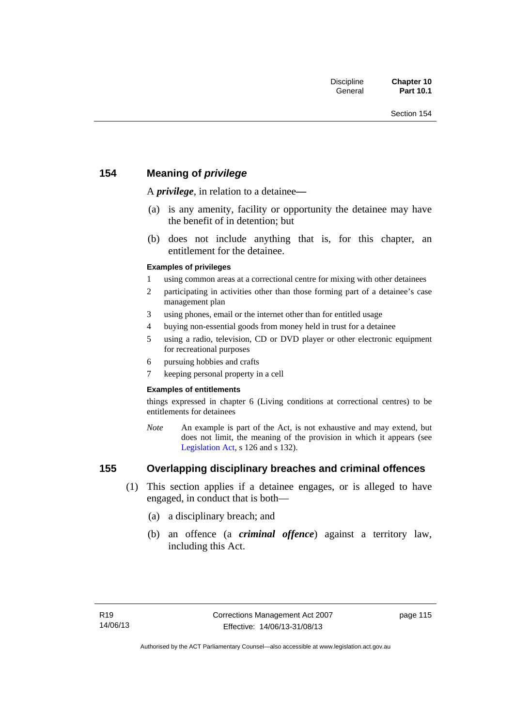## **154 Meaning of** *privilege*

A *privilege*, in relation to a detainee*—*

- (a) is any amenity, facility or opportunity the detainee may have the benefit of in detention; but
- (b) does not include anything that is, for this chapter, an entitlement for the detainee.

### **Examples of privileges**

- 1 using common areas at a correctional centre for mixing with other detainees
- 2 participating in activities other than those forming part of a detainee's case management plan
- 3 using phones, email or the internet other than for entitled usage
- 4 buying non-essential goods from money held in trust for a detainee
- 5 using a radio, television, CD or DVD player or other electronic equipment for recreational purposes
- 6 pursuing hobbies and crafts
- 7 keeping personal property in a cell

#### **Examples of entitlements**

things expressed in chapter 6 (Living conditions at correctional centres) to be entitlements for detainees

*Note* An example is part of the Act, is not exhaustive and may extend, but does not limit, the meaning of the provision in which it appears (see [Legislation Act,](http://www.legislation.act.gov.au/a/2001-14) s 126 and s 132).

## **155 Overlapping disciplinary breaches and criminal offences**

- (1) This section applies if a detainee engages, or is alleged to have engaged, in conduct that is both—
	- (a) a disciplinary breach; and
	- (b) an offence (a *criminal offence*) against a territory law, including this Act.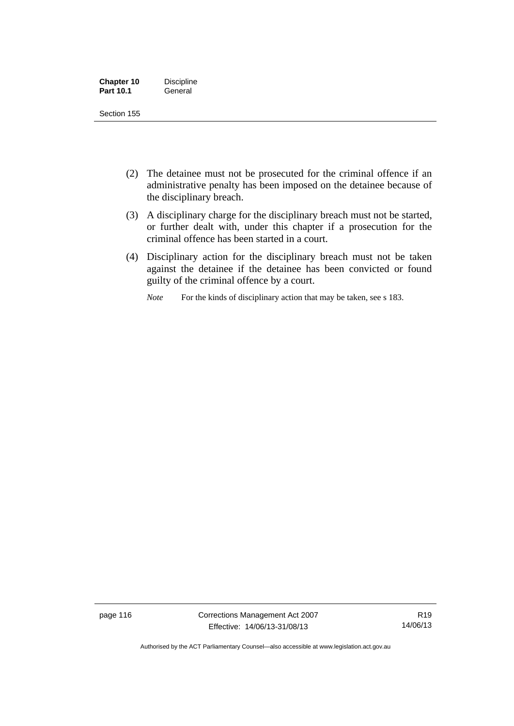| <b>Chapter 10</b> | <b>Discipline</b> |
|-------------------|-------------------|
| <b>Part 10.1</b>  | General           |

- (2) The detainee must not be prosecuted for the criminal offence if an administrative penalty has been imposed on the detainee because of the disciplinary breach.
- (3) A disciplinary charge for the disciplinary breach must not be started, or further dealt with, under this chapter if a prosecution for the criminal offence has been started in a court.
- (4) Disciplinary action for the disciplinary breach must not be taken against the detainee if the detainee has been convicted or found guilty of the criminal offence by a court.

*Note* For the kinds of disciplinary action that may be taken, see s 183.

page 116 Corrections Management Act 2007 Effective: 14/06/13-31/08/13

R19 14/06/13

Authorised by the ACT Parliamentary Counsel—also accessible at www.legislation.act.gov.au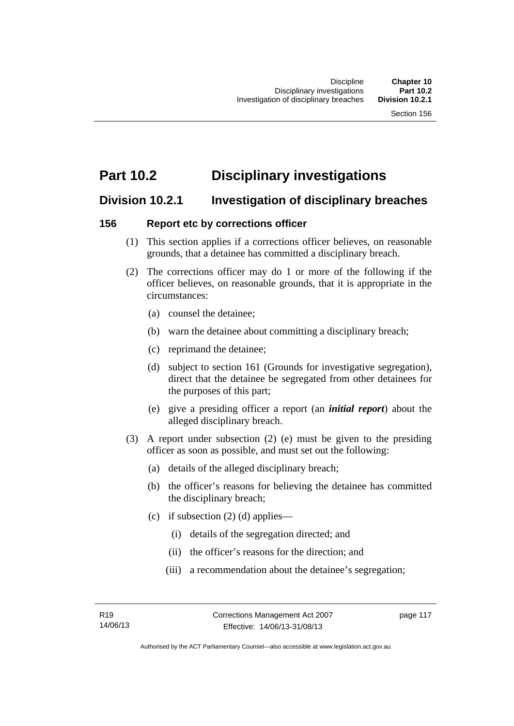# **Part 10.2 Disciplinary investigations**

# **Division 10.2.1 Investigation of disciplinary breaches**

## **156 Report etc by corrections officer**

- (1) This section applies if a corrections officer believes, on reasonable grounds, that a detainee has committed a disciplinary breach.
- (2) The corrections officer may do 1 or more of the following if the officer believes, on reasonable grounds, that it is appropriate in the circumstances:
	- (a) counsel the detainee;
	- (b) warn the detainee about committing a disciplinary breach;
	- (c) reprimand the detainee;
	- (d) subject to section 161 (Grounds for investigative segregation), direct that the detainee be segregated from other detainees for the purposes of this part;
	- (e) give a presiding officer a report (an *initial report*) about the alleged disciplinary breach.
- (3) A report under subsection (2) (e) must be given to the presiding officer as soon as possible, and must set out the following:
	- (a) details of the alleged disciplinary breach;
	- (b) the officer's reasons for believing the detainee has committed the disciplinary breach;
	- (c) if subsection  $(2)$  (d) applies—
		- (i) details of the segregation directed; and
		- (ii) the officer's reasons for the direction; and
		- (iii) a recommendation about the detainee's segregation;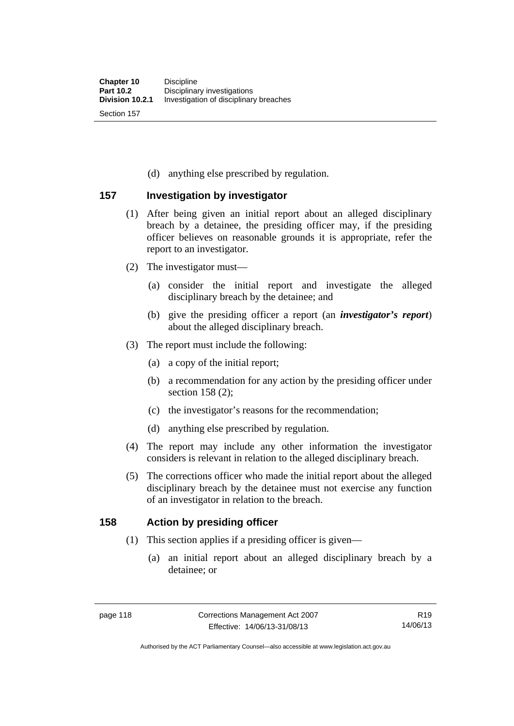(d) anything else prescribed by regulation.

## **157 Investigation by investigator**

- (1) After being given an initial report about an alleged disciplinary breach by a detainee, the presiding officer may, if the presiding officer believes on reasonable grounds it is appropriate, refer the report to an investigator.
- (2) The investigator must—
	- (a) consider the initial report and investigate the alleged disciplinary breach by the detainee; and
	- (b) give the presiding officer a report (an *investigator's report*) about the alleged disciplinary breach.
- (3) The report must include the following:
	- (a) a copy of the initial report;
	- (b) a recommendation for any action by the presiding officer under section 158 (2):
	- (c) the investigator's reasons for the recommendation;
	- (d) anything else prescribed by regulation.
- (4) The report may include any other information the investigator considers is relevant in relation to the alleged disciplinary breach.
- (5) The corrections officer who made the initial report about the alleged disciplinary breach by the detainee must not exercise any function of an investigator in relation to the breach.

## **158 Action by presiding officer**

- (1) This section applies if a presiding officer is given—
	- (a) an initial report about an alleged disciplinary breach by a detainee; or

Authorised by the ACT Parliamentary Counsel—also accessible at www.legislation.act.gov.au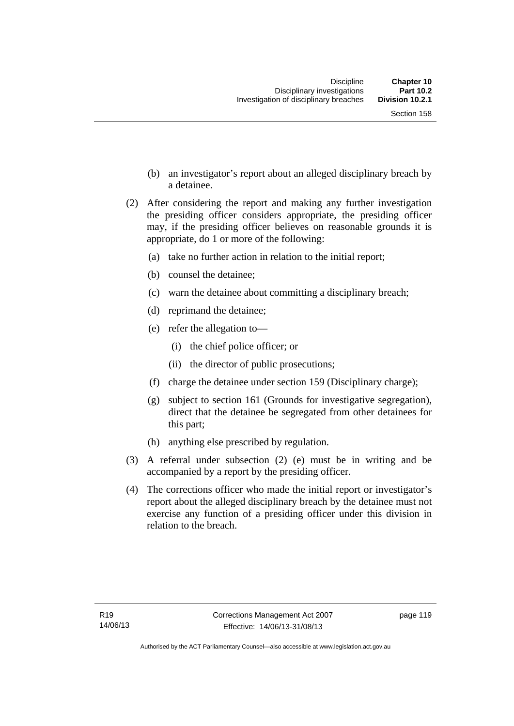- (b) an investigator's report about an alleged disciplinary breach by a detainee.
- (2) After considering the report and making any further investigation the presiding officer considers appropriate, the presiding officer may, if the presiding officer believes on reasonable grounds it is appropriate, do 1 or more of the following:
	- (a) take no further action in relation to the initial report;
	- (b) counsel the detainee;
	- (c) warn the detainee about committing a disciplinary breach;
	- (d) reprimand the detainee;
	- (e) refer the allegation to—
		- (i) the chief police officer; or
		- (ii) the director of public prosecutions;
	- (f) charge the detainee under section 159 (Disciplinary charge);
	- (g) subject to section 161 (Grounds for investigative segregation), direct that the detainee be segregated from other detainees for this part;
	- (h) anything else prescribed by regulation.
- (3) A referral under subsection (2) (e) must be in writing and be accompanied by a report by the presiding officer.
- (4) The corrections officer who made the initial report or investigator's report about the alleged disciplinary breach by the detainee must not exercise any function of a presiding officer under this division in relation to the breach.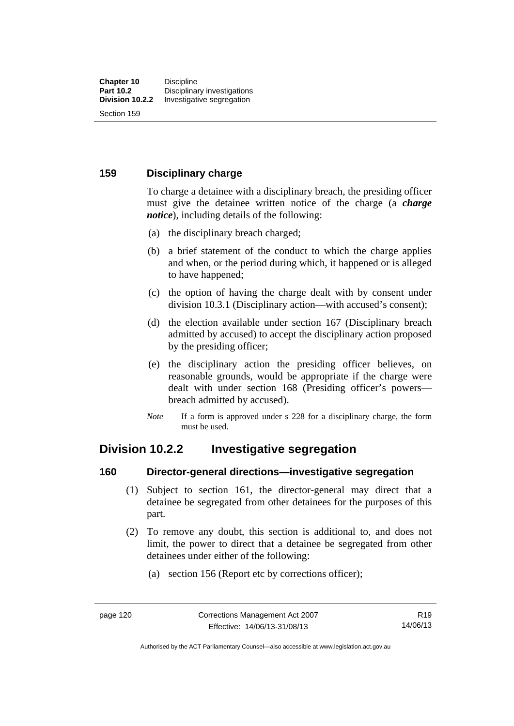### **159 Disciplinary charge**

To charge a detainee with a disciplinary breach, the presiding officer must give the detainee written notice of the charge (a *charge notice*), including details of the following:

- (a) the disciplinary breach charged;
- (b) a brief statement of the conduct to which the charge applies and when, or the period during which, it happened or is alleged to have happened;
- (c) the option of having the charge dealt with by consent under division 10.3.1 (Disciplinary action—with accused's consent);
- (d) the election available under section 167 (Disciplinary breach admitted by accused) to accept the disciplinary action proposed by the presiding officer;
- (e) the disciplinary action the presiding officer believes, on reasonable grounds, would be appropriate if the charge were dealt with under section 168 (Presiding officer's powers breach admitted by accused).
- *Note* If a form is approved under s 228 for a disciplinary charge, the form must be used.

# **Division 10.2.2 Investigative segregation**

### **160 Director-general directions—investigative segregation**

- (1) Subject to section 161, the director-general may direct that a detainee be segregated from other detainees for the purposes of this part.
- (2) To remove any doubt, this section is additional to, and does not limit, the power to direct that a detainee be segregated from other detainees under either of the following:
	- (a) section 156 (Report etc by corrections officer);

Authorised by the ACT Parliamentary Counsel—also accessible at www.legislation.act.gov.au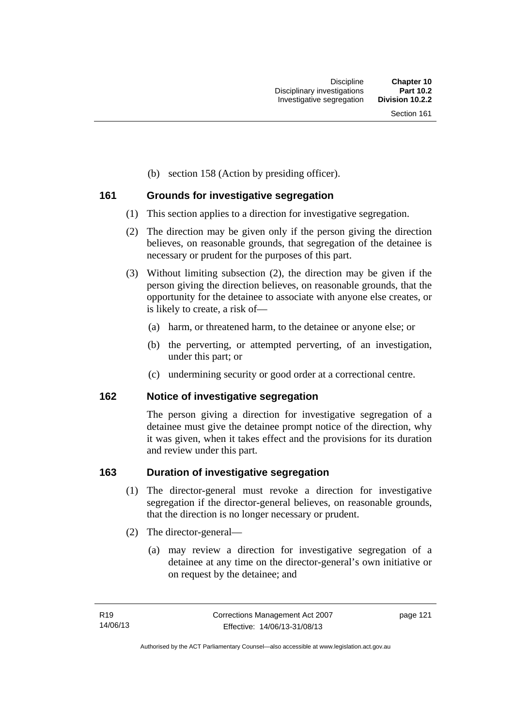(b) section 158 (Action by presiding officer).

## **161 Grounds for investigative segregation**

- (1) This section applies to a direction for investigative segregation.
- (2) The direction may be given only if the person giving the direction believes, on reasonable grounds, that segregation of the detainee is necessary or prudent for the purposes of this part.
- (3) Without limiting subsection (2), the direction may be given if the person giving the direction believes, on reasonable grounds, that the opportunity for the detainee to associate with anyone else creates, or is likely to create, a risk of—
	- (a) harm, or threatened harm, to the detainee or anyone else; or
	- (b) the perverting, or attempted perverting, of an investigation, under this part; or
	- (c) undermining security or good order at a correctional centre.

## **162 Notice of investigative segregation**

The person giving a direction for investigative segregation of a detainee must give the detainee prompt notice of the direction, why it was given, when it takes effect and the provisions for its duration and review under this part.

## **163 Duration of investigative segregation**

- (1) The director-general must revoke a direction for investigative segregation if the director-general believes, on reasonable grounds, that the direction is no longer necessary or prudent.
- (2) The director-general—
	- (a) may review a direction for investigative segregation of a detainee at any time on the director-general's own initiative or on request by the detainee; and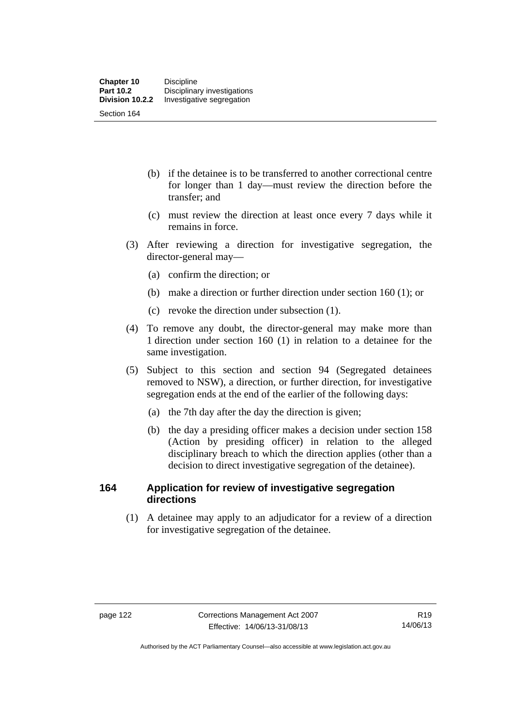- (b) if the detainee is to be transferred to another correctional centre for longer than 1 day—must review the direction before the transfer; and
- (c) must review the direction at least once every 7 days while it remains in force.
- (3) After reviewing a direction for investigative segregation, the director-general may—
	- (a) confirm the direction; or
	- (b) make a direction or further direction under section 160 (1); or
	- (c) revoke the direction under subsection (1).
- (4) To remove any doubt, the director-general may make more than 1 direction under section 160 (1) in relation to a detainee for the same investigation.
- (5) Subject to this section and section 94 (Segregated detainees removed to NSW), a direction, or further direction, for investigative segregation ends at the end of the earlier of the following days:
	- (a) the 7th day after the day the direction is given;
	- (b) the day a presiding officer makes a decision under section 158 (Action by presiding officer) in relation to the alleged disciplinary breach to which the direction applies (other than a decision to direct investigative segregation of the detainee).

### **164 Application for review of investigative segregation directions**

(1) A detainee may apply to an adjudicator for a review of a direction for investigative segregation of the detainee.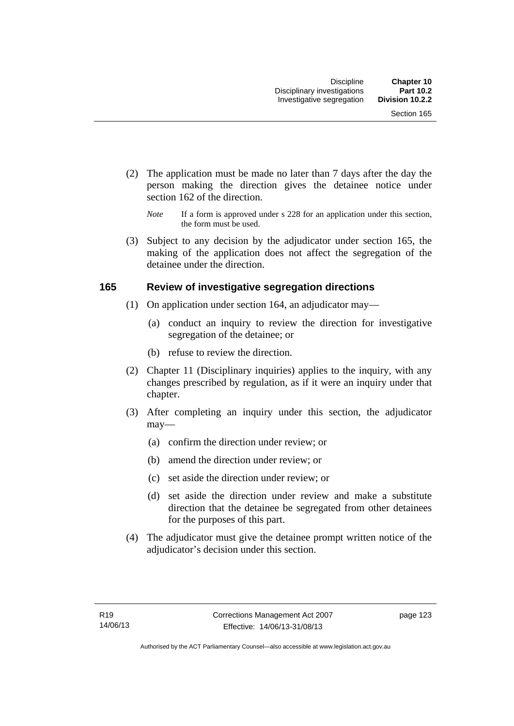- (2) The application must be made no later than 7 days after the day the person making the direction gives the detainee notice under section 162 of the direction.
	- *Note* If a form is approved under s 228 for an application under this section, the form must be used.
- (3) Subject to any decision by the adjudicator under section 165, the making of the application does not affect the segregation of the detainee under the direction.

### **165 Review of investigative segregation directions**

- (1) On application under section 164, an adjudicator may—
	- (a) conduct an inquiry to review the direction for investigative segregation of the detainee; or
	- (b) refuse to review the direction.
- (2) Chapter 11 (Disciplinary inquiries) applies to the inquiry, with any changes prescribed by regulation, as if it were an inquiry under that chapter.
- (3) After completing an inquiry under this section, the adjudicator may—
	- (a) confirm the direction under review; or
	- (b) amend the direction under review; or
	- (c) set aside the direction under review; or
	- (d) set aside the direction under review and make a substitute direction that the detainee be segregated from other detainees for the purposes of this part.
- (4) The adjudicator must give the detainee prompt written notice of the adjudicator's decision under this section.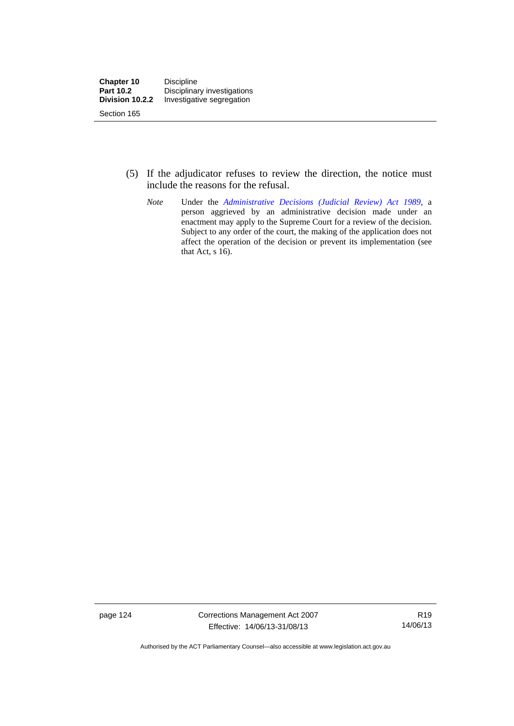- (5) If the adjudicator refuses to review the direction, the notice must include the reasons for the refusal.
	- *Note* Under the *[Administrative Decisions \(Judicial Review\) Act 1989](http://www.legislation.act.gov.au/a/alt_a1989-33co)*, a person aggrieved by an administrative decision made under an enactment may apply to the Supreme Court for a review of the decision. Subject to any order of the court, the making of the application does not affect the operation of the decision or prevent its implementation (see that Act, s 16).

page 124 Corrections Management Act 2007 Effective: 14/06/13-31/08/13

R19 14/06/13

Authorised by the ACT Parliamentary Counsel—also accessible at www.legislation.act.gov.au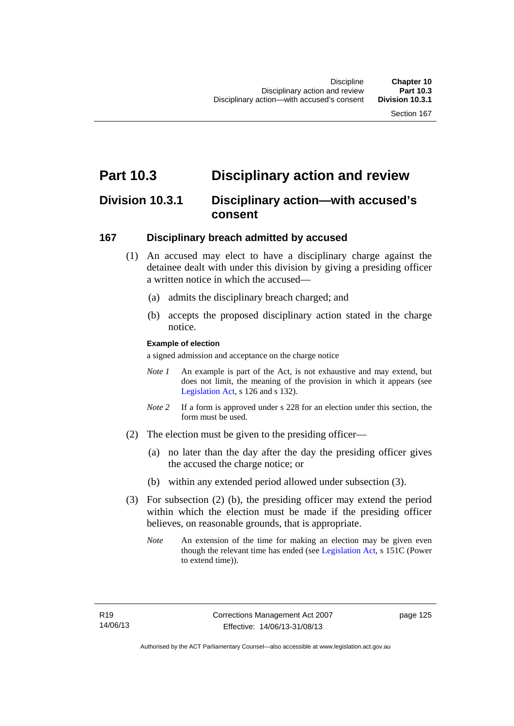# **Part 10.3 Disciplinary action and review**

# **Division 10.3.1 Disciplinary action—with accused's consent**

### **167 Disciplinary breach admitted by accused**

- (1) An accused may elect to have a disciplinary charge against the detainee dealt with under this division by giving a presiding officer a written notice in which the accused—
	- (a) admits the disciplinary breach charged; and
	- (b) accepts the proposed disciplinary action stated in the charge notice.

### **Example of election**

a signed admission and acceptance on the charge notice

- *Note 1* An example is part of the Act, is not exhaustive and may extend, but does not limit, the meaning of the provision in which it appears (see [Legislation Act,](http://www.legislation.act.gov.au/a/2001-14) s 126 and s 132).
- *Note* 2 If a form is approved under s 228 for an election under this section, the form must be used.
- (2) The election must be given to the presiding officer—
	- (a) no later than the day after the day the presiding officer gives the accused the charge notice; or
	- (b) within any extended period allowed under subsection (3).
- (3) For subsection (2) (b), the presiding officer may extend the period within which the election must be made if the presiding officer believes, on reasonable grounds, that is appropriate.
	- *Note* An extension of the time for making an election may be given even though the relevant time has ended (see [Legislation Act](http://www.legislation.act.gov.au/a/2001-14), s 151C (Power to extend time)).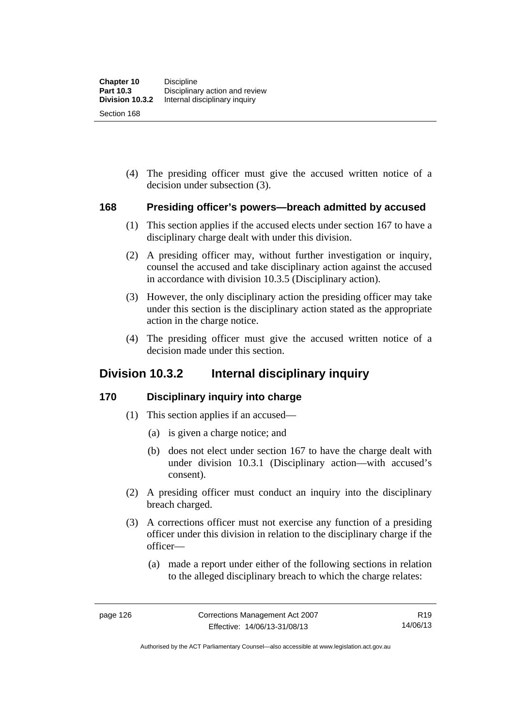(4) The presiding officer must give the accused written notice of a decision under subsection (3).

### **168 Presiding officer's powers—breach admitted by accused**

- (1) This section applies if the accused elects under section 167 to have a disciplinary charge dealt with under this division.
- (2) A presiding officer may, without further investigation or inquiry, counsel the accused and take disciplinary action against the accused in accordance with division 10.3.5 (Disciplinary action).
- (3) However, the only disciplinary action the presiding officer may take under this section is the disciplinary action stated as the appropriate action in the charge notice.
- (4) The presiding officer must give the accused written notice of a decision made under this section.

# **Division 10.3.2 Internal disciplinary inquiry**

### **170 Disciplinary inquiry into charge**

- (1) This section applies if an accused—
	- (a) is given a charge notice; and
	- (b) does not elect under section 167 to have the charge dealt with under division 10.3.1 (Disciplinary action—with accused's consent).
- (2) A presiding officer must conduct an inquiry into the disciplinary breach charged.
- (3) A corrections officer must not exercise any function of a presiding officer under this division in relation to the disciplinary charge if the officer—
	- (a) made a report under either of the following sections in relation to the alleged disciplinary breach to which the charge relates:

Authorised by the ACT Parliamentary Counsel—also accessible at www.legislation.act.gov.au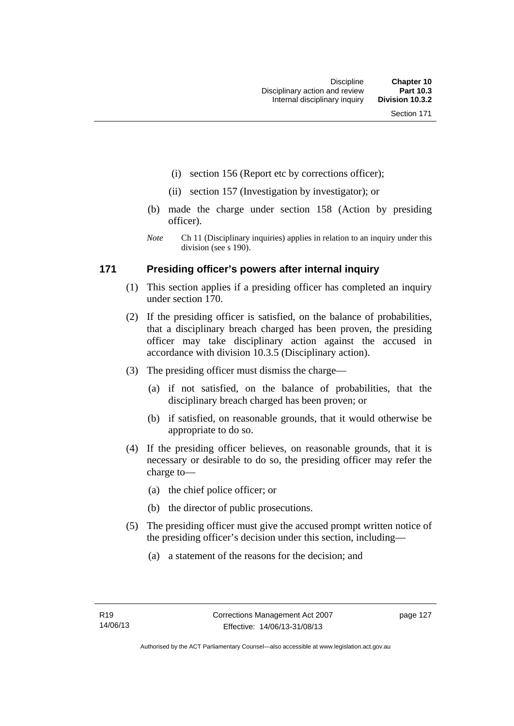- (i) section 156 (Report etc by corrections officer);
- (ii) section 157 (Investigation by investigator); or
- (b) made the charge under section 158 (Action by presiding officer).
- *Note* Ch 11 (Disciplinary inquiries) applies in relation to an inquiry under this division (see s 190).

### **171 Presiding officer's powers after internal inquiry**

- (1) This section applies if a presiding officer has completed an inquiry under section 170.
- (2) If the presiding officer is satisfied, on the balance of probabilities, that a disciplinary breach charged has been proven, the presiding officer may take disciplinary action against the accused in accordance with division 10.3.5 (Disciplinary action).
- (3) The presiding officer must dismiss the charge—
	- (a) if not satisfied, on the balance of probabilities, that the disciplinary breach charged has been proven; or
	- (b) if satisfied, on reasonable grounds, that it would otherwise be appropriate to do so.
- (4) If the presiding officer believes, on reasonable grounds, that it is necessary or desirable to do so, the presiding officer may refer the charge to—
	- (a) the chief police officer; or
	- (b) the director of public prosecutions.
- (5) The presiding officer must give the accused prompt written notice of the presiding officer's decision under this section, including—
	- (a) a statement of the reasons for the decision; and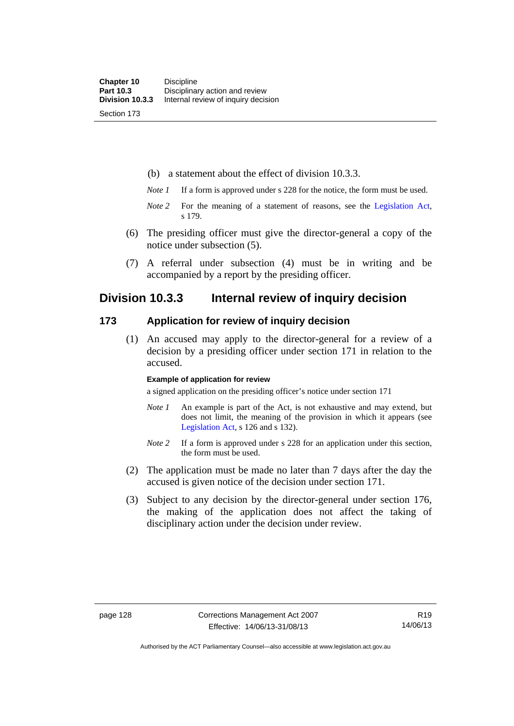(b) a statement about the effect of division 10.3.3.

- *Note 1* If a form is approved under s 228 for the notice, the form must be used.
- *Note 2* For the meaning of a statement of reasons, see the [Legislation Act,](http://www.legislation.act.gov.au/a/2001-14) s 179.
- (6) The presiding officer must give the director-general a copy of the notice under subsection (5).
- (7) A referral under subsection (4) must be in writing and be accompanied by a report by the presiding officer.

## **Division 10.3.3 Internal review of inquiry decision**

### **173 Application for review of inquiry decision**

 (1) An accused may apply to the director-general for a review of a decision by a presiding officer under section 171 in relation to the accused.

#### **Example of application for review**

a signed application on the presiding officer's notice under section 171

- *Note 1* An example is part of the Act, is not exhaustive and may extend, but does not limit, the meaning of the provision in which it appears (see [Legislation Act,](http://www.legislation.act.gov.au/a/2001-14) s 126 and s 132).
- *Note 2* If a form is approved under s 228 for an application under this section, the form must be used.
- (2) The application must be made no later than 7 days after the day the accused is given notice of the decision under section 171.
- (3) Subject to any decision by the director-general under section 176, the making of the application does not affect the taking of disciplinary action under the decision under review.

Authorised by the ACT Parliamentary Counsel—also accessible at www.legislation.act.gov.au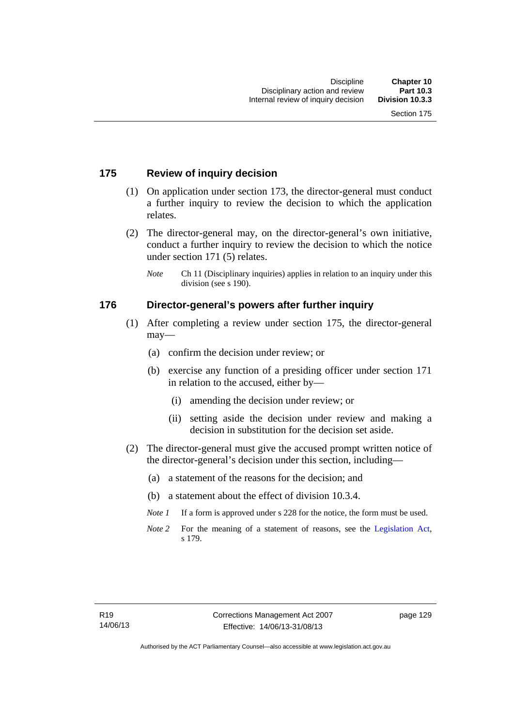# **175 Review of inquiry decision**

- (1) On application under section 173, the director-general must conduct a further inquiry to review the decision to which the application relates.
- (2) The director-general may, on the director-general's own initiative, conduct a further inquiry to review the decision to which the notice under section 171 (5) relates.
	- *Note* Ch 11 (Disciplinary inquiries) applies in relation to an inquiry under this division (see s 190).

# **176 Director-general's powers after further inquiry**

- (1) After completing a review under section 175, the director-general may—
	- (a) confirm the decision under review; or
	- (b) exercise any function of a presiding officer under section 171 in relation to the accused, either by—
		- (i) amending the decision under review; or
		- (ii) setting aside the decision under review and making a decision in substitution for the decision set aside.
- (2) The director-general must give the accused prompt written notice of the director-general's decision under this section, including—
	- (a) a statement of the reasons for the decision; and
	- (b) a statement about the effect of division 10.3.4.
	- *Note 1* If a form is approved under s 228 for the notice, the form must be used.
	- *Note* 2 For the meaning of a statement of reasons, see the [Legislation Act,](http://www.legislation.act.gov.au/a/2001-14) s 179.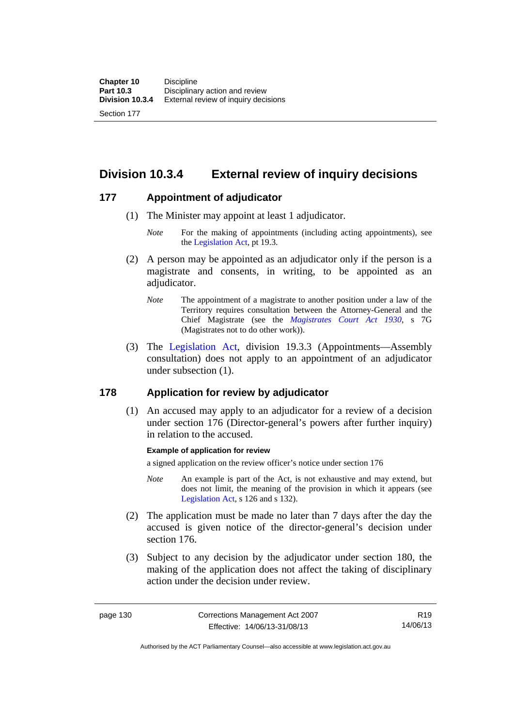Section 177

**Division 10.3.4 External review of inquiry decisions** 

# **177 Appointment of adjudicator**

- (1) The Minister may appoint at least 1 adjudicator.
	- *Note* For the making of appointments (including acting appointments), see the [Legislation Act,](http://www.legislation.act.gov.au/a/2001-14) pt 19.3.
- (2) A person may be appointed as an adjudicator only if the person is a magistrate and consents, in writing, to be appointed as an adjudicator.
	- *Note* The appointment of a magistrate to another position under a law of the Territory requires consultation between the Attorney-General and the Chief Magistrate (see the *[Magistrates Court Act 1930](http://www.legislation.act.gov.au/a/1930-21)*, s 7G (Magistrates not to do other work)).
- (3) The [Legislation Act,](http://www.legislation.act.gov.au/a/2001-14) division 19.3.3 (Appointments—Assembly consultation) does not apply to an appointment of an adjudicator under subsection (1).

# **178 Application for review by adjudicator**

 (1) An accused may apply to an adjudicator for a review of a decision under section 176 (Director-general's powers after further inquiry) in relation to the accused.

## **Example of application for review**

a signed application on the review officer's notice under section 176

- *Note* An example is part of the Act, is not exhaustive and may extend, but does not limit, the meaning of the provision in which it appears (see [Legislation Act,](http://www.legislation.act.gov.au/a/2001-14) s 126 and s 132).
- (2) The application must be made no later than 7 days after the day the accused is given notice of the director-general's decision under section 176.
- (3) Subject to any decision by the adjudicator under section 180, the making of the application does not affect the taking of disciplinary action under the decision under review.

R19 14/06/13

Authorised by the ACT Parliamentary Counsel—also accessible at www.legislation.act.gov.au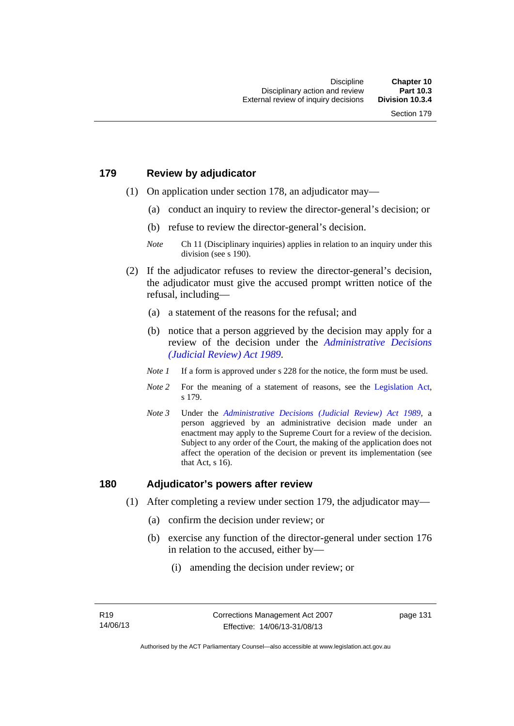# **179 Review by adjudicator**

- (1) On application under section 178, an adjudicator may—
	- (a) conduct an inquiry to review the director-general's decision; or
	- (b) refuse to review the director-general's decision.

- (2) If the adjudicator refuses to review the director-general's decision, the adjudicator must give the accused prompt written notice of the refusal, including—
	- (a) a statement of the reasons for the refusal; and
	- (b) notice that a person aggrieved by the decision may apply for a review of the decision under the *[Administrative Decisions](http://www.legislation.act.gov.au/a/alt_a1989-33co)  [\(Judicial Review\) Act 1989](http://www.legislation.act.gov.au/a/alt_a1989-33co)*.
	- *Note 1* If a form is approved under s 228 for the notice, the form must be used.
	- *Note 2* For the meaning of a statement of reasons, see the [Legislation Act,](http://www.legislation.act.gov.au/a/2001-14) s 179.
	- *Note 3* Under the *[Administrative Decisions \(Judicial Review\) Act 1989](http://www.legislation.act.gov.au/a/alt_a1989-33co)*, a person aggrieved by an administrative decision made under an enactment may apply to the Supreme Court for a review of the decision. Subject to any order of the Court, the making of the application does not affect the operation of the decision or prevent its implementation (see that Act, s 16).

## **180 Adjudicator's powers after review**

- (1) After completing a review under section 179, the adjudicator may—
	- (a) confirm the decision under review; or
	- (b) exercise any function of the director-general under section 176 in relation to the accused, either by—
		- (i) amending the decision under review; or

*Note* Ch 11 (Disciplinary inquiries) applies in relation to an inquiry under this division (see s 190).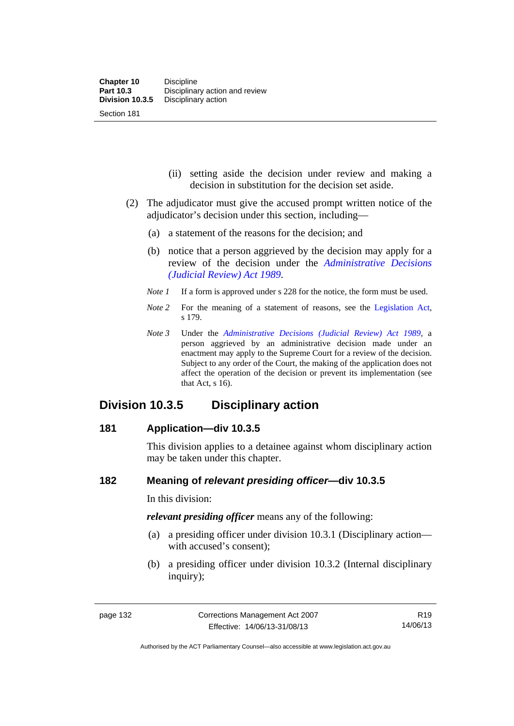- (ii) setting aside the decision under review and making a decision in substitution for the decision set aside.
- (2) The adjudicator must give the accused prompt written notice of the adjudicator's decision under this section, including—
	- (a) a statement of the reasons for the decision; and
	- (b) notice that a person aggrieved by the decision may apply for a review of the decision under the *[Administrative Decisions](http://www.legislation.act.gov.au/a/alt_a1989-33co)  [\(Judicial Review\) Act 1989](http://www.legislation.act.gov.au/a/alt_a1989-33co)*.
	- *Note 1* If a form is approved under s 228 for the notice, the form must be used.
	- *Note 2* For the meaning of a statement of reasons, see the [Legislation Act,](http://www.legislation.act.gov.au/a/2001-14) s 179.
	- *Note 3* Under the *[Administrative Decisions \(Judicial Review\) Act 1989](http://www.legislation.act.gov.au/a/alt_a1989-33co)*, a person aggrieved by an administrative decision made under an enactment may apply to the Supreme Court for a review of the decision. Subject to any order of the Court, the making of the application does not affect the operation of the decision or prevent its implementation (see that Act, s 16).

# **Division 10.3.5 Disciplinary action**

# **181 Application—div 10.3.5**

This division applies to a detainee against whom disciplinary action may be taken under this chapter.

# **182 Meaning of** *relevant presiding officer***—div 10.3.5**

In this division:

*relevant presiding officer* means any of the following:

- (a) a presiding officer under division 10.3.1 (Disciplinary action with accused's consent);
- (b) a presiding officer under division 10.3.2 (Internal disciplinary inquiry);

Authorised by the ACT Parliamentary Counsel—also accessible at www.legislation.act.gov.au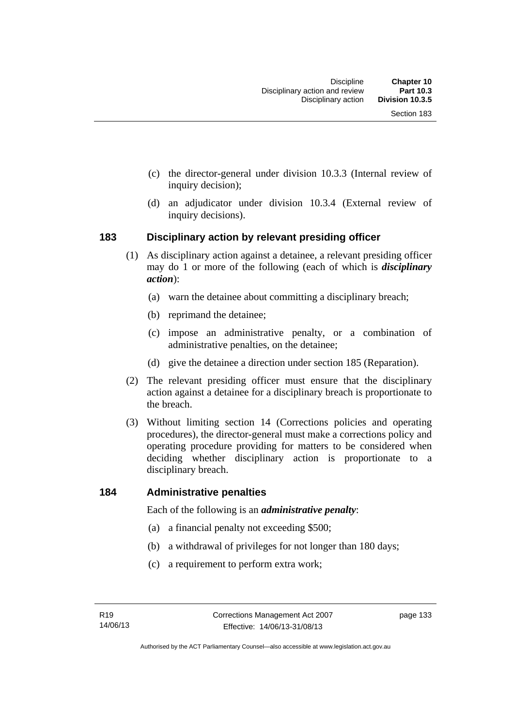- (c) the director-general under division 10.3.3 (Internal review of inquiry decision);
- (d) an adjudicator under division 10.3.4 (External review of inquiry decisions).

# **183 Disciplinary action by relevant presiding officer**

- (1) As disciplinary action against a detainee, a relevant presiding officer may do 1 or more of the following (each of which is *disciplinary action*):
	- (a) warn the detainee about committing a disciplinary breach;
	- (b) reprimand the detainee;
	- (c) impose an administrative penalty, or a combination of administrative penalties, on the detainee;
	- (d) give the detainee a direction under section 185 (Reparation).
- (2) The relevant presiding officer must ensure that the disciplinary action against a detainee for a disciplinary breach is proportionate to the breach.
- (3) Without limiting section 14 (Corrections policies and operating procedures), the director-general must make a corrections policy and operating procedure providing for matters to be considered when deciding whether disciplinary action is proportionate to a disciplinary breach.

## **184 Administrative penalties**

Each of the following is an *administrative penalty*:

- (a) a financial penalty not exceeding \$500;
- (b) a withdrawal of privileges for not longer than 180 days;
- (c) a requirement to perform extra work;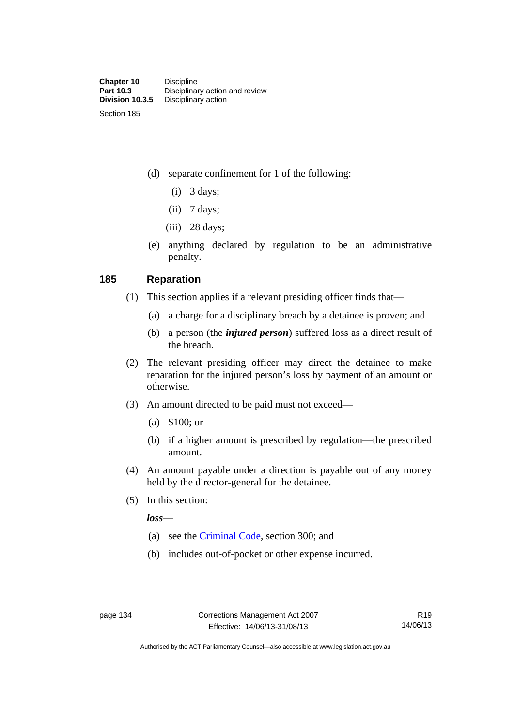(d) separate confinement for 1 of the following:

- $(i)$  3 days;
- $(ii)$  7 days;
- (iii) 28 days;
- (e) anything declared by regulation to be an administrative penalty.

# **185 Reparation**

- (1) This section applies if a relevant presiding officer finds that—
	- (a) a charge for a disciplinary breach by a detainee is proven; and
	- (b) a person (the *injured person*) suffered loss as a direct result of the breach.
- (2) The relevant presiding officer may direct the detainee to make reparation for the injured person's loss by payment of an amount or otherwise.
- (3) An amount directed to be paid must not exceed—
	- (a) \$100; or
	- (b) if a higher amount is prescribed by regulation—the prescribed amount.
- (4) An amount payable under a direction is payable out of any money held by the director-general for the detainee.
- (5) In this section:

*loss*—

- (a) see the [Criminal Code](http://www.legislation.act.gov.au/a/2002-51), section 300; and
- (b) includes out-of-pocket or other expense incurred.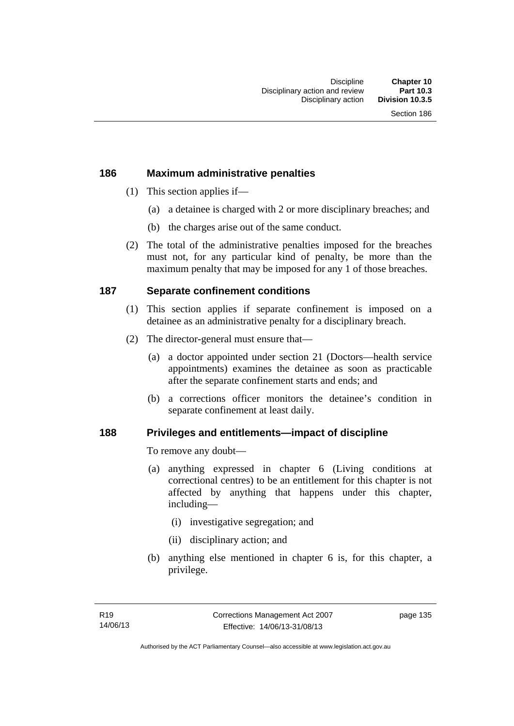# **186 Maximum administrative penalties**

- (1) This section applies if—
	- (a) a detainee is charged with 2 or more disciplinary breaches; and
	- (b) the charges arise out of the same conduct.
- (2) The total of the administrative penalties imposed for the breaches must not, for any particular kind of penalty, be more than the maximum penalty that may be imposed for any 1 of those breaches.

# **187 Separate confinement conditions**

- (1) This section applies if separate confinement is imposed on a detainee as an administrative penalty for a disciplinary breach.
- (2) The director-general must ensure that—
	- (a) a doctor appointed under section 21 (Doctors—health service appointments) examines the detainee as soon as practicable after the separate confinement starts and ends; and
	- (b) a corrections officer monitors the detainee's condition in separate confinement at least daily.

# **188 Privileges and entitlements—impact of discipline**

To remove any doubt—

- (a) anything expressed in chapter 6 (Living conditions at correctional centres) to be an entitlement for this chapter is not affected by anything that happens under this chapter, including—
	- (i) investigative segregation; and
	- (ii) disciplinary action; and
- (b) anything else mentioned in chapter 6 is, for this chapter, a privilege.

page 135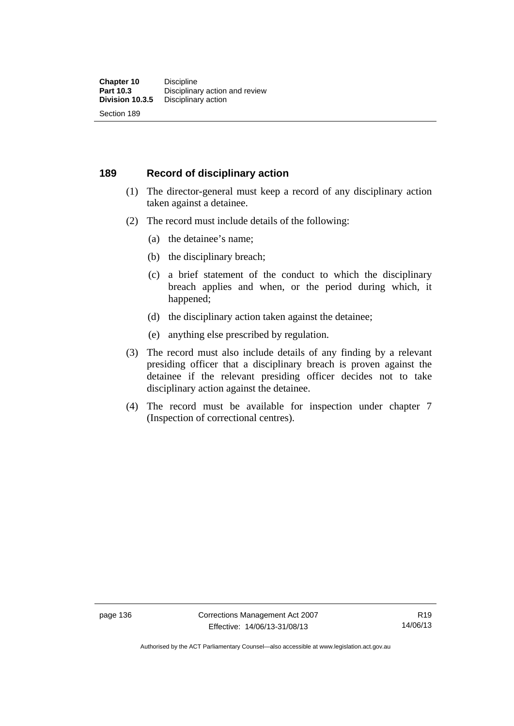# **189 Record of disciplinary action**

- (1) The director-general must keep a record of any disciplinary action taken against a detainee.
- (2) The record must include details of the following:
	- (a) the detainee's name;
	- (b) the disciplinary breach;
	- (c) a brief statement of the conduct to which the disciplinary breach applies and when, or the period during which, it happened;
	- (d) the disciplinary action taken against the detainee;
	- (e) anything else prescribed by regulation.
- (3) The record must also include details of any finding by a relevant presiding officer that a disciplinary breach is proven against the detainee if the relevant presiding officer decides not to take disciplinary action against the detainee.
- (4) The record must be available for inspection under chapter 7 (Inspection of correctional centres).

R19 14/06/13

Authorised by the ACT Parliamentary Counsel—also accessible at www.legislation.act.gov.au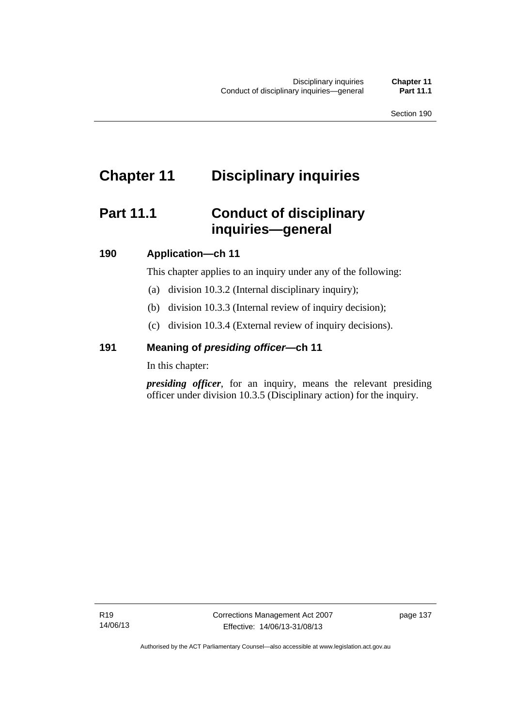# **Chapter 11 Disciplinary inquiries**

# **Part 11.1 Conduct of disciplinary inquiries—general**

# **190 Application—ch 11**

This chapter applies to an inquiry under any of the following:

- (a) division 10.3.2 (Internal disciplinary inquiry);
- (b) division 10.3.3 (Internal review of inquiry decision);
- (c) division 10.3.4 (External review of inquiry decisions).

# **191 Meaning of** *presiding officer—***ch 11**

In this chapter:

*presiding officer*, for an inquiry, means the relevant presiding officer under division 10.3.5 (Disciplinary action) for the inquiry.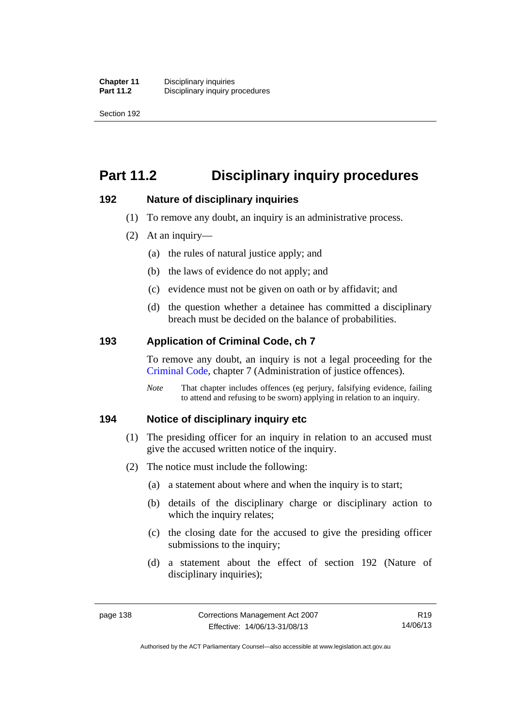Section 192

# **Part 11.2 Disciplinary inquiry procedures**

# **192 Nature of disciplinary inquiries**

- (1) To remove any doubt, an inquiry is an administrative process.
- (2) At an inquiry—
	- (a) the rules of natural justice apply; and
	- (b) the laws of evidence do not apply; and
	- (c) evidence must not be given on oath or by affidavit; and
	- (d) the question whether a detainee has committed a disciplinary breach must be decided on the balance of probabilities.

# **193 Application of Criminal Code, ch 7**

To remove any doubt, an inquiry is not a legal proceeding for the [Criminal Code](http://www.legislation.act.gov.au/a/2002-51), chapter 7 (Administration of justice offences).

*Note* That chapter includes offences (eg perjury, falsifying evidence, failing to attend and refusing to be sworn) applying in relation to an inquiry.

# **194 Notice of disciplinary inquiry etc**

- (1) The presiding officer for an inquiry in relation to an accused must give the accused written notice of the inquiry.
- (2) The notice must include the following:
	- (a) a statement about where and when the inquiry is to start;
	- (b) details of the disciplinary charge or disciplinary action to which the inquiry relates:
	- (c) the closing date for the accused to give the presiding officer submissions to the inquiry;
	- (d) a statement about the effect of section 192 (Nature of disciplinary inquiries);

R19 14/06/13

Authorised by the ACT Parliamentary Counsel—also accessible at www.legislation.act.gov.au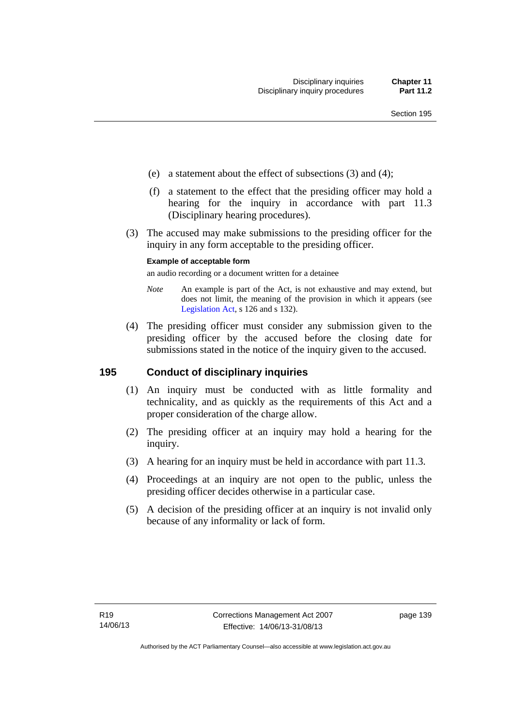- (e) a statement about the effect of subsections (3) and (4);
- (f) a statement to the effect that the presiding officer may hold a hearing for the inquiry in accordance with part 11.3 (Disciplinary hearing procedures).
- (3) The accused may make submissions to the presiding officer for the inquiry in any form acceptable to the presiding officer.

#### **Example of acceptable form**

an audio recording or a document written for a detainee

- *Note* An example is part of the Act, is not exhaustive and may extend, but does not limit, the meaning of the provision in which it appears (see [Legislation Act,](http://www.legislation.act.gov.au/a/2001-14) s 126 and s 132).
- (4) The presiding officer must consider any submission given to the presiding officer by the accused before the closing date for submissions stated in the notice of the inquiry given to the accused.

# **195 Conduct of disciplinary inquiries**

- (1) An inquiry must be conducted with as little formality and technicality, and as quickly as the requirements of this Act and a proper consideration of the charge allow.
- (2) The presiding officer at an inquiry may hold a hearing for the inquiry.
- (3) A hearing for an inquiry must be held in accordance with part 11.3.
- (4) Proceedings at an inquiry are not open to the public, unless the presiding officer decides otherwise in a particular case.
- (5) A decision of the presiding officer at an inquiry is not invalid only because of any informality or lack of form.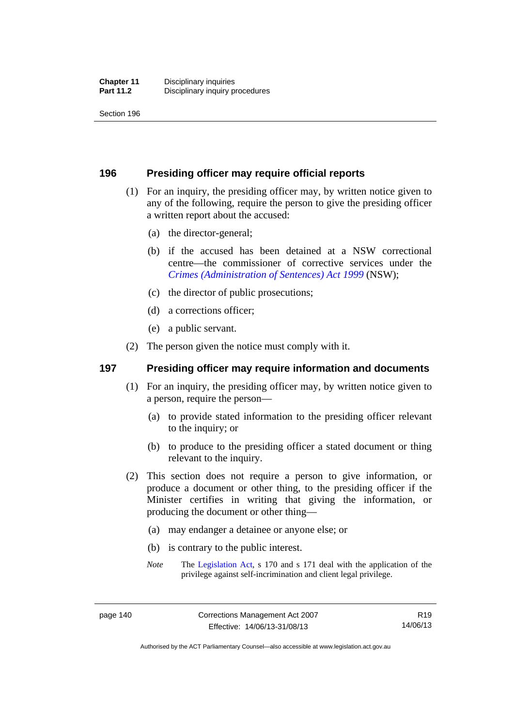Section 196

# **196 Presiding officer may require official reports**

- (1) For an inquiry, the presiding officer may, by written notice given to any of the following, require the person to give the presiding officer a written report about the accused:
	- (a) the director-general;
	- (b) if the accused has been detained at a NSW correctional centre—the commissioner of corrective services under the *[Crimes \(Administration of Sentences\) Act 1999](http://www.legislation.nsw.gov.au/maintop/view/inforce/act+93+1999+cd+0+N)* (NSW);
	- (c) the director of public prosecutions;
	- (d) a corrections officer;
	- (e) a public servant.
- (2) The person given the notice must comply with it.

# **197 Presiding officer may require information and documents**

- (1) For an inquiry, the presiding officer may, by written notice given to a person, require the person—
	- (a) to provide stated information to the presiding officer relevant to the inquiry; or
	- (b) to produce to the presiding officer a stated document or thing relevant to the inquiry.
- (2) This section does not require a person to give information, or produce a document or other thing, to the presiding officer if the Minister certifies in writing that giving the information, or producing the document or other thing—
	- (a) may endanger a detainee or anyone else; or
	- (b) is contrary to the public interest.
	- *Note* The [Legislation Act,](http://www.legislation.act.gov.au/a/2001-14) s 170 and s 171 deal with the application of the privilege against self-incrimination and client legal privilege.

Authorised by the ACT Parliamentary Counsel—also accessible at www.legislation.act.gov.au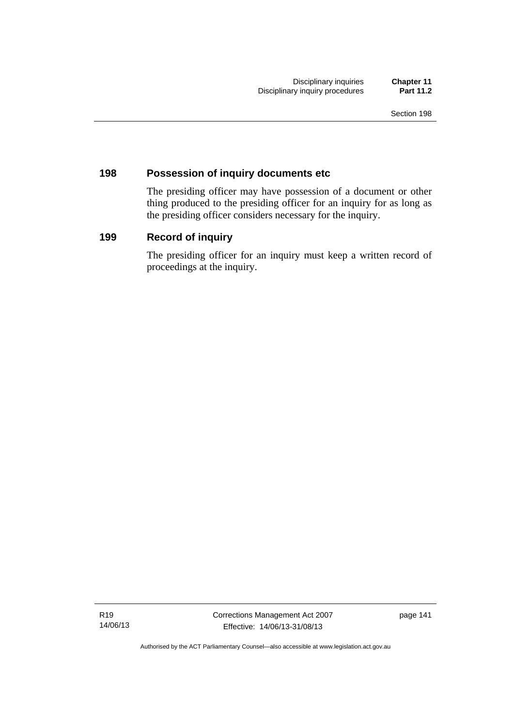# **198 Possession of inquiry documents etc**

The presiding officer may have possession of a document or other thing produced to the presiding officer for an inquiry for as long as the presiding officer considers necessary for the inquiry.

# **199 Record of inquiry**

The presiding officer for an inquiry must keep a written record of proceedings at the inquiry.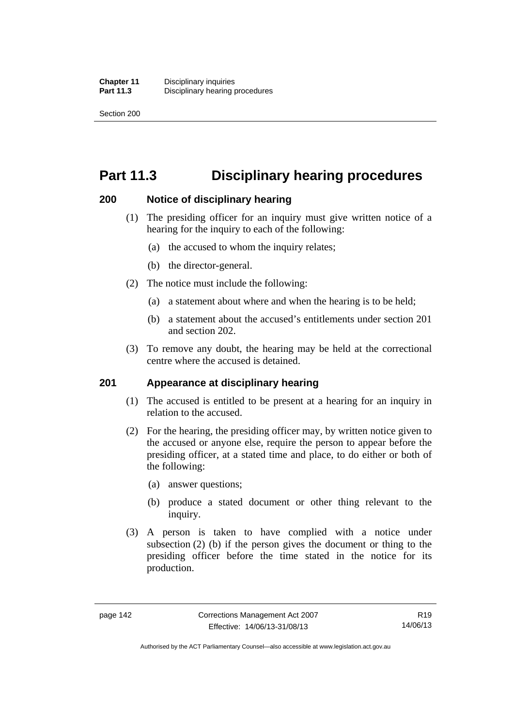Section 200

# **Part 11.3 Disciplinary hearing procedures**

# **200 Notice of disciplinary hearing**

- (1) The presiding officer for an inquiry must give written notice of a hearing for the inquiry to each of the following:
	- (a) the accused to whom the inquiry relates;
	- (b) the director-general.
- (2) The notice must include the following:
	- (a) a statement about where and when the hearing is to be held;
	- (b) a statement about the accused's entitlements under section 201 and section 202.
- (3) To remove any doubt, the hearing may be held at the correctional centre where the accused is detained.

# **201 Appearance at disciplinary hearing**

- (1) The accused is entitled to be present at a hearing for an inquiry in relation to the accused.
- (2) For the hearing, the presiding officer may, by written notice given to the accused or anyone else, require the person to appear before the presiding officer, at a stated time and place, to do either or both of the following:
	- (a) answer questions;
	- (b) produce a stated document or other thing relevant to the inquiry.
- (3) A person is taken to have complied with a notice under subsection (2) (b) if the person gives the document or thing to the presiding officer before the time stated in the notice for its production.

Authorised by the ACT Parliamentary Counsel—also accessible at www.legislation.act.gov.au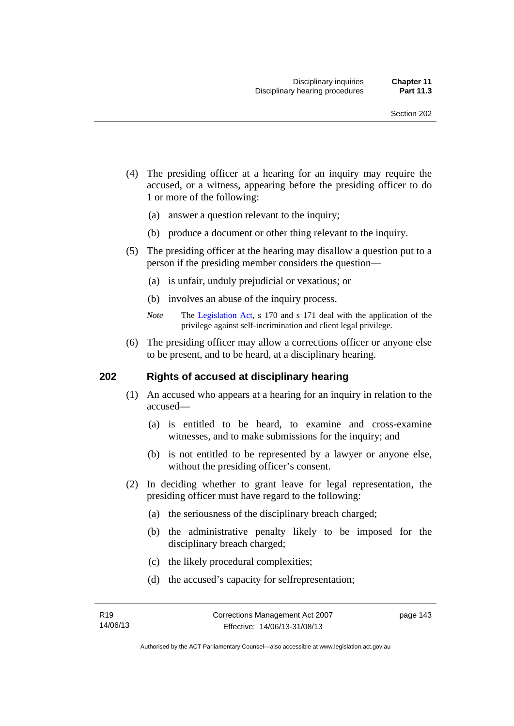- (4) The presiding officer at a hearing for an inquiry may require the accused, or a witness, appearing before the presiding officer to do 1 or more of the following:
	- (a) answer a question relevant to the inquiry;
	- (b) produce a document or other thing relevant to the inquiry.
- (5) The presiding officer at the hearing may disallow a question put to a person if the presiding member considers the question—
	- (a) is unfair, unduly prejudicial or vexatious; or
	- (b) involves an abuse of the inquiry process.
	- *Note* The [Legislation Act,](http://www.legislation.act.gov.au/a/2001-14) s 170 and s 171 deal with the application of the privilege against self-incrimination and client legal privilege.
- (6) The presiding officer may allow a corrections officer or anyone else to be present, and to be heard, at a disciplinary hearing.

# **202 Rights of accused at disciplinary hearing**

- (1) An accused who appears at a hearing for an inquiry in relation to the accused—
	- (a) is entitled to be heard, to examine and cross-examine witnesses, and to make submissions for the inquiry; and
	- (b) is not entitled to be represented by a lawyer or anyone else, without the presiding officer's consent.
- (2) In deciding whether to grant leave for legal representation, the presiding officer must have regard to the following:
	- (a) the seriousness of the disciplinary breach charged;
	- (b) the administrative penalty likely to be imposed for the disciplinary breach charged;
	- (c) the likely procedural complexities;
	- (d) the accused's capacity for selfrepresentation;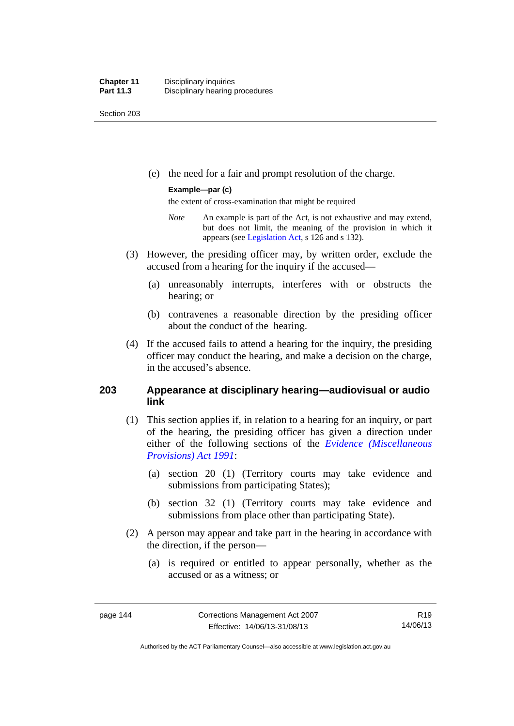Section 203

(e) the need for a fair and prompt resolution of the charge.

#### **Example—par (c)**

the extent of cross-examination that might be required

- *Note* An example is part of the Act, is not exhaustive and may extend, but does not limit, the meaning of the provision in which it appears (see [Legislation Act,](http://www.legislation.act.gov.au/a/2001-14) s 126 and s 132).
- (3) However, the presiding officer may, by written order, exclude the accused from a hearing for the inquiry if the accused—
	- (a) unreasonably interrupts, interferes with or obstructs the hearing; or
	- (b) contravenes a reasonable direction by the presiding officer about the conduct of the hearing.
- (4) If the accused fails to attend a hearing for the inquiry, the presiding officer may conduct the hearing, and make a decision on the charge, in the accused's absence.

# **203 Appearance at disciplinary hearing—audiovisual or audio link**

- (1) This section applies if, in relation to a hearing for an inquiry, or part of the hearing, the presiding officer has given a direction under either of the following sections of the *[Evidence \(Miscellaneous](http://www.legislation.act.gov.au/a/1991-34)  [Provisions\) Act 1991](http://www.legislation.act.gov.au/a/1991-34)*:
	- (a) section 20 (1) (Territory courts may take evidence and submissions from participating States);
	- (b) section 32 (1) (Territory courts may take evidence and submissions from place other than participating State).
- (2) A person may appear and take part in the hearing in accordance with the direction, if the person—
	- (a) is required or entitled to appear personally, whether as the accused or as a witness; or

Authorised by the ACT Parliamentary Counsel—also accessible at www.legislation.act.gov.au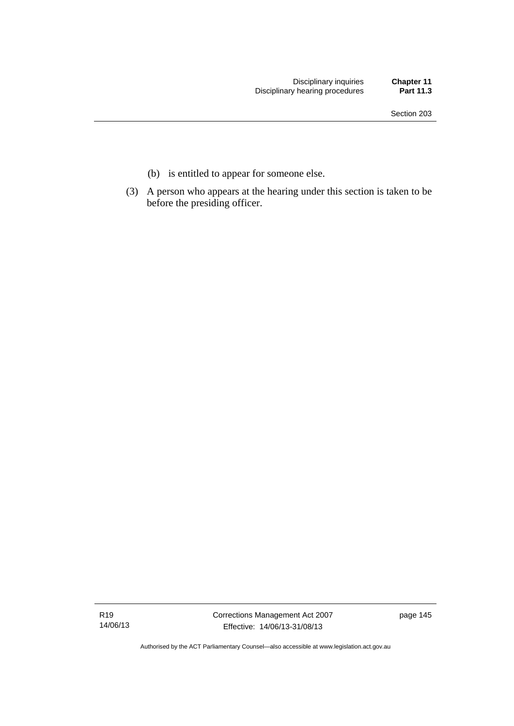- (b) is entitled to appear for someone else.
- (3) A person who appears at the hearing under this section is taken to be before the presiding officer.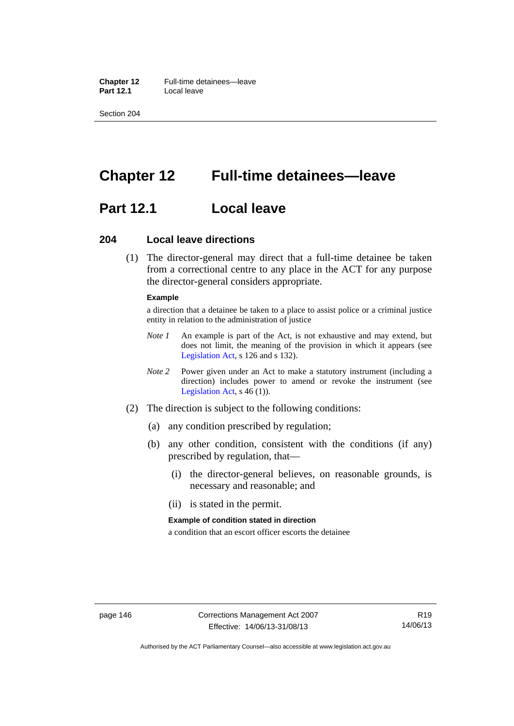**Chapter 12** Full-time detainees—leave<br>**Part 12.1** Local leave **Part 12.1** 

Section 204

# **Chapter 12 Full-time detainees—leave**

# **Part 12.1 Local leave**

#### **204 Local leave directions**

 (1) The director-general may direct that a full-time detainee be taken from a correctional centre to any place in the ACT for any purpose the director-general considers appropriate.

#### **Example**

a direction that a detainee be taken to a place to assist police or a criminal justice entity in relation to the administration of justice

- *Note 1* An example is part of the Act, is not exhaustive and may extend, but does not limit, the meaning of the provision in which it appears (see [Legislation Act,](http://www.legislation.act.gov.au/a/2001-14) s 126 and s 132).
- *Note 2* Power given under an Act to make a statutory instrument (including a direction) includes power to amend or revoke the instrument (see [Legislation Act,](http://www.legislation.act.gov.au/a/2001-14) s 46 (1)).
- (2) The direction is subject to the following conditions:
	- (a) any condition prescribed by regulation;
	- (b) any other condition, consistent with the conditions (if any) prescribed by regulation, that—
		- (i) the director-general believes, on reasonable grounds, is necessary and reasonable; and
		- (ii) is stated in the permit.

#### **Example of condition stated in direction**

a condition that an escort officer escorts the detainee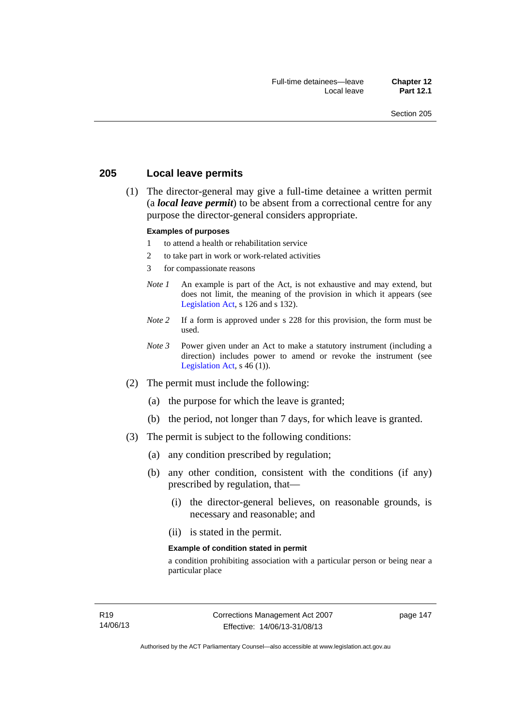# **205 Local leave permits**

 (1) The director-general may give a full-time detainee a written permit (a *local leave permit*) to be absent from a correctional centre for any purpose the director-general considers appropriate.

#### **Examples of purposes**

- 1 to attend a health or rehabilitation service
- 2 to take part in work or work-related activities
- 3 for compassionate reasons
- *Note 1* An example is part of the Act, is not exhaustive and may extend, but does not limit, the meaning of the provision in which it appears (see [Legislation Act,](http://www.legislation.act.gov.au/a/2001-14) s 126 and s 132).
- *Note* 2 If a form is approved under s 228 for this provision, the form must be used.
- *Note 3* Power given under an Act to make a statutory instrument (including a direction) includes power to amend or revoke the instrument (see [Legislation Act,](http://www.legislation.act.gov.au/a/2001-14)  $s$  46 (1)).
- (2) The permit must include the following:
	- (a) the purpose for which the leave is granted;
	- (b) the period, not longer than 7 days, for which leave is granted.
- (3) The permit is subject to the following conditions:
	- (a) any condition prescribed by regulation;
	- (b) any other condition, consistent with the conditions (if any) prescribed by regulation, that—
		- (i) the director-general believes, on reasonable grounds, is necessary and reasonable; and
		- (ii) is stated in the permit.

#### **Example of condition stated in permit**

a condition prohibiting association with a particular person or being near a particular place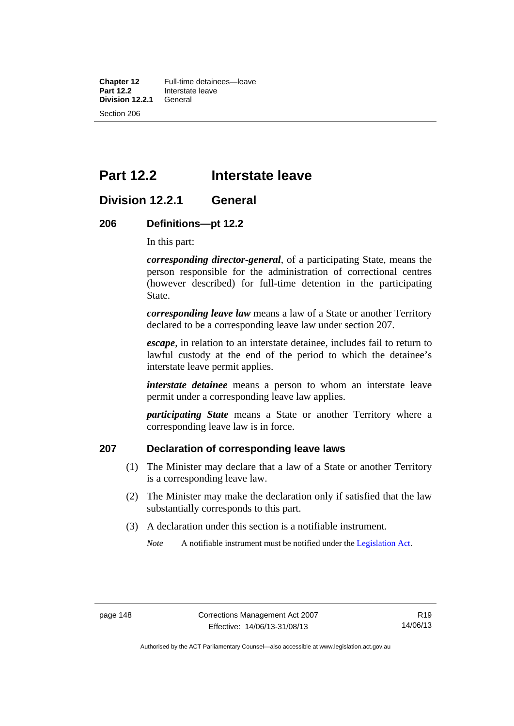**Chapter 12** Full-time detainees—leave<br>**Part 12.2** Interstate leave **Interstate leave**<br>General **Division 12.2.1** Section 206

# **Part 12.2 Interstate leave**

# **Division 12.2.1 General**

# **206 Definitions—pt 12.2**

In this part:

*corresponding director-general*, of a participating State, means the person responsible for the administration of correctional centres (however described) for full-time detention in the participating State.

*corresponding leave law* means a law of a State or another Territory declared to be a corresponding leave law under section 207.

*escape*, in relation to an interstate detainee, includes fail to return to lawful custody at the end of the period to which the detainee's interstate leave permit applies.

*interstate detainee* means a person to whom an interstate leave permit under a corresponding leave law applies.

*participating State* means a State or another Territory where a corresponding leave law is in force.

# **207 Declaration of corresponding leave laws**

- (1) The Minister may declare that a law of a State or another Territory is a corresponding leave law.
- (2) The Minister may make the declaration only if satisfied that the law substantially corresponds to this part.
- (3) A declaration under this section is a notifiable instrument.

*Note* A notifiable instrument must be notified under the [Legislation Act](http://www.legislation.act.gov.au/a/2001-14).

Authorised by the ACT Parliamentary Counsel—also accessible at www.legislation.act.gov.au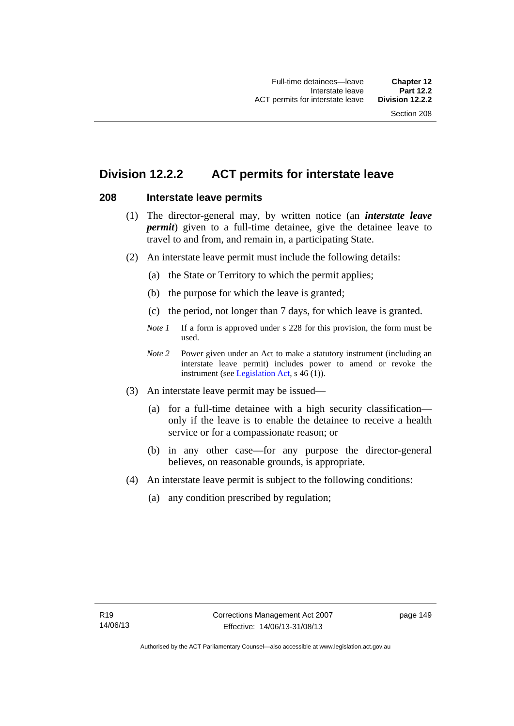# **Division 12.2.2 ACT permits for interstate leave**

# **208 Interstate leave permits**

- (1) The director-general may, by written notice (an *interstate leave permit*) given to a full-time detainee, give the detainee leave to travel to and from, and remain in, a participating State.
- (2) An interstate leave permit must include the following details:
	- (a) the State or Territory to which the permit applies;
	- (b) the purpose for which the leave is granted;
	- (c) the period, not longer than 7 days, for which leave is granted.
	- *Note 1* If a form is approved under s 228 for this provision, the form must be used.
	- *Note 2* Power given under an Act to make a statutory instrument (including an interstate leave permit) includes power to amend or revoke the instrument (see [Legislation Act,](http://www.legislation.act.gov.au/a/2001-14) s 46 (1)).
- (3) An interstate leave permit may be issued—
	- (a) for a full-time detainee with a high security classification only if the leave is to enable the detainee to receive a health service or for a compassionate reason; or
	- (b) in any other case—for any purpose the director-general believes, on reasonable grounds, is appropriate.
- (4) An interstate leave permit is subject to the following conditions:
	- (a) any condition prescribed by regulation;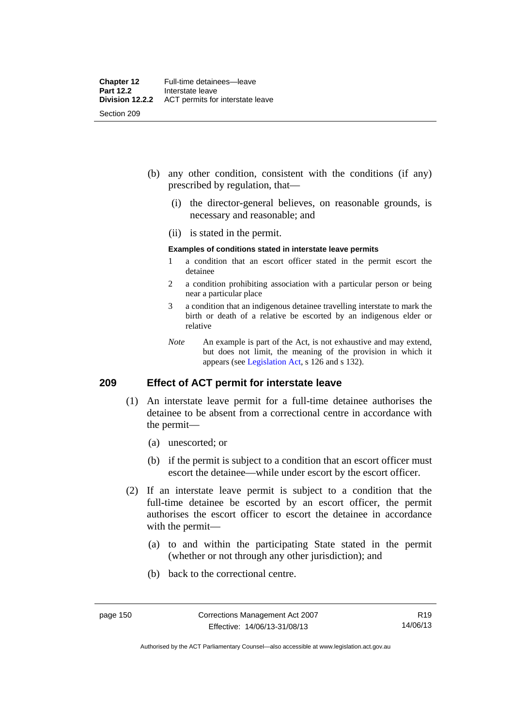- (b) any other condition, consistent with the conditions (if any) prescribed by regulation, that—
	- (i) the director-general believes, on reasonable grounds, is necessary and reasonable; and
	- (ii) is stated in the permit.

#### **Examples of conditions stated in interstate leave permits**

- 1 a condition that an escort officer stated in the permit escort the detainee
- 2 a condition prohibiting association with a particular person or being near a particular place
- 3 a condition that an indigenous detainee travelling interstate to mark the birth or death of a relative be escorted by an indigenous elder or relative
- *Note* An example is part of the Act, is not exhaustive and may extend, but does not limit, the meaning of the provision in which it appears (see [Legislation Act,](http://www.legislation.act.gov.au/a/2001-14) s 126 and s 132).

# **209 Effect of ACT permit for interstate leave**

- (1) An interstate leave permit for a full-time detainee authorises the detainee to be absent from a correctional centre in accordance with the permit—
	- (a) unescorted; or
	- (b) if the permit is subject to a condition that an escort officer must escort the detainee—while under escort by the escort officer.
- (2) If an interstate leave permit is subject to a condition that the full-time detainee be escorted by an escort officer, the permit authorises the escort officer to escort the detainee in accordance with the permit—
	- (a) to and within the participating State stated in the permit (whether or not through any other jurisdiction); and
	- (b) back to the correctional centre.

Authorised by the ACT Parliamentary Counsel—also accessible at www.legislation.act.gov.au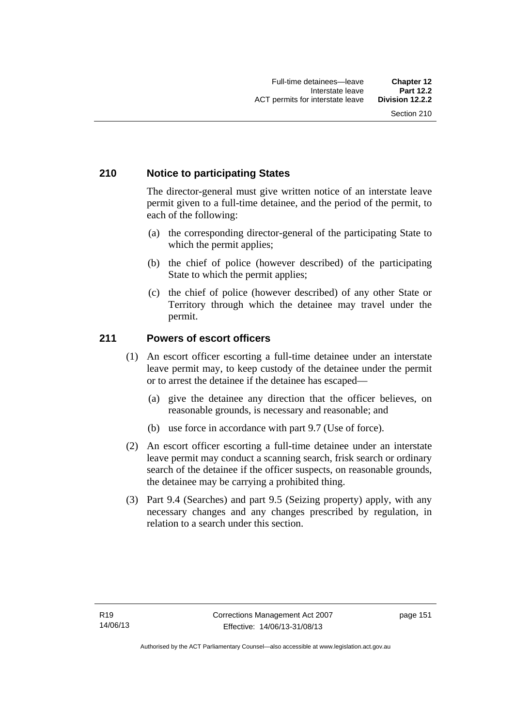# **210 Notice to participating States**

The director-general must give written notice of an interstate leave permit given to a full-time detainee, and the period of the permit, to each of the following:

- (a) the corresponding director-general of the participating State to which the permit applies;
- (b) the chief of police (however described) of the participating State to which the permit applies;
- (c) the chief of police (however described) of any other State or Territory through which the detainee may travel under the permit.

# **211 Powers of escort officers**

- (1) An escort officer escorting a full-time detainee under an interstate leave permit may, to keep custody of the detainee under the permit or to arrest the detainee if the detainee has escaped—
	- (a) give the detainee any direction that the officer believes, on reasonable grounds, is necessary and reasonable; and
	- (b) use force in accordance with part 9.7 (Use of force).
- (2) An escort officer escorting a full-time detainee under an interstate leave permit may conduct a scanning search, frisk search or ordinary search of the detainee if the officer suspects, on reasonable grounds, the detainee may be carrying a prohibited thing.
- (3) Part 9.4 (Searches) and part 9.5 (Seizing property) apply, with any necessary changes and any changes prescribed by regulation, in relation to a search under this section.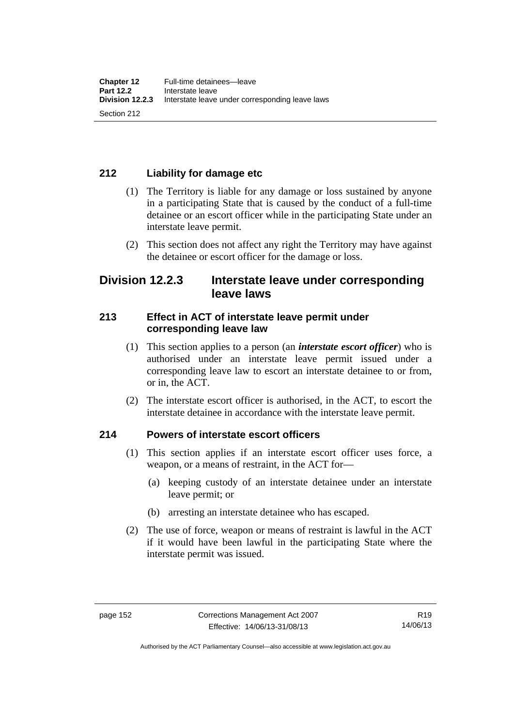# **212 Liability for damage etc**

- (1) The Territory is liable for any damage or loss sustained by anyone in a participating State that is caused by the conduct of a full-time detainee or an escort officer while in the participating State under an interstate leave permit.
- (2) This section does not affect any right the Territory may have against the detainee or escort officer for the damage or loss.

# **Division 12.2.3 Interstate leave under corresponding leave laws**

# **213 Effect in ACT of interstate leave permit under corresponding leave law**

- (1) This section applies to a person (an *interstate escort officer*) who is authorised under an interstate leave permit issued under a corresponding leave law to escort an interstate detainee to or from, or in, the ACT.
- (2) The interstate escort officer is authorised, in the ACT, to escort the interstate detainee in accordance with the interstate leave permit.

# **214 Powers of interstate escort officers**

- (1) This section applies if an interstate escort officer uses force, a weapon, or a means of restraint, in the ACT for—
	- (a) keeping custody of an interstate detainee under an interstate leave permit; or
	- (b) arresting an interstate detainee who has escaped.
- (2) The use of force, weapon or means of restraint is lawful in the ACT if it would have been lawful in the participating State where the interstate permit was issued.

Authorised by the ACT Parliamentary Counsel—also accessible at www.legislation.act.gov.au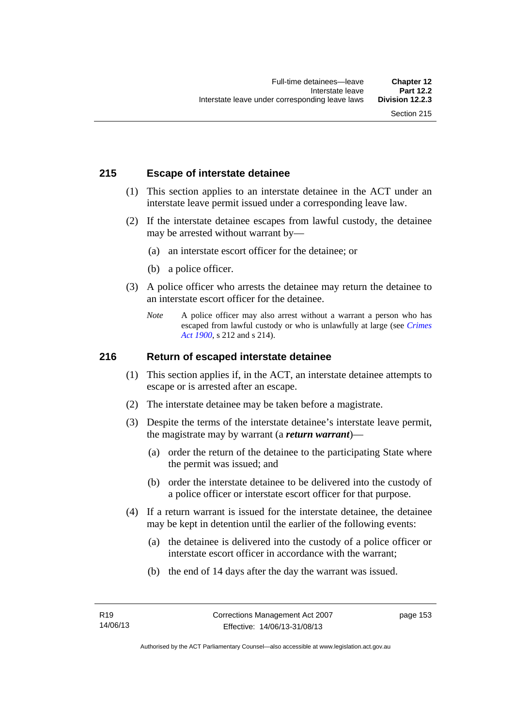# **215 Escape of interstate detainee**

- (1) This section applies to an interstate detainee in the ACT under an interstate leave permit issued under a corresponding leave law.
- (2) If the interstate detainee escapes from lawful custody, the detainee may be arrested without warrant by—
	- (a) an interstate escort officer for the detainee; or
	- (b) a police officer.
- (3) A police officer who arrests the detainee may return the detainee to an interstate escort officer for the detainee.
	- *Note* A police officer may also arrest without a warrant a person who has escaped from lawful custody or who is unlawfully at large (see *[Crimes](http://www.legislation.act.gov.au/a/1900-40)  [Act 1900](http://www.legislation.act.gov.au/a/1900-40)*, s 212 and s 214).

# **216 Return of escaped interstate detainee**

- (1) This section applies if, in the ACT, an interstate detainee attempts to escape or is arrested after an escape.
- (2) The interstate detainee may be taken before a magistrate.
- (3) Despite the terms of the interstate detainee's interstate leave permit, the magistrate may by warrant (a *return warrant*)—
	- (a) order the return of the detainee to the participating State where the permit was issued; and
	- (b) order the interstate detainee to be delivered into the custody of a police officer or interstate escort officer for that purpose.
- (4) If a return warrant is issued for the interstate detainee, the detainee may be kept in detention until the earlier of the following events:
	- (a) the detainee is delivered into the custody of a police officer or interstate escort officer in accordance with the warrant;
	- (b) the end of 14 days after the day the warrant was issued.

page 153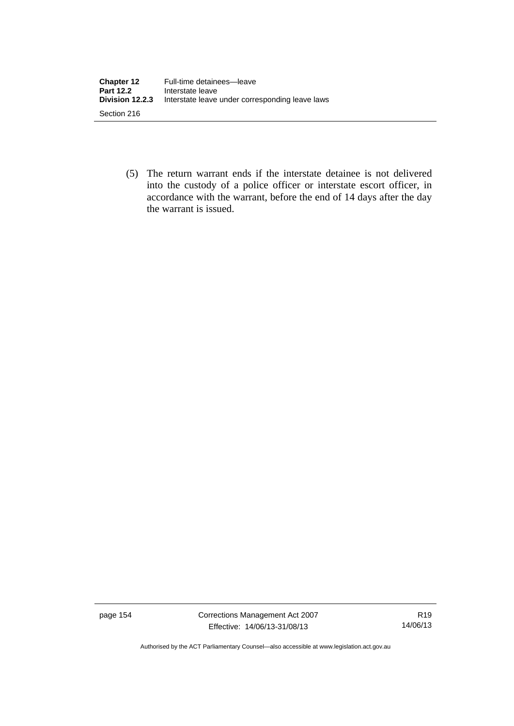| <b>Chapter 12</b><br><b>Part 12.2</b> | Full-time detainees-leave<br>Interstate leave   |
|---------------------------------------|-------------------------------------------------|
| Division 12.2.3                       | Interstate leave under corresponding leave laws |
| Section 216                           |                                                 |

 (5) The return warrant ends if the interstate detainee is not delivered into the custody of a police officer or interstate escort officer, in accordance with the warrant, before the end of 14 days after the day the warrant is issued.

page 154 Corrections Management Act 2007 Effective: 14/06/13-31/08/13

R19 14/06/13

Authorised by the ACT Parliamentary Counsel—also accessible at www.legislation.act.gov.au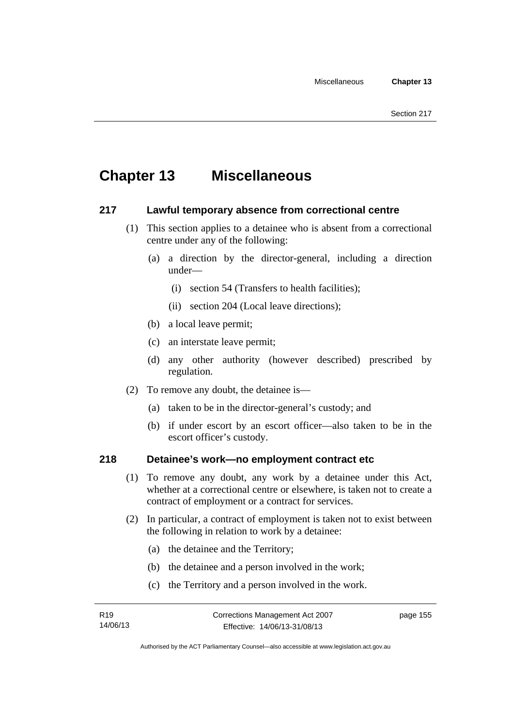# **Chapter 13 Miscellaneous**

# **217 Lawful temporary absence from correctional centre**

- (1) This section applies to a detainee who is absent from a correctional centre under any of the following:
	- (a) a direction by the director-general, including a direction under—
		- (i) section 54 (Transfers to health facilities);
		- (ii) section 204 (Local leave directions);
	- (b) a local leave permit;
	- (c) an interstate leave permit;
	- (d) any other authority (however described) prescribed by regulation.
- (2) To remove any doubt, the detainee is—
	- (a) taken to be in the director-general's custody; and
	- (b) if under escort by an escort officer—also taken to be in the escort officer's custody.

# **218 Detainee's work—no employment contract etc**

- (1) To remove any doubt, any work by a detainee under this Act, whether at a correctional centre or elsewhere, is taken not to create a contract of employment or a contract for services.
- (2) In particular, a contract of employment is taken not to exist between the following in relation to work by a detainee:
	- (a) the detainee and the Territory;
	- (b) the detainee and a person involved in the work;
	- (c) the Territory and a person involved in the work.

page 155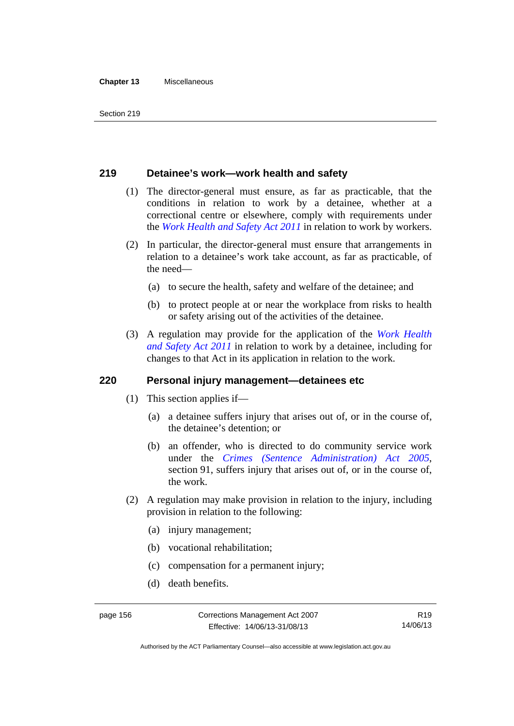#### **Chapter 13** Miscellaneous

# **219 Detainee's work—work health and safety**

- (1) The director-general must ensure, as far as practicable, that the conditions in relation to work by a detainee, whether at a correctional centre or elsewhere, comply with requirements under the *[Work Health and Safety Act 2011](http://www.legislation.act.gov.au/a/2011-35)* in relation to work by workers.
- (2) In particular, the director-general must ensure that arrangements in relation to a detainee's work take account, as far as practicable, of the need—
	- (a) to secure the health, safety and welfare of the detainee; and
	- (b) to protect people at or near the workplace from risks to health or safety arising out of the activities of the detainee.
- (3) A regulation may provide for the application of the *[Work Health](http://www.legislation.act.gov.au/a/2011-35)  [and Safety Act 2011](http://www.legislation.act.gov.au/a/2011-35)* in relation to work by a detainee, including for changes to that Act in its application in relation to the work.

## **220 Personal injury management—detainees etc**

- (1) This section applies if—
	- (a) a detainee suffers injury that arises out of, or in the course of, the detainee's detention; or
	- (b) an offender, who is directed to do community service work under the *[Crimes \(Sentence Administration\) Act 2005](http://www.legislation.act.gov.au/a/2005-59)*, section 91, suffers injury that arises out of, or in the course of, the work.
- (2) A regulation may make provision in relation to the injury, including provision in relation to the following:
	- (a) injury management;
	- (b) vocational rehabilitation;
	- (c) compensation for a permanent injury;
	- (d) death benefits.

Authorised by the ACT Parliamentary Counsel—also accessible at www.legislation.act.gov.au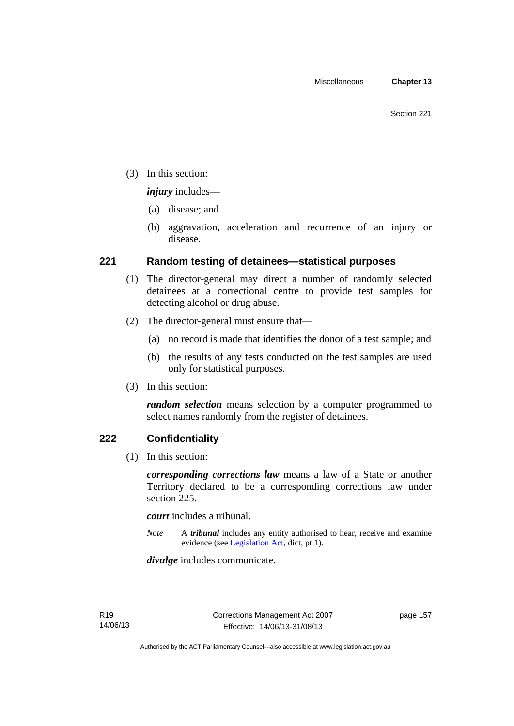(3) In this section:

*injury* includes—

- (a) disease; and
- (b) aggravation, acceleration and recurrence of an injury or disease.

# **221 Random testing of detainees—statistical purposes**

- (1) The director-general may direct a number of randomly selected detainees at a correctional centre to provide test samples for detecting alcohol or drug abuse.
- (2) The director-general must ensure that—
	- (a) no record is made that identifies the donor of a test sample; and
	- (b) the results of any tests conducted on the test samples are used only for statistical purposes.
- (3) In this section:

*random selection* means selection by a computer programmed to select names randomly from the register of detainees.

# **222 Confidentiality**

(1) In this section:

*corresponding corrections law* means a law of a State or another Territory declared to be a corresponding corrections law under section 225.

*court* includes a tribunal.

*Note* A *tribunal* includes any entity authorised to hear, receive and examine evidence (see [Legislation Act,](http://www.legislation.act.gov.au/a/2001-14) dict, pt 1).

*divulge* includes communicate.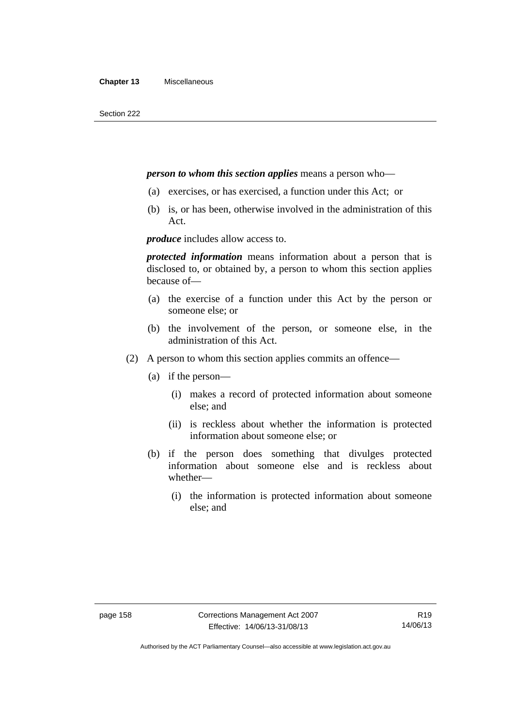## *person to whom this section applies* means a person who—

- (a) exercises, or has exercised, a function under this Act; or
- (b) is, or has been, otherwise involved in the administration of this Act.

*produce* includes allow access to.

*protected information* means information about a person that is disclosed to, or obtained by, a person to whom this section applies because of—

- (a) the exercise of a function under this Act by the person or someone else; or
- (b) the involvement of the person, or someone else, in the administration of this Act.
- (2) A person to whom this section applies commits an offence—
	- (a) if the person—
		- (i) makes a record of protected information about someone else; and
		- (ii) is reckless about whether the information is protected information about someone else; or
	- (b) if the person does something that divulges protected information about someone else and is reckless about whether—
		- (i) the information is protected information about someone else; and

Authorised by the ACT Parliamentary Counsel—also accessible at www.legislation.act.gov.au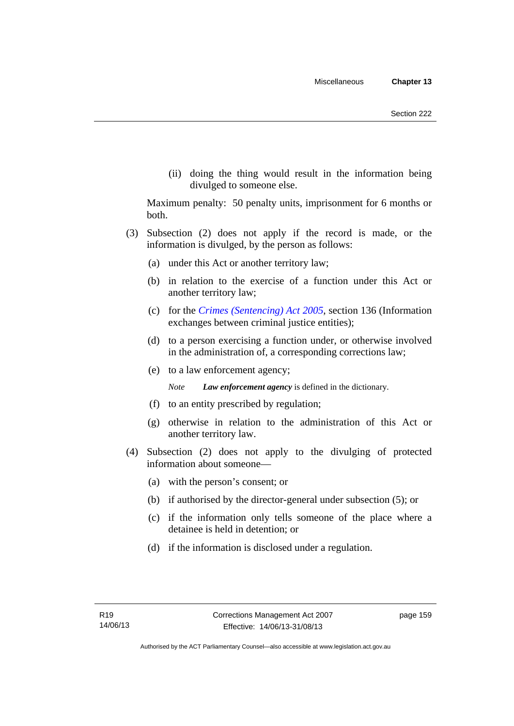(ii) doing the thing would result in the information being divulged to someone else.

Maximum penalty: 50 penalty units, imprisonment for 6 months or both.

- (3) Subsection (2) does not apply if the record is made, or the information is divulged, by the person as follows:
	- (a) under this Act or another territory law;
	- (b) in relation to the exercise of a function under this Act or another territory law;
	- (c) for the *[Crimes \(Sentencing\) Act 2005](http://www.legislation.act.gov.au/a/2005-58)*, section 136 (Information exchanges between criminal justice entities);
	- (d) to a person exercising a function under, or otherwise involved in the administration of, a corresponding corrections law;
	- (e) to a law enforcement agency;

*Note Law enforcement agency* is defined in the dictionary.

- (f) to an entity prescribed by regulation;
- (g) otherwise in relation to the administration of this Act or another territory law.
- (4) Subsection (2) does not apply to the divulging of protected information about someone—
	- (a) with the person's consent; or
	- (b) if authorised by the director-general under subsection (5); or
	- (c) if the information only tells someone of the place where a detainee is held in detention; or
	- (d) if the information is disclosed under a regulation.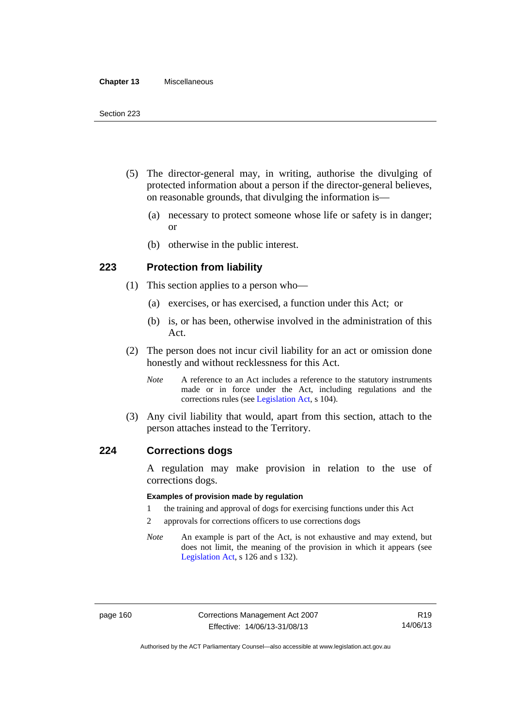#### **Chapter 13** Miscellaneous

- (5) The director-general may, in writing, authorise the divulging of protected information about a person if the director-general believes, on reasonable grounds, that divulging the information is—
	- (a) necessary to protect someone whose life or safety is in danger; or
	- (b) otherwise in the public interest.

# **223 Protection from liability**

- (1) This section applies to a person who—
	- (a) exercises, or has exercised, a function under this Act; or
	- (b) is, or has been, otherwise involved in the administration of this Act.
- (2) The person does not incur civil liability for an act or omission done honestly and without recklessness for this Act.
	- *Note* A reference to an Act includes a reference to the statutory instruments made or in force under the Act, including regulations and the corrections rules (see [Legislation Act,](http://www.legislation.act.gov.au/a/2001-14) s 104).
- (3) Any civil liability that would, apart from this section, attach to the person attaches instead to the Territory.

## **224 Corrections dogs**

A regulation may make provision in relation to the use of corrections dogs.

#### **Examples of provision made by regulation**

- 1 the training and approval of dogs for exercising functions under this Act
- 2 approvals for corrections officers to use corrections dogs
- *Note* An example is part of the Act, is not exhaustive and may extend, but does not limit, the meaning of the provision in which it appears (see [Legislation Act,](http://www.legislation.act.gov.au/a/2001-14) s 126 and s 132).

Authorised by the ACT Parliamentary Counsel—also accessible at www.legislation.act.gov.au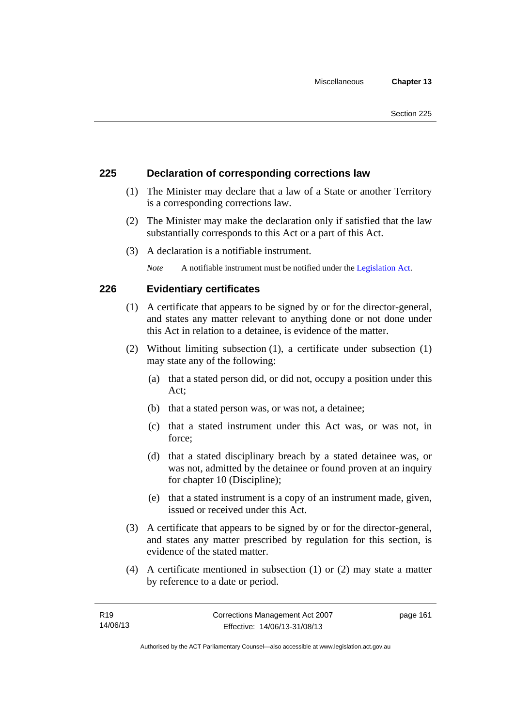# **225 Declaration of corresponding corrections law**

- (1) The Minister may declare that a law of a State or another Territory is a corresponding corrections law.
- (2) The Minister may make the declaration only if satisfied that the law substantially corresponds to this Act or a part of this Act.
- (3) A declaration is a notifiable instrument.

*Note* A notifiable instrument must be notified under the [Legislation Act](http://www.legislation.act.gov.au/a/2001-14).

# **226 Evidentiary certificates**

- (1) A certificate that appears to be signed by or for the director-general, and states any matter relevant to anything done or not done under this Act in relation to a detainee, is evidence of the matter.
- (2) Without limiting subsection (1), a certificate under subsection (1) may state any of the following:
	- (a) that a stated person did, or did not, occupy a position under this Act;
	- (b) that a stated person was, or was not, a detainee;
	- (c) that a stated instrument under this Act was, or was not, in force;
	- (d) that a stated disciplinary breach by a stated detainee was, or was not, admitted by the detainee or found proven at an inquiry for chapter 10 (Discipline);
	- (e) that a stated instrument is a copy of an instrument made, given, issued or received under this Act.
- (3) A certificate that appears to be signed by or for the director-general, and states any matter prescribed by regulation for this section, is evidence of the stated matter.
- (4) A certificate mentioned in subsection (1) or (2) may state a matter by reference to a date or period.

page 161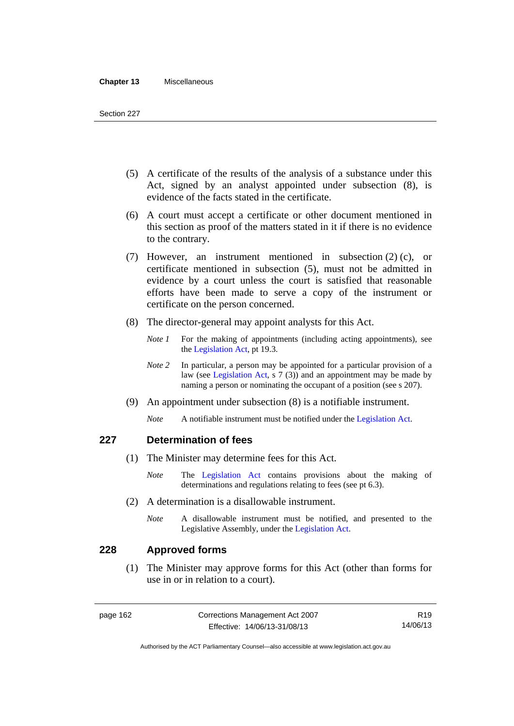#### **Chapter 13** Miscellaneous

- (5) A certificate of the results of the analysis of a substance under this Act, signed by an analyst appointed under subsection (8), is evidence of the facts stated in the certificate.
- (6) A court must accept a certificate or other document mentioned in this section as proof of the matters stated in it if there is no evidence to the contrary.
- (7) However, an instrument mentioned in subsection (2) (c), or certificate mentioned in subsection (5), must not be admitted in evidence by a court unless the court is satisfied that reasonable efforts have been made to serve a copy of the instrument or certificate on the person concerned.
- (8) The director-general may appoint analysts for this Act.
	- *Note 1* For the making of appointments (including acting appointments), see the [Legislation Act,](http://www.legislation.act.gov.au/a/2001-14) pt 19.3.
	- *Note* 2 In particular, a person may be appointed for a particular provision of a law (see [Legislation Act,](http://www.legislation.act.gov.au/a/2001-14) s 7 (3)) and an appointment may be made by naming a person or nominating the occupant of a position (see s 207).
- (9) An appointment under subsection (8) is a notifiable instrument.
	- *Note* A notifiable instrument must be notified under the [Legislation Act](http://www.legislation.act.gov.au/a/2001-14).

# **227 Determination of fees**

- (1) The Minister may determine fees for this Act.
	- *Note* The [Legislation Act](http://www.legislation.act.gov.au/a/2001-14) contains provisions about the making of determinations and regulations relating to fees (see pt 6.3).
- (2) A determination is a disallowable instrument.
	- *Note* A disallowable instrument must be notified, and presented to the Legislative Assembly, under the [Legislation Act.](http://www.legislation.act.gov.au/a/2001-14)

## **228 Approved forms**

 (1) The Minister may approve forms for this Act (other than forms for use in or in relation to a court).

R19 14/06/13

Authorised by the ACT Parliamentary Counsel—also accessible at www.legislation.act.gov.au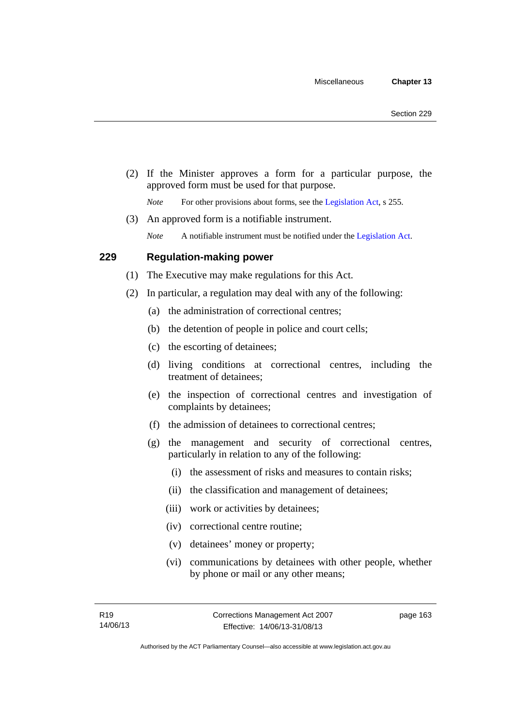(2) If the Minister approves a form for a particular purpose, the approved form must be used for that purpose.

*Note* For other provisions about forms, see the [Legislation Act,](http://www.legislation.act.gov.au/a/2001-14) s 255.

(3) An approved form is a notifiable instrument.

*Note* A notifiable instrument must be notified under the [Legislation Act](http://www.legislation.act.gov.au/a/2001-14).

# **229 Regulation-making power**

- (1) The Executive may make regulations for this Act.
- (2) In particular, a regulation may deal with any of the following:
	- (a) the administration of correctional centres;
	- (b) the detention of people in police and court cells;
	- (c) the escorting of detainees;
	- (d) living conditions at correctional centres, including the treatment of detainees;
	- (e) the inspection of correctional centres and investigation of complaints by detainees;
	- (f) the admission of detainees to correctional centres;
	- (g) the management and security of correctional centres, particularly in relation to any of the following:
		- (i) the assessment of risks and measures to contain risks;
		- (ii) the classification and management of detainees;
		- (iii) work or activities by detainees;
		- (iv) correctional centre routine;
		- (v) detainees' money or property;
		- (vi) communications by detainees with other people, whether by phone or mail or any other means;

page 163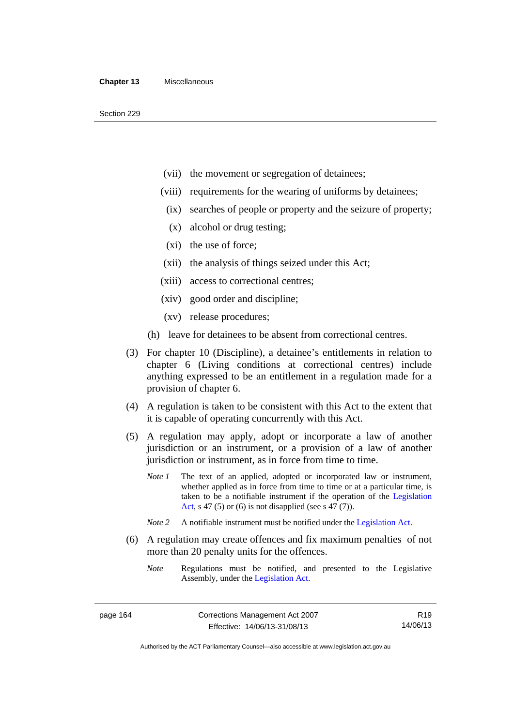- (vii) the movement or segregation of detainees;
- (viii) requirements for the wearing of uniforms by detainees;
	- (ix) searches of people or property and the seizure of property;
	- (x) alcohol or drug testing;
- (xi) the use of force;
- (xii) the analysis of things seized under this Act;
- (xiii) access to correctional centres;
- (xiv) good order and discipline;
- (xv) release procedures;
- (h) leave for detainees to be absent from correctional centres.
- (3) For chapter 10 (Discipline), a detainee's entitlements in relation to chapter 6 (Living conditions at correctional centres) include anything expressed to be an entitlement in a regulation made for a provision of chapter 6.
- (4) A regulation is taken to be consistent with this Act to the extent that it is capable of operating concurrently with this Act.
- (5) A regulation may apply, adopt or incorporate a law of another jurisdiction or an instrument, or a provision of a law of another jurisdiction or instrument, as in force from time to time.
	- *Note 1* The text of an applied, adopted or incorporated law or instrument, whether applied as in force from time to time or at a particular time, is taken to be a notifiable instrument if the operation of the [Legislation](http://www.legislation.act.gov.au/a/2001-14)  [Act,](http://www.legislation.act.gov.au/a/2001-14) s 47 (5) or (6) is not disapplied (see s 47 (7)).
	- *Note 2* A notifiable instrument must be notified under the [Legislation Act](http://www.legislation.act.gov.au/a/2001-14).
- (6) A regulation may create offences and fix maximum penalties of not more than 20 penalty units for the offences.
	- *Note* Regulations must be notified, and presented to the Legislative Assembly, under the [Legislation Act](http://www.legislation.act.gov.au/a/2001-14).

R19 14/06/13

Authorised by the ACT Parliamentary Counsel—also accessible at www.legislation.act.gov.au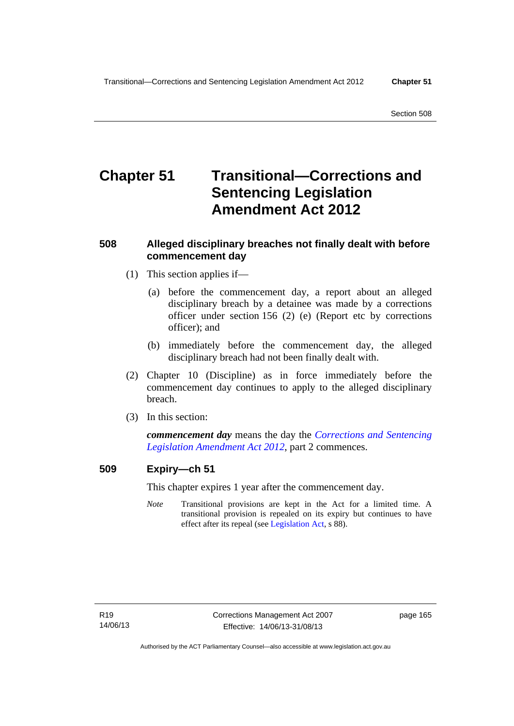# **Chapter 51 Transitional—Corrections and Sentencing Legislation Amendment Act 2012**

# **508 Alleged disciplinary breaches not finally dealt with before commencement day**

- (1) This section applies if—
	- (a) before the commencement day, a report about an alleged disciplinary breach by a detainee was made by a corrections officer under section 156 (2) (e) (Report etc by corrections officer); and
	- (b) immediately before the commencement day, the alleged disciplinary breach had not been finally dealt with.
- (2) Chapter 10 (Discipline) as in force immediately before the commencement day continues to apply to the alleged disciplinary breach.
- (3) In this section:

*commencement day* means the day the *[Corrections and Sentencing](http://www.legislation.act.gov.au/a/2012-34)  [Legislation Amendment Act 2012](http://www.legislation.act.gov.au/a/2012-34)*, part 2 commences.

# **509 Expiry—ch 51**

This chapter expires 1 year after the commencement day.

*Note* Transitional provisions are kept in the Act for a limited time. A transitional provision is repealed on its expiry but continues to have effect after its repeal (see [Legislation Act,](http://www.legislation.act.gov.au/a/2001-14) s 88).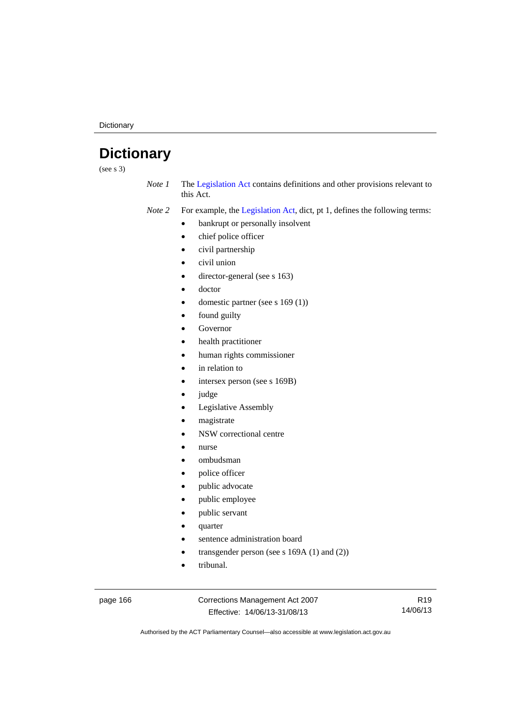**Dictionary** 

# **Dictionary**

(see s 3)

*Note 1* The [Legislation Act](http://www.legislation.act.gov.au/a/2001-14) contains definitions and other provisions relevant to this Act.

*Note 2* For example, the [Legislation Act,](http://www.legislation.act.gov.au/a/2001-14) dict, pt 1, defines the following terms:

- bankrupt or personally insolvent
	- chief police officer
	- civil partnership
- civil union
- director-general (see s 163)
- doctor
- domestic partner (see s 169 (1))
- found guilty
- Governor
- health practitioner
- human rights commissioner
- in relation to
- intersex person (see s 169B)
- judge
- Legislative Assembly
- magistrate
- NSW correctional centre
- nurse
- ombudsman
- police officer
- public advocate
- public employee
- public servant
- quarter
- sentence administration board
- transgender person (see s 169A (1) and (2))
- tribunal.

page 166 Corrections Management Act 2007 Effective: 14/06/13-31/08/13

R19 14/06/13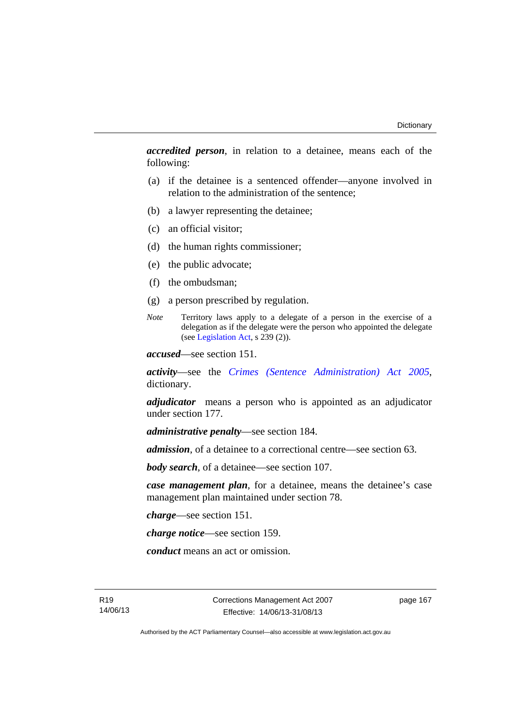*accredited person*, in relation to a detainee, means each of the following:

- (a) if the detainee is a sentenced offender—anyone involved in relation to the administration of the sentence;
- (b) a lawyer representing the detainee;
- (c) an official visitor;
- (d) the human rights commissioner;
- (e) the public advocate;
- (f) the ombudsman;
- (g) a person prescribed by regulation.
- *Note* Territory laws apply to a delegate of a person in the exercise of a delegation as if the delegate were the person who appointed the delegate (see [Legislation Act,](http://www.legislation.act.gov.au/a/2001-14) s 239 (2)).

*accused*—see section 151.

*activity*—see the *[Crimes \(Sentence Administration\) Act 2005](http://www.legislation.act.gov.au/a/2005-59)*, dictionary.

*adjudicator* means a person who is appointed as an adjudicator under section 177.

*administrative penalty*—see section 184.

*admission*, of a detainee to a correctional centre—see section 63.

*body search*, of a detainee—see section 107.

*case management plan*, for a detainee, means the detainee's case management plan maintained under section 78.

*charge*—see section 151.

*charge notice*—see section 159.

*conduct* means an act or omission.

R19 14/06/13 page 167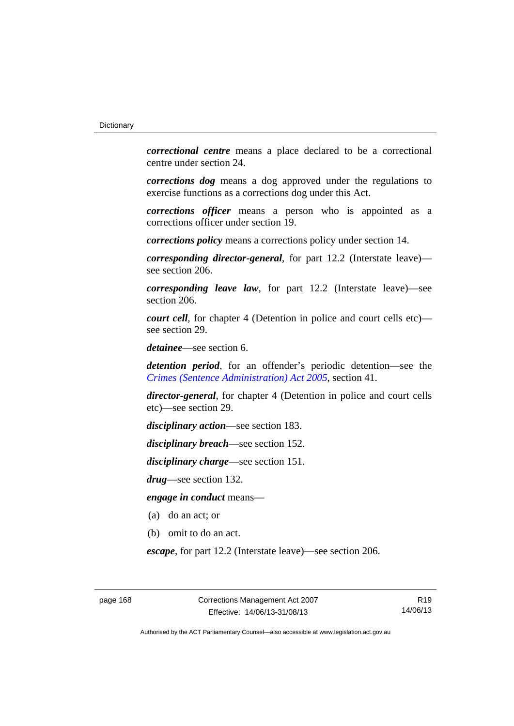*correctional centre* means a place declared to be a correctional centre under section 24.

*corrections dog* means a dog approved under the regulations to exercise functions as a corrections dog under this Act.

*corrections officer* means a person who is appointed as a corrections officer under section 19.

*corrections policy* means a corrections policy under section 14.

*corresponding director-general*, for part 12.2 (Interstate leave) see section 206.

*corresponding leave law*, for part 12.2 (Interstate leave)—see section 206.

*court cell*, for chapter 4 (Detention in police and court cells etc) see section 29.

*detainee*—see section 6.

*detention period*, for an offender's periodic detention—see the *[Crimes \(Sentence Administration\) Act 2005](http://www.legislation.act.gov.au/a/2005-59)*, section 41.

*director-general*, for chapter 4 (Detention in police and court cells etc)—see section 29.

*disciplinary action*—see section 183.

*disciplinary breach*—see section 152.

*disciplinary charge*—see section 151.

*drug*—see section 132.

*engage in conduct* means—

- (a) do an act; or
- (b) omit to do an act.

*escape*, for part 12.2 (Interstate leave)—see section 206.

R19 14/06/13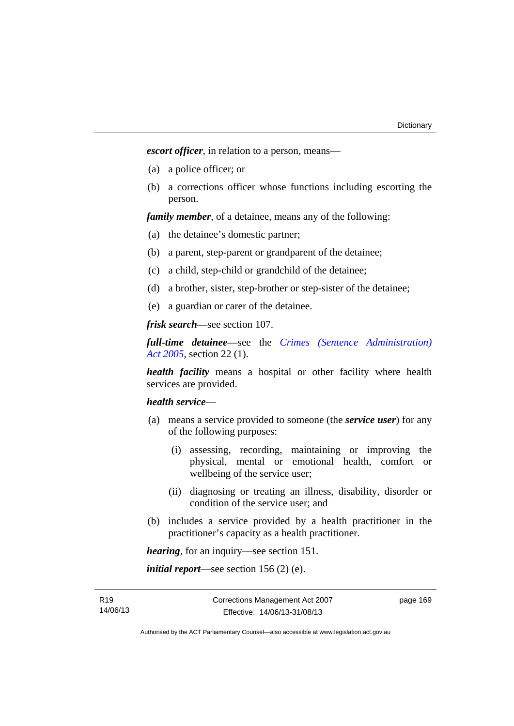*escort officer*, in relation to a person, means—

- (a) a police officer; or
- (b) a corrections officer whose functions including escorting the person.

*family member*, of a detainee, means any of the following:

- (a) the detainee's domestic partner;
- (b) a parent, step-parent or grandparent of the detainee;
- (c) a child, step-child or grandchild of the detainee;
- (d) a brother, sister, step-brother or step-sister of the detainee;
- (e) a guardian or carer of the detainee.

*frisk search*—see section 107.

*full-time detainee*—see the *[Crimes \(Sentence Administration\)](http://www.legislation.act.gov.au/a/2005-59)  [Act 2005](http://www.legislation.act.gov.au/a/2005-59)*, section 22 (1).

*health facility* means a hospital or other facility where health services are provided.

### *health service*—

- (a) means a service provided to someone (the *service user*) for any of the following purposes:
	- (i) assessing, recording, maintaining or improving the physical, mental or emotional health, comfort or wellbeing of the service user;
	- (ii) diagnosing or treating an illness, disability, disorder or condition of the service user; and
- (b) includes a service provided by a health practitioner in the practitioner's capacity as a health practitioner.

*hearing*, for an inquiry—see section 151.

*initial report*—see section 156 (2) (e).

page 169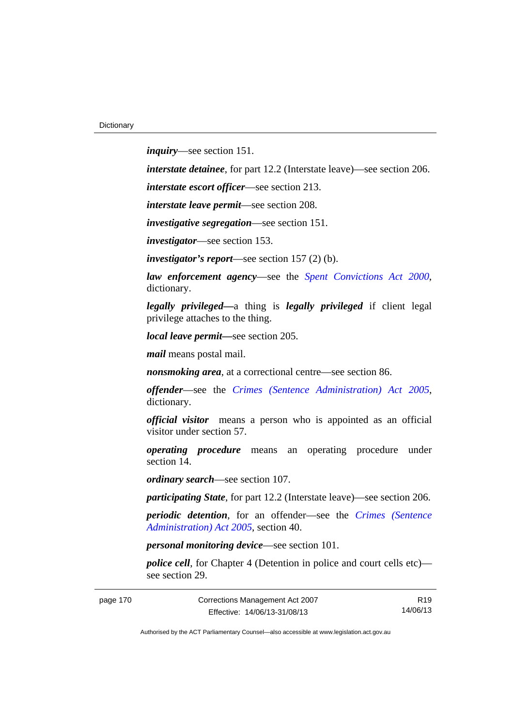*inquiry*—see section 151.

*interstate detainee*, for part 12.2 (Interstate leave)—see section 206.

*interstate escort officer*—see section 213.

*interstate leave permit*—see section 208.

*investigative segregation*—see section 151.

*investigator*—see section 153.

*investigator's report*—see section 157 (2) (b).

*law enforcement agency*—see the *[Spent Convictions Act 2000](http://www.legislation.act.gov.au/a/2000-48)*, dictionary.

*legally privileged—*a thing is *legally privileged* if client legal privilege attaches to the thing.

*local leave permit—*see section 205.

*mail* means postal mail.

*nonsmoking area*, at a correctional centre—see section 86.

*offender*—see the *[Crimes \(Sentence Administration\) Act 2005](http://www.legislation.act.gov.au/a/2005-59)*, dictionary.

*official visitor* means a person who is appointed as an official visitor under section 57.

*operating procedure* means an operating procedure under section 14.

*ordinary search*—see section 107.

*participating State*, for part 12.2 (Interstate leave)—see section 206.

*periodic detention*, for an offender—see the *[Crimes \(Sentence](http://www.legislation.act.gov.au/a/2005-59)  [Administration\) Act 2005](http://www.legislation.act.gov.au/a/2005-59)*, section 40.

*personal monitoring device*—see section 101.

*police cell*, for Chapter 4 (Detention in police and court cells etc) see section 29.

page 170 Corrections Management Act 2007 Effective: 14/06/13-31/08/13

R19 14/06/13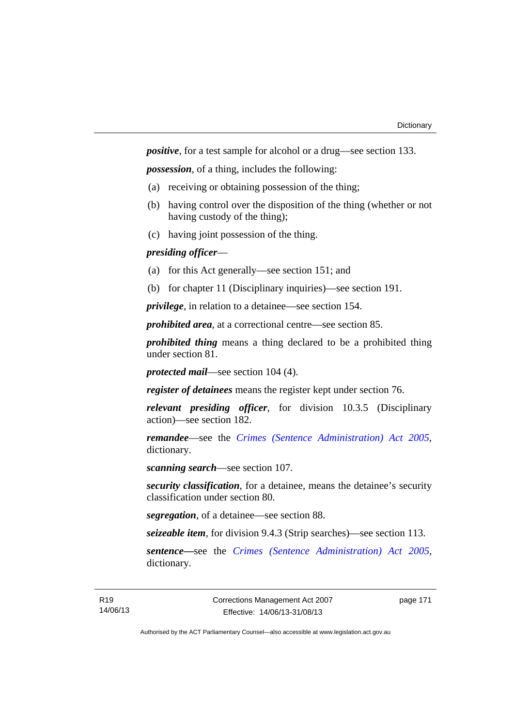*positive*, for a test sample for alcohol or a drug—see section 133.

*possession*, of a thing, includes the following:

- (a) receiving or obtaining possession of the thing;
- (b) having control over the disposition of the thing (whether or not having custody of the thing);
- (c) having joint possession of the thing.

# *presiding officer*—

- (a) for this Act generally—see section 151; and
- (b) for chapter 11 (Disciplinary inquiries)—see section 191.

*privilege*, in relation to a detainee—see section 154.

*prohibited area*, at a correctional centre—see section 85.

*prohibited thing* means a thing declared to be a prohibited thing under section 81.

*protected mail*—see section 104 (4).

*register of detainees* means the register kept under section 76.

*relevant presiding officer*, for division 10.3.5 (Disciplinary action)—see section 182.

*remandee*—see the *[Crimes \(Sentence Administration\) Act 2005](http://www.legislation.act.gov.au/a/2005-59)*, dictionary.

*scanning search*—see section 107.

*security classification*, for a detainee, means the detainee's security classification under section 80.

*segregation*, of a detainee—see section 88.

*seizeable item*, for division 9.4.3 (Strip searches)—see section 113.

*sentence—*see the *[Crimes \(Sentence Administration\) Act 2005](http://www.legislation.act.gov.au/a/2005-59)*, dictionary.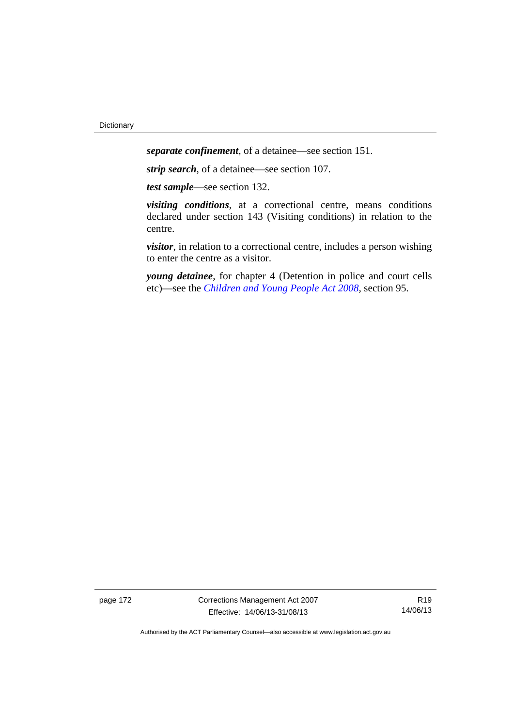*separate confinement*, of a detainee—see section 151.

*strip search*, of a detainee—see section 107.

*test sample*—see section 132.

*visiting conditions*, at a correctional centre, means conditions declared under section 143 (Visiting conditions) in relation to the centre.

*visitor*, in relation to a correctional centre, includes a person wishing to enter the centre as a visitor.

*young detainee*, for chapter 4 (Detention in police and court cells etc)—see the *[Children and Young People Act 2008](http://www.legislation.act.gov.au/a/2008-19)*, section 95.

page 172 Corrections Management Act 2007 Effective: 14/06/13-31/08/13

R19 14/06/13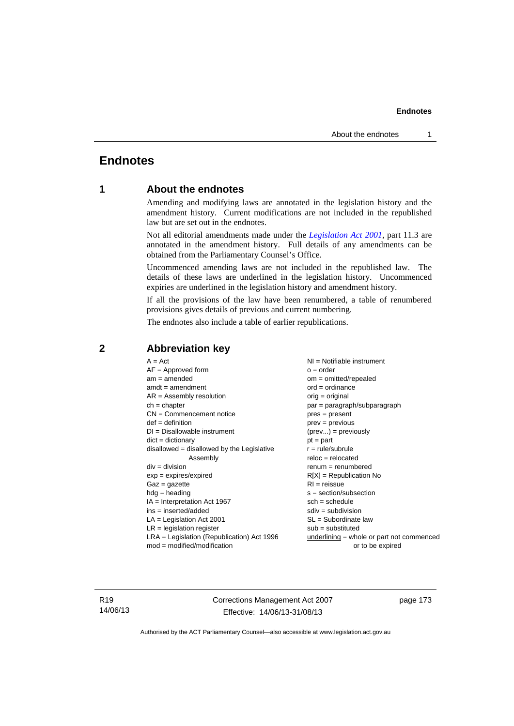# **Endnotes**

# **1 About the endnotes**

Amending and modifying laws are annotated in the legislation history and the amendment history. Current modifications are not included in the republished law but are set out in the endnotes.

Not all editorial amendments made under the *[Legislation Act 2001](http://www.legislation.act.gov.au/a/2001-14)*, part 11.3 are annotated in the amendment history. Full details of any amendments can be obtained from the Parliamentary Counsel's Office.

Uncommenced amending laws are not included in the republished law. The details of these laws are underlined in the legislation history. Uncommenced expiries are underlined in the legislation history and amendment history.

If all the provisions of the law have been renumbered, a table of renumbered provisions gives details of previous and current numbering.

The endnotes also include a table of earlier republications.

| $A = Act$                                    | $NI = Notifiable$ instrument                |
|----------------------------------------------|---------------------------------------------|
| $AF =$ Approved form                         | $o = order$                                 |
| $am = amended$                               | $om = omitted/repealed$                     |
| $amdt = amendment$                           | $ord = ordinance$                           |
| $AR = Assembly resolution$                   | $orig = original$                           |
| $ch = chapter$                               | par = paragraph/subparagraph                |
| $CN =$ Commencement notice                   | $pres = present$                            |
| $def = definition$                           | $prev = previous$                           |
| $DI = Disallowable instrument$               | $(\text{prev}) = \text{previously}$         |
| $dict = dictionary$                          | $pt = part$                                 |
| $disallowed = disallowed by the Legislative$ | $r = rule/subrule$                          |
| Assembly                                     | $reloc = relocated$                         |
| $div = division$                             | $renum = renumbered$                        |
| $exp = expires/expired$                      | $R[X]$ = Republication No                   |
| $Gaz = gazette$                              | $RI = reissue$                              |
| $hdg =$ heading                              | $s = section/subsection$                    |
| IA = Interpretation Act 1967                 | $sch = schedule$                            |
| $ins = inserted/added$                       | $sdiv = subdivision$                        |
| $LA =$ Legislation Act 2001                  | $SL = Subordinate$ law                      |
| $LR =$ legislation register                  | $sub =$ substituted                         |
| $LRA =$ Legislation (Republication) Act 1996 | $underlining = whole or part not commenced$ |
| $mod = modified/modification$                | or to be expired                            |

# **2 Abbreviation key**

R19 14/06/13 Corrections Management Act 2007 Effective: 14/06/13-31/08/13

page 173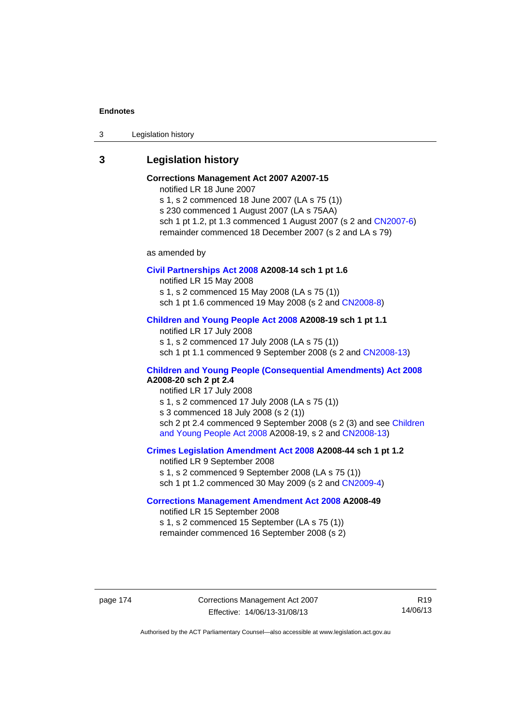3 Legislation history

# **3 Legislation history**

# **Corrections Management Act 2007 A2007-15**

notified LR 18 June 2007

s 1, s 2 commenced 18 June 2007 (LA s 75 (1)) s 230 commenced 1 August 2007 (LA s 75AA) sch 1 pt 1.2, pt 1.3 commenced 1 August 2007 (s 2 and [CN2007-6](http://www.legislation.act.gov.au/cn/2007-6/default.asp)) remainder commenced 18 December 2007 (s 2 and LA s 79)

as amended by

### **[Civil Partnerships Act 2008](http://www.legislation.act.gov.au/a/2008-14) A2008-14 sch 1 pt 1.6**

notified LR 15 May 2008

s 1, s 2 commenced 15 May 2008 (LA s 75 (1))

sch 1 pt 1.6 commenced 19 May 2008 (s 2 and [CN2008-8\)](http://www.legislation.act.gov.au/cn/2008-8/default.asp)

# **[Children and Young People Act 2008](http://www.legislation.act.gov.au/a/2008-19) A2008-19 sch 1 pt 1.1**

notified LR 17 July 2008 s 1, s 2 commenced 17 July 2008 (LA s 75 (1)) sch 1 pt 1.1 commenced 9 September 2008 (s 2 and [CN2008-13\)](http://www.legislation.act.gov.au/cn/2008-13/default.asp)

# **[Children and Young People \(Consequential Amendments\) Act 2008](http://www.legislation.act.gov.au/a/2008-20) A2008-20 sch 2 pt 2.4**

notified LR 17 July 2008 s 1, s 2 commenced 17 July 2008 (LA s 75 (1)) s 3 commenced 18 July 2008 (s 2 (1)) sch 2 pt 2.4 commenced 9 September 2008 (s 2 (3) and see Children [and Young People Act 2008](http://www.legislation.act.gov.au/a/2008-19) A2008-19, s 2 and [CN2008-13](http://www.legislation.act.gov.au/cn/2008-13/default.asp))

### **[Crimes Legislation Amendment Act 2008](http://www.legislation.act.gov.au/a/2008-44) A2008-44 sch 1 pt 1.2**

notified LR 9 September 2008 s 1, s 2 commenced 9 September 2008 (LA s 75 (1)) sch 1 pt 1.2 commenced 30 May 2009 (s 2 and [CN2009-4\)](http://www.legislation.act.gov.au/cn/2009-4/default.asp)

# **[Corrections Management Amendment Act 2008](http://www.legislation.act.gov.au/a/2008-49) A2008-49**

notified LR 15 September 2008 s 1, s 2 commenced 15 September (LA s 75 (1)) remainder commenced 16 September 2008 (s 2)

page 174 Corrections Management Act 2007 Effective: 14/06/13-31/08/13

R19 14/06/13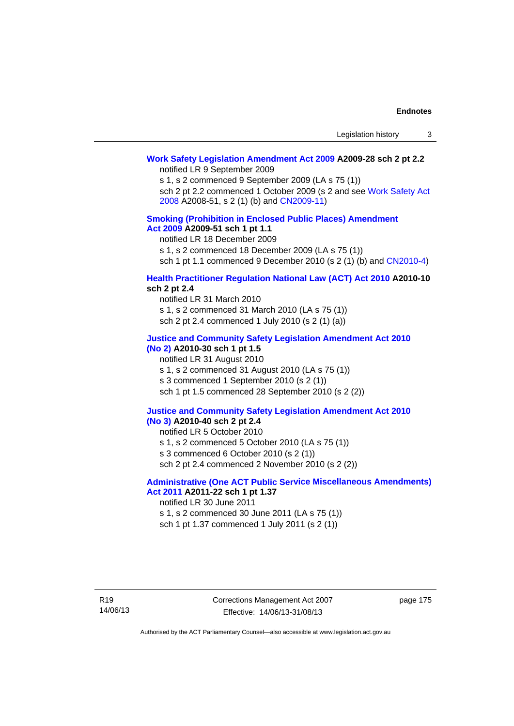# **[Work Safety Legislation Amendment Act 2009](http://www.legislation.act.gov.au/a/2009-28) A2009-28 sch 2 pt 2.2**

notified LR 9 September 2009

s 1, s 2 commenced 9 September 2009 (LA s 75 (1))

sch 2 pt 2.2 commenced 1 October 2009 (s 2 and see [Work Safety Act](http://www.legislation.act.gov.au/a/2008-51)  [2008](http://www.legislation.act.gov.au/a/2008-51) A2008-51, s 2 (1) (b) and [CN2009-11\)](http://www.legislation.act.gov.au/cn/2009-11/default.asp)

### **[Smoking \(Prohibition in Enclosed Public Places\) Amendment](http://www.legislation.act.gov.au/a/2009-51)  [Act 2009](http://www.legislation.act.gov.au/a/2009-51) A2009-51 sch 1 pt 1.1**

notified LR 18 December 2009

s 1, s 2 commenced 18 December 2009 (LA s 75 (1))

sch 1 pt 1.1 commenced 9 December 2010 (s 2 (1) (b) and [CN2010-4\)](http://www.legislation.act.gov.au/cn/2010-4/default.asp)

### **[Health Practitioner Regulation National Law \(ACT\) Act 2010](http://www.legislation.act.gov.au/a/2010-10) A2010-10 sch 2 pt 2.4**

notified LR 31 March 2010 s 1, s 2 commenced 31 March 2010 (LA s 75 (1)) sch 2 pt 2.4 commenced 1 July 2010 (s 2 (1) (a))

#### **[Justice and Community Safety Legislation Amendment Act 2010](http://www.legislation.act.gov.au/a/2010-30)**

# **[\(No 2\)](http://www.legislation.act.gov.au/a/2010-30) A2010-30 sch 1 pt 1.5**

notified LR 31 August 2010 s 1, s 2 commenced 31 August 2010 (LA s 75 (1)) s 3 commenced 1 September 2010 (s 2 (1)) sch 1 pt 1.5 commenced 28 September 2010 (s 2 (2))

#### **[Justice and Community Safety Legislation Amendment Act 2010](http://www.legislation.act.gov.au/a/2010-40)  [\(No 3\)](http://www.legislation.act.gov.au/a/2010-40) A2010-40 sch 2 pt 2.4**

notified LR 5 October 2010

s 1, s 2 commenced 5 October 2010 (LA s 75 (1))

s 3 commenced 6 October 2010 (s 2 (1))

sch 2 pt 2.4 commenced 2 November 2010 (s 2 (2))

### **[Administrative \(One ACT Public Service Miscellaneous Amendments\)](http://www.legislation.act.gov.au/a/2011-22)  [Act 2011](http://www.legislation.act.gov.au/a/2011-22) A2011-22 sch 1 pt 1.37**

notified LR 30 June 2011

s 1, s 2 commenced 30 June 2011 (LA s 75 (1)) sch 1 pt 1.37 commenced 1 July 2011 (s 2 (1))

page 175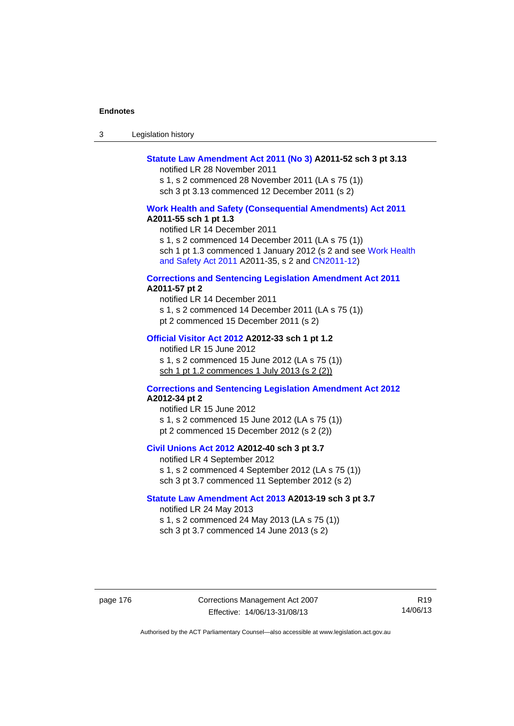| -3 | Legislation history |  |
|----|---------------------|--|
|----|---------------------|--|

### **[Statute Law Amendment Act 2011 \(No 3\)](http://www.legislation.act.gov.au/a/2011-52) A2011-52 sch 3 pt 3.13**

notified LR 28 November 2011

s 1, s 2 commenced 28 November 2011 (LA s 75 (1)) sch 3 pt 3.13 commenced 12 December 2011 (s 2)

### **[Work Health and Safety \(Consequential Amendments\) Act 2011](http://www.legislation.act.gov.au/a/2011-55) A2011-55 sch 1 pt 1.3**

notified LR 14 December 2011

s 1, s 2 commenced 14 December 2011 (LA s 75 (1))

sch 1 pt 1.3 commenced 1 January 2012 (s 2 and see Work Health [and Safety Act 2011](http://www.legislation.act.gov.au/a/2011-35) A2011-35, s 2 and [CN2011-12\)](http://www.legislation.act.gov.au/cn/2011-12/default.asp)

# **[Corrections and Sentencing Legislation Amendment Act 2011](http://www.legislation.act.gov.au/a/2011-57)**

**A2011-57 pt 2** 

notified LR 14 December 2011 s 1, s 2 commenced 14 December 2011 (LA s 75 (1)) pt 2 commenced 15 December 2011 (s 2)

#### **[Official Visitor Act 2012](http://www.legislation.act.gov.au/a/2012-33) A2012-33 sch 1 pt 1.2**

notified LR 15 June 2012 s 1, s 2 commenced 15 June 2012 (LA s 75 (1)) sch 1 pt 1.2 commences 1 July 2013 (s 2 (2))

# **[Corrections and Sentencing Legislation Amendment Act 2012](http://www.legislation.act.gov.au/a/2012-34) A2012-34 pt 2**

notified LR 15 June 2012 s 1, s 2 commenced 15 June 2012 (LA s 75 (1)) pt 2 commenced 15 December 2012 (s 2 (2))

## **[Civil Unions Act 2012](http://www.legislation.act.gov.au/a/2012-40) A2012-40 sch 3 pt 3.7**

notified LR 4 September 2012 s 1, s 2 commenced 4 September 2012 (LA s 75 (1)) sch 3 pt 3.7 commenced 11 September 2012 (s 2)

# **[Statute Law Amendment Act 2013](http://www.legislation.act.gov.au/a/2013-19) A2013-19 sch 3 pt 3.7**

notified LR 24 May 2013 s 1, s 2 commenced 24 May 2013 (LA s 75 (1)) sch 3 pt 3.7 commenced 14 June 2013 (s 2)

page 176 Corrections Management Act 2007 Effective: 14/06/13-31/08/13

R19 14/06/13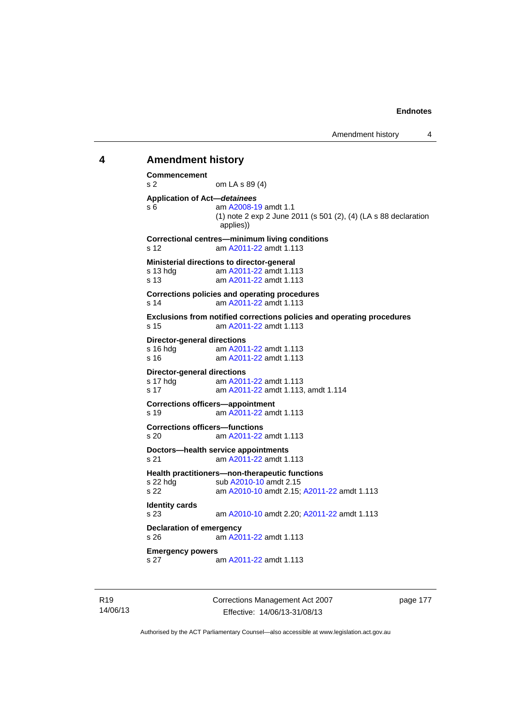# **4 Amendment history Commencement**  s 2 om LA s 89 (4) **Application of Act—***detainees* s 6 am [A2008-19](http://www.legislation.act.gov.au/a/2008-19) amdt 1.1 (1) note 2 exp 2 June 2011 (s 501 (2), (4) (LA s 88 declaration applies)) **Correctional centres—minimum living conditions**  s 12 am [A2011-22](http://www.legislation.act.gov.au/a/2011-22) amdt 1.113 **Ministerial directions to director-general**  s 13 hdg am [A2011-22](http://www.legislation.act.gov.au/a/2011-22) amdt 1.113 s 13 am [A2011-22](http://www.legislation.act.gov.au/a/2011-22) amdt 1.113 **Corrections policies and operating procedures**  s 14 am [A2011-22](http://www.legislation.act.gov.au/a/2011-22) amdt 1.113 **Exclusions from notified corrections policies and operating procedures**  s 15 am [A2011-22](http://www.legislation.act.gov.au/a/2011-22) amdt 1.113 **Director-general directions**  s 16 hdg am [A2011-22](http://www.legislation.act.gov.au/a/2011-22) amdt 1.113 s 16 am [A2011-22](http://www.legislation.act.gov.au/a/2011-22) amdt 1.113 **Director-general directions**  s 17 hdg am [A2011-22](http://www.legislation.act.gov.au/a/2011-22) amdt 1.113 s 17 am [A2011-22](http://www.legislation.act.gov.au/a/2011-22) amdt 1.113, amdt 1.114 **Corrections officers—appointment**  s 19 am [A2011-22](http://www.legislation.act.gov.au/a/2011-22) amdt 1.113 **Corrections officers—functions**  s 20 am [A2011-22](http://www.legislation.act.gov.au/a/2011-22) amdt 1.113 **Doctors—health service appointments**  s 21 am [A2011-22](http://www.legislation.act.gov.au/a/2011-22) amdt 1.113 **Health practitioners—non-therapeutic functions**  s 22 hdg sub [A2010-10](http://www.legislation.act.gov.au/a/2010-10) amdt 2.15 s 22 am [A2010-10](http://www.legislation.act.gov.au/a/2010-10) amdt 2.15; [A2011-22](http://www.legislation.act.gov.au/a/2011-22) amdt 1.113 **Identity cards**  s 23 am [A2010-10](http://www.legislation.act.gov.au/a/2010-10) amdt 2.20; [A2011-22](http://www.legislation.act.gov.au/a/2011-22) amdt 1.113 **Declaration of emergency**  s 26 am [A2011-22](http://www.legislation.act.gov.au/a/2011-22) amdt 1.113 **Emergency powers**  s 27 am [A2011-22](http://www.legislation.act.gov.au/a/2011-22) amdt 1.113

R19 14/06/13 Corrections Management Act 2007 Effective: 14/06/13-31/08/13

page 177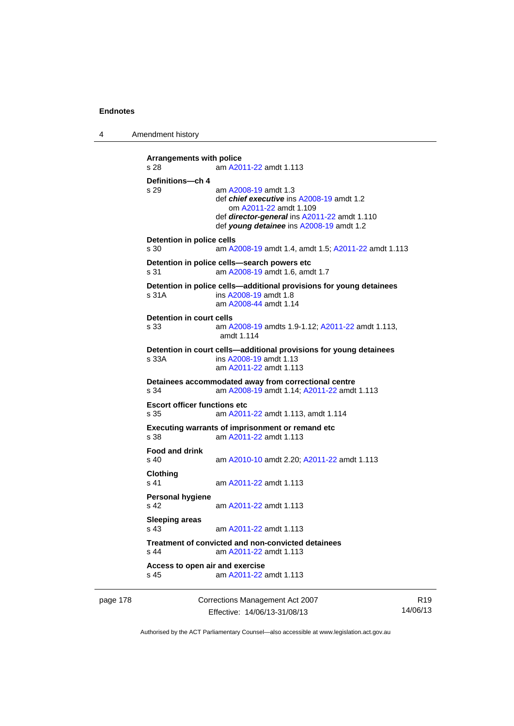4 Amendment history

```
Arrangements with police 
s 28 am A2011-22 amdt 1.113
Definitions—ch 4 
s 29 am A2008-19 amdt 1.3
                def chief executive ins A2008-19 amdt 1.2 
                    om A2011-22 amdt 1.109
                 def director-general ins A2011-22 amdt 1.110 
                 def young detainee ins A2008-19 amdt 1.2 
Detention in police cells 
s 30 am A2008-19 amdt 1.4, amdt 1.5; A2011-22 amdt 1.113
Detention in police cells—search powers etc 
s 31 am A2008-19 amdt 1.6, amdt 1.7 
Detention in police cells—additional provisions for young detainees 
s 31A ins A2008-19 amdt 1.8 
                am A2008-44 amdt 1.14
Detention in court cells 
s 33 am A2008-19 amdts 1.9-1.12; A2011-22 amdt 1.113, 
                amdt 1.114 
Detention in court cells—additional provisions for young detainees 
s 33A ins A2008-19 amdt 1.13 
                 am A2011-22 amdt 1.113
Detainees accommodated away from correctional centre 
s 34 am A2008-19 amdt 1.14; A2011-22 amdt 1.113 
Escort officer functions etc 
s 35 am A2011-22 amdt 1.113, amdt 1.114 
Executing warrants of imprisonment or remand etc 
s 38 am A2011-22 amdt 1.113
Food and drink 
s 40 am A2010-10 amdt 2.20; A2011-22 amdt 1.113 
Clothing 
s 41 A2011-22 amdt 1.113
Personal hygiene 
s 42  A2011-22 amdt 1.113
Sleeping areas 
s 43  A2011-22 amdt 1.113
Treatment of convicted and non-convicted detainees 
s 44 am A2011-22 amdt 1.113
Access to open air and exercise 
s 45 am A2011-22 amdt 1.113
```
page 178 Corrections Management Act 2007 Effective: 14/06/13-31/08/13

R19 14/06/13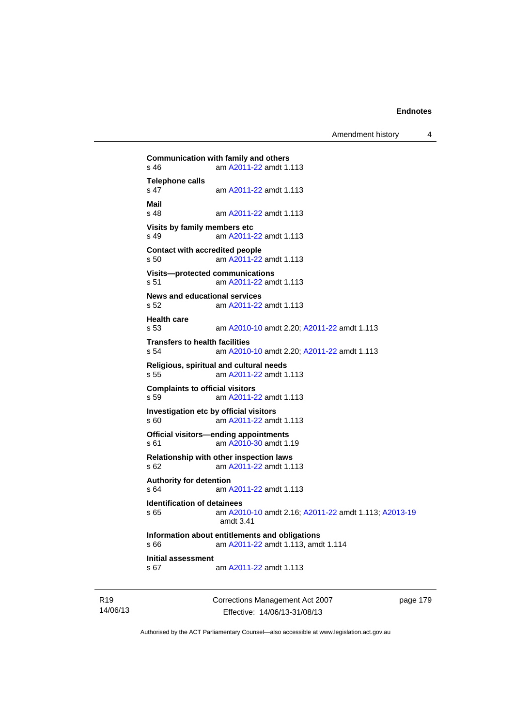Amendment history 4

```
Communication with family and others<br>s 46 am A2011-22 amdt 1.
               A2011-22 amdt 1.113
Telephone calls 
                 A2011-22 amdt 1.113
Mail 
                A2011-22 amdt 1.113
Visits by family members etc 
s 49 am A2011-22 amdt 1.113
Contact with accredited people 
s 50 am A2011-22 amdt 1.113
Visits—protected communications 
s 51 am A2011-22 amdt 1.113
News and educational services 
s 52 am A2011-22 amdt 1.113
Health care 
s 53 am A2010-10 amdt 2.20; A2011-22 amdt 1.113 
Transfers to health facilities 
s 54 am A2010-10 amdt 2.20; A2011-22 amdt 1.113 
Religious, spiritual and cultural needs 
s 55 am A2011-22 amdt 1.113
Complaints to official visitors 
s 59 am A2011-22 amdt 1.113
Investigation etc by official visitors 
s 60 am A2011-22 amdt 1.113
Official visitors—ending appointments 
 A2010-30 amdt 1.19
Relationship with other inspection laws 
s 62 am A2011-22 amdt 1.113
Authority for detention 
s 64 am A2011-22 amdt 1.113
Identification of detainees 
s 65 am A2010-10 amdt 2.16; A2011-22 amdt 1.113; A2013-19
                amdt 3.41
Information about entitlements and obligations 
s 66 am A2011-22 amdt 1.113, amdt 1.114 
Initial assessment 
s 67 am A2011-22 amdt 1.113
```
R19 14/06/13 Corrections Management Act 2007 Effective: 14/06/13-31/08/13

page 179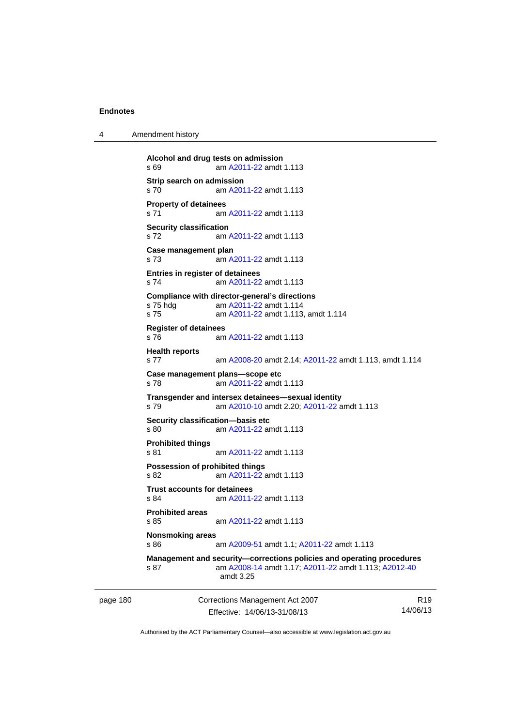4 Amendment history

```
Alcohol and drug tests on admission 
s 69 am A2011-22 amdt 1.113
Strip search on admission 
s 70 am A2011-22 amdt 1.113
Property of detainees 
 A2011-22 amdt 1.113
Security classification 
s 72 am A2011-22 amdt 1.113
Case management plan 
s 73 am A2011-22 amdt 1.113
Entries in register of detainees 
s 74 am A2011-22 amdt 1.113
Compliance with director-general's directions 
s 75 hdg am A2011-22 amdt 1.114
s 75 am A2011-22 amdt 1.113, amdt 1.114 
Register of detainees 
s 76 am A2011-22 amdt 1.113
Health reports 
s 77 am A2008-20 amdt 2.14; A2011-22 amdt 1.113, amdt 1.114 
Case management plans—scope etc 
s 78 am A2011-22 amdt 1.113
Transgender and intersex detainees—sexual identity 
s 79 am A2010-10 amdt 2.20; A2011-22 amdt 1.113 
Security classification—basis etc 
s 80 A2011-22 amdt 1.113
Prohibited things 
s 81 am A2011-22 amdt 1.113
Possession of prohibited things 
s 82 am A2011-22 amdt 1.113
Trust accounts for detainees 
s 84 am A2011-22 amdt 1.113
Prohibited areas 
s 85 am A2011-22 amdt 1.113
Nonsmoking areas 
s 86 am A2009-51 amdt 1.1; A2011-22 amdt 1.113 
Management and security—corrections policies and operating procedures 
s 87 am A2008-14 amdt 1.17; A2011-22 amdt 1.113; A2012-40
                amdt 3.25
```
page 180 Corrections Management Act 2007 Effective: 14/06/13-31/08/13

R19 14/06/13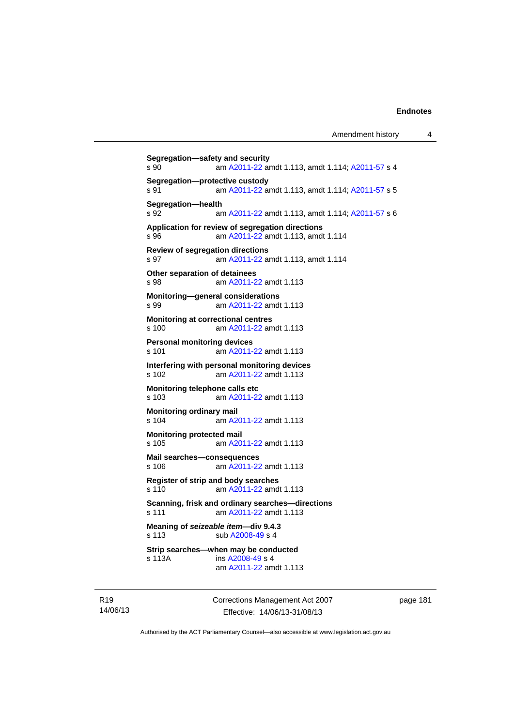```
Segregation—safety and security 
s 90 am A2011-22 amdt 1.113, amdt 1.114; A2011-57 s 4 
Segregation—protective custody 
s 91 am A2011-22 amdt 1.113, amdt 1.114; A2011-57 s 5 
Segregation—health 
s 92  A2011-22A2011-57 s 6
Application for review of segregation directions 
s 96 am A2011-22 amdt 1.113, amdt 1.114 
Review of segregation directions 
s 97 am A2011-22 amdt 1.113, amdt 1.114 
Other separation of detainees 
s 98 am A2011-22 amdt 1.113
Monitoring—general considerations 
s 99 am A2011-22 amdt 1.113
Monitoring at correctional centres 
s 100 am A2011-22 amdt 1.113
Personal monitoring devices 
s 101 am A2011-22 amdt 1.113
Interfering with personal monitoring devices 
s 102 am A2011-22 amdt 1.113
Monitoring telephone calls etc 
s 103 am A2011-22 amdt 1.113
Monitoring ordinary mail 
s 104 am A2011-22 amdt 1.113
Monitoring protected mail 
s 105 am A2011-22 amdt 1.113
Mail searches—consequences 
s 106 am A2011-22 amdt 1.113
Register of strip and body searches 
s 110 am A2011-22 amdt 1.113
Scanning, frisk and ordinary searches—directions 
s 111 am A2011-22 amdt 1.113
Meaning of seizeable item—div 9.4.3 
A2008-49 s 4
Strip searches—when may be conducted 
s 113A  A2008-49 s 4
                am A2011-22 amdt 1.113
```
R19 14/06/13 Corrections Management Act 2007 Effective: 14/06/13-31/08/13

page 181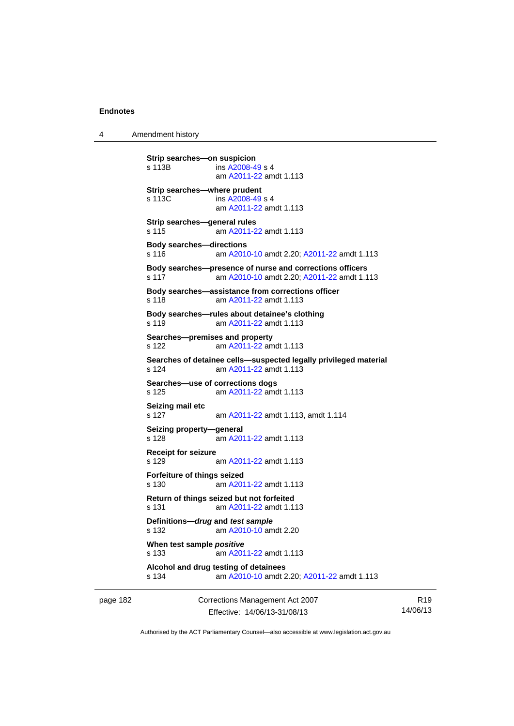4 Amendment history

```
Strip searches—on suspicion 
s 113B ins A2008-49 s 4
                am A2011-22 amdt 1.113
Strip searches—where prudent 
s 113C ins A2008-49 s 4
                am A2011-22 amdt 1.113
Strip searches—general rules 
s 115 am A2011-22 amdt 1.113
Body searches—directions 
s 116 am A2010-10 amdt 2.20; A2011-22 amdt 1.113 
Body searches—presence of nurse and corrections officers 
s 117 am A2010-10 amdt 2.20; A2011-22 amdt 1.113 
Body searches—assistance from corrections officer 
s 118 am A2011-22 amdt 1.113
Body searches—rules about detainee's clothing 
s 119 am A2011-22 amdt 1.113
Searches—premises and property 
s 122 am A2011-22 amdt 1.113
Searches of detainee cells—suspected legally privileged material 
s 124 am A2011-22 amdt 1.113
Searches—use of corrections dogs 
s 125 am A2011-22 amdt 1.113
Seizing mail etc 
s 127 am A2011-22 amdt 1.113, amdt 1.114 
Seizing property—general 
s 128 am A2011-22 amdt 1.113
Receipt for seizure 
s 129 am A2011-22 amdt 1.113
Forfeiture of things seized 
s 130 am A2011-22 amdt 1.113
Return of things seized but not forfeited 
s 131 am A2011-22 amdt 1.113
Definitions—drug and test sample
s 132 am A2010-10 amdt 2.20
When test sample positive
s 133 am A2011-22 amdt 1.113
Alcohol and drug testing of detainees 
s 134 am A2010-10 amdt 2.20; A2011-22 amdt 1.113
```
page 182 Corrections Management Act 2007 Effective: 14/06/13-31/08/13

R19 14/06/13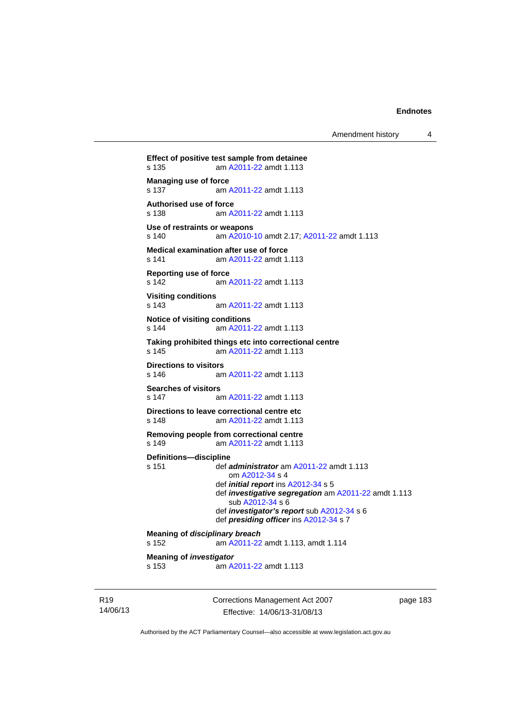```
Effect of positive test sample from detainee 
s 135 am A2011-22 amdt 1.113
Managing use of force<br>s 137 am
                 A2011-22 amdt 1.113
Authorised use of force 
s 138 am A2011-22 amdt 1.113
Use of restraints or weapons 
s 140 am A2010-10 amdt 2.17; A2011-22 amdt 1.113 
Medical examination after use of force 
s 141 am A2011-22 amdt 1.113
Reporting use of force 
s 142 am A2011-22 amdt 1.113
Visiting conditions 
s 143 am A2011-22 amdt 1.113
Notice of visiting conditions 
s 144 am A2011-22 amdt 1.113
Taking prohibited things etc into correctional centre 
s 145 am A2011-22 amdt 1.113
Directions to visitors<br>s 146 am
                 A2011-22 amdt 1.113
Searches of visitors 
s 147 am A2011-22 amdt 1.113
Directions to leave correctional centre etc 
s 148 am A2011-22 amdt 1.113
Removing people from correctional centre 
s 149 am A2011-22 amdt 1.113
Definitions—discipline 
s 151 def administrator am A2011-22 amdt 1.113 
                    om A2012-34 s 4 
                 def initial report ins A2012-34 s 5 
                 def investigative segregation am A2011-22 amdt 1.113 
                    sub A2012-34 s 6 
                 def investigator's report sub A2012-34 s 6 
                 def presiding officer ins A2012-34 s 7 
Meaning of disciplinary breach
s 152 am A2011-22 amdt 1.113, amdt 1.114 
Meaning of investigator
s 153 am A2011-22 amdt 1.113
```
R19 14/06/13 Corrections Management Act 2007 Effective: 14/06/13-31/08/13

page 183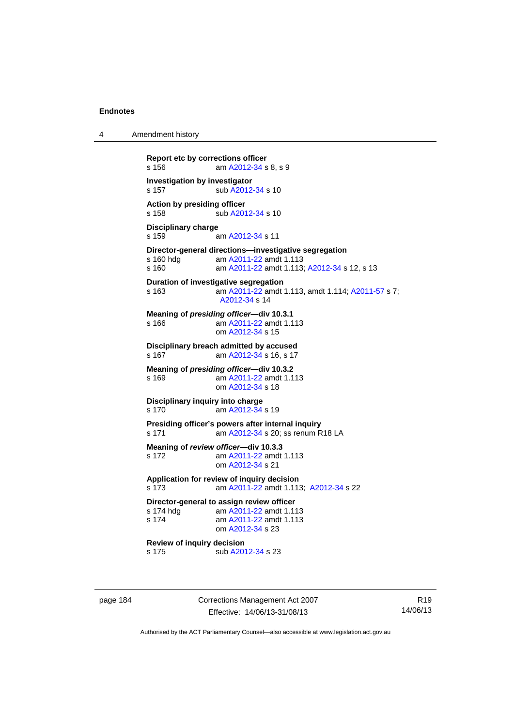4 Amendment history

```
Report etc by corrections officer 
A2012-34 s 8, s 9
Investigation by investigator 
A2012-34 s 10
Action by presiding officer 
A2012-34 s 10
Disciplinary charge 
s 159 am A2012-34 s 11 
Director-general directions—investigative segregation 
s 160 hdg am A2011-22 amdt 1.113
s 160 am A2011-22 amdt 1.113; A2012-34 s 12, s 13
Duration of investigative segregation 
s 163 am A2011-22 amdt 1.113, amdt 1.114; A2011-57 s 7; 
                 A2012-34 s 14 
Meaning of presiding officer—div 10.3.1 
s 166 A2011-22 amdt 1.113
                 om A2012-34 s 15 
Disciplinary breach admitted by accused 
s 167  A2012-34 s 16, s 17
Meaning of presiding officer—div 10.3.2 
s 169 am A2011-22 amdt 1.113
                 om A2012-34 s 18 
Disciplinary inquiry into charge 
s 170 am A2012-34 s 19 
Presiding officer's powers after internal inquiry 
 A2012-34 s 20; ss renum R18 LA
Meaning of review officer—div 10.3.3 
s 172 am A2011-22 amdt 1.113
                 om A2012-34 s 21 
Application for review of inquiry decision 
s 173 am A2011-22 amdt 1.113; A2012-34 s 22 
Director-general to assign review officer<br>s 174 hdg am A2011-22 amdt 1.11
                 A2011-22 amdt 1.113
 A2011-22 amdt 1.113
                 om A2012-34 s 23 
Review of inquiry decision<br>s 175 b sub A20
                A2012-34 s 23
```
page 184 Corrections Management Act 2007 Effective: 14/06/13-31/08/13

R19 14/06/13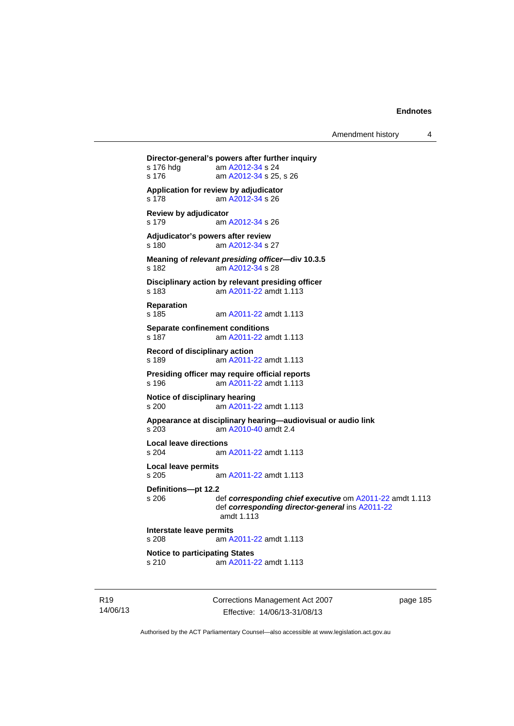Amendment history 4

```
Director-general's powers after further inquiry 
 A2012-34 s 24
 A2012-34 s 25, s 26
Application for review by adjudicator 
s 178 am A2012-34 s 26 
Review by adjudicator 
s 179 am A2012-34 s 26 
Adjudicator's powers after review 
s 180 am A2012-34 s 27 
Meaning of relevant presiding officer—div 10.3.5 
s 182 am A2012-34 s 28 
Disciplinary action by relevant presiding officer 
s 183 am A2011-22 amdt 1.113
Reparation 
s 185 am A2011-22 amdt 1.113
Separate confinement conditions 
s 187 am A2011-22 amdt 1.113
Record of disciplinary action 
s 189 am A2011-22 amdt 1.113
Presiding officer may require official reports<br>s 196 am A2011-22 amdt 1.113
                 A2011-22 amdt 1.113
Notice of disciplinary hearing 
s 200 am A2011-22 amdt 1.113
Appearance at disciplinary hearing—audiovisual or audio link 
s 203 am A2010-40 amdt 2.4
Local leave directions 
s 204 am A2011-22 amdt 1.113
Local leave permits 
s 205 am A2011-22 amdt 1.113
Definitions—pt 12.2 
s 206 def corresponding chief executive om A2011-22 amdt 1.113 
                 def corresponding director-general ins A2011-22
                 amdt 1.113
Interstate leave permits 
s 208 am A2011-22 amdt 1.113
Notice to participating States<br>s 210 am A2011-2
                 A2011-22 amdt 1.113
```
R19 14/06/13 Corrections Management Act 2007 Effective: 14/06/13-31/08/13

page 185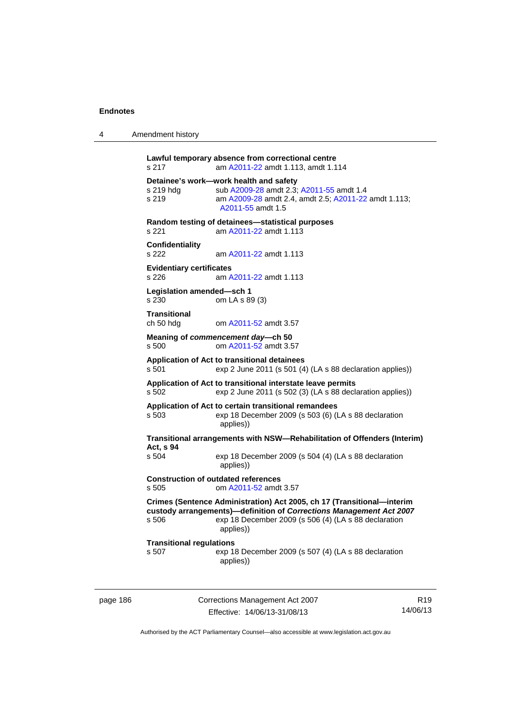| 4 | Amendment history |
|---|-------------------|
|---|-------------------|

```
Lawful temporary absence from correctional centre 
s 217 am A2011-22 amdt 1.113, amdt 1.114 
Detainee's work—work health and safety<br>s 219 hdg sub A2009-28 amdt 2.3
                A2009-28A2011-55 amdt 1.4
s 219 am A2009-28 amdt 2.4, amdt 2.5; A2011-22 amdt 1.113; 
                  A2011-55 amdt 1.5 
Random testing of detainees—statistical purposes 
s 221 am A2011-22 amdt 1.113
Confidentiality 
s 222 am A2011-22 amdt 1.113
Evidentiary certificates 
s 226 am A2011-22 amdt 1.113
Legislation amended—sch 1 
s 230 om LA s 89 (3) 
Transitional 
ch 50 hdg om A2011-52 amdt 3.57
Meaning of commencement day—ch 50 
s 500 om A2011-52 amdt 3.57
Application of Act to transitional detainees 
s 501 exp 2 June 2011 (s 501 (4) (LA s 88 declaration applies)) 
Application of Act to transitional interstate leave permits 
s 502 exp 2 June 2011 (s 502 (3) (LA s 88 declaration applies)) 
Application of Act to certain transitional remandees 
s 503 exp 18 December 2009 (s 503 (6) (LA s 88 declaration 
                  applies)) 
Transitional arrangements with NSW—Rehabilitation of Offenders (Interim) 
Act, s 94 
s 504 exp 18 December 2009 (s 504 (4) (LA s 88 declaration 
                  applies)) 
Construction of outdated references 
s 505 om A2011-52 amdt 3.57
Crimes (Sentence Administration) Act 2005, ch 17 (Transitional—interim 
custody arrangements)—definition of Corrections Management Act 2007
s 506 exp 18 December 2009 (s 506 (4) (LA s 88 declaration 
                  applies)) 
Transitional regulations 
s 507 exp 18 December 2009 (s 507 (4) (LA s 88 declaration 
                  applies))
```
page 186 Corrections Management Act 2007 Effective: 14/06/13-31/08/13

R19 14/06/13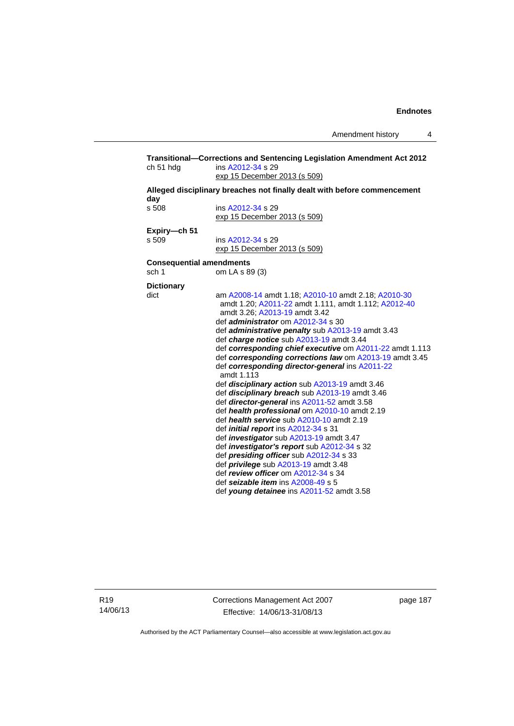| ch 51 hdg         | ins A2012-34 s 29<br>exp 15 December 2013 (s 509)                        |
|-------------------|--------------------------------------------------------------------------|
|                   | Alleged disciplinary breaches not finally dealt with before commencement |
| day               |                                                                          |
| s 508             | ins A2012-34 s 29                                                        |
|                   | exp 15 December 2013 (s 509)                                             |
| Expiry-ch 51      |                                                                          |
| s 509             | ins A2012-34 s 29                                                        |
|                   | exp 15 December 2013 (s 509)                                             |
|                   | <b>Consequential amendments</b>                                          |
| sch <sub>1</sub>  | om LA s 89 (3)                                                           |
| <b>Dictionary</b> |                                                                          |
| dict              | am A2008-14 amdt 1.18; A2010-10 amdt 2.18; A2010-30                      |
|                   | amdt 1.20; A2011-22 amdt 1.111, amdt 1.112; A2012-40                     |
|                   | amdt 3.26: A2013-19 amdt 3.42                                            |
|                   | def <i>administrator</i> om A2012-34 s 30                                |
|                   | def <i>administrative penalty</i> sub A2013-19 amdt 3.43                 |
|                   | def charge notice sub A2013-19 amdt 3.44                                 |
|                   | def corresponding chief executive om A2011-22 amdt 1.113                 |
|                   | def corresponding corrections law om A2013-19 amdt 3.45                  |
|                   | def corresponding director-general ins A2011-22<br>amdt 1.113            |
|                   | def <i>disciplinary action</i> sub A2013-19 amdt 3.46                    |
|                   | def disciplinary breach sub A2013-19 amdt 3.46                           |
|                   | def director-general ins A2011-52 amdt 3.58                              |
|                   | def health professional om A2010-10 amdt 2.19                            |
|                   | def health service sub A2010-10 amdt 2.19                                |
|                   | def <i>initial report</i> ins A2012-34 s 31                              |
|                   | def <i>investigator</i> sub A2013-19 amdt 3.47                           |
|                   | def <i>investigator's report</i> sub A2012-34 s 32                       |
|                   | def presiding officer sub A2012-34 s 33                                  |
|                   | def <i>privilege</i> sub A2013-19 amdt 3.48                              |
|                   | def review officer om A2012-34 s 34                                      |
|                   | def seizable item ins A2008-49 s 5                                       |
|                   | def young detainee ins A2011-52 amdt 3.58                                |

R19 14/06/13 Corrections Management Act 2007 Effective: 14/06/13-31/08/13

page 187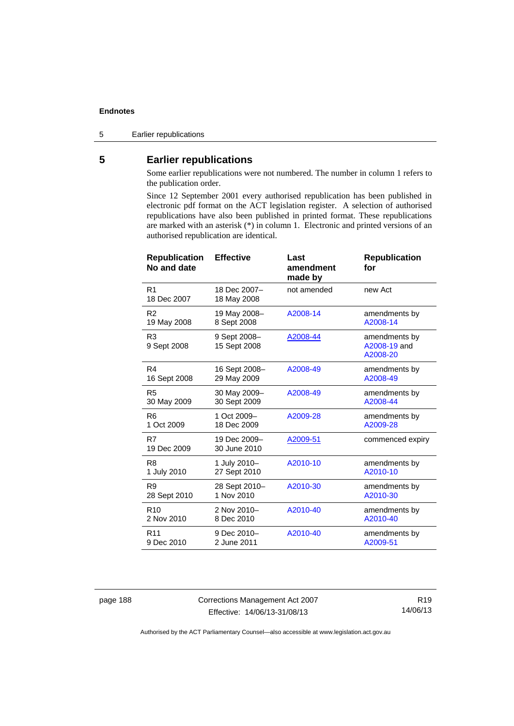5 Earlier republications

# **5 Earlier republications**

Some earlier republications were not numbered. The number in column 1 refers to the publication order.

Since 12 September 2001 every authorised republication has been published in electronic pdf format on the ACT legislation register. A selection of authorised republications have also been published in printed format. These republications are marked with an asterisk (\*) in column 1. Electronic and printed versions of an authorised republication are identical.

| <b>Republication</b><br>No and date | <b>Effective</b>             | Last<br>amendment<br>made by | <b>Republication</b><br>for               |
|-------------------------------------|------------------------------|------------------------------|-------------------------------------------|
| R <sub>1</sub><br>18 Dec 2007       | 18 Dec 2007-<br>18 May 2008  | not amended                  | new Act                                   |
| R <sub>2</sub>                      | 19 May 2008-                 | A2008-14                     | amendments by                             |
| 19 May 2008                         | 8 Sept 2008                  |                              | A2008-14                                  |
| R <sub>3</sub><br>9 Sept 2008       | 9 Sept 2008-<br>15 Sept 2008 | A2008-44                     | amendments by<br>A2008-19 and<br>A2008-20 |
| R4                                  | 16 Sept 2008-                | A2008-49                     | amendments by                             |
| 16 Sept 2008                        | 29 May 2009                  |                              | A2008-49                                  |
| R <sub>5</sub>                      | 30 May 2009-                 | A2008-49                     | amendments by                             |
| 30 May 2009                         | 30 Sept 2009                 |                              | A2008-44                                  |
| R <sub>6</sub>                      | 1 Oct 2009-                  | A2009-28                     | amendments by                             |
| 1 Oct 2009                          | 18 Dec 2009                  |                              | A2009-28                                  |
| R7<br>19 Dec 2009                   | 19 Dec 2009-<br>30 June 2010 | A2009-51                     | commenced expiry                          |
| R <sub>8</sub>                      | 1 July 2010-                 | A2010-10                     | amendments by                             |
| 1 July 2010                         | 27 Sept 2010                 |                              | A2010-10                                  |
| R <sub>9</sub>                      | 28 Sept 2010-                | A2010-30                     | amendments by                             |
| 28 Sept 2010                        | 1 Nov 2010                   |                              | A2010-30                                  |
| R <sub>10</sub>                     | 2 Nov 2010-                  | A2010-40                     | amendments by                             |
| 2 Nov 2010                          | 8 Dec 2010                   |                              | A2010-40                                  |
| R <sub>11</sub>                     | 9 Dec 2010-                  | A2010-40                     | amendments by                             |
| 9 Dec 2010                          | 2 June 2011                  |                              | A2009-51                                  |

page 188 Corrections Management Act 2007 Effective: 14/06/13-31/08/13

R19 14/06/13